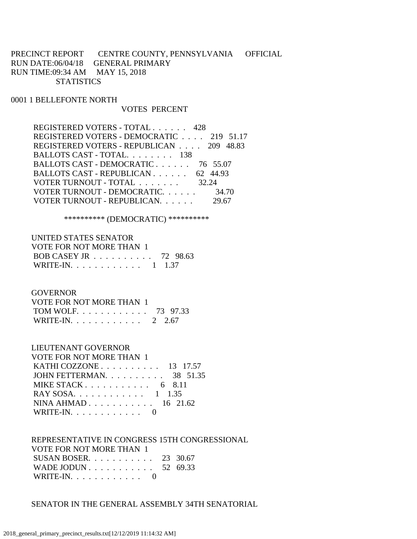PRECINCT REPORT CENTRE COUNTY, PENNSYLVANIA OFFICIAL RUN DATE:06/04/18 GENERAL PRIMARY RUN TIME:09:34 AM MAY 15, 2018 **STATISTICS** 

0001 1 BELLEFONTE NORTH

### VOTES PERCENT

| REGISTERED VOTERS - DEMOCRATIC 219 51.17<br>REGISTERED VOTERS - REPUBLICAN 209 48.83<br>BALLOTS CAST - TOTAL. 138<br>BALLOTS CAST - DEMOCRATIC 76 55.07<br>BALLOTS CAST - REPUBLICAN 62 44.93<br>VOTER TURNOUT - TOTAL 32.24<br>VOTER TURNOUT - DEMOCRATIC.<br>34.70 | REGISTERED VOTERS - TOTAL 428 |  |
|----------------------------------------------------------------------------------------------------------------------------------------------------------------------------------------------------------------------------------------------------------------------|-------------------------------|--|
|                                                                                                                                                                                                                                                                      |                               |  |
|                                                                                                                                                                                                                                                                      |                               |  |
|                                                                                                                                                                                                                                                                      |                               |  |
|                                                                                                                                                                                                                                                                      |                               |  |
|                                                                                                                                                                                                                                                                      |                               |  |
|                                                                                                                                                                                                                                                                      |                               |  |
|                                                                                                                                                                                                                                                                      |                               |  |
|                                                                                                                                                                                                                                                                      | VOTER TURNOUT - REPUBLICAN.   |  |

\*\*\*\*\*\*\*\*\*\* (DEMOCRATIC) \*\*\*\*\*\*\*\*\*\*

| UNITED STATES SENATOR    |  |
|--------------------------|--|
| VOTE FOR NOT MORE THAN 1 |  |
| BOB CASEY JR 72 98.63    |  |
| WRITE-IN. 1 1.37         |  |

### **GOVERNOR**

| VOTE FOR NOT MORE THAN 1 |  |
|--------------------------|--|
| TOM WOLF 73 97.33        |  |
| WRITE-IN. 2 2.67         |  |

## LIEUTENANT GOVERNOR

| VOTE FOR NOT MORE THAN 1                          |  |
|---------------------------------------------------|--|
| KATHI COZZONE $\ldots$ $\ldots$ $\ldots$ 13 17.57 |  |
| JOHN FETTERMAN. $\ldots$ 38 51.35                 |  |
| MIKE STACK 6 8.11                                 |  |
| RAY SOSA. 1 1.35                                  |  |
| NINA AHMAD 16 21.62                               |  |
| WRITE-IN. $\ldots$ 0                              |  |

#### REPRESENTATIVE IN CONGRESS 15TH CONGRESSIONAL VOTE FOR NOT MORE THAN 1

| SUSAN BOSER. $\ldots$ 23 30.67 |  |
|--------------------------------|--|
| WADE JODUN 52 69.33            |  |
| WRITE-IN. $\ldots$ 0           |  |

SENATOR IN THE GENERAL ASSEMBLY 34TH SENATORIAL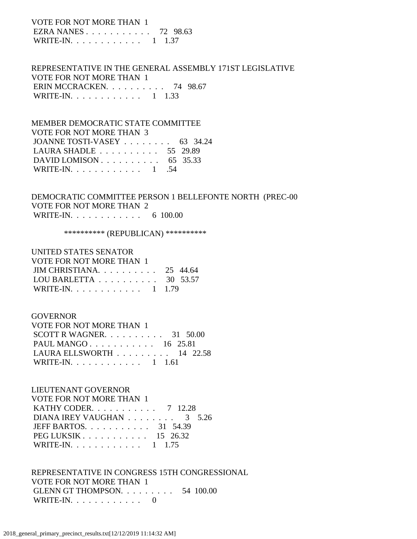VOTE FOR NOT MORE THAN 1 EZRA NANES . . . . . . . . . . . 72 98.63 WRITE-IN. . . . . . . . . . . . 1 1.37

 REPRESENTATIVE IN THE GENERAL ASSEMBLY 171ST LEGISLATIVE VOTE FOR NOT MORE THAN 1 ERIN MCCRACKEN. . . . . . . . . . 74 98.67 WRITE-IN. . . . . . . . . . . . 1 1.33

 MEMBER DEMOCRATIC STATE COMMITTEE VOTE FOR NOT MORE THAN 3 JOANNE TOSTI-VASEY . . . . . . . . 63 34.24 LAURA SHADLE . . . . . . . . . . 55 29.89 DAVID LOMISON . . . . . . . . . . 65 35.33 WRITE-IN. . . . . . . . . . . . 1 .54

 DEMOCRATIC COMMITTEE PERSON 1 BELLEFONTE NORTH (PREC-00 VOTE FOR NOT MORE THAN 2 WRITE-IN. . . . . . . . . . . . . 6 100.00

\*\*\*\*\*\*\*\*\*\* (REPUBLICAN) \*\*\*\*\*\*\*\*\*\*

| UNITED STATES SENATOR                               |  |
|-----------------------------------------------------|--|
| VOTE FOR NOT MORE THAN 1                            |  |
| JIM CHRISTIANA. $\ldots$ 25 44.64                   |  |
| LOU BARLETTA $\ldots \ldots \ldots \ldots$ 30 53.57 |  |
| WRITE-IN. 1 1.79                                    |  |

### GOVERNOR

| VOTE FOR NOT MORE THAN 1          |  |  |
|-----------------------------------|--|--|
| SCOTT R WAGNER. $\ldots$ 31 50.00 |  |  |
| PAUL MANGO 16 25.81               |  |  |
| LAURA ELLSWORTH $\ldots$ 14 22.58 |  |  |
| WRITE-IN. 1 1.61                  |  |  |

#### LIEUTENANT GOVERNOR

| <b>VOTE FOR NOT MORE THAN 1</b>                         |  |
|---------------------------------------------------------|--|
| <b>KATHY CODER.</b> 7 12.28                             |  |
| DIANA IREY VAUGHAN 3 5.26                               |  |
| JEFF BARTOS. 31 54.39                                   |  |
| $PEG LUKSIK \ldots \ldots \ldots \ldots 15 \quad 26.32$ |  |
| WRITE-IN. 1 1.75                                        |  |

 REPRESENTATIVE IN CONGRESS 15TH CONGRESSIONAL VOTE FOR NOT MORE THAN 1 GLENN GT THOMPSON. . . . . . . . . 54 100.00 WRITE-IN. . . . . . . . . . . . 0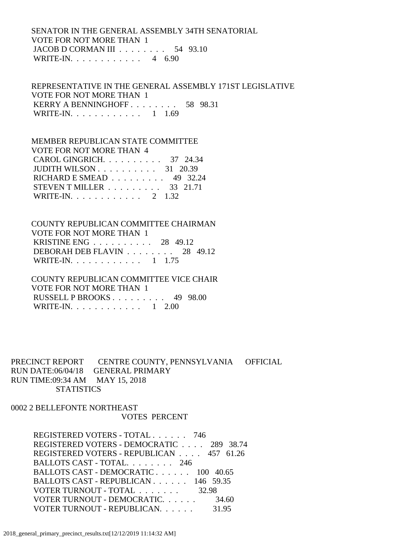### SENATOR IN THE GENERAL ASSEMBLY 34TH SENATORIAL VOTE FOR NOT MORE THAN 1 JACOB D CORMAN III . . . . . . . . 54 93.10 WRITE-IN. . . . . . . . . . . . 4 6.90

## REPRESENTATIVE IN THE GENERAL ASSEMBLY 171ST LEGISLATIVE VOTE FOR NOT MORE THAN 1 KERRY A BENNINGHOFF . . . . . . . . . 58 98.31 WRITE-IN. . . . . . . . . . . . 1 1.69

### MEMBER REPUBLICAN STATE COMMITTEE

| VOTE FOR NOT MORE THAN 4                             |  |
|------------------------------------------------------|--|
| CAROL GINGRICH. 37 24.34                             |  |
| JUDITH WILSON $\ldots \ldots \ldots \ldots$ 31 20.39 |  |
| RICHARD E SMEAD $\ldots \ldots \ldots$ 49 32.24      |  |
| STEVEN T MILLER $\ldots \ldots \ldots$ 33 21.71      |  |
| WRITE-IN. 2 1.32                                     |  |

#### COUNTY REPUBLICAN COMMITTEE CHAIRMAN VOTE FOR NOT MORE THAN 1

| KRISTINE ENG $28 \quad 49.12$                      |  |  |
|----------------------------------------------------|--|--|
| DEBORAH DEB FLAVIN $\ldots \ldots \ldots$ 28 49.12 |  |  |
| WRITE-IN. 1 1.75                                   |  |  |

## COUNTY REPUBLICAN COMMITTEE VICE CHAIR VOTE FOR NOT MORE THAN 1 RUSSELL P BROOKS . . . . . . . . . 49 98.00 WRITE-IN. . . . . . . . . . . . . 1 2.00

## PRECINCT REPORT CENTRE COUNTY, PENNSYLVANIA OFFICIAL RUN DATE:06/04/18 GENERAL PRIMARY RUN TIME:09:34 AM MAY 15, 2018 **STATISTICS**

### 0002 2 BELLEFONTE NORTHEAST VOTES PERCENT

| REGISTERED VOTERS - TOTAL 746            |       |
|------------------------------------------|-------|
| REGISTERED VOTERS - DEMOCRATIC 289 38.74 |       |
| REGISTERED VOTERS - REPUBLICAN 457 61.26 |       |
| BALLOTS CAST - TOTAL. 246                |       |
| BALLOTS CAST - DEMOCRATIC 100 40.65      |       |
| BALLOTS CAST - REPUBLICAN 146 59.35      |       |
| VOTER TURNOUT - TOTAL 32.98              |       |
| VOTER TURNOUT - DEMOCRATIC.              | 34.60 |
| VOTER TURNOUT - REPUBLICAN.              | 31.95 |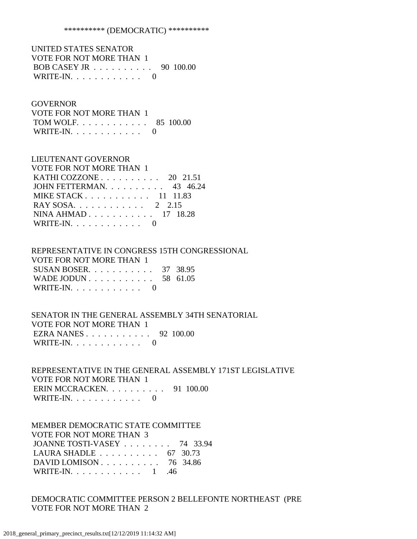#### \*\*\*\*\*\*\*\*\*\* (DEMOCRATIC) \*\*\*\*\*\*\*\*\*\*

 UNITED STATES SENATOR VOTE FOR NOT MORE THAN 1 BOB CASEY JR . . . . . . . . . . 90 100.00 WRITE-IN. . . . . . . . . . . . 0

#### GOVERNOR

| VOTE FOR NOT MORE THAN 1 |  |
|--------------------------|--|
| TOM WOLF. 85 100.00      |  |
| WRITE-IN. $\ldots$ 0     |  |

### LIEUTENANT GOVERNOR

| VOTE FOR NOT MORE THAN 1                                |
|---------------------------------------------------------|
| KATHI COZZONE $\ldots$ $\ldots$ $\ldots$ 20 21.51       |
| JOHN FETTERMAN. 43 46.24                                |
| MIKE STACK $\ldots$ $\ldots$ $\ldots$ $\ldots$ 11 11.83 |
| RAY SOSA. 2 2.15                                        |
| NINA AHMAD 17 18.28                                     |
| WRITE-IN. $\ldots$ 0                                    |
|                                                         |

# REPRESENTATIVE IN CONGRESS 15TH CONGRESSIONAL VOTE FOR NOT MORE THAN 1

| SUSAN BOSER. $\ldots$ 37 38.95 |  |
|--------------------------------|--|
| WADE JODUN 58 61.05            |  |
| WRITE-IN. $\ldots$ 0           |  |

### SENATOR IN THE GENERAL ASSEMBLY 34TH SENATORIAL VOTE FOR NOT MORE THAN 1 EZRA NANES . . . . . . . . . . . 92 100.00 WRITE-IN.  $\ldots$  . . . . . . . . 0

 REPRESENTATIVE IN THE GENERAL ASSEMBLY 171ST LEGISLATIVE VOTE FOR NOT MORE THAN 1 ERIN MCCRACKEN. . . . . . . . . . . 91 100.00 WRITE-IN. . . . . . . . . . . . 0

### MEMBER DEMOCRATIC STATE COMMITTEE

 VOTE FOR NOT MORE THAN 3 JOANNE TOSTI-VASEY . . . . . . . . 74 33.94 LAURA SHADLE . . . . . . . . . . 67 30.73 DAVID LOMISON . . . . . . . . . . 76 34.86 WRITE-IN. . . . . . . . . . . . 1 .46

### DEMOCRATIC COMMITTEE PERSON 2 BELLEFONTE NORTHEAST (PRE VOTE FOR NOT MORE THAN 2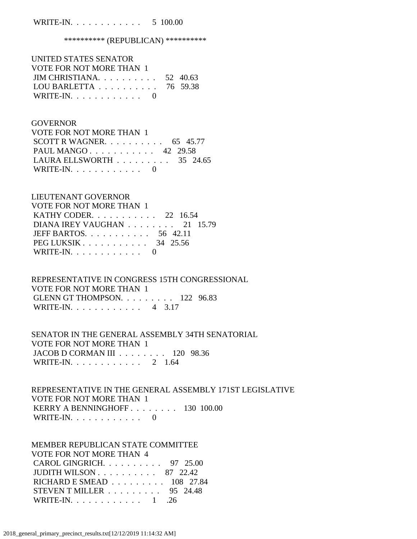### WRITE-IN. . . . . . . . . . . . 5 100.00

### \*\*\*\*\*\*\*\*\*\*\*\* (REPUBLICAN) \*\*\*\*\*\*\*\*\*\*\*

| UNITED STATES SENATOR                               |  |
|-----------------------------------------------------|--|
| VOTE FOR NOT MORE THAN 1                            |  |
| JIM CHRISTIANA. $\ldots$ 52 40.63                   |  |
| LOU BARLETTA $\ldots \ldots \ldots \ldots$ 76 59.38 |  |
| WRITE-IN. $\ldots$ 0                                |  |

#### **GOVERNOR**

| VOTE FOR NOT MORE THAN 1                        |  |  |
|-------------------------------------------------|--|--|
| SCOTT R WAGNER. $\ldots$ 65 45.77               |  |  |
| PAUL MANGO 42 29.58                             |  |  |
| LAURA ELLSWORTH $\ldots \ldots \ldots$ 35 24.65 |  |  |
| WRITE-IN. $\ldots$ 0                            |  |  |

### LIEUTENANT GOVERNOR

| VOTE FOR NOT MORE THAN 1                           |
|----------------------------------------------------|
| KATHY CODER. 22 16.54                              |
| DIANA IREY VAUGHAN $\ldots \ldots \ldots 21$ 15.79 |
| JEFF BARTOS. $\ldots$ 56 42.11                     |
| PEG LUKSIK $\ldots$ 34 25.56                       |
| WRITE-IN. $\ldots$ 0                               |

# REPRESENTATIVE IN CONGRESS 15TH CONGRESSIONAL VOTE FOR NOT MORE THAN 1 GLENN GT THOMPSON. . . . . . . . . 122 96.83 WRITE-IN. . . . . . . . . . . . 4 3.17

### SENATOR IN THE GENERAL ASSEMBLY 34TH SENATORIAL VOTE FOR NOT MORE THAN 1 JACOB D CORMAN III . . . . . . . . 120 98.36 WRITE-IN. . . . . . . . . . . . 2 1.64

## REPRESENTATIVE IN THE GENERAL ASSEMBLY 171ST LEGISLATIVE VOTE FOR NOT MORE THAN 1 KERRY A BENNINGHOFF . . . . . . . . 130 100.00 WRITE-IN. . . . . . . . . . . . 0

### MEMBER REPUBLICAN STATE COMMITTEE

| VOTE FOR NOT MORE THAN 4                                |  |
|---------------------------------------------------------|--|
| CAROL GINGRICH. $\ldots$ 97 25.00                       |  |
| JUDITH WILSON $\ldots \ldots \ldots \ldots$ 87 22.42    |  |
| RICHARD E SMEAD $\ldots \ldots \ldots \ldots$ 108 27.84 |  |
| STEVEN T MILLER $\ldots \ldots \ldots$ 95 24.48         |  |
| WRITE-IN. $\ldots$ 1 . 26                               |  |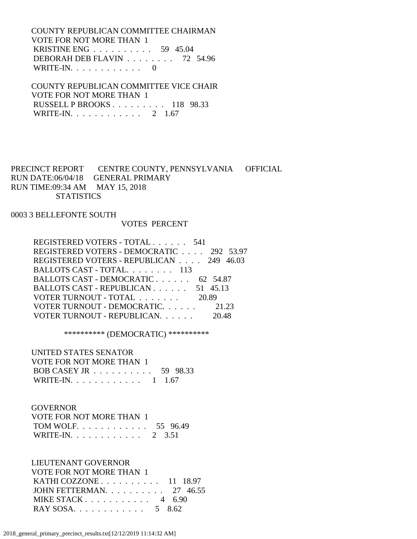COUNTY REPUBLICAN COMMITTEE CHAIRMAN VOTE FOR NOT MORE THAN 1 KRISTINE ENG . . . . . . . . . . 59 45.04 DEBORAH DEB FLAVIN . . . . . . . . 72 54.96 WRITE-IN. . . . . . . . . . . . 0

 COUNTY REPUBLICAN COMMITTEE VICE CHAIR VOTE FOR NOT MORE THAN 1 RUSSELL P BROOKS . . . . . . . . . 118 98.33 WRITE-IN. . . . . . . . . . . . 2 1.67

PRECINCT REPORT CENTRE COUNTY, PENNSYLVANIA OFFICIAL RUN DATE:06/04/18 GENERAL PRIMARY RUN TIME:09:34 AM MAY 15, 2018 **STATISTICS** 

0003 3 BELLEFONTE SOUTH

#### VOTES PERCENT

| REGISTERED VOTERS - TOTAL 541            |       |
|------------------------------------------|-------|
| REGISTERED VOTERS - DEMOCRATIC 292 53.97 |       |
| REGISTERED VOTERS - REPUBLICAN 249 46.03 |       |
| BALLOTS CAST - TOTAL. 113                |       |
| BALLOTS CAST - DEMOCRATIC 62 54.87       |       |
| BALLOTS CAST - REPUBLICAN 51 45.13       |       |
| VOTER TURNOUT - TOTAL 20.89              |       |
| VOTER TURNOUT - DEMOCRATIC 21.23         |       |
| VOTER TURNOUT - REPUBLICAN.              | 20.48 |

\*\*\*\*\*\*\*\*\*\* (DEMOCRATIC) \*\*\*\*\*\*\*\*\*\*

UNITED STATES SENATOR

| VOTE FOR NOT MORE THAN 1                            |  |
|-----------------------------------------------------|--|
| BOB CASEY JR $\ldots \ldots \ldots \ldots$ 59 98.33 |  |
| WRITE-IN. 1 1.67                                    |  |

### GOVERNOR

| VOTE FOR NOT MORE THAN 1 |  |
|--------------------------|--|
| TOM WOLF 55 96.49        |  |
| WRITE-IN. 2 3.51         |  |

 LIEUTENANT GOVERNOR VOTE FOR NOT MORE THAN 1 KATHI COZZONE . . . . . . . . . . 11 18.97

| JOHN FETTERMAN. $\ldots$ 27 46.55 |  |
|-----------------------------------|--|
| MIKE STACK 4 $6.90$               |  |
| RAY SOSA 5 8.62                   |  |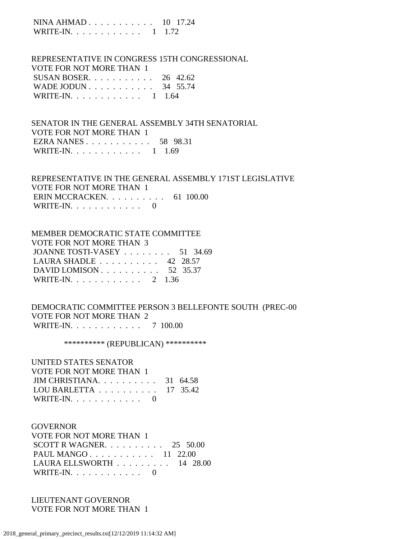NINA AHMAD . . . . . . . . . . . 10 17.24 WRITE-IN. . . . . . . . . . . . 1 1.72

 REPRESENTATIVE IN CONGRESS 15TH CONGRESSIONAL VOTE FOR NOT MORE THAN 1 SUSAN BOSER. . . . . . . . . . . 26 42.62 WADE JODUN . . . . . . . . . . . . 34 55.74 WRITE-IN. . . . . . . . . . . . 1 1.64

 SENATOR IN THE GENERAL ASSEMBLY 34TH SENATORIAL VOTE FOR NOT MORE THAN 1 EZRA NANES . . . . . . . . . . . 58 98.31 WRITE-IN. . . . . . . . . . . . 1 1.69

 REPRESENTATIVE IN THE GENERAL ASSEMBLY 171ST LEGISLATIVE VOTE FOR NOT MORE THAN 1 ERIN MCCRACKEN. . . . . . . . . . 61 100.00 WRITE-IN. . . . . . . . . . . . 0

 MEMBER DEMOCRATIC STATE COMMITTEE VOTE FOR NOT MORE THAN 3 JOANNE TOSTI-VASEY . . . . . . . . 51 34.69 LAURA SHADLE . . . . . . . . . . 42 28.57 DAVID LOMISON . . . . . . . . . . . 52 35.37 WRITE-IN. . . . . . . . . . . . 2 1.36

 DEMOCRATIC COMMITTEE PERSON 3 BELLEFONTE SOUTH (PREC-00 VOTE FOR NOT MORE THAN 2 WRITE-IN. . . . . . . . . . . . 7 100.00

\*\*\*\*\*\*\*\*\*\* (REPUBLICAN) \*\*\*\*\*\*\*\*\*\*

 UNITED STATES SENATOR VOTE FOR NOT MORE THAN 1 JIM CHRISTIANA. . . . . . . . . . 31 64.58 LOU BARLETTA . . . . . . . . . . 17 35.42 WRITE-IN.  $\ldots$  . . . . . . . . . 0

**GOVERNOR**  VOTE FOR NOT MORE THAN 1 SCOTT R WAGNER. . . . . . . . . . 25 50.00 PAUL MANGO . . . . . . . . . . . 11 22.00 LAURA ELLSWORTH . . . . . . . . . 14 28.00 WRITE-IN.  $\ldots$  . . . . . . . . 0

 LIEUTENANT GOVERNOR VOTE FOR NOT MORE THAN 1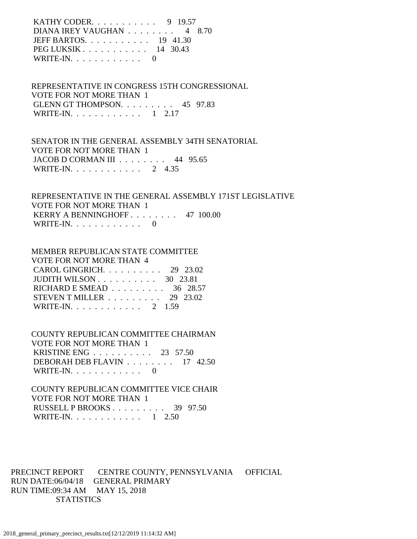KATHY CODER. . . . . . . . . . . 9 19.57 DIANA IREY VAUGHAN . . . . . . . . 4 8.70 JEFF BARTOS. . . . . . . . . . . 19 41.30 PEG LUKSIK . . . . . . . . . . . 14 30.43 WRITE-IN.  $\ldots$  . . . . . . . . . 0

 REPRESENTATIVE IN CONGRESS 15TH CONGRESSIONAL VOTE FOR NOT MORE THAN 1 GLENN GT THOMPSON. . . . . . . . . 45 97.83 WRITE-IN. . . . . . . . . . . . 1 2.17

 SENATOR IN THE GENERAL ASSEMBLY 34TH SENATORIAL VOTE FOR NOT MORE THAN 1 JACOB D CORMAN III . . . . . . . . 44 95.65 WRITE-IN. . . . . . . . . . . . 2 4.35

 REPRESENTATIVE IN THE GENERAL ASSEMBLY 171ST LEGISLATIVE VOTE FOR NOT MORE THAN 1 KERRY A BENNINGHOFF . . . . . . . . 47 100.00 WRITE-IN. . . . . . . . . . . . 0

#### MEMBER REPUBLICAN STATE COMMITTEE

| VOTE FOR NOT MORE THAN 4                          |  |
|---------------------------------------------------|--|
| CAROL GINGRICH. $\ldots$ 29 23.02                 |  |
| JUDITH WILSON $\ldots$ $\ldots$ $\ldots$ 30 23.81 |  |
| RICHARD E SMEAD $\ldots \ldots \ldots$ 36 28.57   |  |
| STEVEN T MILLER $\ldots \ldots \ldots$ 29 23.02   |  |
| WRITE-IN. 2 1.59                                  |  |

 COUNTY REPUBLICAN COMMITTEE CHAIRMAN VOTE FOR NOT MORE THAN 1 KRISTINE ENG . . . . . . . . . . 23 57.50 DEBORAH DEB FLAVIN . . . . . . . . 17 42.50 WRITE-IN.  $\ldots$  . . . . . . . . . 0

 COUNTY REPUBLICAN COMMITTEE VICE CHAIR VOTE FOR NOT MORE THAN 1 RUSSELL P BROOKS . . . . . . . . . 39 97.50 WRITE-IN. . . . . . . . . . . . 1 2.50

PRECINCT REPORT CENTRE COUNTY, PENNSYLVANIA OFFICIAL RUN DATE:06/04/18 GENERAL PRIMARY RUN TIME:09:34 AM MAY 15, 2018 **STATISTICS**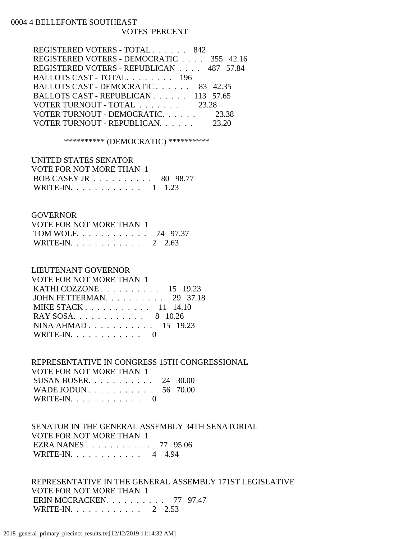### 0004 4 BELLEFONTE SOUTHEAST VOTES PERCENT

| REGISTERED VOTERS - TOTAL 842            |  |
|------------------------------------------|--|
| REGISTERED VOTERS - DEMOCRATIC 355 42.16 |  |
| REGISTERED VOTERS - REPUBLICAN 487 57.84 |  |
| BALLOTS CAST - TOTAL. 196                |  |
| BALLOTS CAST - DEMOCRATIC 83 42.35       |  |
| BALLOTS CAST - REPUBLICAN 113 57.65      |  |
| VOTER TURNOUT - TOTAL 23.28              |  |
| VOTER TURNOUT - DEMOCRATIC 23.38         |  |
| VOTER TURNOUT - REPUBLICAN.              |  |

#### \*\*\*\*\*\*\*\*\*\* (DEMOCRATIC) \*\*\*\*\*\*\*\*\*\*

| UNITED STATES SENATOR    |  |
|--------------------------|--|
| VOTE FOR NOT MORE THAN 1 |  |
| BOB CASEY JR 80 98.77    |  |
| WRITE-IN. 1 1.23         |  |

### GOVERNOR

| VOTE FOR NOT MORE THAN 1 |  |
|--------------------------|--|
| TOM WOLF 74 97.37        |  |
| WRITE-IN. 2 2.63         |  |

## LIEUTENANT GOVERNOR

| <b>VOTE FOR NOT MORE THAN 1</b>                            |
|------------------------------------------------------------|
| KATHI COZZONE $\ldots$ $\ldots$ $\ldots$ $\ldots$ 15 19.23 |
| JOHN FETTERMAN. 29 37.18                                   |
| MIKE STACK $\ldots$ $\ldots$ $\ldots$ $\ldots$ 11 14.10    |
| RAY SOSA. 8 10.26                                          |
| NINA AHMAD 15 19.23                                        |
| WRITE-IN. $\ldots$ 0                                       |
|                                                            |

# REPRESENTATIVE IN CONGRESS 15TH CONGRESSIONAL VOTE FOR NOT MORE THAN 1 SUSAN BOSER. . . . . . . . . . . 24 30.00 WADE JODUN . . . . . . . . . . . 56 70.00

| WRITE-IN. $\ldots$ |  |  |  |  |  |  |
|--------------------|--|--|--|--|--|--|
|                    |  |  |  |  |  |  |

## SENATOR IN THE GENERAL ASSEMBLY 34TH SENATORIAL VOTE FOR NOT MORE THAN 1 EZRA NANES . . . . . . . . . . . 77 95.06 WRITE-IN. . . . . . . . . . . . 4 4.94

## REPRESENTATIVE IN THE GENERAL ASSEMBLY 171ST LEGISLATIVE VOTE FOR NOT MORE THAN 1 ERIN MCCRACKEN. . . . . . . . . . 77 97.47 WRITE-IN. . . . . . . . . . . . 2 2.53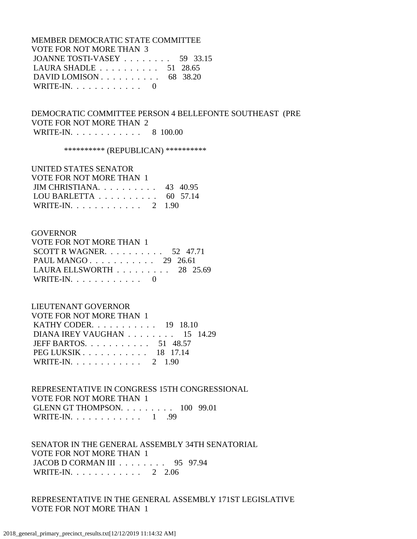MEMBER DEMOCRATIC STATE COMMITTEE VOTE FOR NOT MORE THAN 3 JOANNE TOSTI-VASEY . . . . . . . . 59 33.15 LAURA SHADLE . . . . . . . . . . 51 28.65 DAVID LOMISON . . . . . . . . . . 68 38.20 WRITE-IN.  $\ldots$  . . . . . . . . . 0

 DEMOCRATIC COMMITTEE PERSON 4 BELLEFONTE SOUTHEAST (PRE VOTE FOR NOT MORE THAN 2 WRITE-IN. . . . . . . . . . . . 8 100.00

\*\*\*\*\*\*\*\*\*\*\* (REPUBLICAN) \*\*\*\*\*\*\*\*\*\*\*

 UNITED STATES SENATOR VOTE FOR NOT MORE THAN 1 JIM CHRISTIANA. . . . . . . . . . 43 40.95 LOU BARLETTA . . . . . . . . . . 60 57.14 WRITE-IN. . . . . . . . . . . . 2 1.90

#### GOVERNOR

| VOTE FOR NOT MORE THAN 1                        |  |  |
|-------------------------------------------------|--|--|
| SCOTT R WAGNER. $\ldots$ 52 47.71               |  |  |
| PAUL MANGO 29 26.61                             |  |  |
| LAURA ELLSWORTH $\ldots \ldots \ldots$ 28 25.69 |  |  |
| WRITE-IN. $\ldots$ 0                            |  |  |

#### LIEUTENANT GOVERNOR

| <b>VOTE FOR NOT MORE THAN 1</b>  |
|----------------------------------|
| KATHY CODER. $\ldots$ 19 18.10   |
| DIANA IREY VAUGHAN 15 14.29      |
| JEFF BARTOS. $\ldots$ , 51 48.57 |
| PEG LUKSIK 18 17.14              |
| WRITE-IN. 2 1.90                 |

 REPRESENTATIVE IN CONGRESS 15TH CONGRESSIONAL VOTE FOR NOT MORE THAN 1 GLENN GT THOMPSON. . . . . . . . . 100 99.01 WRITE-IN. . . . . . . . . . . . 1 .99

 SENATOR IN THE GENERAL ASSEMBLY 34TH SENATORIAL VOTE FOR NOT MORE THAN 1 JACOB D CORMAN III . . . . . . . . 95 97.94 WRITE-IN. . . . . . . . . . . . 2 2.06

 REPRESENTATIVE IN THE GENERAL ASSEMBLY 171ST LEGISLATIVE VOTE FOR NOT MORE THAN 1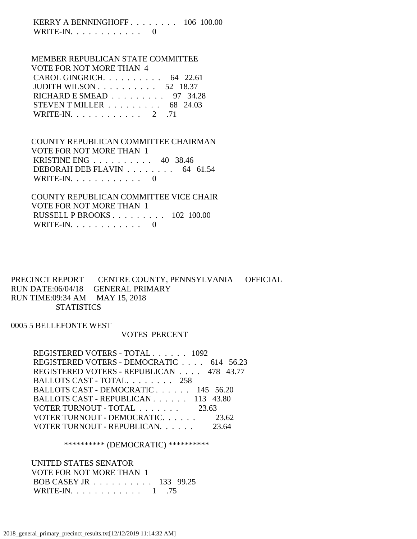KERRY A BENNINGHOFF . . . . . . . . 106 100.00 WRITE-IN.  $\ldots$  . . . . . . . . 0

# MEMBER REPUBLICAN STATE COMMITTEE

| VOTE FOR NOT MORE THAN 4                            |  |
|-----------------------------------------------------|--|
| CAROL GINGRICH. $\ldots$ 64 22.61                   |  |
| JUDITH WILSON $\ldots$ $\ldots$ $\ldots$ 52 18.37   |  |
| RICHARD E SMEAD $\ldots \ldots \ldots$ 97 34.28     |  |
| STEVEN T MILLER $\ldots \ldots \ldots$ 68 24.03     |  |
| WRITE-IN. $\ldots$ $\ldots$ $\ldots$ $\ldots$ 2 .71 |  |

### COUNTY REPUBLICAN COMMITTEE CHAIRMAN VOTE FOR NOT MORE THAN 1 KRISTINE ENG . . . . . . . . . . 40 38.46 DEBORAH DEB FLAVIN . . . . . . . . 64 61.54 WRITE-IN. . . . . . . . . . . . 0

 COUNTY REPUBLICAN COMMITTEE VICE CHAIR VOTE FOR NOT MORE THAN 1 RUSSELL P BROOKS . . . . . . . . . 102 100.00 WRITE-IN.  $\ldots$  . . . . . . . . . 0

### PRECINCT REPORT CENTRE COUNTY, PENNSYLVANIA OFFICIAL RUN DATE:06/04/18 GENERAL PRIMARY RUN TIME:09:34 AM MAY 15, 2018 **STATISTICS**

0005 5 BELLEFONTE WEST

### VOTES PERCENT

| REGISTERED VOTERS - TOTAL 1092           |       |
|------------------------------------------|-------|
| REGISTERED VOTERS - DEMOCRATIC 614 56.23 |       |
| REGISTERED VOTERS - REPUBLICAN 478 43.77 |       |
| BALLOTS CAST - TOTAL. 258                |       |
| BALLOTS CAST - DEMOCRATIC 145 56.20      |       |
| BALLOTS CAST - REPUBLICAN 113 43.80      |       |
| VOTER TURNOUT - TOTAL 23.63              |       |
| VOTER TURNOUT - DEMOCRATIC.              | 23.62 |
| VOTER TURNOUT - REPUBLICAN.              |       |

#### \*\*\*\*\*\*\*\*\*\* (DEMOCRATIC) \*\*\*\*\*\*\*\*\*\*

 UNITED STATES SENATOR VOTE FOR NOT MORE THAN 1 BOB CASEY JR . . . . . . . . . . 133 99.25 WRITE-IN. . . . . . . . . . . . . 1 .75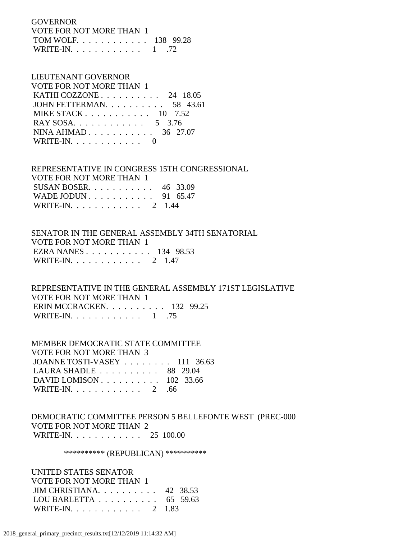GOVERNOR VOTE FOR NOT MORE THAN 1 TOM WOLF. . . . . . . . . . . . 138 99.28 WRITE-IN. . . . . . . . . . . . 1 .72

# LIEUTENANT GOVERNOR

| VOTE FOR NOT MORE THAN 1                          |  |
|---------------------------------------------------|--|
| KATHI COZZONE $\ldots$ $\ldots$ $\ldots$ 24 18.05 |  |
| JOHN FETTERMAN. $\ldots$ 58 43.61                 |  |
| MIKE STACK $10$ 7.52                              |  |
| RAY SOSA. 5 3.76                                  |  |
| NINA AHMAD 36 27.07                               |  |
| WRITE-IN. $\ldots$ 0                              |  |

 REPRESENTATIVE IN CONGRESS 15TH CONGRESSIONAL VOTE FOR NOT MORE THAN 1 SUSAN BOSER. . . . . . . . . . . 46 33.09 WADE JODUN . . . . . . . . . . . 91 65.47

| WRITE-IN. $\ldots$ |  |  |  |  |  |  | 2 1.44 |  |
|--------------------|--|--|--|--|--|--|--------|--|
|                    |  |  |  |  |  |  |        |  |

## SENATOR IN THE GENERAL ASSEMBLY 34TH SENATORIAL VOTE FOR NOT MORE THAN 1 EZRA NANES . . . . . . . . . . . 134 98.53 WRITE-IN. . . . . . . . . . . . 2 1.47

 REPRESENTATIVE IN THE GENERAL ASSEMBLY 171ST LEGISLATIVE VOTE FOR NOT MORE THAN 1 ERIN MCCRACKEN. . . . . . . . . . 132 99.25 WRITE-IN. . . . . . . . . . . . 1 .75

 MEMBER DEMOCRATIC STATE COMMITTEE VOTE FOR NOT MORE THAN 3 JOANNE TOSTI-VASEY . . . . . . . . 111 36.63 LAURA SHADLE . . . . . . . . . . 88 29.04 DAVID LOMISON . . . . . . . . . . 102 33.66 WRITE-IN. . . . . . . . . . . . 2 .66

## DEMOCRATIC COMMITTEE PERSON 5 BELLEFONTE WEST (PREC-000 VOTE FOR NOT MORE THAN 2 WRITE-IN. . . . . . . . . . . . 25 100.00

### \*\*\*\*\*\*\*\*\*\* (REPUBLICAN) \*\*\*\*\*\*\*\*\*\*

 UNITED STATES SENATOR VOTE FOR NOT MORE THAN 1 JIM CHRISTIANA. . . . . . . . . . 42 38.53 LOU BARLETTA . . . . . . . . . . 65 59.63 WRITE-IN. . . . . . . . . . . . 2 1.83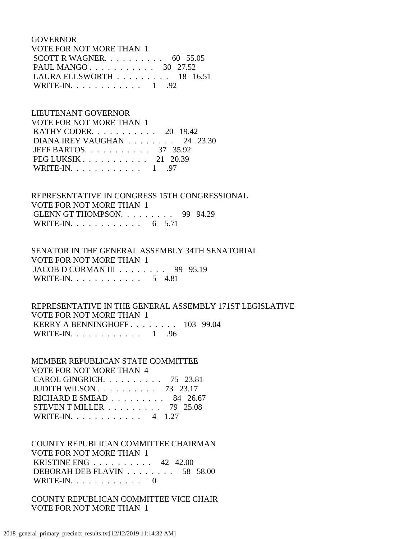GOVERNOR VOTE FOR NOT MORE THAN 1 SCOTT R WAGNER. . . . . . . . . . 60 55.05 PAUL MANGO . . . . . . . . . . . 30 27.52 LAURA ELLSWORTH . . . . . . . . . 18 16.51 WRITE-IN. . . . . . . . . . . . 1 .92

# LIEUTENANT GOVERNOR VOTE FOR NOT MORE THAN 1 KATHY CODER. . . . . . . . . . . 20 19.42 DIANA IREY VAUGHAN . . . . . . . . 24 23.30 JEFF BARTOS. . . . . . . . . . . 37 35.92 PEG LUKSIK . . . . . . . . . . . 21 20.39 WRITE-IN. . . . . . . . . . . . 1 .97

 REPRESENTATIVE IN CONGRESS 15TH CONGRESSIONAL VOTE FOR NOT MORE THAN 1 GLENN GT THOMPSON. . . . . . . . . 99 94.29 WRITE-IN. . . . . . . . . . . . . 6 5.71

 SENATOR IN THE GENERAL ASSEMBLY 34TH SENATORIAL VOTE FOR NOT MORE THAN 1 JACOB D CORMAN III . . . . . . . . 99 95.19 WRITE-IN. . . . . . . . . . . . 5 4.81

 REPRESENTATIVE IN THE GENERAL ASSEMBLY 171ST LEGISLATIVE VOTE FOR NOT MORE THAN 1 KERRY A BENNINGHOFF . . . . . . . . 103 99.04 WRITE-IN. . . . . . . . . . . . 1 .96

 MEMBER REPUBLICAN STATE COMMITTEE VOTE FOR NOT MORE THAN 4 CAROL GINGRICH. . . . . . . . . . 75 23.81 JUDITH WILSON . . . . . . . . . . 73 23.17 RICHARD E SMEAD . . . . . . . . . 84 26.67 STEVEN T MILLER . . . . . . . . . 79 25.08 WRITE-IN. . . . . . . . . . . . 4 1.27

 COUNTY REPUBLICAN COMMITTEE CHAIRMAN VOTE FOR NOT MORE THAN 1 KRISTINE ENG . . . . . . . . . . 42 42.00 DEBORAH DEB FLAVIN . . . . . . . . 58 58.00 WRITE-IN. . . . . . . . . . . . 0

 COUNTY REPUBLICAN COMMITTEE VICE CHAIR VOTE FOR NOT MORE THAN 1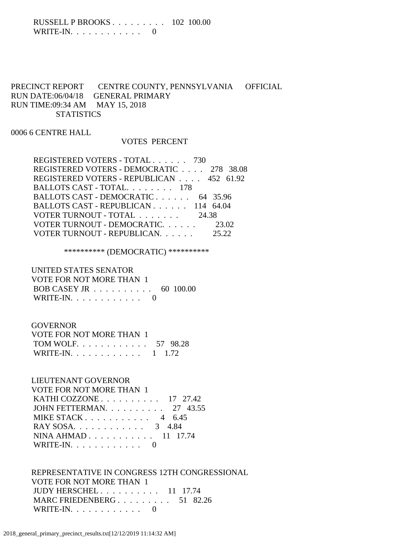### RUSSELL P BROOKS . . . . . . . . . 102 100.00 WRITE-IN.  $\ldots$  . . . . . . . . . 0

# PRECINCT REPORT CENTRE COUNTY, PENNSYLVANIA OFFICIAL RUN DATE:06/04/18 GENERAL PRIMARY RUN TIME:09:34 AM MAY 15, 2018 **STATISTICS**

### 0006 6 CENTRE HALL

#### VOTES PERCENT

| REGISTERED VOTERS - TOTAL 730            |       |
|------------------------------------------|-------|
| REGISTERED VOTERS - DEMOCRATIC 278 38.08 |       |
| REGISTERED VOTERS - REPUBLICAN 452 61.92 |       |
| BALLOTS CAST - TOTAL. 178                |       |
| BALLOTS CAST - DEMOCRATIC 64 35.96       |       |
| BALLOTS CAST - REPUBLICAN 114 64.04      |       |
| VOTER TURNOUT - TOTAL 24.38              |       |
| VOTER TURNOUT - DEMOCRATIC 23.02         |       |
| VOTER TURNOUT - REPUBLICAN.              | 25.22 |

# \*\*\*\*\*\*\*\*\*\* (DEMOCRATIC) \*\*\*\*\*\*\*\*\*\*

# UNITED STATES SENATOR VOTE FOR NOT MORE THAN 1 BOB CASEY JR . . . . . . . . . . 60 100.00 WRITE-IN.  $\ldots$  . . . . . . . . . 0

### GOVERNOR

| VOTE FOR NOT MORE THAN 1 |  |
|--------------------------|--|
| TOM WOLF 57 98.28        |  |
| WRITE-IN. 1 1.72         |  |

### LIEUTENANT GOVERNOR

| VOTE FOR NOT MORE THAN 1                          |  |
|---------------------------------------------------|--|
| KATHI COZZONE $\ldots$ $\ldots$ $\ldots$ 17 27.42 |  |
| JOHN FETTERMAN. $\ldots$ 27 43.55                 |  |
| MIKE STACK 4 $6.45$                               |  |
| RAY SOSA. 3 4.84                                  |  |
| NINA AHMAD 11 17.74                               |  |
| WRITE-IN. $\ldots$ 0                              |  |

### REPRESENTATIVE IN CONGRESS 12TH CONGRESSIONAL VOTE FOR NOT MORE THAN 1 JUDY HERSCHEL . . . . . . . . . . 11 17.74 MARC FRIEDENBERG . . . . . . . . . 51 82.26 WRITE-IN.  $\ldots$  . . . . . . . . . 0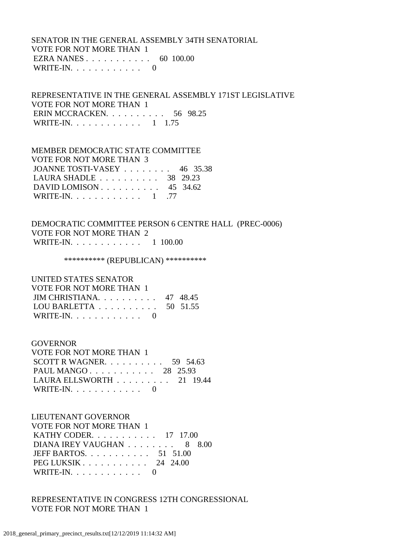### SENATOR IN THE GENERAL ASSEMBLY 34TH SENATORIAL VOTE FOR NOT MORE THAN 1 EZRA NANES . . . . . . . . . . . 60 100.00 WRITE-IN.  $\ldots$  . . . . . . . . . 0

 REPRESENTATIVE IN THE GENERAL ASSEMBLY 171ST LEGISLATIVE VOTE FOR NOT MORE THAN 1 ERIN MCCRACKEN. . . . . . . . . . 56 98.25 WRITE-IN. . . . . . . . . . . . . 1 1.75

### MEMBER DEMOCRATIC STATE COMMITTEE

| VOTE FOR NOT MORE THAN 3                            |  |
|-----------------------------------------------------|--|
| JOANNE TOSTI-VASEY $\ldots$ 46 35.38                |  |
| LAURA SHADLE $\ldots \ldots \ldots \ldots$ 38 29.23 |  |
| DAVID LOMISON $\ldots$ 45 34.62                     |  |
| WRITE-IN. 1 .77                                     |  |

### DEMOCRATIC COMMITTEE PERSON 6 CENTRE HALL (PREC-0006) VOTE FOR NOT MORE THAN 2 WRITE-IN. . . . . . . . . . . . 1 100.00

\*\*\*\*\*\*\*\*\*\* (REPUBLICAN) \*\*\*\*\*\*\*\*\*\*

 UNITED STATES SENATOR VOTE FOR NOT MORE THAN 1 JIM CHRISTIANA. . . . . . . . . . 47 48.45 LOU BARLETTA . . . . . . . . . . 50 51.55 WRITE-IN.  $\ldots$  . . . . . . . . 0

#### GOVERNOR

| VOTE FOR NOT MORE THAN 1             |  |  |
|--------------------------------------|--|--|
| SCOTT R WAGNER. $\ldots$ 59 54.63    |  |  |
| PAUL MANGO 28 25.93                  |  |  |
| LAURA ELLSWORTH $\ldots$ ,  21 19.44 |  |  |
| WRITE-IN. $\ldots$ 0                 |  |  |

### LIEUTENANT GOVERNOR

| <b>VOTE FOR NOT MORE THAN 1</b>                         |  |
|---------------------------------------------------------|--|
| KATHY CODER. 17 17.00                                   |  |
| DIANA IREY VAUGHAN 8 8.00                               |  |
| JEFF BARTOS. $\ldots$ 51 51.00                          |  |
| PEG LUKSIK $\ldots$ $\ldots$ $\ldots$ $\ldots$ 24 24.00 |  |
| WRITE-IN. $\ldots$ 0                                    |  |

 REPRESENTATIVE IN CONGRESS 12TH CONGRESSIONAL VOTE FOR NOT MORE THAN 1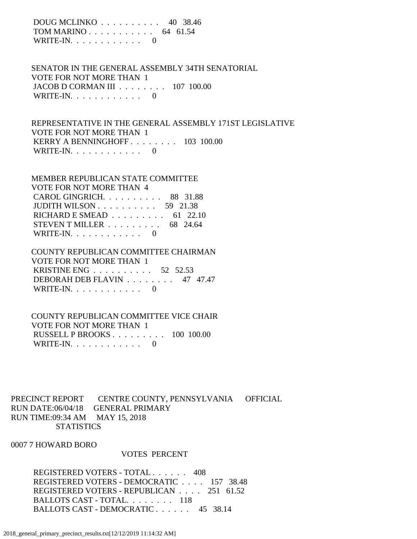DOUG MCLINKO . . . . . . . . . . 40 38.46 TOM MARINO . . . . . . . . . . . 64 61.54 WRITE-IN.  $\ldots$  . . . . . . . . . 0

 SENATOR IN THE GENERAL ASSEMBLY 34TH SENATORIAL VOTE FOR NOT MORE THAN 1 JACOB D CORMAN III . . . . . . . . 107 100.00 WRITE-IN.  $\ldots$  . . . . . . . . . 0

 REPRESENTATIVE IN THE GENERAL ASSEMBLY 171ST LEGISLATIVE VOTE FOR NOT MORE THAN 1 KERRY A BENNINGHOFF . . . . . . . . 103 100.00 WRITE-IN. . . . . . . . . . . . 0

### MEMBER REPUBLICAN STATE COMMITTEE VOTE FOR NOT MORE THAN 4 CAROL GINGRICH. . . . . . . . . . 88 31.88 JUDITH WILSON . . . . . . . . . . 59 21.38 RICHARD E SMEAD . . . . . . . . . 61 22.10 STEVEN T MILLER . . . . . . . . . 68 24.64 WRITE-IN.  $\ldots$  . . . . . . . . . 0

### COUNTY REPUBLICAN COMMITTEE CHAIRMAN VOTE FOR NOT MORE THAN 1 KRISTINE ENG . . . . . . . . . . 52 52.53 DEBORAH DEB FLAVIN . . . . . . . . 47 47.47 WRITE-IN.  $\ldots$  . . . . . . . . 0

### COUNTY REPUBLICAN COMMITTEE VICE CHAIR VOTE FOR NOT MORE THAN 1 RUSSELL P BROOKS . . . . . . . . . 100 100.00 WRITE-IN. . . . . . . . . . . . 0

PRECINCT REPORT CENTRE COUNTY, PENNSYLVANIA OFFICIAL RUN DATE:06/04/18 GENERAL PRIMARY RUN TIME:09:34 AM MAY 15, 2018 **STATISTICS** 

#### 0007 7 HOWARD BORO

#### VOTES PERCENT

 REGISTERED VOTERS - TOTAL . . . . . . 408 REGISTERED VOTERS - DEMOCRATIC . . . . 157 38.48 REGISTERED VOTERS - REPUBLICAN . . . . 251 61.52 BALLOTS CAST - TOTAL. . . . . . . . 118 BALLOTS CAST - DEMOCRATIC . . . . . . 45 38.14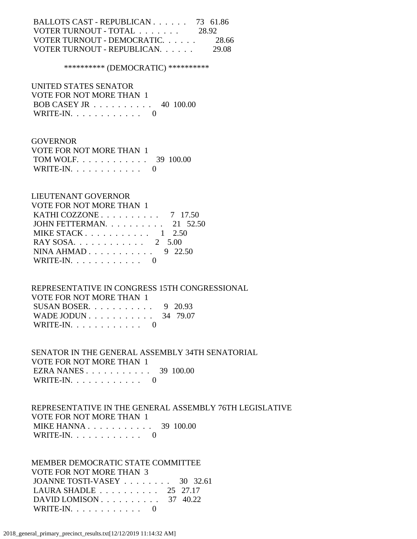| BALLOTS CAST - REPUBLICAN 73 61.86 |        |
|------------------------------------|--------|
| VOTER TURNOUT - TOTAL              | 28.92  |
| VOTER TURNOUT - DEMOCRATIC.        | -28.66 |
| VOTER TURNOUT - REPUBLICAN.        | 29.08  |

\*\*\*\*\*\*\*\*\*\* (DEMOCRATIC) \*\*\*\*\*\*\*\*\*\*

 UNITED STATES SENATOR VOTE FOR NOT MORE THAN 1 BOB CASEY JR . . . . . . . . . . 40 100.00 WRITE-IN. . . . . . . . . . . . 0

#### GOVERNOR

| VOTE FOR NOT MORE THAN 1 |  |
|--------------------------|--|
| TOM WOLF. 39 100.00      |  |
| WRITE-IN. $\ldots$       |  |

#### LIEUTENANT GOVERNOR

| <b>VOTE FOR NOT MORE THAN 1</b>                     |  |
|-----------------------------------------------------|--|
| KATHI COZZONE $\ldots \ldots \ldots \ldots$ 7 17.50 |  |
| JOHN FETTERMAN. $\ldots$ 21 52.50                   |  |
| MIKE STACK $1, 2.50$                                |  |
| RAY SOSA. 2 5.00                                    |  |
|                                                     |  |
| WRITE-IN. $\ldots$ 0                                |  |

# REPRESENTATIVE IN CONGRESS 15TH CONGRESSIONAL

| VOTE FOR NOT MORE THAN 1 |  |
|--------------------------|--|
| SUSAN BOSER 9 20.93      |  |
| WADE JODUN 34 79.07      |  |
| WRITE-IN. $\ldots$ 0     |  |

# SENATOR IN THE GENERAL ASSEMBLY 34TH SENATORIAL VOTE FOR NOT MORE THAN 1

 EZRA NANES . . . . . . . . . . . 39 100.00 WRITE-IN. . . . . . . . . . . . 0

### REPRESENTATIVE IN THE GENERAL ASSEMBLY 76TH LEGISLATIVE VOTE FOR NOT MORE THAN 1 MIKE HANNA . . . . . . . . . . . . 39 100.00 WRITE-IN. . . . . . . . . . . . 0

 MEMBER DEMOCRATIC STATE COMMITTEE VOTE FOR NOT MORE THAN 3 JOANNE TOSTI-VASEY . . . . . . . . 30 32.61 LAURA SHADLE . . . . . . . . . . 25 27.17 DAVID LOMISON . . . . . . . . . . 37 40.22 WRITE-IN. . . . . . . . . . . . 0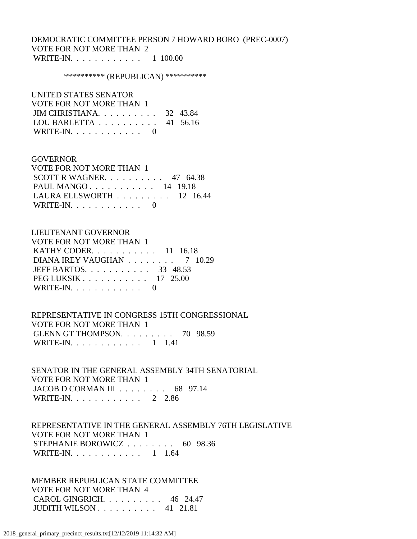### DEMOCRATIC COMMITTEE PERSON 7 HOWARD BORO (PREC-0007) VOTE FOR NOT MORE THAN 2 WRITE-IN. . . . . . . . . . . . 1 100.00

#### \*\*\*\*\*\*\*\*\*\*\* (REPUBLICAN) \*\*\*\*\*\*\*\*\*\*\*

#### UNITED STATES SENATOR

| VOTE FOR NOT MORE THAN 1                     |  |
|----------------------------------------------|--|
| JIM CHRISTIANA 32 43.84                      |  |
| LOU BARLETTA $\ldots \ldots \ldots$ 41 56.16 |  |
| WRITE-IN. $\ldots$ 0                         |  |

#### GOVERNOR

| VOTE FOR NOT MORE THAN 1          |  |  |
|-----------------------------------|--|--|
| SCOTT R WAGNER. $\ldots$ 47 64.38 |  |  |
| PAUL MANGO 14 19.18               |  |  |
| LAURA ELLSWORTH $\ldots$ 12 16.44 |  |  |
| WRITE-IN. $\ldots$ 0              |  |  |

### LIEUTENANT GOVERNOR

| VOTE FOR NOT MORE THAN 1       |
|--------------------------------|
| KATHY CODER. $\ldots$ 11 16.18 |
| DIANA IREY VAUGHAN 7 10.29     |
| JEFF BARTOS. 33 48.53          |
| PEG LUKSIK $\ldots$ 17 25.00   |
| WRITE-IN. $\ldots$ 0           |
|                                |

 REPRESENTATIVE IN CONGRESS 15TH CONGRESSIONAL VOTE FOR NOT MORE THAN 1 GLENN GT THOMPSON. . . . . . . . . 70 98.59 WRITE-IN. . . . . . . . . . . . 1 1.41

 SENATOR IN THE GENERAL ASSEMBLY 34TH SENATORIAL VOTE FOR NOT MORE THAN 1 JACOB D CORMAN III . . . . . . . . 68 97.14 WRITE-IN. . . . . . . . . . . . 2 2.86

 REPRESENTATIVE IN THE GENERAL ASSEMBLY 76TH LEGISLATIVE VOTE FOR NOT MORE THAN 1 STEPHANIE BOROWICZ . . . . . . . . 60 98.36 WRITE-IN. . . . . . . . . . . . 1 1.64

 MEMBER REPUBLICAN STATE COMMITTEE VOTE FOR NOT MORE THAN 4 CAROL GINGRICH. . . . . . . . . . 46 24.47 JUDITH WILSON . . . . . . . . . . 41 21.81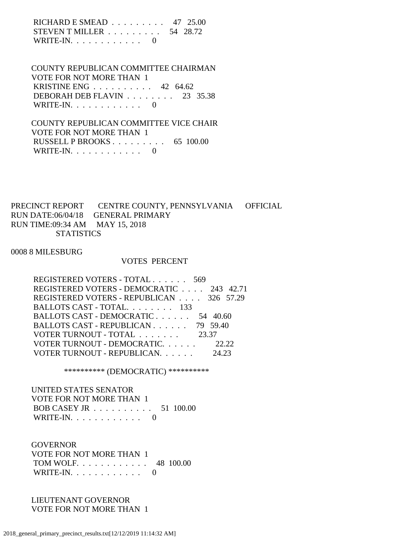RICHARD E SMEAD . . . . . . . . . 47 25.00 STEVEN T MILLER . . . . . . . . . 54 28.72 WRITE-IN.  $\ldots$  . . . . . . . . . 0

 COUNTY REPUBLICAN COMMITTEE CHAIRMAN VOTE FOR NOT MORE THAN 1 KRISTINE ENG . . . . . . . . . . 42 64.62 DEBORAH DEB FLAVIN . . . . . . . . 23 35.38 WRITE-IN.  $\ldots$  . . . . . . . . . 0

 COUNTY REPUBLICAN COMMITTEE VICE CHAIR VOTE FOR NOT MORE THAN 1 RUSSELL P BROOKS . . . . . . . . . 65 100.00 WRITE-IN. . . . . . . . . . . . 0

PRECINCT REPORT CENTRE COUNTY, PENNSYLVANIA OFFICIAL RUN DATE:06/04/18 GENERAL PRIMARY RUN TIME:09:34 AM MAY 15, 2018 **STATISTICS** 

0008 8 MILESBURG

#### VOTES PERCENT

| REGISTERED VOTERS - DEMOCRATIC 243 42.71 |
|------------------------------------------|
| REGISTERED VOTERS - REPUBLICAN 326 57.29 |
|                                          |
|                                          |
|                                          |
|                                          |
|                                          |
|                                          |
|                                          |

\*\*\*\*\*\*\*\*\*\* (DEMOCRATIC) \*\*\*\*\*\*\*\*\*\*

 UNITED STATES SENATOR VOTE FOR NOT MORE THAN 1 BOB CASEY JR . . . . . . . . . . 51 100.00 WRITE-IN. . . . . . . . . . . . 0

**GOVERNOR**  VOTE FOR NOT MORE THAN 1 TOM WOLF. . . . . . . . . . . . 48 100.00 WRITE-IN.  $\ldots$  . . . . . . . . 0

 LIEUTENANT GOVERNOR VOTE FOR NOT MORE THAN 1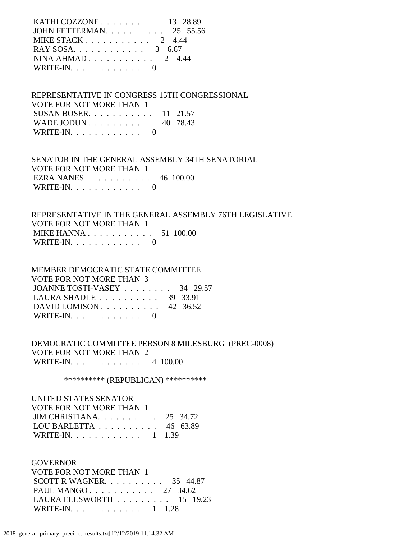| KATHI COZZONE $\ldots$ $\ldots$ $\ldots$ 13 28.89 |  |
|---------------------------------------------------|--|
| JOHN FETTERMAN. 25 55.56                          |  |
| MIKE STACK $2 \quad 4.44$                         |  |
| RAY SOSA. 3 6.67                                  |  |
| NINA AHMAD $2, 4.44$                              |  |
| WRITE-IN. $\ldots$ 0                              |  |
|                                                   |  |

 REPRESENTATIVE IN CONGRESS 15TH CONGRESSIONAL VOTE FOR NOT MORE THAN 1 SUSAN BOSER. . . . . . . . . . . 11 21.57 WADE JODUN . . . . . . . . . . . 40 78.43 WRITE-IN.  $\ldots$  . . . . . . . . 0

 SENATOR IN THE GENERAL ASSEMBLY 34TH SENATORIAL VOTE FOR NOT MORE THAN 1 EZRA NANES . . . . . . . . . . . 46 100.00 WRITE-IN. . . . . . . . . . . . 0

 REPRESENTATIVE IN THE GENERAL ASSEMBLY 76TH LEGISLATIVE VOTE FOR NOT MORE THAN 1 MIKE HANNA . . . . . . . . . . . . 51 100.00 WRITE-IN.  $\ldots$  . . . . . . . . 0

 MEMBER DEMOCRATIC STATE COMMITTEE VOTE FOR NOT MORE THAN 3 JOANNE TOSTI-VASEY . . . . . . . . 34 29.57 LAURA SHADLE . . . . . . . . . . 39 33.91 DAVID LOMISON . . . . . . . . . . 42 36.52 WRITE-IN.  $\ldots$  . . . . . . . . 0

 DEMOCRATIC COMMITTEE PERSON 8 MILESBURG (PREC-0008) VOTE FOR NOT MORE THAN 2 WRITE-IN. . . . . . . . . . . . 4 100.00

\*\*\*\*\*\*\*\*\*\*\* (REPUBLICAN) \*\*\*\*\*\*\*\*\*\*\*

 UNITED STATES SENATOR VOTE FOR NOT MORE THAN 1 JIM CHRISTIANA. . . . . . . . . . 25 34.72 LOU BARLETTA . . . . . . . . . . 46 63.89 WRITE-IN. . . . . . . . . . . . 1 1.39

 GOVERNOR VOTE FOR NOT MORE THAN 1 SCOTT R WAGNER. . . . . . . . . . 35 44.87 PAUL MANGO . . . . . . . . . . . 27 34.62 LAURA ELLSWORTH . . . . . . . . . 15 19.23 WRITE-IN. . . . . . . . . . . . 1 1.28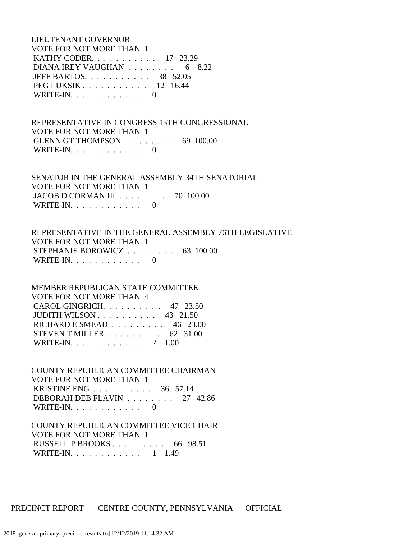LIEUTENANT GOVERNOR VOTE FOR NOT MORE THAN 1 KATHY CODER. . . . . . . . . . . 17 23.29 DIANA IREY VAUGHAN . . . . . . . . 6 8.22 JEFF BARTOS. . . . . . . . . . . 38 52.05 PEG LUKSIK . . . . . . . . . . . 12 16.44 WRITE-IN.  $\ldots$  . . . . . . . . 0

 REPRESENTATIVE IN CONGRESS 15TH CONGRESSIONAL VOTE FOR NOT MORE THAN 1 GLENN GT THOMPSON. . . . . . . . . 69 100.00 WRITE-IN. . . . . . . . . . . . 0

 SENATOR IN THE GENERAL ASSEMBLY 34TH SENATORIAL VOTE FOR NOT MORE THAN 1 JACOB D CORMAN III . . . . . . . . 70 100.00 WRITE-IN.  $\ldots$  . . . . . . . . . 0

 REPRESENTATIVE IN THE GENERAL ASSEMBLY 76TH LEGISLATIVE VOTE FOR NOT MORE THAN 1 STEPHANIE BOROWICZ . . . . . . . . 63 100.00 WRITE-IN.  $\ldots$  . . . . . . . . 0

 MEMBER REPUBLICAN STATE COMMITTEE VOTE FOR NOT MORE THAN 4 CAROL GINGRICH. . . . . . . . . . 47 23.50 JUDITH WILSON . . . . . . . . . . 43 21.50 RICHARD E SMEAD . . . . . . . . . 46 23.00 STEVEN T MILLER . . . . . . . . . 62 31.00 WRITE-IN. . . . . . . . . . . . 2 1.00

 COUNTY REPUBLICAN COMMITTEE CHAIRMAN VOTE FOR NOT MORE THAN 1 KRISTINE ENG . . . . . . . . . . 36 57.14 DEBORAH DEB FLAVIN . . . . . . . . 27 42.86 WRITE-IN. . . . . . . . . . . . 0

 COUNTY REPUBLICAN COMMITTEE VICE CHAIR VOTE FOR NOT MORE THAN 1 RUSSELL P BROOKS . . . . . . . . . 66 98.51 WRITE-IN. . . . . . . . . . . . 1 1.49

PRECINCT REPORT CENTRE COUNTY, PENNSYLVANIA OFFICIAL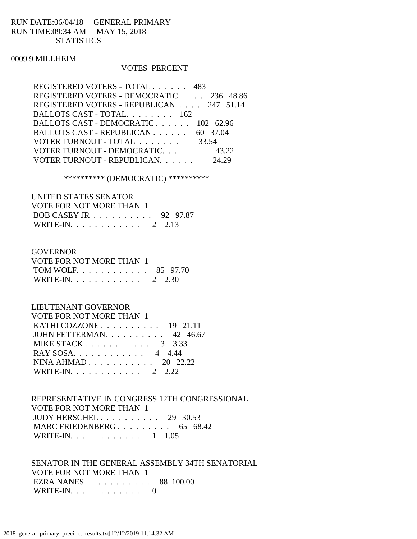## RUN DATE:06/04/18 GENERAL PRIMARY RUN TIME:09:34 AM MAY 15, 2018 **STATISTICS**

#### 0009 9 MILLHEIM

#### VOTES PERCENT

| REGISTERED VOTERS - TOTAL 483            |       |
|------------------------------------------|-------|
| REGISTERED VOTERS - DEMOCRATIC 236 48.86 |       |
| REGISTERED VOTERS - REPUBLICAN 247 51.14 |       |
| BALLOTS CAST - TOTAL. 162                |       |
| BALLOTS CAST - DEMOCRATIC 102 62.96      |       |
| BALLOTS CAST - REPUBLICAN 60 37.04       |       |
| VOTER TURNOUT - TOTAL 33.54              |       |
| VOTER TURNOUT - DEMOCRATIC. 43.22        |       |
| VOTER TURNOUT - REPUBLICAN.              | 24.29 |
|                                          |       |

\*\*\*\*\*\*\*\*\*\* (DEMOCRATIC) \*\*\*\*\*\*\*\*\*\*

#### UNITED STATES SENATOR

| VOTE FOR NOT MORE THAN 1 |  |
|--------------------------|--|
| BOB CASEY JR 92 97.87    |  |
| WRITE-IN. 2 2.13         |  |

#### GOVERNOR

| VOTE FOR NOT MORE THAN 1 |  |
|--------------------------|--|
| TOM WOLF. 85 97.70       |  |
| WRITE-IN. 2 2.30         |  |

## LIEUTENANT GOVERNOR

| VOTE FOR NOT MORE THAN 1                          |  |
|---------------------------------------------------|--|
| KATHI COZZONE $\ldots$ $\ldots$ $\ldots$ 19 21.11 |  |
| JOHN FETTERMAN. 42 46.67                          |  |
| MIKE STACK $3 \quad 3.33$                         |  |
| RAY SOSA. 4 4.44                                  |  |
| NINA AHMAD 20 22.22                               |  |
| WRITE-IN. 2 2.22                                  |  |

### REPRESENTATIVE IN CONGRESS 12TH CONGRESSIONAL VOTE FOR NOT MORE THAN 1 JUDY HERSCHEL . . . . . . . . . . 29 30.53 MARC FRIEDENBERG . . . . . . . . . 65 68.42 WRITE-IN. . . . . . . . . . . . 1 1.05

 SENATOR IN THE GENERAL ASSEMBLY 34TH SENATORIAL VOTE FOR NOT MORE THAN 1 EZRA NANES . . . . . . . . . . . 88 100.00 WRITE-IN. . . . . . . . . . . . 0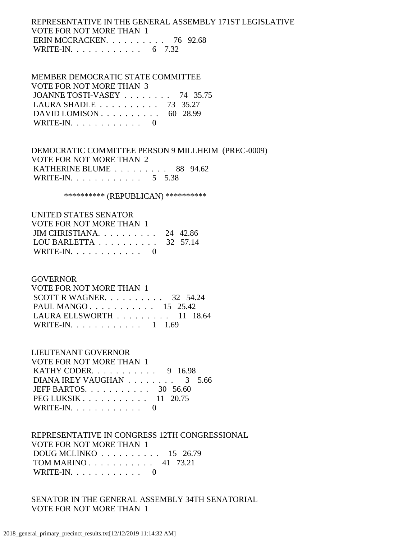## REPRESENTATIVE IN THE GENERAL ASSEMBLY 171ST LEGISLATIVE VOTE FOR NOT MORE THAN 1 ERIN MCCRACKEN. . . . . . . . . . 76 92.68 WRITE-IN. . . . . . . . . . . . . 6 7.32

## MEMBER DEMOCRATIC STATE COMMITTEE VOTE FOR NOT MORE THAN 3 JOANNE TOSTI-VASEY . . . . . . . . 74 35.75 LAURA SHADLE . . . . . . . . . . 73 35.27

DAVID LOMISON . . . . . . . . . . . 60 28.99 WRITE-IN.  $\ldots$  . . . . . . . . . 0

 DEMOCRATIC COMMITTEE PERSON 9 MILLHEIM (PREC-0009) VOTE FOR NOT MORE THAN 2 KATHERINE BLUME . . . . . . . . . 88 94.62 WRITE-IN. . . . . . . . . . . . . 5 5.38

\*\*\*\*\*\*\*\*\*\*\*\* (REPUBLICAN) \*\*\*\*\*\*\*\*\*\*\*

# UNITED STATES SENATOR VOTE FOR NOT MORE THAN 1

| <u>VOILI ON NOI MONLIIIIN T</u>              |  |
|----------------------------------------------|--|
| JIM CHRISTIANA $24$ 42.86                    |  |
| LOU BARLETTA $\ldots \ldots \ldots$ 32 57.14 |  |
| WRITE-IN.                                    |  |

# GOVERNOR

| VOTE FOR NOT MORE THAN 1                        |  |  |
|-------------------------------------------------|--|--|
| SCOTT R WAGNER. $\ldots$ 32 54.24               |  |  |
| PAUL MANGO 15 25.42                             |  |  |
| LAURA ELLSWORTH $\ldots \ldots \ldots 11$ 18.64 |  |  |
| WRITE-IN. 1 1.69                                |  |  |

# LIEUTENANT GOVERNOR

| VOTE FOR NOT MORE THAN 1       |  |
|--------------------------------|--|
| KATHY CODER. $\ldots$ 9 16.98  |  |
| DIANA IREY VAUGHAN 3 5.66      |  |
| JEFF BARTOS. $\ldots$ 30 56.60 |  |
| PEG LUKSIK 11 20.75            |  |
| WRITE-IN. $\ldots$ 0           |  |

# REPRESENTATIVE IN CONGRESS 12TH CONGRESSIONAL VOTE FOR NOT MORE THAN 1 DOUG MCLINKO . . . . . . . . . . 15 26.79

| TOM MARINO 41 73.21  |  |  |  |  |  |  |
|----------------------|--|--|--|--|--|--|
| WRITE-IN. $\ldots$ 0 |  |  |  |  |  |  |

# SENATOR IN THE GENERAL ASSEMBLY 34TH SENATORIAL VOTE FOR NOT MORE THAN 1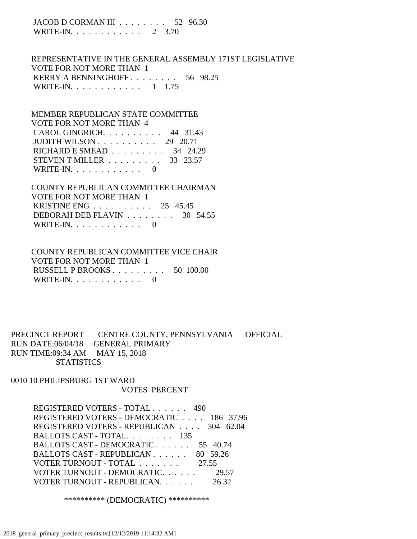JACOB D CORMAN III . . . . . . . . 52 96.30 WRITE-IN. . . . . . . . . . . . 2 3.70

 REPRESENTATIVE IN THE GENERAL ASSEMBLY 171ST LEGISLATIVE VOTE FOR NOT MORE THAN 1 KERRY A BENNINGHOFF . . . . . . . . 56 98.25 WRITE-IN. . . . . . . . . . . . 1 1.75

 MEMBER REPUBLICAN STATE COMMITTEE VOTE FOR NOT MORE THAN 4 CAROL GINGRICH. . . . . . . . . . 44 31.43 JUDITH WILSON . . . . . . . . . . 29 20.71 RICHARD E SMEAD . . . . . . . . . 34 24.29 STEVEN T MILLER . . . . . . . . . 33 23.57 WRITE-IN. . . . . . . . . . . . 0

 COUNTY REPUBLICAN COMMITTEE CHAIRMAN VOTE FOR NOT MORE THAN 1 KRISTINE ENG . . . . . . . . . . 25 45.45 DEBORAH DEB FLAVIN . . . . . . . . 30 54.55 WRITE-IN.  $\ldots$  . . . . . . . . 0

 COUNTY REPUBLICAN COMMITTEE VICE CHAIR VOTE FOR NOT MORE THAN 1 RUSSELL P BROOKS . . . . . . . . . 50 100.00 WRITE-IN. . . . . . . . . . . . 0

PRECINCT REPORT CENTRE COUNTY, PENNSYLVANIA OFFICIAL RUN DATE:06/04/18 GENERAL PRIMARY RUN TIME:09:34 AM MAY 15, 2018 **STATISTICS** 

0010 10 PHILIPSBURG 1ST WARD VOTES PERCENT

> REGISTERED VOTERS - TOTAL . . . . . . 490 REGISTERED VOTERS - DEMOCRATIC . . . . 186 37.96 REGISTERED VOTERS - REPUBLICAN . . . . 304 62.04 BALLOTS CAST - TOTAL. . . . . . . . 135 BALLOTS CAST - DEMOCRATIC . . . . . . 55 40.74 BALLOTS CAST - REPUBLICAN . . . . . . 80 59.26 VOTER TURNOUT - TOTAL . . . . . . . 27.55 VOTER TURNOUT - DEMOCRATIC. . . . . . 29.57 VOTER TURNOUT - REPUBLICAN. . . . . . 26.32

> > \*\*\*\*\*\*\*\*\*\* (DEMOCRATIC) \*\*\*\*\*\*\*\*\*\*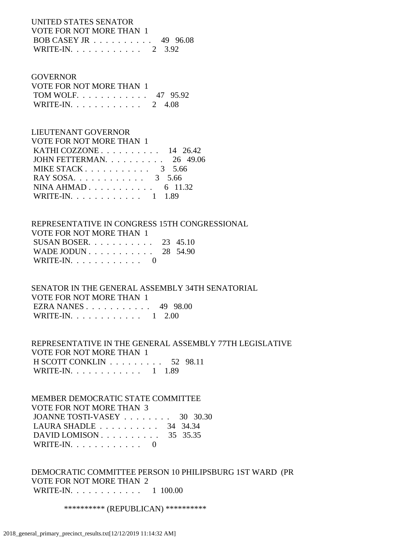### UNITED STATES SENATOR VOTE FOR NOT MORE THAN 1 BOB CASEY JR . . . . . . . . . . 49 96.08 WRITE-IN. . . . . . . . . . . . 2 3.92

#### GOVERNOR

| VOTE FOR NOT MORE THAN 1 |  |
|--------------------------|--|
| TOM WOLF 47 95.92        |  |
| WRITE-IN. 2 4.08         |  |

# LIEUTENANT GOVERNOR

| VOTE FOR NOT MORE THAN 1                          |  |
|---------------------------------------------------|--|
| KATHI COZZONE $\ldots$ $\ldots$ $\ldots$ 14 26.42 |  |
| JOHN FETTERMAN. $\ldots$ 26 49.06                 |  |
| MIKE STACK $3\quad 5.66$                          |  |
| RAY SOSA. 3 5.66                                  |  |
| NINA AHMAD 6 11.32                                |  |
| WRITE-IN. 1 1.89                                  |  |

# REPRESENTATIVE IN CONGRESS 15TH CONGRESSIONAL VOTE FOR NOT MORE THAN 1

| SUSAN BOSER. $\ldots$ 23 45.10 |  |  |  |  |  |  |
|--------------------------------|--|--|--|--|--|--|
| WADE JODUN 28 54.90            |  |  |  |  |  |  |
| WRITE-IN. $\ldots$ 0           |  |  |  |  |  |  |

## SENATOR IN THE GENERAL ASSEMBLY 34TH SENATORIAL VOTE FOR NOT MORE THAN 1 EZRA NANES . . . . . . . . . . . 49 98.00 WRITE-IN. . . . . . . . . . . . 1 2.00

### REPRESENTATIVE IN THE GENERAL ASSEMBLY 77TH LEGISLATIVE VOTE FOR NOT MORE THAN 1 H SCOTT CONKLIN . . . . . . . . . 52 98.11 WRITE-IN. . . . . . . . . . . . . 1 1.89

### MEMBER DEMOCRATIC STATE COMMITTEE VOTE FOR NOT MORE THAN 3 JOANNE TOSTI-VASEY . . . . . . . . 30 30.30 LAURA SHADLE . . . . . . . . . . 34 34.34 DAVID LOMISON . . . . . . . . . . 35 35.35 WRITE-IN. . . . . . . . . . . . 0

# DEMOCRATIC COMMITTEE PERSON 10 PHILIPSBURG 1ST WARD (PR VOTE FOR NOT MORE THAN 2 WRITE-IN. . . . . . . . . . . . 1 100.00

#### \*\*\*\*\*\*\*\*\*\*\* (REPUBLICAN) \*\*\*\*\*\*\*\*\*\*\*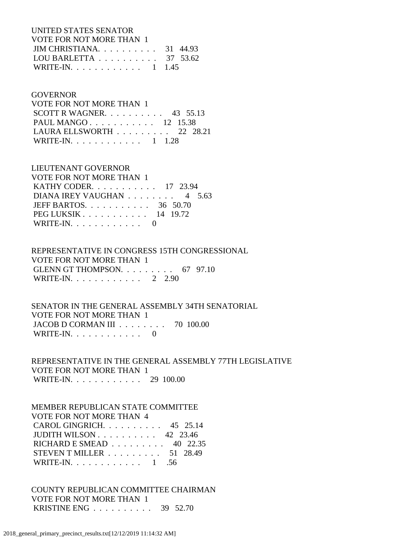UNITED STATES SENATOR VOTE FOR NOT MORE THAN 1 JIM CHRISTIANA. . . . . . . . . . 31 44.93 LOU BARLETTA . . . . . . . . . . 37 53.62 WRITE-IN. . . . . . . . . . . . 1 1.45

### GOVERNOR

| VOTE FOR NOT MORE THAN 1                        |  |  |
|-------------------------------------------------|--|--|
| SCOTT R WAGNER. $\ldots$ 43 55.13               |  |  |
| PAUL MANGO 12 15.38                             |  |  |
| LAURA ELLSWORTH $\ldots \ldots \ldots$ 22 28.21 |  |  |
| WRITE-IN. 1 1.28                                |  |  |

## LIEUTENANT GOVERNOR

| <b>VOTE FOR NOT MORE THAN 1</b> |  |
|---------------------------------|--|
| KATHY CODER. 17 23.94           |  |
| DIANA IREY VAUGHAN 4 5.63       |  |
| JEFF BARTOS. $\ldots$ 36 50.70  |  |
| PEG LUKSIK $14$ 19.72           |  |
| WRITE-IN. $\ldots$ 0            |  |

### REPRESENTATIVE IN CONGRESS 15TH CONGRESSIONAL VOTE FOR NOT MORE THAN 1 GLENN GT THOMPSON. . . . . . . . . 67 97.10 WRITE-IN. . . . . . . . . . . . 2 2.90

### SENATOR IN THE GENERAL ASSEMBLY 34TH SENATORIAL VOTE FOR NOT MORE THAN 1 JACOB D CORMAN III . . . . . . . . 70 100.00 WRITE-IN.  $\ldots$  . . . . . . . . 0

 REPRESENTATIVE IN THE GENERAL ASSEMBLY 77TH LEGISLATIVE VOTE FOR NOT MORE THAN 1 WRITE-IN. . . . . . . . . . . . 29 100.00

#### MEMBER REPUBLICAN STATE COMMITTEE VOTE FOR NOT MORE THAN 4

| VOI'E FOR NOT MORE THAN 4                         |  |
|---------------------------------------------------|--|
| CAROL GINGRICH. $\ldots$ 45 25.14                 |  |
| JUDITH WILSON $\ldots$ $\ldots$ $\ldots$ 42 23.46 |  |
| RICHARD E SMEAD $\ldots \ldots \ldots$ 40 22.35   |  |
| STEVEN T MILLER $\ldots \ldots \ldots 51$ 28.49   |  |
| WRITE-IN. 1 .56                                   |  |
|                                                   |  |

# COUNTY REPUBLICAN COMMITTEE CHAIRMAN VOTE FOR NOT MORE THAN 1 KRISTINE ENG . . . . . . . . . . 39 52.70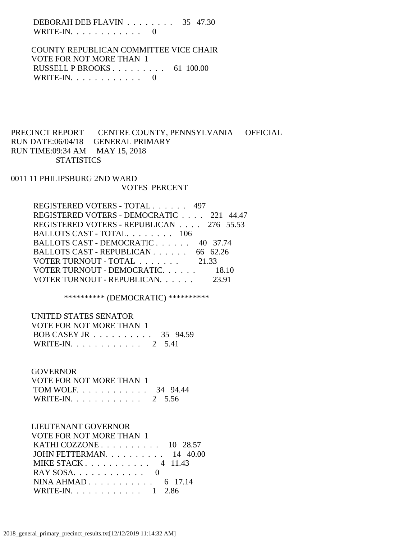DEBORAH DEB FLAVIN . . . . . . . . 35 47.30 WRITE-IN.  $\ldots$  . . . . . . . . . 0

 COUNTY REPUBLICAN COMMITTEE VICE CHAIR VOTE FOR NOT MORE THAN 1 RUSSELL P BROOKS . . . . . . . . . 61 100.00 WRITE-IN. . . . . . . . . . . . 0

# PRECINCT REPORT CENTRE COUNTY, PENNSYLVANIA OFFICIAL RUN DATE:06/04/18 GENERAL PRIMARY RUN TIME:09:34 AM MAY 15, 2018 **STATISTICS**

0011 11 PHILIPSBURG 2ND WARD VOTES PERCENT

| REGISTERED VOTERS - TOTAL 497            |       |
|------------------------------------------|-------|
| REGISTERED VOTERS - DEMOCRATIC 221 44.47 |       |
| REGISTERED VOTERS - REPUBLICAN 276 55.53 |       |
| BALLOTS CAST - TOTAL. 106                |       |
| BALLOTS CAST - DEMOCRATIC 40 37.74       |       |
| BALLOTS CAST - REPUBLICAN 66 62.26       |       |
| VOTER TURNOUT - TOTAL 21.33              |       |
| VOTER TURNOUT - DEMOCRATIC. 18.10        |       |
| VOTER TURNOUT - REPUBLICAN.              | 23.91 |

\*\*\*\*\*\*\*\*\*\* (DEMOCRATIC) \*\*\*\*\*\*\*\*\*\*

UNITED STATES SENATOR

| VOTE FOR NOT MORE THAN 1 |  |
|--------------------------|--|
| BOB CASEY JR 35 94.59    |  |
| WRITE-IN. 2 5.41         |  |

#### **GOVERNOR**

| VOTE FOR NOT MORE THAN 1 |  |
|--------------------------|--|
| TOM WOLF 34 94.44        |  |
| WRITE-IN. 2 5.56         |  |

# LIEUTENANT GOVERNOR

| <b>VOTE FOR NOT MORE THAN 1</b>                            |  |
|------------------------------------------------------------|--|
| KATHI COZZONE $\ldots$ $\ldots$ $\ldots$ $\ldots$ 10 28.57 |  |
| JOHN FETTERMAN. $\ldots$ 14 40.00                          |  |
| MIKE STACK 4 11.43                                         |  |
|                                                            |  |
| NINA AHMAD 6 17.14                                         |  |
| WRITE-IN. 1 2.86                                           |  |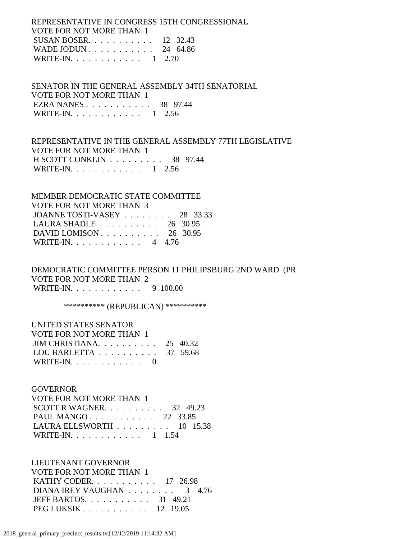REPRESENTATIVE IN CONGRESS 15TH CONGRESSIONAL VOTE FOR NOT MORE THAN 1 SUSAN BOSER. . . . . . . . . . . 12 32.43 WADE JODUN . . . . . . . . . . . 24 64.86 WRITE-IN. . . . . . . . . . . . 1 2.70

 SENATOR IN THE GENERAL ASSEMBLY 34TH SENATORIAL VOTE FOR NOT MORE THAN 1 EZRA NANES . . . . . . . . . . . 38 97.44 WRITE-IN. . . . . . . . . . . . 1 2.56

 REPRESENTATIVE IN THE GENERAL ASSEMBLY 77TH LEGISLATIVE VOTE FOR NOT MORE THAN 1 H SCOTT CONKLIN . . . . . . . . . 38 97.44 WRITE-IN. . . . . . . . . . . . 1 2.56

 MEMBER DEMOCRATIC STATE COMMITTEE VOTE FOR NOT MORE THAN 3 JOANNE TOSTI-VASEY . . . . . . . . 28 33.33 LAURA SHADLE . . . . . . . . . . 26 30.95 DAVID LOMISON . . . . . . . . . . 26 30.95 WRITE-IN. . . . . . . . . . . . 4 4.76

 DEMOCRATIC COMMITTEE PERSON 11 PHILIPSBURG 2ND WARD (PR VOTE FOR NOT MORE THAN 2 WRITE-IN. . . . . . . . . . . . 9 100.00

\*\*\*\*\*\*\*\*\*\*\* (REPUBLICAN) \*\*\*\*\*\*\*\*\*\*\*

| UNITED STATES SENATOR                               |  |
|-----------------------------------------------------|--|
| VOTE FOR NOT MORE THAN 1                            |  |
| JIM CHRISTIANA $25\quad 40.32$                      |  |
| LOU BARLETTA $\ldots \ldots \ldots \ldots$ 37 59.68 |  |
| WRITE-IN. $\ldots$ 0                                |  |

#### **GOVERNOR**

| VOTE FOR NOT MORE THAN 1             |  |  |
|--------------------------------------|--|--|
| SCOTT R WAGNER. $\ldots$ 32 49.23    |  |  |
| PAUL MANGO 22 33.85                  |  |  |
| LAURA ELLSWORTH $\ldots$ ,  10 15.38 |  |  |
| WRITE-IN. 1 1.54                     |  |  |

 LIEUTENANT GOVERNOR VOTE FOR NOT MORE THAN 1 KATHY CODER. . . . . . . . . . . 17 26.98 DIANA IREY VAUGHAN . . . . . . . . 3 4.76 JEFF BARTOS. . . . . . . . . . . 31 49.21 PEG LUKSIK . . . . . . . . . . . 12 19.05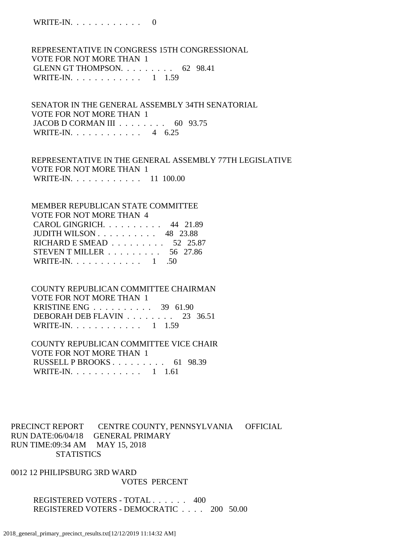WRITE-IN. . . . . . . . . . . . 0

 REPRESENTATIVE IN CONGRESS 15TH CONGRESSIONAL VOTE FOR NOT MORE THAN 1 GLENN GT THOMPSON. . . . . . . . . 62 98.41 WRITE-IN. . . . . . . . . . . . 1 1.59

 SENATOR IN THE GENERAL ASSEMBLY 34TH SENATORIAL VOTE FOR NOT MORE THAN 1 JACOB D CORMAN III . . . . . . . . 60 93.75 WRITE-IN. . . . . . . . . . . . 4 6.25

 REPRESENTATIVE IN THE GENERAL ASSEMBLY 77TH LEGISLATIVE VOTE FOR NOT MORE THAN 1 WRITE-IN. . . . . . . . . . . . 11 100.00

 MEMBER REPUBLICAN STATE COMMITTEE VOTE FOR NOT MORE THAN 4 CAROL GINGRICH. . . . . . . . . . 44 21.89 JUDITH WILSON . . . . . . . . . . 48 23.88 RICHARD E SMEAD . . . . . . . . . 52 25.87 STEVEN T MILLER . . . . . . . . . 56 27.86 WRITE-IN. . . . . . . . . . . . . 1 .50

 COUNTY REPUBLICAN COMMITTEE CHAIRMAN VOTE FOR NOT MORE THAN 1 KRISTINE ENG . . . . . . . . . . 39 61.90 DEBORAH DEB FLAVIN . . . . . . . . 23 36.51 WRITE-IN. . . . . . . . . . . . 1 1.59

 COUNTY REPUBLICAN COMMITTEE VICE CHAIR VOTE FOR NOT MORE THAN 1 RUSSELL P BROOKS . . . . . . . . . 61 98.39 WRITE-IN. . . . . . . . . . . . 1 1.61

PRECINCT REPORT CENTRE COUNTY, PENNSYLVANIA OFFICIAL RUN DATE:06/04/18 GENERAL PRIMARY RUN TIME:09:34 AM MAY 15, 2018 **STATISTICS** 

0012 12 PHILIPSBURG 3RD WARD VOTES PERCENT

> REGISTERED VOTERS - TOTAL . . . . . . 400 REGISTERED VOTERS - DEMOCRATIC . . . . 200 50.00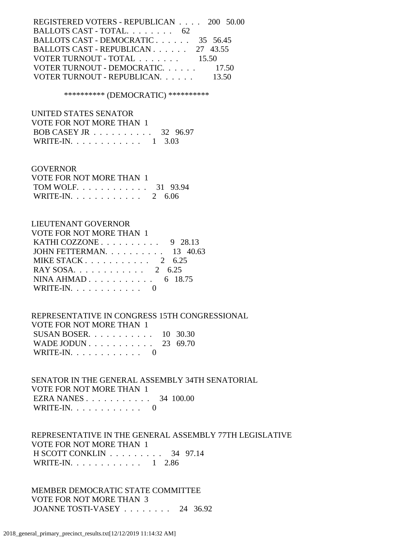REGISTERED VOTERS - REPUBLICAN . . . . 200 50.00 BALLOTS CAST - TOTAL. . . . . . . . . 62 BALLOTS CAST - DEMOCRATIC . . . . . . 35 56.45 BALLOTS CAST - REPUBLICAN . . . . . . 27 43.55 VOTER TURNOUT - TOTAL . . . . . . . 15.50 VOTER TURNOUT - DEMOCRATIC. . . . . . . 17.50 VOTER TURNOUT - REPUBLICAN. . . . . . 13.50

\*\*\*\*\*\*\*\*\*\* (DEMOCRATIC) \*\*\*\*\*\*\*\*\*\*

 UNITED STATES SENATOR VOTE FOR NOT MORE THAN 1 BOB CASEY JR . . . . . . . . . . 32 96.97 WRITE-IN. . . . . . . . . . . . 1 3.03

#### GOVERNOR

| VOTE FOR NOT MORE THAN 1 |  |
|--------------------------|--|
| TOM WOLF 31 93.94        |  |
| WRITE-IN. 2 $6.06$       |  |

### LIEUTENANT GOVERNOR

| VOTE FOR NOT MORE THAN 1                            |  |
|-----------------------------------------------------|--|
| KATHI COZZONE $\ldots \ldots \ldots \ldots$ 9 28.13 |  |
| JOHN FETTERMAN. $\ldots$ 13 40.63                   |  |
| MIKE STACK $2 \quad 6.25$                           |  |
| RAY SOSA. 2 6.25                                    |  |
| NINA AHMAD 6 18.75                                  |  |
| WRITE-IN. $\ldots$ 0                                |  |

 REPRESENTATIVE IN CONGRESS 15TH CONGRESSIONAL VOTE FOR NOT MORE THAN 1 SUSAN BOSER. . . . . . . . . . . 10 30.30 WADE JODUN . . . . . . . . . . . 23 69.70 WRITE-IN.  $\ldots$  . . . . . . . . . 0

 SENATOR IN THE GENERAL ASSEMBLY 34TH SENATORIAL VOTE FOR NOT MORE THAN 1 EZRA NANES . . . . . . . . . . . 34 100.00 WRITE-IN. . . . . . . . . . . . 0

 REPRESENTATIVE IN THE GENERAL ASSEMBLY 77TH LEGISLATIVE VOTE FOR NOT MORE THAN 1 H SCOTT CONKLIN . . . . . . . . . 34 97.14 WRITE-IN. . . . . . . . . . . . 1 2.86

 MEMBER DEMOCRATIC STATE COMMITTEE VOTE FOR NOT MORE THAN 3 JOANNE TOSTI-VASEY . . . . . . . . 24 36.92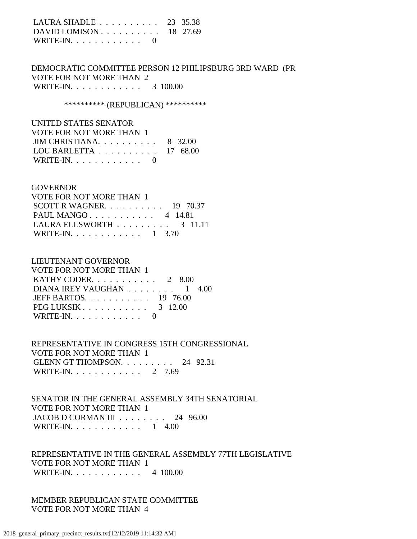| LAURA SHADLE $\ldots \ldots \ldots \ldots$ 23 35.38 |  |
|-----------------------------------------------------|--|
| DAVID LOMISON $\ldots$ 18 27.69                     |  |
| WRITE-IN. $\ldots$ 0                                |  |

 DEMOCRATIC COMMITTEE PERSON 12 PHILIPSBURG 3RD WARD (PR VOTE FOR NOT MORE THAN 2 WRITE-IN. . . . . . . . . . . . 3 100.00

\*\*\*\*\*\*\*\*\*\*\* (REPUBLICAN) \*\*\*\*\*\*\*\*\*\*\*

 UNITED STATES SENATOR VOTE FOR NOT MORE THAN 1 JIM CHRISTIANA. . . . . . . . . . 8 32.00 LOU BARLETTA . . . . . . . . . . 17 68.00 WRITE-IN.  $\ldots$  . . . . . . . . . 0

#### **GOVERNOR**

| VOTE FOR NOT MORE THAN 1                       |  |  |
|------------------------------------------------|--|--|
| SCOTT R WAGNER. $\ldots$ 19 70.37              |  |  |
| PAUL MANGO 4 $14.81$                           |  |  |
| LAURA ELLSWORTH $\ldots \ldots \ldots$ 3 11.11 |  |  |
| WRITE-IN. 1 3.70                               |  |  |

### LIEUTENANT GOVERNOR

| VOTE FOR NOT MORE THAN 1                         |  |  |
|--------------------------------------------------|--|--|
| KATHY CODER. $\ldots$ 2 8.00                     |  |  |
| DIANA IREY VAUGHAN $\ldots \ldots \ldots 1$ 4.00 |  |  |
| JEFF BARTOS. $\ldots$ 19 76.00                   |  |  |
| PEG LUKSIK 3 12.00                               |  |  |
| WRITE-IN. $\ldots$ 0                             |  |  |

 REPRESENTATIVE IN CONGRESS 15TH CONGRESSIONAL VOTE FOR NOT MORE THAN 1 GLENN GT THOMPSON. . . . . . . . . 24 92.31 WRITE-IN. . . . . . . . . . . . 2 7.69

 SENATOR IN THE GENERAL ASSEMBLY 34TH SENATORIAL VOTE FOR NOT MORE THAN 1 JACOB D CORMAN III . . . . . . . . 24 96.00 WRITE-IN. . . . . . . . . . . . . 1 4.00

 REPRESENTATIVE IN THE GENERAL ASSEMBLY 77TH LEGISLATIVE VOTE FOR NOT MORE THAN 1 WRITE-IN. . . . . . . . . . . . 4 100.00

 MEMBER REPUBLICAN STATE COMMITTEE VOTE FOR NOT MORE THAN 4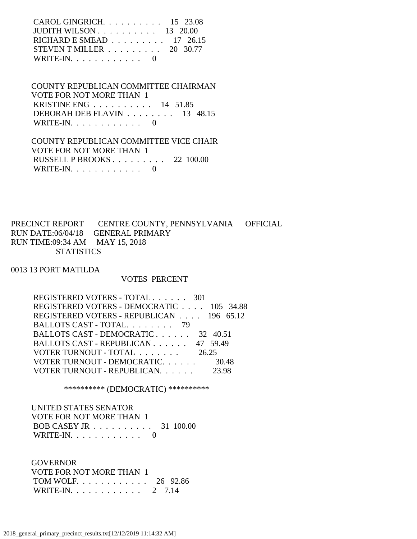| CAROL GINGRICH. $\ldots$ 15 23.08                          |  |
|------------------------------------------------------------|--|
| JUDITH WILSON $\ldots$ $\ldots$ $\ldots$ $\ldots$ 13 20.00 |  |
| RICHARD E SMEAD $\ldots \ldots \ldots \ldots$ 17 26.15     |  |
| STEVEN T MILLER $\ldots \ldots \ldots 20$ 30.77            |  |
| WRITE-IN. $\ldots$ 0                                       |  |

 COUNTY REPUBLICAN COMMITTEE CHAIRMAN VOTE FOR NOT MORE THAN 1 KRISTINE ENG . . . . . . . . . . 14 51.85 DEBORAH DEB FLAVIN . . . . . . . . 13 48.15 WRITE-IN.  $\ldots$  . . . . . . . . . 0

 COUNTY REPUBLICAN COMMITTEE VICE CHAIR VOTE FOR NOT MORE THAN 1 RUSSELL P BROOKS . . . . . . . . . 22 100.00 WRITE-IN. . . . . . . . . . . . 0

PRECINCT REPORT CENTRE COUNTY, PENNSYLVANIA OFFICIAL RUN DATE:06/04/18 GENERAL PRIMARY RUN TIME:09:34 AM MAY 15, 2018 **STATISTICS** 

0013 13 PORT MATILDA

#### VOTES PERCENT

| REGISTERED VOTERS - TOTAL 301            |       |
|------------------------------------------|-------|
| REGISTERED VOTERS - DEMOCRATIC 105 34.88 |       |
| REGISTERED VOTERS - REPUBLICAN 196 65.12 |       |
| BALLOTS CAST - TOTAL. 79                 |       |
| BALLOTS CAST - DEMOCRATIC 32 40.51       |       |
| BALLOTS CAST - REPUBLICAN 47 59.49       |       |
| VOTER TURNOUT - TOTAL                    | 26.25 |
| VOTER TURNOUT - DEMOCRATIC.              | 30.48 |
| VOTER TURNOUT - REPUBLICAN.              | 23.98 |
|                                          |       |

\*\*\*\*\*\*\*\*\*\* (DEMOCRATIC) \*\*\*\*\*\*\*\*\*\*

 UNITED STATES SENATOR VOTE FOR NOT MORE THAN 1 BOB CASEY JR . . . . . . . . . . 31 100.00 WRITE-IN. . . . . . . . . . . . 0

**GOVERNOR**  VOTE FOR NOT MORE THAN 1 TOM WOLF. . . . . . . . . . . . 26 92.86 WRITE-IN. . . . . . . . . . . . 2 7.14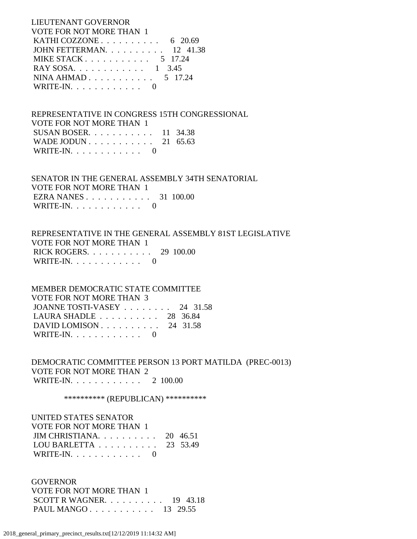LIEUTENANT GOVERNOR VOTE FOR NOT MORE THAN 1 KATHI COZZONE . . . . . . . . . . . 6 20.69 JOHN FETTERMAN. . . . . . . . . . 12 41.38 MIKE STACK . . . . . . . . . . . . 5 17.24 RAY SOSA. . . . . . . . . . . . 1 3.45 NINA AHMAD . . . . . . . . . . . 5 17.24 WRITE-IN. . . . . . . . . . . . 0

 REPRESENTATIVE IN CONGRESS 15TH CONGRESSIONAL VOTE FOR NOT MORE THAN 1 SUSAN BOSER. . . . . . . . . . . 11 34.38 WADE JODUN . . . . . . . . . . . 21 65.63 WRITE-IN.  $\ldots$  . . . . . . . . 0

 SENATOR IN THE GENERAL ASSEMBLY 34TH SENATORIAL VOTE FOR NOT MORE THAN 1 EZRA NANES . . . . . . . . . . . 31 100.00 WRITE-IN. . . . . . . . . . . . 0

 REPRESENTATIVE IN THE GENERAL ASSEMBLY 81ST LEGISLATIVE VOTE FOR NOT MORE THAN 1 RICK ROGERS. . . . . . . . . . . 29 100.00 WRITE-IN.  $\ldots$  . . . . . . . . . 0

 MEMBER DEMOCRATIC STATE COMMITTEE VOTE FOR NOT MORE THAN 3 JOANNE TOSTI-VASEY . . . . . . . . 24 31.58 LAURA SHADLE . . . . . . . . . . 28 36.84 DAVID LOMISON . . . . . . . . . . 24 31.58 WRITE-IN. . . . . . . . . . . . 0

 DEMOCRATIC COMMITTEE PERSON 13 PORT MATILDA (PREC-0013) VOTE FOR NOT MORE THAN 2 WRITE-IN. . . . . . . . . . . . 2 100.00

\*\*\*\*\*\*\*\*\*\*\* (REPUBLICAN) \*\*\*\*\*\*\*\*\*\*\*

 UNITED STATES SENATOR VOTE FOR NOT MORE THAN 1 JIM CHRISTIANA. . . . . . . . . . 20 46.51 LOU BARLETTA . . . . . . . . . . 23 53.49 WRITE-IN.  $\ldots$  . . . . . . . . 0

 GOVERNOR VOTE FOR NOT MORE THAN 1 SCOTT R WAGNER. . . . . . . . . . 19 43.18 PAUL MANGO . . . . . . . . . . . 13 29.55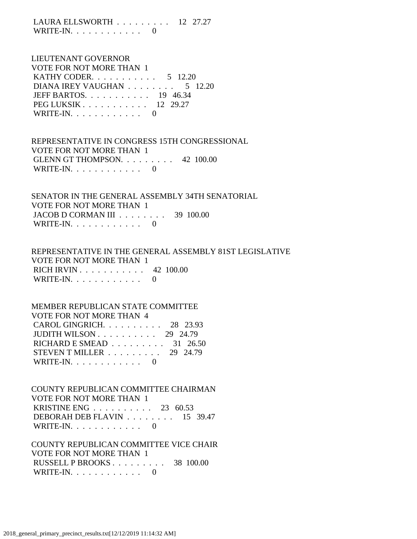LAURA ELLSWORTH . . . . . . . . . 12 27.27 WRITE-IN.  $\ldots$  . . . . . . . . 0

 LIEUTENANT GOVERNOR VOTE FOR NOT MORE THAN 1 KATHY CODER. . . . . . . . . . . 5 12.20 DIANA IREY VAUGHAN . . . . . . . . . 5 12.20 JEFF BARTOS. . . . . . . . . . . 19 46.34 PEG LUKSIK . . . . . . . . . . . 12 29.27 WRITE-IN.  $\ldots$  . . . . . . . . 0

 REPRESENTATIVE IN CONGRESS 15TH CONGRESSIONAL VOTE FOR NOT MORE THAN 1 GLENN GT THOMPSON. . . . . . . . . 42 100.00 WRITE-IN.  $\ldots$  . . . . . . . . . 0

 SENATOR IN THE GENERAL ASSEMBLY 34TH SENATORIAL VOTE FOR NOT MORE THAN 1 JACOB D CORMAN III . . . . . . . . 39 100.00 WRITE-IN.  $\ldots$  . . . . . . . . . 0

 REPRESENTATIVE IN THE GENERAL ASSEMBLY 81ST LEGISLATIVE VOTE FOR NOT MORE THAN 1 RICH IRVIN . . . . . . . . . . . 42 100.00 WRITE-IN.  $\ldots$  . . . . . . . . . 0

#### MEMBER REPUBLICAN STATE COMMITTEE VOTE FOR NOT MORE THAN 4

| CAROL GINGRICH. 28 23.93                        |  |
|-------------------------------------------------|--|
|                                                 |  |
| JUDITH WILSON $\ldots$ 29 24.79                 |  |
| RICHARD E SMEAD $\ldots \ldots \ldots$ 31 26.50 |  |
| STEVEN T MILLER $\ldots \ldots \ldots$ 29 24.79 |  |
| WRITE-IN. $\ldots$ 0                            |  |

 COUNTY REPUBLICAN COMMITTEE CHAIRMAN VOTE FOR NOT MORE THAN 1 KRISTINE ENG . . . . . . . . . . 23 60.53 DEBORAH DEB FLAVIN . . . . . . . . 15 39.47 WRITE-IN.  $\ldots$  . . . . . . . . . 0

 COUNTY REPUBLICAN COMMITTEE VICE CHAIR VOTE FOR NOT MORE THAN 1 RUSSELL P BROOKS . . . . . . . . . 38 100.00 WRITE-IN.  $\ldots$  . . . . . . . . . 0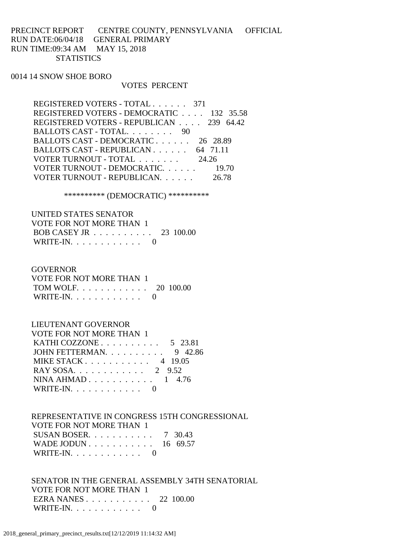## PRECINCT REPORT CENTRE COUNTY, PENNSYLVANIA OFFICIAL RUN DATE:06/04/18 GENERAL PRIMARY RUN TIME:09:34 AM MAY 15, 2018 **STATISTICS**

### 0014 14 SNOW SHOE BORO

#### VOTES PERCENT

| REGISTERED VOTERS - TOTAL 371            |
|------------------------------------------|
| REGISTERED VOTERS - DEMOCRATIC 132 35.58 |
| REGISTERED VOTERS - REPUBLICAN 239 64.42 |
| BALLOTS CAST - TOTAL. 90                 |
| BALLOTS CAST - DEMOCRATIC 26 28.89       |
| BALLOTS CAST - REPUBLICAN 64 71.11       |
| VOTER TURNOUT - TOTAL 24.26              |
| VOTER TURNOUT - DEMOCRATIC. 19.70        |
| VOTER TURNOUT - REPUBLICAN.<br>26.78     |

\*\*\*\*\*\*\*\*\*\* (DEMOCRATIC) \*\*\*\*\*\*\*\*\*\*

| UNITED STATES SENATOR    |  |
|--------------------------|--|
| VOTE FOR NOT MORE THAN 1 |  |
| BOB CASEY JR 23 100.00   |  |
| WRITE-IN. $\ldots$ 0     |  |

#### **GOVERNOR**

| VOTE FOR NOT MORE THAN 1 |  |
|--------------------------|--|
| TOM WOLF. 20 100.00      |  |
| WRITE-IN. $\ldots$ 0     |  |

#### LIEUTENANT GOVERNOR

| <b>VOTE FOR NOT MORE THAN 1</b>                  |  |
|--------------------------------------------------|--|
| KATHI COZZONE $\ldots$ $\ldots$ $\ldots$ 5 23.81 |  |
| JOHN FETTERMAN. $\ldots$ 9 42.86                 |  |
| MIKE STACK 4 19.05                               |  |
| RAY SOSA 2 9.52                                  |  |
| NINA AHMAD $1 \quad 4.76$                        |  |
| WRITE-IN. $\ldots$ 0                             |  |
|                                                  |  |

# REPRESENTATIVE IN CONGRESS 15TH CONGRESSIONAL

| VOTE FOR NOT MORE THAN 1 |  |
|--------------------------|--|
| SUSAN BOSER 7 30.43      |  |
| WADE JODUN 16 69.57      |  |
| WRITE-IN. $\ldots$ 0     |  |

 SENATOR IN THE GENERAL ASSEMBLY 34TH SENATORIAL VOTE FOR NOT MORE THAN 1 EZRA NANES . . . . . . . . . . . 22 100.00 WRITE-IN.  $\ldots$  . . . . . . . . . 0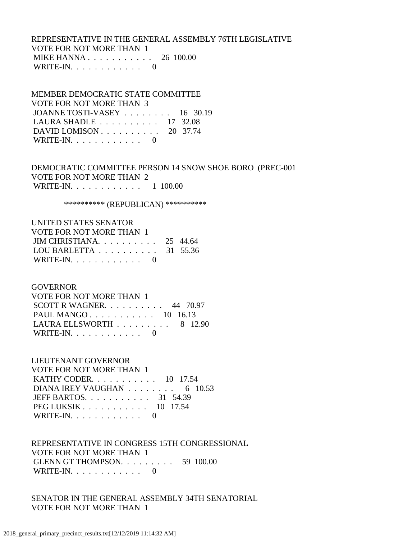# REPRESENTATIVE IN THE GENERAL ASSEMBLY 76TH LEGISLATIVE VOTE FOR NOT MORE THAN 1 MIKE HANNA . . . . . . . . . . . 26 100.00 WRITE-IN. . . . . . . . . . . . 0

 MEMBER DEMOCRATIC STATE COMMITTEE VOTE FOR NOT MORE THAN 3 JOANNE TOSTI-VASEY . . . . . . . . 16 30.19 LAURA SHADLE . . . . . . . . . . 17 32.08 DAVID LOMISON . . . . . . . . . . 20 37.74 WRITE-IN.  $\ldots$  . . . . . . . . . 0

 DEMOCRATIC COMMITTEE PERSON 14 SNOW SHOE BORO (PREC-001 VOTE FOR NOT MORE THAN 2 WRITE-IN. . . . . . . . . . . . . 1 100.00

\*\*\*\*\*\*\*\*\*\* (REPUBLICAN) \*\*\*\*\*\*\*\*\*\*

| UNITED STATES SENATOR                        |  |
|----------------------------------------------|--|
| VOTE FOR NOT MORE THAN 1                     |  |
| JIM CHRISTIANA. $\ldots$ 25 44.64            |  |
| LOU BARLETTA $\ldots \ldots \ldots 31$ 55.36 |  |
| WRITE-IN. $\ldots$                           |  |

GOVERNOR

| VOTE FOR NOT MORE THAN 1                       |  |  |
|------------------------------------------------|--|--|
| SCOTT R WAGNER. $\ldots$ 44 70.97              |  |  |
| PAUL MANGO $10$ 16.13                          |  |  |
| LAURA ELLSWORTH $\ldots \ldots \ldots$ 8 12.90 |  |  |
| WRITE-IN. $\ldots$ 0                           |  |  |

 LIEUTENANT GOVERNOR VOTE FOR NOT MORE THAN 1 KATHY CODER. . . . . . . . . . . 10 17.54 DIANA IREY VAUGHAN . . . . . . . . . 6 10.53 JEFF BARTOS. . . . . . . . . . . 31 54.39 PEG LUKSIK . . . . . . . . . . . . 10 17.54 WRITE-IN.  $\ldots$  . . . . . . . . . 0

 REPRESENTATIVE IN CONGRESS 15TH CONGRESSIONAL VOTE FOR NOT MORE THAN 1 GLENN GT THOMPSON. . . . . . . . . 59 100.00 WRITE-IN. . . . . . . . . . . . 0

 SENATOR IN THE GENERAL ASSEMBLY 34TH SENATORIAL VOTE FOR NOT MORE THAN 1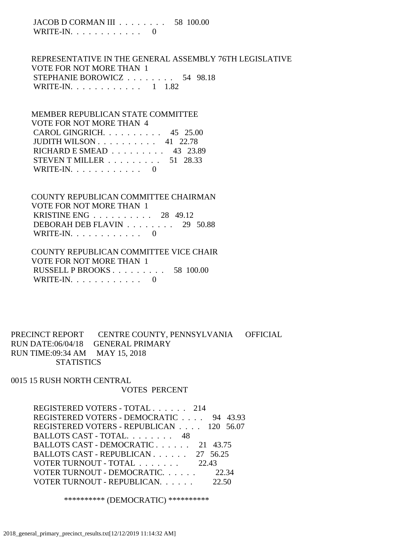JACOB D CORMAN III . . . . . . . . 58 100.00 WRITE-IN.  $\ldots$  . . . . . . . . 0

 REPRESENTATIVE IN THE GENERAL ASSEMBLY 76TH LEGISLATIVE VOTE FOR NOT MORE THAN 1 STEPHANIE BOROWICZ . . . . . . . . 54 98.18 WRITE-IN. . . . . . . . . . . . 1 1.82

 MEMBER REPUBLICAN STATE COMMITTEE VOTE FOR NOT MORE THAN 4 CAROL GINGRICH. . . . . . . . . . 45 25.00 JUDITH WILSON . . . . . . . . . . 41 22.78 RICHARD E SMEAD . . . . . . . . . 43 23.89 STEVEN T MILLER . . . . . . . . . 51 28.33 WRITE-IN.  $\ldots$  . . . . . . . . 0

 COUNTY REPUBLICAN COMMITTEE CHAIRMAN VOTE FOR NOT MORE THAN 1 KRISTINE ENG . . . . . . . . . . 28 49.12 DEBORAH DEB FLAVIN . . . . . . . . 29 50.88 WRITE-IN. . . . . . . . . . . . 0

 COUNTY REPUBLICAN COMMITTEE VICE CHAIR VOTE FOR NOT MORE THAN 1 RUSSELL P BROOKS . . . . . . . . . 58 100.00 WRITE-IN. . . . . . . . . . . . 0

PRECINCT REPORT CENTRE COUNTY, PENNSYLVANIA OFFICIAL RUN DATE:06/04/18 GENERAL PRIMARY RUN TIME:09:34 AM MAY 15, 2018 **STATISTICS** 

0015 15 RUSH NORTH CENTRAL VOTES PERCENT

> REGISTERED VOTERS - TOTAL . . . . . . 214 REGISTERED VOTERS - DEMOCRATIC . . . . 94 43.93 REGISTERED VOTERS - REPUBLICAN . . . . 120 56.07 BALLOTS CAST - TOTAL. . . . . . . . 48 BALLOTS CAST - DEMOCRATIC . . . . . . 21 43.75 BALLOTS CAST - REPUBLICAN . . . . . . 27 56.25 VOTER TURNOUT - TOTAL . . . . . . . 22.43 VOTER TURNOUT - DEMOCRATIC. . . . . . 22.34 VOTER TURNOUT - REPUBLICAN. . . . . . 22.50

> > \*\*\*\*\*\*\*\*\*\* (DEMOCRATIC) \*\*\*\*\*\*\*\*\*\*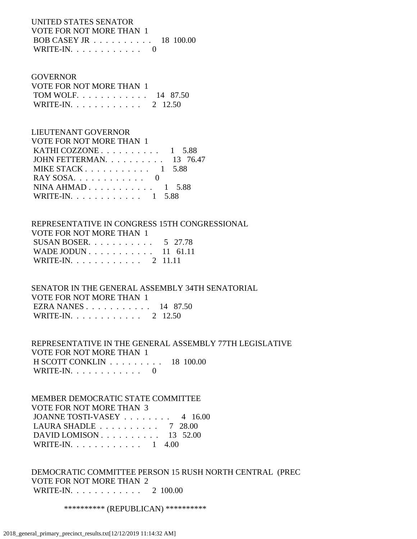# UNITED STATES SENATOR VOTE FOR NOT MORE THAN 1 BOB CASEY JR . . . . . . . . . . 18 100.00 WRITE-IN.  $\ldots$  . . . . . . . . 0

## GOVERNOR

| VOTE FOR NOT MORE THAN 1 |  |
|--------------------------|--|
| TOM WOLF. 14 87.50       |  |
| WRITE-IN. 2 12.50        |  |

# LIEUTENANT GOVERNOR

| <b>VOTE FOR NOT MORE THAN 1</b>   |  |
|-----------------------------------|--|
| KATHI COZZONE $1\quad 5.88$       |  |
| JOHN FETTERMAN. $\ldots$ 13 76.47 |  |
| MIKE STACK $1, 5.88$              |  |
|                                   |  |
| NINA AHMAD $1\quad 5.88$          |  |
| WRITE-IN. 1 5.88                  |  |
|                                   |  |

# REPRESENTATIVE IN CONGRESS 15TH CONGRESSIONAL VOTE FOR NOT MORE THAN 1 SUSAN BOSER. . . . . . . . . . . 5 27.78 WADE JODUN . . . . . . . . . . . 11 61.11 WRITE-IN. . . . . . . . . . . . 2 11.11

 SENATOR IN THE GENERAL ASSEMBLY 34TH SENATORIAL VOTE FOR NOT MORE THAN 1 EZRA NANES . . . . . . . . . . . 14 87.50 WRITE-IN. . . . . . . . . . . . 2 12.50

# REPRESENTATIVE IN THE GENERAL ASSEMBLY 77TH LEGISLATIVE VOTE FOR NOT MORE THAN 1 H SCOTT CONKLIN . . . . . . . . . 18 100.00 WRITE-IN.  $\ldots$  . . . . . . . . . 0

# MEMBER DEMOCRATIC STATE COMMITTEE VOTE FOR NOT MORE THAN 3 JOANNE TOSTI-VASEY . . . . . . . . 4 16.00 LAURA SHADLE . . . . . . . . . . 7 28.00 DAVID LOMISON . . . . . . . . . . 13 52.00 WRITE-IN. . . . . . . . . . . . . 1 4.00

 DEMOCRATIC COMMITTEE PERSON 15 RUSH NORTH CENTRAL (PREC VOTE FOR NOT MORE THAN 2 WRITE-IN. . . . . . . . . . . . 2 100.00

\*\*\*\*\*\*\*\*\*\*\* (REPUBLICAN) \*\*\*\*\*\*\*\*\*\*\*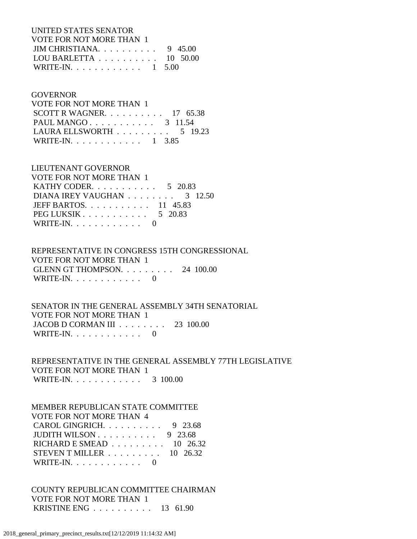UNITED STATES SENATOR VOTE FOR NOT MORE THAN 1 JIM CHRISTIANA. . . . . . . . . . 9 45.00 LOU BARLETTA . . . . . . . . . . 10 50.00 WRITE-IN. . . . . . . . . . . . . 1 5.00

#### GOVERNOR

| VOTE FOR NOT MORE THAN 1                       |  |  |
|------------------------------------------------|--|--|
| SCOTT R WAGNER. $\ldots$ 17 65.38              |  |  |
| PAUL MANGO 3 11.54                             |  |  |
| LAURA ELLSWORTH $\ldots \ldots \ldots 5$ 19.23 |  |  |
| WRITE-IN. 1 3.85                               |  |  |

# LIEUTENANT GOVERNOR

| VOTE FOR NOT MORE THAN 1                               |  |
|--------------------------------------------------------|--|
| KATHY CODER. 5 20.83                                   |  |
| DIANA IREY VAUGHAN $\ldots \ldots \ldots$ 3 12.50      |  |
| JEFF BARTOS. $\ldots$ , 11 45.83                       |  |
| PEG LUKSIK $\ldots$ $\ldots$ $\ldots$ $\ldots$ 5 20.83 |  |
| WRITE-IN. $\ldots$ 0                                   |  |

# REPRESENTATIVE IN CONGRESS 15TH CONGRESSIONAL VOTE FOR NOT MORE THAN 1

 GLENN GT THOMPSON. . . . . . . . . 24 100.00 WRITE-IN. . . . . . . . . . . . 0

## SENATOR IN THE GENERAL ASSEMBLY 34TH SENATORIAL VOTE FOR NOT MORE THAN 1 JACOB D CORMAN III . . . . . . . . 23 100.00 WRITE-IN.  $\ldots$  . . . . . . . . 0

 REPRESENTATIVE IN THE GENERAL ASSEMBLY 77TH LEGISLATIVE VOTE FOR NOT MORE THAN 1 WRITE-IN. . . . . . . . . . . . 3 100.00

## MEMBER REPUBLICAN STATE COMMITTEE VOTE FOR NOT MORE THAN 4

| CAROL GINGRICH. $\ldots$ 9 23.68                       |  |
|--------------------------------------------------------|--|
| JUDITH WILSON $\ldots \ldots \ldots \ldots$ 9 23.68    |  |
| RICHARD E SMEAD $\ldots \ldots \ldots \ldots$ 10 26.32 |  |
| STEVEN T MILLER $\ldots \ldots \ldots \ldots$ 10 26.32 |  |
| WRITE-IN. $\ldots$ 0                                   |  |

# COUNTY REPUBLICAN COMMITTEE CHAIRMAN VOTE FOR NOT MORE THAN 1 KRISTINE ENG . . . . . . . . . . 13 61.90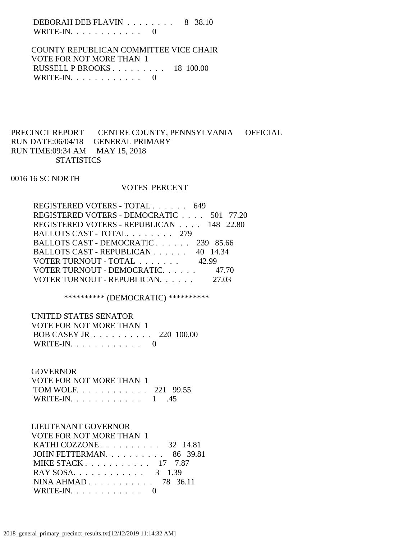DEBORAH DEB FLAVIN . . . . . . . . 8 38.10 WRITE-IN.  $\ldots$  . . . . . . . . . 0

 COUNTY REPUBLICAN COMMITTEE VICE CHAIR VOTE FOR NOT MORE THAN 1 RUSSELL P BROOKS . . . . . . . . . 18 100.00 WRITE-IN.  $\ldots$  . . . . . . . . . 0

# PRECINCT REPORT CENTRE COUNTY, PENNSYLVANIA OFFICIAL RUN DATE:06/04/18 GENERAL PRIMARY RUN TIME:09:34 AM MAY 15, 2018 **STATISTICS**

0016 16 SC NORTH

#### VOTES PERCENT

| REGISTERED VOTERS - TOTAL 649            |  |
|------------------------------------------|--|
| REGISTERED VOTERS - DEMOCRATIC 501 77.20 |  |
| REGISTERED VOTERS - REPUBLICAN 148 22.80 |  |
| BALLOTS CAST - TOTAL. 279                |  |
| BALLOTS CAST - DEMOCRATIC 239 85.66      |  |
| BALLOTS CAST - REPUBLICAN 40 14.34       |  |
| VOTER TURNOUT - TOTAL 42.99              |  |
| VOTER TURNOUT - DEMOCRATIC. 47.70        |  |
| VOTER TURNOUT - REPUBLICAN.              |  |
|                                          |  |

\*\*\*\*\*\*\*\*\*\* (DEMOCRATIC) \*\*\*\*\*\*\*\*\*\*

UNITED STATES SENATOR

| VOTE FOR NOT MORE THAN 1 |  |
|--------------------------|--|
| BOB CASEY JR 220 100.00  |  |
| WRITE-IN. $\ldots$ 0     |  |

## **GOVERNOR**

| VOTE FOR NOT MORE THAN 1 |  |
|--------------------------|--|
| TOM WOLF. 221 99.55      |  |
| WRITE-IN. $\ldots$ 1 .45 |  |

## LIEUTENANT GOVERNOR

| VOTE FOR NOT MORE THAN 1                          |  |
|---------------------------------------------------|--|
| KATHI COZZONE $\ldots$ $\ldots$ $\ldots$ 32 14.81 |  |
| JOHN FETTERMAN. $\ldots$ 86 39.81                 |  |
| MIKE STACK 17 7.87                                |  |
| RAY SOSA. 3 1.39                                  |  |
| NINA AHMAD $78$ 36.11                             |  |
| WRITE-IN. $\ldots$ 0                              |  |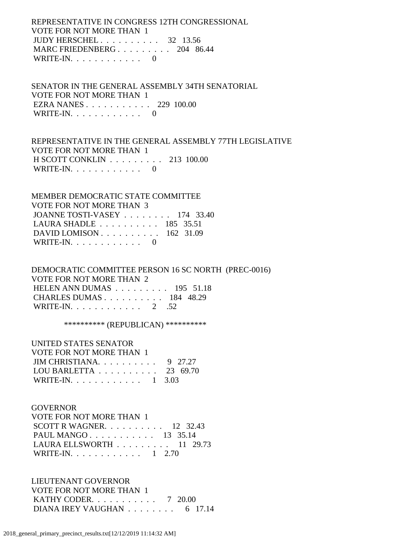REPRESENTATIVE IN CONGRESS 12TH CONGRESSIONAL VOTE FOR NOT MORE THAN 1 JUDY HERSCHEL . . . . . . . . . . 32 13.56 MARC FRIEDENBERG . . . . . . . . . 204 86.44 WRITE-IN.  $\ldots$  . . . . . . . . . 0

 SENATOR IN THE GENERAL ASSEMBLY 34TH SENATORIAL VOTE FOR NOT MORE THAN 1 EZRA NANES . . . . . . . . . . . 229 100.00 WRITE-IN. . . . . . . . . . . . 0

 REPRESENTATIVE IN THE GENERAL ASSEMBLY 77TH LEGISLATIVE VOTE FOR NOT MORE THAN 1 H SCOTT CONKLIN . . . . . . . . . 213 100.00 WRITE-IN.  $\ldots$  . . . . . . . . 0

 MEMBER DEMOCRATIC STATE COMMITTEE VOTE FOR NOT MORE THAN 3 JOANNE TOSTI-VASEY . . . . . . . . 174 33.40 LAURA SHADLE . . . . . . . . . . 185 35.51 DAVID LOMISON . . . . . . . . . . 162 31.09 WRITE-IN.  $\ldots$  . . . . . . . . 0

 DEMOCRATIC COMMITTEE PERSON 16 SC NORTH (PREC-0016) VOTE FOR NOT MORE THAN 2 HELEN ANN DUMAS . . . . . . . . . 195 51.18 CHARLES DUMAS . . . . . . . . . . 184 48.29 WRITE-IN. . . . . . . . . . . . 2 .52

\*\*\*\*\*\*\*\*\*\* (REPUBLICAN) \*\*\*\*\*\*\*\*\*\*

| UNITED STATES SENATOR                        |  |
|----------------------------------------------|--|
| VOTE FOR NOT MORE THAN 1                     |  |
| JIM CHRISTIANA 9 27.27                       |  |
| LOU BARLETTA $\ldots \ldots \ldots 23$ 69.70 |  |
| WRITE-IN. 1 3.03                             |  |

## GOVERNOR

| VOTE FOR NOT MORE THAN 1                        |  |  |
|-------------------------------------------------|--|--|
| SCOTT R WAGNER. $\ldots$ 12 32.43               |  |  |
| PAUL MANGO 13 35.14                             |  |  |
| LAURA ELLSWORTH $\ldots \ldots \ldots 11$ 29.73 |  |  |
| WRITE-IN. 1 2.70                                |  |  |
|                                                 |  |  |

 LIEUTENANT GOVERNOR VOTE FOR NOT MORE THAN 1 KATHY CODER. . . . . . . . . . . 7 20.00 DIANA IREY VAUGHAN . . . . . . . . 6 17.14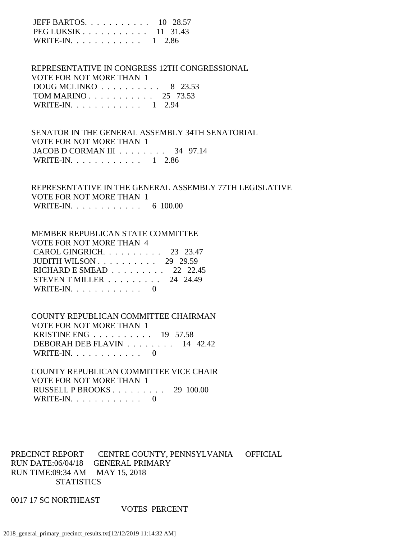| JEFF BARTOS. $\ldots$ 10 28.57                          |  |
|---------------------------------------------------------|--|
| PEG LUKSIK $\ldots$ $\ldots$ $\ldots$ $\ldots$ 11 31.43 |  |
| WRITE-IN. $\ldots$ 1 2.86                               |  |

 REPRESENTATIVE IN CONGRESS 12TH CONGRESSIONAL VOTE FOR NOT MORE THAN 1 DOUG MCLINKO . . . . . . . . . . 8 23.53 TOM MARINO . . . . . . . . . . . 25 73.53 WRITE-IN. . . . . . . . . . . . 1 2.94

 SENATOR IN THE GENERAL ASSEMBLY 34TH SENATORIAL VOTE FOR NOT MORE THAN 1 JACOB D CORMAN III . . . . . . . . 34 97.14 WRITE-IN. . . . . . . . . . . . 1 2.86

 REPRESENTATIVE IN THE GENERAL ASSEMBLY 77TH LEGISLATIVE VOTE FOR NOT MORE THAN 1 WRITE-IN. . . . . . . . . . . . . 6 100.00

#### MEMBER REPUBLICAN STATE COMMITTEE

| VOTE FOR NOT MORE THAN 4                                   |  |
|------------------------------------------------------------|--|
| CAROL GINGRICH. $\ldots$ 23 23.47                          |  |
| JUDITH WILSON $\ldots$ $\ldots$ $\ldots$ $\ldots$ 29 29.59 |  |
| RICHARD E SMEAD $\ldots \ldots \ldots$ 22 22.45            |  |
| STEVEN T MILLER $\ldots \ldots \ldots 24$ 24.49            |  |
| WRITE-IN. $\ldots$ 0                                       |  |

 COUNTY REPUBLICAN COMMITTEE CHAIRMAN VOTE FOR NOT MORE THAN 1 KRISTINE ENG . . . . . . . . . . 19 57.58 DEBORAH DEB FLAVIN . . . . . . . . 14 42.42 WRITE-IN.  $\ldots$  . . . . . . . . . 0

 COUNTY REPUBLICAN COMMITTEE VICE CHAIR VOTE FOR NOT MORE THAN 1 RUSSELL P BROOKS . . . . . . . . . 29 100.00 WRITE-IN.  $\ldots$  . . . . . . . . . 0

PRECINCT REPORT CENTRE COUNTY, PENNSYLVANIA OFFICIAL RUN DATE:06/04/18 GENERAL PRIMARY RUN TIME:09:34 AM MAY 15, 2018 **STATISTICS** 

0017 17 SC NORTHEAST

#### VOTES PERCENT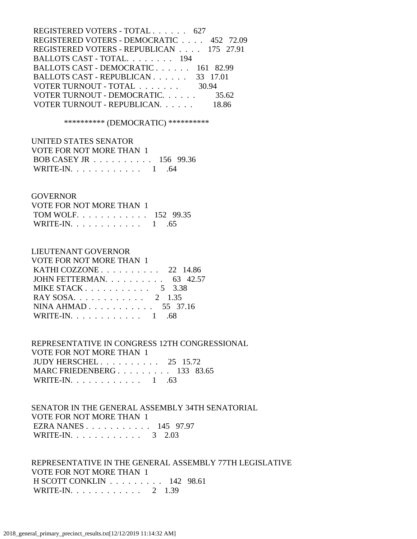| REGISTERED VOTERS - DEMOCRATIC 452 72.09 |
|------------------------------------------|
| REGISTERED VOTERS - REPUBLICAN 175 27.91 |
|                                          |
| BALLOTS CAST - DEMOCRATIC 161 82.99      |
|                                          |
|                                          |
| 35.62                                    |
|                                          |
|                                          |

\*\*\*\*\*\*\*\*\*\* (DEMOCRATIC) \*\*\*\*\*\*\*\*\*\*

| UNITED STATES SENATOR                                |  |
|------------------------------------------------------|--|
| VOTE FOR NOT MORE THAN 1                             |  |
| BOB CASEY JR $\ldots \ldots \ldots \ldots 156$ 99.36 |  |
| WRITE-IN. $\ldots$ 1 .64                             |  |

#### **GOVERNOR**

| VOTE FOR NOT MORE THAN 1 |  |
|--------------------------|--|
| TOM WOLF. 152 99.35      |  |
| WRITE-IN. $\ldots$ 1 .65 |  |

#### LIEUTENANT GOVERNOR

| VOTE FOR NOT MORE THAN 1                          |  |
|---------------------------------------------------|--|
| KATHI COZZONE $\ldots$ $\ldots$ $\ldots$ 22 14.86 |  |
| JOHN FETTERMAN. $\ldots$ 63 42.57                 |  |
| MIKE STACK $5 \quad 3.38$                         |  |
| RAY SOSA. 2 1.35                                  |  |
| NINA AHMAD 55 37.16                               |  |
| WRITE-IN. $\ldots$ 1                              |  |

# REPRESENTATIVE IN CONGRESS 12TH CONGRESSIONAL VOTE FOR NOT MORE THAN 1 JUDY HERSCHEL . . . . . . . . . . 25 15.72 MARC FRIEDENBERG . . . . . . . . . 133 83.65 WRITE-IN. . . . . . . . . . . . . 1 .63

 SENATOR IN THE GENERAL ASSEMBLY 34TH SENATORIAL VOTE FOR NOT MORE THAN 1 EZRA NANES . . . . . . . . . . . 145 97.97 WRITE-IN. . . . . . . . . . . . . 3 2.03

 REPRESENTATIVE IN THE GENERAL ASSEMBLY 77TH LEGISLATIVE VOTE FOR NOT MORE THAN 1 H SCOTT CONKLIN . . . . . . . . . 142 98.61 WRITE-IN. . . . . . . . . . . . 2 1.39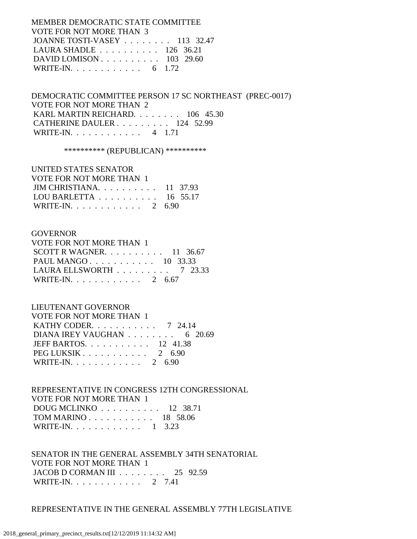MEMBER DEMOCRATIC STATE COMMITTEE VOTE FOR NOT MORE THAN 3 JOANNE TOSTI-VASEY . . . . . . . . 113 32.47 LAURA SHADLE . . . . . . . . . . 126 36.21 DAVID LOMISON . . . . . . . . . . 103 29.60 WRITE-IN. . . . . . . . . . . . . 6 1.72

 DEMOCRATIC COMMITTEE PERSON 17 SC NORTHEAST (PREC-0017) VOTE FOR NOT MORE THAN 2 KARL MARTIN REICHARD. . . . . . . . 106 45.30 CATHERINE DAULER . . . . . . . . . 124 52.99 WRITE-IN. . . . . . . . . . . . 4 1.71

\*\*\*\*\*\*\*\*\*\* (REPUBLICAN) \*\*\*\*\*\*\*\*\*\*

## UNITED STATES SENATOR VOTE FOR NOT MORE THAN 1 JIM CHRISTIANA. . . . . . . . . . 11 37.93 LOU BARLETTA . . . . . . . . . . 16 55.17

WRITE-IN. . . . . . . . . . . . 2 6.90

#### **GOVERNOR**

| VOTE FOR NOT MORE THAN 1                       |  |  |
|------------------------------------------------|--|--|
| SCOTT R WAGNER. $\ldots$ 11 36.67              |  |  |
| PAUL MANGO 10 33.33                            |  |  |
| LAURA ELLSWORTH $\ldots \ldots \ldots$ 7 23.33 |  |  |
| WRITE-IN. 2 6.67                               |  |  |

## LIEUTENANT GOVERNOR

| VOTE FOR NOT MORE THAN 1                          |  |
|---------------------------------------------------|--|
| KATHY CODER. $\ldots$ 7 24.14                     |  |
| DIANA IREY VAUGHAN $\ldots \ldots \ldots$ 6 20.69 |  |
| JEFF BARTOS. $\ldots$ 12 41.38                    |  |
| PEG LUKSIK 2 6.90                                 |  |
| WRITE-IN. 2 6.90                                  |  |

 REPRESENTATIVE IN CONGRESS 12TH CONGRESSIONAL VOTE FOR NOT MORE THAN 1 DOUG MCLINKO . . . . . . . . . . 12 38.71 TOM MARINO . . . . . . . . . . . 18 58.06 WRITE-IN. . . . . . . . . . . . 1 3.23

 SENATOR IN THE GENERAL ASSEMBLY 34TH SENATORIAL VOTE FOR NOT MORE THAN 1 JACOB D CORMAN III . . . . . . . . 25 92.59 WRITE-IN. . . . . . . . . . . . 2 7.41

## REPRESENTATIVE IN THE GENERAL ASSEMBLY 77TH LEGISLATIVE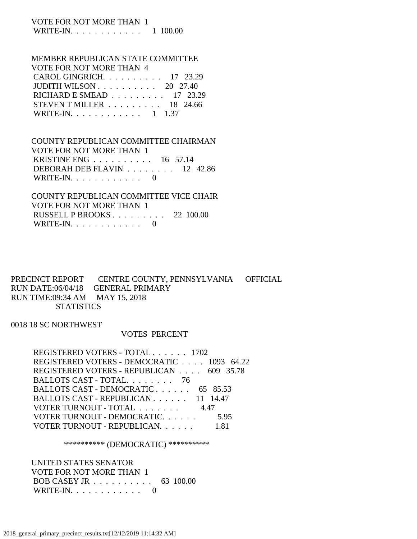#### VOTE FOR NOT MORE THAN 1 WRITE-IN. . . . . . . . . . . . 1 100.00

#### MEMBER REPUBLICAN STATE COMMITTEE VOTE FOR NOT MORE THAN 4

| CAROL GINGRICH. $\ldots$ 17 23.29                      |  |
|--------------------------------------------------------|--|
| JUDITH WILSON $\ldots \ldots \ldots \ldots 20$ 27.40   |  |
| RICHARD E SMEAD 17 23.29                               |  |
| STEVEN T MILLER $\ldots \ldots \ldots \ldots$ 18 24.66 |  |
| WRITE-IN. 1 1.37                                       |  |
|                                                        |  |

# COUNTY REPUBLICAN COMMITTEE CHAIRMAN VOTE FOR NOT MORE THAN 1 KRISTINE ENG . . . . . . . . . . 16 57.14 DEBORAH DEB FLAVIN . . . . . . . . 12 42.86 WRITE-IN.  $\ldots$  . . . . . . . . 0

# COUNTY REPUBLICAN COMMITTEE VICE CHAIR VOTE FOR NOT MORE THAN 1 RUSSELL P BROOKS . . . . . . . . . 22 100.00 WRITE-IN. . . . . . . . . . . . 0

## PRECINCT REPORT CENTRE COUNTY, PENNSYLVANIA OFFICIAL RUN DATE:06/04/18 GENERAL PRIMARY RUN TIME:09:34 AM MAY 15, 2018 **STATISTICS**

## 0018 18 SC NORTHWEST

## VOTES PERCENT

| REGISTERED VOTERS - TOTAL 1702            |      |
|-------------------------------------------|------|
| REGISTERED VOTERS - DEMOCRATIC 1093 64.22 |      |
| REGISTERED VOTERS - REPUBLICAN 609 35.78  |      |
| BALLOTS CAST - TOTAL. 76                  |      |
| BALLOTS CAST - DEMOCRATIC 65 85.53        |      |
| BALLOTS CAST - REPUBLICAN 11 14.47        |      |
| VOTER TURNOUT - TOTAL                     | 4.47 |
| VOTER TURNOUT - DEMOCRATIC.               | 5.95 |
| VOTER TURNOUT - REPUBLICAN.               |      |

## \*\*\*\*\*\*\*\*\*\* (DEMOCRATIC) \*\*\*\*\*\*\*\*\*\*

# UNITED STATES SENATOR VOTE FOR NOT MORE THAN 1 BOB CASEY JR . . . . . . . . . . 63 100.00 WRITE-IN.  $\ldots$  . . . . . . . . . 0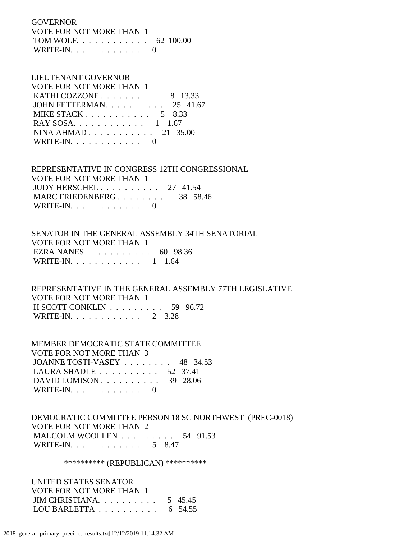**GOVERNOR**  VOTE FOR NOT MORE THAN 1 TOM WOLF. . . . . . . . . . . . 62 100.00 WRITE-IN.  $\ldots$  . . . . . . . . 0

#### LIEUTENANT GOVERNOR VOTE FOR NOT MORE THAN 1

| VOIE FOR NOT MORE THAN T                         |  |  |
|--------------------------------------------------|--|--|
| KATHI COZZONE $\ldots$ $\ldots$ $\ldots$ 8 13.33 |  |  |
| JOHN FETTERMAN. $\ldots$ 25 41.67                |  |  |
| MIKE STACK 5 8.33                                |  |  |
| RAY SOSA. 1 1.67                                 |  |  |
| NINA AHMAD 21 35.00                              |  |  |
| WRITE-IN. $\ldots$ 0                             |  |  |

 REPRESENTATIVE IN CONGRESS 12TH CONGRESSIONAL VOTE FOR NOT MORE THAN 1 JUDY HERSCHEL . . . . . . . . . . 27 41.54 MARC FRIEDENBERG . . . . . . . . . 38 58.46 WRITE-IN.  $\ldots$  . . . . . . . . 0

 SENATOR IN THE GENERAL ASSEMBLY 34TH SENATORIAL VOTE FOR NOT MORE THAN 1 EZRA NANES . . . . . . . . . . . 60 98.36 WRITE-IN. . . . . . . . . . . . 1 1.64

 REPRESENTATIVE IN THE GENERAL ASSEMBLY 77TH LEGISLATIVE VOTE FOR NOT MORE THAN 1 H SCOTT CONKLIN . . . . . . . . . 59 96.72 WRITE-IN. . . . . . . . . . . . 2 3.28

 MEMBER DEMOCRATIC STATE COMMITTEE VOTE FOR NOT MORE THAN 3 JOANNE TOSTI-VASEY . . . . . . . . 48 34.53 LAURA SHADLE . . . . . . . . . . 52 37.41 DAVID LOMISON . . . . . . . . . . 39 28.06 WRITE-IN. . . . . . . . . . . . 0

 DEMOCRATIC COMMITTEE PERSON 18 SC NORTHWEST (PREC-0018) VOTE FOR NOT MORE THAN 2 MALCOLM WOOLLEN . . . . . . . . . 54 91.53 WRITE-IN. . . . . . . . . . . . . 5 8.47

\*\*\*\*\*\*\*\*\*\* (REPUBLICAN) \*\*\*\*\*\*\*\*\*\*

 UNITED STATES SENATOR VOTE FOR NOT MORE THAN 1 JIM CHRISTIANA. . . . . . . . . . 5 45.45 LOU BARLETTA . . . . . . . . . . 6 54.55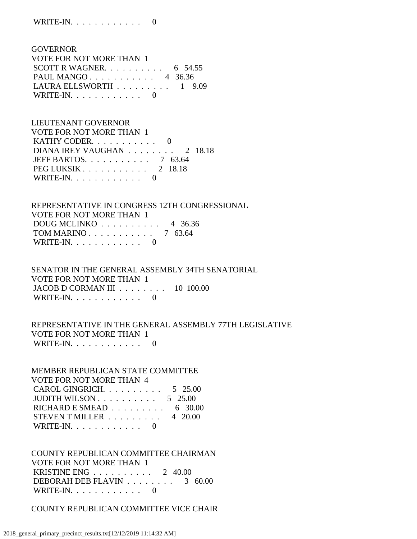| <b>GOVERNOR</b>                                    |  |
|----------------------------------------------------|--|
| VOTE FOR NOT MORE THAN 1                           |  |
| SCOTT R WAGNER. $\ldots$ $\ldots$ $\ldots$ 6 54.55 |  |
| PAUL MANGO 4 36.36                                 |  |
| LAURA ELLSWORTH $\ldots \ldots \ldots 1$ 9.09      |  |
| WRITE-IN. $\ldots$ 0                               |  |

 LIEUTENANT GOVERNOR VOTE FOR NOT MORE THAN 1 KATHY CODER. . . . . . . . . . . 0 DIANA IREY VAUGHAN . . . . . . . . 2 18.18 JEFF BARTOS. . . . . . . . . . . 7 63.64 PEG LUKSIK . . . . . . . . . . . 2 18.18 WRITE-IN.  $\ldots$  . . . . . . . . 0

 REPRESENTATIVE IN CONGRESS 12TH CONGRESSIONAL VOTE FOR NOT MORE THAN 1 DOUG MCLINKO . . . . . . . . . . 4 36.36 TOM MARINO . . . . . . . . . . . 7 63.64 WRITE-IN.  $\ldots$  . . . . . . . . 0

 SENATOR IN THE GENERAL ASSEMBLY 34TH SENATORIAL VOTE FOR NOT MORE THAN 1 JACOB D CORMAN III . . . . . . . . 10 100.00 WRITE-IN. . . . . . . . . . . . 0

# REPRESENTATIVE IN THE GENERAL ASSEMBLY 77TH LEGISLATIVE VOTE FOR NOT MORE THAN 1 WRITE-IN.  $\ldots$  . . . . . . . . . 0

 MEMBER REPUBLICAN STATE COMMITTEE VOTE FOR NOT MORE THAN 4 CAROL GINGRICH. . . . . . . . . . 5 25.00 JUDITH WILSON . . . . . . . . . . 5 25.00 RICHARD E SMEAD . . . . . . . . . 6 30.00 STEVEN T MILLER  $\ldots \ldots \ldots$  4 20.00 WRITE-IN. . . . . . . . . . . . 0

 COUNTY REPUBLICAN COMMITTEE CHAIRMAN VOTE FOR NOT MORE THAN 1 KRISTINE ENG . . . . . . . . . . 2 40.00 DEBORAH DEB FLAVIN . . . . . . . . 3 60.00 WRITE-IN.  $\ldots$  . . . . . . . . 0

COUNTY REPUBLICAN COMMITTEE VICE CHAIR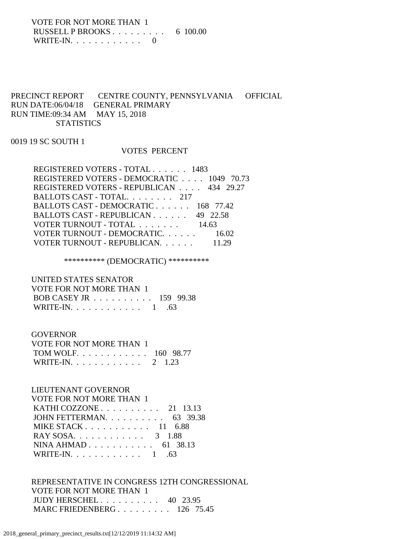VOTE FOR NOT MORE THAN 1 RUSSELL P BROOKS . . . . . . . . . 6 100.00 WRITE-IN.  $\ldots$  . . . . . . . . . 0

# PRECINCT REPORT CENTRE COUNTY, PENNSYLVANIA OFFICIAL RUN DATE:06/04/18 GENERAL PRIMARY RUN TIME:09:34 AM MAY 15, 2018 **STATISTICS**

0019 19 SC SOUTH 1

## VOTES PERCENT

| REGISTERED VOTERS - TOTAL 1483            |       |
|-------------------------------------------|-------|
| REGISTERED VOTERS - DEMOCRATIC 1049 70.73 |       |
| REGISTERED VOTERS - REPUBLICAN 434 29.27  |       |
| BALLOTS CAST - TOTAL. 217                 |       |
| BALLOTS CAST - DEMOCRATIC 168 77.42       |       |
| BALLOTS CAST - REPUBLICAN 49 22.58        |       |
| VOTER TURNOUT - TOTAL 14.63               |       |
| VOTER TURNOUT - DEMOCRATIC.               | 16.02 |
| VOTER TURNOUT - REPUBLICAN.               |       |

\*\*\*\*\*\*\*\*\*\* (DEMOCRATIC) \*\*\*\*\*\*\*\*\*\*

 UNITED STATES SENATOR VOTE FOR NOT MORE THAN 1 BOB CASEY JR . . . . . . . . . . 159 99.38 WRITE-IN. . . . . . . . . . . . . 1 .63

 GOVERNOR VOTE FOR NOT MORE THAN 1 TOM WOLF. . . . . . . . . . . . 160 98.77 WRITE-IN. . . . . . . . . . . . 2 1.23

 LIEUTENANT GOVERNOR VOTE FOR NOT MORE THAN 1 KATHI COZZONE . . . . . . . . . . 21 13.13 JOHN FETTERMAN. . . . . . . . . . 63 39.38 MIKE STACK . . . . . . . . . . . 11 6.88 RAY SOSA. . . . . . . . . . . . . 3 1.88 NINA AHMAD . . . . . . . . . . . 61 38.13 WRITE-IN.  $\ldots$  . . . . . . . . . 1 .63

 REPRESENTATIVE IN CONGRESS 12TH CONGRESSIONAL VOTE FOR NOT MORE THAN 1 JUDY HERSCHEL . . . . . . . . . . 40 23.95 MARC FRIEDENBERG . . . . . . . . . 126 75.45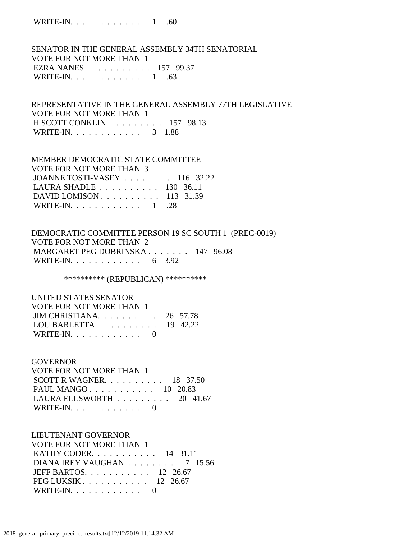WRITE-IN. . . . . . . . . . . . 1 .60

 SENATOR IN THE GENERAL ASSEMBLY 34TH SENATORIAL VOTE FOR NOT MORE THAN 1 EZRA NANES . . . . . . . . . . . 157 99.37 WRITE-IN.  $\ldots$  . . . . . . . . . 1 .63

 REPRESENTATIVE IN THE GENERAL ASSEMBLY 77TH LEGISLATIVE VOTE FOR NOT MORE THAN 1 H SCOTT CONKLIN . . . . . . . . . 157 98.13 WRITE-IN. . . . . . . . . . . . 3 1.88

 MEMBER DEMOCRATIC STATE COMMITTEE VOTE FOR NOT MORE THAN 3 JOANNE TOSTI-VASEY . . . . . . . . 116 32.22 LAURA SHADLE . . . . . . . . . . 130 36.11 DAVID LOMISON . . . . . . . . . . 113 31.39 WRITE-IN. . . . . . . . . . . . . 1 .28

 DEMOCRATIC COMMITTEE PERSON 19 SC SOUTH 1 (PREC-0019) VOTE FOR NOT MORE THAN 2 MARGARET PEG DOBRINSKA . . . . . . . 147 96.08 WRITE-IN. . . . . . . . . . . . . 6 3.92

\*\*\*\*\*\*\*\*\*\*\* (REPUBLICAN) \*\*\*\*\*\*\*\*\*\*\*

 UNITED STATES SENATOR VOTE FOR NOT MORE THAN 1 JIM CHRISTIANA. . . . . . . . . . 26 57.78 LOU BARLETTA . . . . . . . . . . 19 42.22 WRITE-IN.  $\ldots$  . . . . . . . . 0

#### GOVERNOR

 VOTE FOR NOT MORE THAN 1 SCOTT R WAGNER. . . . . . . . . . 18 37.50 PAUL MANGO . . . . . . . . . . . 10 20.83 LAURA ELLSWORTH . . . . . . . . . 20 41.67 WRITE-IN. . . . . . . . . . . . 0

#### LIEUTENANT GOVERNOR

 VOTE FOR NOT MORE THAN 1 KATHY CODER. . . . . . . . . . . 14 31.11 DIANA IREY VAUGHAN . . . . . . . . 7 15.56 JEFF BARTOS. . . . . . . . . . . 12 26.67 PEG LUKSIK . . . . . . . . . . . 12 26.67 WRITE-IN.  $\ldots$  . . . . . . . . 0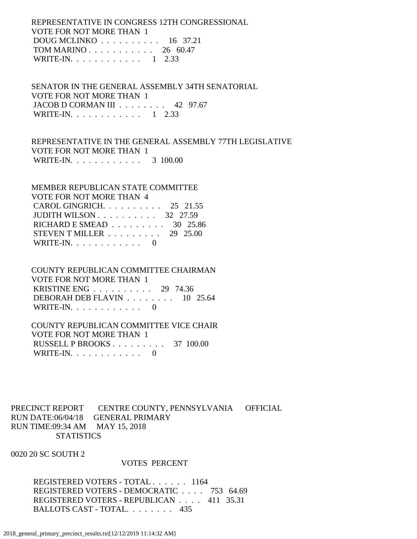REPRESENTATIVE IN CONGRESS 12TH CONGRESSIONAL VOTE FOR NOT MORE THAN 1 DOUG MCLINKO . . . . . . . . . . 16 37.21 TOM MARINO . . . . . . . . . . . 26 60.47 WRITE-IN. . . . . . . . . . . . 1 2.33

 SENATOR IN THE GENERAL ASSEMBLY 34TH SENATORIAL VOTE FOR NOT MORE THAN 1 JACOB D CORMAN III . . . . . . . . 42 97.67 WRITE-IN. . . . . . . . . . . . 1 2.33

 REPRESENTATIVE IN THE GENERAL ASSEMBLY 77TH LEGISLATIVE VOTE FOR NOT MORE THAN 1 WRITE-IN. . . . . . . . . . . . . 3 100.00

| MEMBER REPUBLICAN STATE COMMITTEE                      |  |
|--------------------------------------------------------|--|
| VOTE FOR NOT MORE THAN 4                               |  |
| CAROL GINGRICH. $\ldots$ 25 21.55                      |  |
| JUDITH WILSON $\ldots$ $\ldots$ $\ldots$ 32 27.59      |  |
| RICHARD E SMEAD $\ldots \ldots \ldots \ldots$ 30 25.86 |  |
| STEVEN T MILLER $\ldots \ldots \ldots 29$ 25.00        |  |
| WRITE-IN. $\ldots$ 0                                   |  |

# COUNTY REPUBLICAN COMMITTEE CHAIRMAN VOTE FOR NOT MORE THAN 1 KRISTINE ENG . . . . . . . . . . 29 74.36 DEBORAH DEB FLAVIN . . . . . . . . 10 25.64

WRITE-IN.  $\ldots$  . . . . . . . . . 0

# COUNTY REPUBLICAN COMMITTEE VICE CHAIR VOTE FOR NOT MORE THAN 1

 RUSSELL P BROOKS . . . . . . . . . 37 100.00 WRITE-IN. . . . . . . . . . . . 0

PRECINCT REPORT CENTRE COUNTY, PENNSYLVANIA OFFICIAL RUN DATE:06/04/18 GENERAL PRIMARY RUN TIME:09:34 AM MAY 15, 2018 **STATISTICS** 

0020 20 SC SOUTH 2

## VOTES PERCENT

 REGISTERED VOTERS - TOTAL . . . . . . 1164 REGISTERED VOTERS - DEMOCRATIC . . . . 753 64.69 REGISTERED VOTERS - REPUBLICAN . . . . 411 35.31 BALLOTS CAST - TOTAL. . . . . . . . 435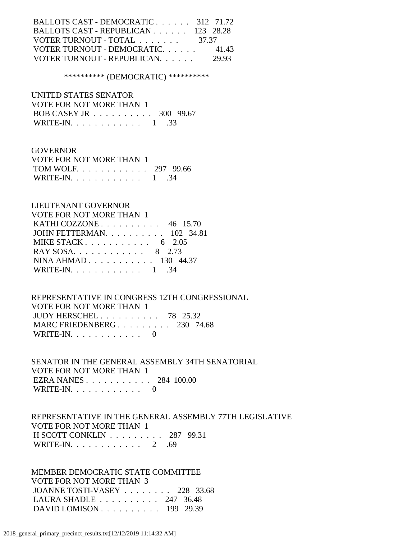| BALLOTS CAST - DEMOCRATIC 312 71.72                |       |
|----------------------------------------------------|-------|
| BALLOTS CAST - REPUBLICAN 123 28.28                |       |
| VOTER TURNOUT - TOTAL $\ldots \ldots \ldots$ 37.37 |       |
| VOTER TURNOUT - DEMOCRATIC.                        | 41.43 |
| VOTER TURNOUT - REPUBLICAN.                        | 29.93 |

#### \*\*\*\*\*\*\*\*\*\* (DEMOCRATIC) \*\*\*\*\*\*\*\*\*\*

 UNITED STATES SENATOR VOTE FOR NOT MORE THAN 1 BOB CASEY JR . . . . . . . . . . 300 99.67 WRITE-IN. . . . . . . . . . . . 1 .33

# **GOVERNOR**  VOTE FOR NOT MORE THAN 1 TOM WOLF. . . . . . . . . . . . 297 99.66

| WRITE-IN. $\ldots$ |  |  |  |  |  |  |  |  |  |  |  |  |  |  |  |
|--------------------|--|--|--|--|--|--|--|--|--|--|--|--|--|--|--|
|--------------------|--|--|--|--|--|--|--|--|--|--|--|--|--|--|--|

# LIEUTENANT GOVERNOR

| VOTE FOR NOT MORE THAN 1        |
|---------------------------------|
| KATHI COZZONE $\ldots$ 46 15.70 |
| JOHN FETTERMAN. 102 34.81       |
| MIKE STACK $62.05$              |
| RAY SOSA. 8 2.73                |
| NINA AHMAD 130 44.37            |
| WRITE-IN. 1 .34                 |
|                                 |

## REPRESENTATIVE IN CONGRESS 12TH CONGRESSIONAL VOTE FOR NOT MORE THAN 1 JUDY HERSCHEL . . . . . . . . . . 78 25.32 MARC FRIEDENBERG . . . . . . . . . 230 74.68 WRITE-IN.  $\ldots$  . . . . . . . . 0

 SENATOR IN THE GENERAL ASSEMBLY 34TH SENATORIAL VOTE FOR NOT MORE THAN 1 EZRA NANES . . . . . . . . . . . 284 100.00 WRITE-IN.  $\ldots$  . . . . . . . . . 0

# REPRESENTATIVE IN THE GENERAL ASSEMBLY 77TH LEGISLATIVE VOTE FOR NOT MORE THAN 1 H SCOTT CONKLIN . . . . . . . . . 287 99.31 WRITE-IN. . . . . . . . . . . . . 2 .69

 MEMBER DEMOCRATIC STATE COMMITTEE VOTE FOR NOT MORE THAN 3 JOANNE TOSTI-VASEY . . . . . . . . 228 33.68 LAURA SHADLE . . . . . . . . . . 247 36.48 DAVID LOMISON . . . . . . . . . . 199 29.39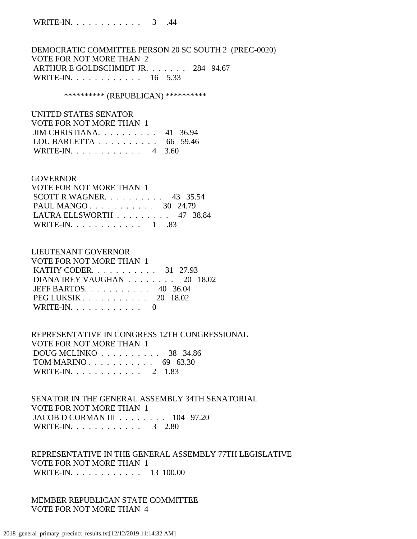DEMOCRATIC COMMITTEE PERSON 20 SC SOUTH 2 (PREC-0020) VOTE FOR NOT MORE THAN 2 ARTHUR E GOLDSCHMIDT JR. . . . . . . 284 94.67 WRITE-IN. . . . . . . . . . . . 16 5.33

\*\*\*\*\*\*\*\*\*\* (REPUBLICAN) \*\*\*\*\*\*\*\*\*\*

| UNITED STATES SENATOR                               |  |
|-----------------------------------------------------|--|
| VOTE FOR NOT MORE THAN 1                            |  |
| $JIM$ CHRISTIANA. 41 36.94                          |  |
| LOU BARLETTA $\ldots \ldots \ldots \ldots$ 66 59.46 |  |
| WRITE-IN. 4 3.60                                    |  |

#### GOVERNOR

| VOTE FOR NOT MORE THAN 1                        |  |  |
|-------------------------------------------------|--|--|
| SCOTT R WAGNER. $\ldots$ 43 35.54               |  |  |
| PAUL MANGO 30 24.79                             |  |  |
| LAURA ELLSWORTH $\ldots \ldots \ldots$ 47 38.84 |  |  |
| WRITE-IN. $\ldots$ 1 .83                        |  |  |

#### LIEUTENANT GOVERNOR

| VOTE FOR NOT MORE THAN 1                                |  |
|---------------------------------------------------------|--|
| KATHY CODER. 31 27.93                                   |  |
| DIANA IREY VAUGHAN $\ldots \ldots \ldots$ 20 18.02      |  |
| JEFF BARTOS. $\ldots$ 40 36.04                          |  |
| PEG LUKSIK $\ldots$ $\ldots$ $\ldots$ $\ldots$ 20 18.02 |  |
| WRITE-IN. $\ldots$ 0                                    |  |

 REPRESENTATIVE IN CONGRESS 12TH CONGRESSIONAL VOTE FOR NOT MORE THAN 1 DOUG MCLINKO . . . . . . . . . . 38 34.86 TOM MARINO . . . . . . . . . . . 69 63.30 WRITE-IN. . . . . . . . . . . . 2 1.83

 SENATOR IN THE GENERAL ASSEMBLY 34TH SENATORIAL VOTE FOR NOT MORE THAN 1 JACOB D CORMAN III . . . . . . . . 104 97.20 WRITE-IN. . . . . . . . . . . . . 3 2.80

 REPRESENTATIVE IN THE GENERAL ASSEMBLY 77TH LEGISLATIVE VOTE FOR NOT MORE THAN 1 WRITE-IN. . . . . . . . . . . . 13 100.00

 MEMBER REPUBLICAN STATE COMMITTEE VOTE FOR NOT MORE THAN 4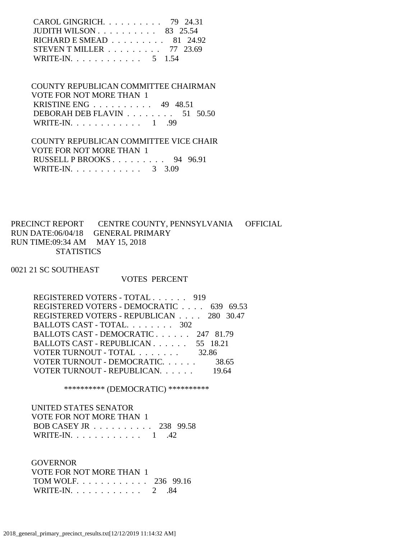| CAROL GINGRICH. $\ldots$ 79 24.31                      |  |
|--------------------------------------------------------|--|
| JUDITH WILSON $\ldots$ $\ldots$ $\ldots$ 83 25.54      |  |
| RICHARD E SMEAD $\ldots \ldots \ldots \ldots$ 81 24.92 |  |
| STEVEN T MILLER $\ldots \ldots \ldots$ 77 23.69        |  |
| WRITE-IN. 5 1.54                                       |  |

 COUNTY REPUBLICAN COMMITTEE CHAIRMAN VOTE FOR NOT MORE THAN 1 KRISTINE ENG . . . . . . . . . . 49 48.51 DEBORAH DEB FLAVIN . . . . . . . . 51 50.50 WRITE-IN. . . . . . . . . . . . . 1 .99

 COUNTY REPUBLICAN COMMITTEE VICE CHAIR VOTE FOR NOT MORE THAN 1 RUSSELL P BROOKS . . . . . . . . . 94 96.91 WRITE-IN. . . . . . . . . . . . . 3 3.09

PRECINCT REPORT CENTRE COUNTY, PENNSYLVANIA OFFICIAL RUN DATE:06/04/18 GENERAL PRIMARY RUN TIME:09:34 AM MAY 15, 2018 **STATISTICS** 

0021 21 SC SOUTHEAST

#### VOTES PERCENT

| REGISTERED VOTERS - TOTAL 919            |       |
|------------------------------------------|-------|
| REGISTERED VOTERS - DEMOCRATIC 639 69.53 |       |
| REGISTERED VOTERS - REPUBLICAN 280 30.47 |       |
| BALLOTS CAST - TOTAL. 302                |       |
| BALLOTS CAST - DEMOCRATIC 247 81.79      |       |
| BALLOTS CAST - REPUBLICAN 55 18.21       |       |
| VOTER TURNOUT - TOTAL 32.86              |       |
| VOTER TURNOUT - DEMOCRATIC.              | 38.65 |
| VOTER TURNOUT - REPUBLICAN.              |       |
|                                          |       |

\*\*\*\*\*\*\*\*\*\* (DEMOCRATIC) \*\*\*\*\*\*\*\*\*\*

| UNITED STATES SENATOR    |  |
|--------------------------|--|
| VOTE FOR NOT MORE THAN 1 |  |
| BOB CASEY JR 238 99.58   |  |
| WRITE-IN. $\ldots$ 1 .42 |  |

**GOVERNOR**  VOTE FOR NOT MORE THAN 1 TOM WOLF. . . . . . . . . . . . 236 99.16 WRITE-IN. . . . . . . . . . . . 2 .84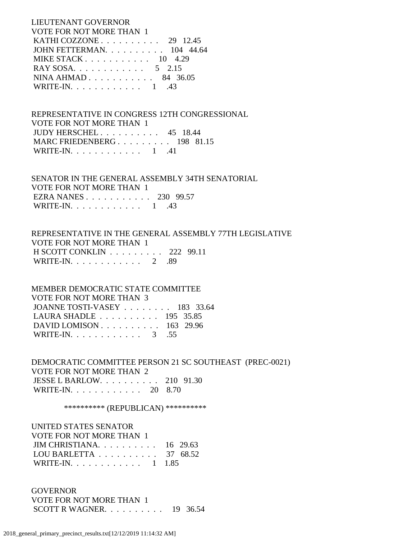LIEUTENANT GOVERNOR VOTE FOR NOT MORE THAN 1 KATHI COZZONE . . . . . . . . . . 29 12.45 JOHN FETTERMAN. . . . . . . . . . 104 44.64 MIKE STACK . . . . . . . . . . . 10 4.29 RAY SOSA. . . . . . . . . . . . . 5 2.15 NINA AHMAD . . . . . . . . . . . 84 36.05 WRITE-IN. . . . . . . . . . . . 1 .43

 REPRESENTATIVE IN CONGRESS 12TH CONGRESSIONAL VOTE FOR NOT MORE THAN 1 JUDY HERSCHEL . . . . . . . . . . 45 18.44 MARC FRIEDENBERG . . . . . . . . . 198 81.15 WRITE-IN. . . . . . . . . . . . 1 .41

 SENATOR IN THE GENERAL ASSEMBLY 34TH SENATORIAL VOTE FOR NOT MORE THAN 1 EZRA NANES . . . . . . . . . . . 230 99.57 WRITE-IN. . . . . . . . . . . . 1 .43

 REPRESENTATIVE IN THE GENERAL ASSEMBLY 77TH LEGISLATIVE VOTE FOR NOT MORE THAN 1 H SCOTT CONKLIN . . . . . . . . . 222 99.11 WRITE-IN. . . . . . . . . . . . . 2 .89

 MEMBER DEMOCRATIC STATE COMMITTEE VOTE FOR NOT MORE THAN 3 JOANNE TOSTI-VASEY . . . . . . . . 183 33.64 LAURA SHADLE . . . . . . . . . . 195 35.85 DAVID LOMISON . . . . . . . . . . 163 29.96 WRITE-IN. . . . . . . . . . . . 3 .55

 DEMOCRATIC COMMITTEE PERSON 21 SC SOUTHEAST (PREC-0021) VOTE FOR NOT MORE THAN 2 JESSE L BARLOW. . . . . . . . . . 210 91.30 WRITE-IN. . . . . . . . . . . . 20 8.70

\*\*\*\*\*\*\*\*\*\* (REPUBLICAN) \*\*\*\*\*\*\*\*\*\*

 UNITED STATES SENATOR VOTE FOR NOT MORE THAN 1 JIM CHRISTIANA. . . . . . . . . . 16 29.63 LOU BARLETTA . . . . . . . . . . 37 68.52 WRITE-IN. . . . . . . . . . . . 1 1.85

**GOVERNOR**  VOTE FOR NOT MORE THAN 1 SCOTT R WAGNER. . . . . . . . . . 19 36.54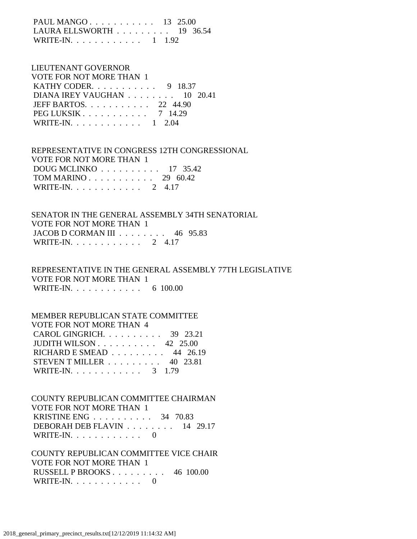PAUL MANGO . . . . . . . . . . . 13 25.00 LAURA ELLSWORTH . . . . . . . . . 19 36.54 WRITE-IN. . . . . . . . . . . . 1 1.92

# LIEUTENANT GOVERNOR VOTE FOR NOT MORE THAN 1 KATHY CODER. . . . . . . . . . . 9 18.37 DIANA IREY VAUGHAN . . . . . . . . 10 20.41 JEFF BARTOS. . . . . . . . . . . 22 44.90 PEG LUKSIK . . . . . . . . . . . 7 14.29 WRITE-IN. . . . . . . . . . . . 1 2.04

 REPRESENTATIVE IN CONGRESS 12TH CONGRESSIONAL VOTE FOR NOT MORE THAN 1 DOUG MCLINKO . . . . . . . . . . 17 35.42 TOM MARINO . . . . . . . . . . . 29 60.42 WRITE-IN. . . . . . . . . . . . . 2 4.17

 SENATOR IN THE GENERAL ASSEMBLY 34TH SENATORIAL VOTE FOR NOT MORE THAN 1 JACOB D CORMAN III . . . . . . . . 46 95.83 WRITE-IN. . . . . . . . . . . . 2 4.17

 REPRESENTATIVE IN THE GENERAL ASSEMBLY 77TH LEGISLATIVE VOTE FOR NOT MORE THAN 1 WRITE-IN. . . . . . . . . . . . . 6 100.00

#### MEMBER REPUBLICAN STATE COMMITTEE VOTE FOR NOT MORE THAN 4

| VOIETON NOI MONE HIAN 4                              |                                                 |
|------------------------------------------------------|-------------------------------------------------|
| CAROL GINGRICH. $\ldots$ 39 23.21                    |                                                 |
| JUDITH WILSON $\ldots \ldots \ldots \ldots$ 42 25.00 |                                                 |
|                                                      | RICHARD E SMEAD $\ldots \ldots \ldots$ 44 26.19 |
| STEVEN T MILLER $\ldots \ldots \ldots$ 40 23.81      |                                                 |
| WRITE-IN. 3 1.79                                     |                                                 |

 COUNTY REPUBLICAN COMMITTEE CHAIRMAN VOTE FOR NOT MORE THAN 1 KRISTINE ENG . . . . . . . . . . 34 70.83 DEBORAH DEB FLAVIN . . . . . . . . 14 29.17 WRITE-IN. . . . . . . . . . . . 0

 COUNTY REPUBLICAN COMMITTEE VICE CHAIR VOTE FOR NOT MORE THAN 1 RUSSELL P BROOKS . . . . . . . . . 46 100.00 WRITE-IN. . . . . . . . . . . . 0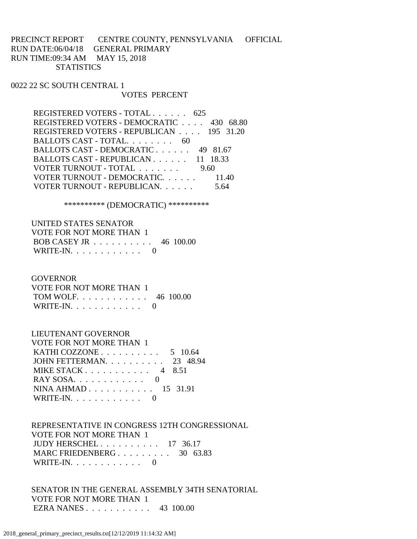# PRECINCT REPORT CENTRE COUNTY, PENNSYLVANIA OFFICIAL RUN DATE:06/04/18 GENERAL PRIMARY RUN TIME:09:34 AM MAY 15, 2018 **STATISTICS**

# 0022 22 SC SOUTH CENTRAL 1

## VOTES PERCENT

| REGISTERED VOTERS - TOTAL 625            |          |
|------------------------------------------|----------|
| REGISTERED VOTERS - DEMOCRATIC 430 68.80 |          |
| REGISTERED VOTERS - REPUBLICAN 195 31.20 |          |
| BALLOTS CAST - TOTAL. 60                 |          |
| BALLOTS CAST - DEMOCRATIC                | 49 81.67 |
| BALLOTS CAST - REPUBLICAN 11 18.33       |          |
| VOTER TURNOUT - TOTAL                    | 9.60     |
| VOTER TURNOUT - DEMOCRATIC.              | 11.40    |
| VOTER TURNOUT - REPUBLICAN.              |          |

\*\*\*\*\*\*\*\*\*\* (DEMOCRATIC) \*\*\*\*\*\*\*\*\*\*

| UNITED STATES SENATOR                                |  |
|------------------------------------------------------|--|
| VOTE FOR NOT MORE THAN 1                             |  |
| BOB CASEY JR $\ldots \ldots \ldots \ldots 46$ 100.00 |  |
| WRITE-IN. $\ldots$ 0                                 |  |

#### **GOVERNOR**

| VOTE FOR NOT MORE THAN 1 |  |
|--------------------------|--|
| TOM WOLF 46 100.00       |  |
| WRITE-IN. $\ldots$ 0     |  |

# LIEUTENANT GOVERNOR

| VOTE FOR NOT MORE THAN 1                            |  |
|-----------------------------------------------------|--|
| KATHI COZZONE $\ldots \ldots \ldots \ldots 5$ 10.64 |  |
| JOHN FETTERMAN. 23 48.94                            |  |
| MIKE STACK 4 8.51                                   |  |
|                                                     |  |
| NINA AHMAD $15$ 31.91                               |  |
| WRITE-IN. $\ldots$ 0                                |  |

# REPRESENTATIVE IN CONGRESS 12TH CONGRESSIONAL VOTE FOR NOT MORE THAN 1 JUDY HERSCHEL . . . . . . . . . . 17 36.17 MARC FRIEDENBERG . . . . . . . . . 30 63.83 WRITE-IN. . . . . . . . . . . . 0

 SENATOR IN THE GENERAL ASSEMBLY 34TH SENATORIAL VOTE FOR NOT MORE THAN 1 EZRA NANES . . . . . . . . . . . 43 100.00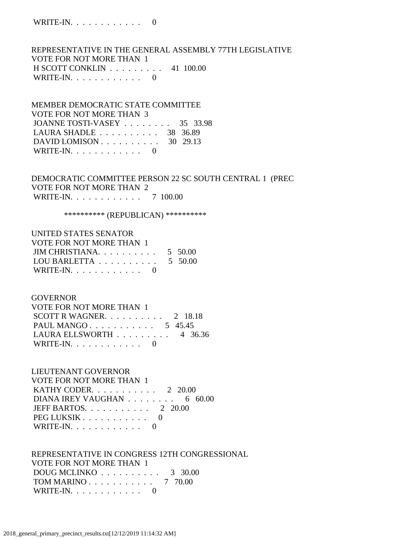REPRESENTATIVE IN THE GENERAL ASSEMBLY 77TH LEGISLATIVE VOTE FOR NOT MORE THAN 1 H SCOTT CONKLIN . . . . . . . . . 41 100.00 WRITE-IN.  $\ldots$  . . . . . . . . 0

# MEMBER DEMOCRATIC STATE COMMITTEE VOTE FOR NOT MORE THAN 3 JOANNE TOSTI-VASEY . . . . . . . . 35 33.98 LAURA SHADLE . . . . . . . . . . 38 36.89 DAVID LOMISON . . . . . . . . . . 30 29.13 WRITE-IN.  $\ldots$  . . . . . . . . 0

# DEMOCRATIC COMMITTEE PERSON 22 SC SOUTH CENTRAL 1 (PREC VOTE FOR NOT MORE THAN 2 WRITE-IN. . . . . . . . . . . . 7 100.00

\*\*\*\*\*\*\*\*\*\* (REPUBLICAN) \*\*\*\*\*\*\*\*\*\*

# UNITED STATES SENATOR VOTE FOR NOT MORE THAN 1 JIM CHRISTIANA. . . . . . . . . . 5 50.00 LOU BARLETTA . . . . . . . . . . 5 50.00 WRITE-IN.  $\ldots$  . . . . . . . . 0

## GOVERNOR

| VOTE FOR NOT MORE THAN 1            |  |
|-------------------------------------|--|
| SCOTT R WAGNER. $\ldots$ 2 18.18    |  |
| PAUL MANGO 5 45.45                  |  |
| LAURA ELLSWORTH $\ldots$ ,  4 36.36 |  |
| WRITE-IN. $\ldots$ 0                |  |

# LIEUTENANT GOVERNOR

| VOTE FOR NOT MORE THAN 1                          |
|---------------------------------------------------|
| KATHY CODER. $\ldots$ 2 20.00                     |
| DIANA IREY VAUGHAN $\ldots \ldots \ldots$ 6 60.00 |
| JEFF BARTOS. $\ldots$ , 2 20.00                   |
| PEG LUKSIK                                        |
| WRITE-IN. $\ldots$ 0                              |

# REPRESENTATIVE IN CONGRESS 12TH CONGRESSIONAL VOTE FOR NOT MORE THAN 1 DOUG MCLINKO . . . . . . . . . . 3 30.00 TOM MARINO . . . . . . . . . . . 7 70.00 WRITE-IN.  $\ldots$  . . . . . . . . 0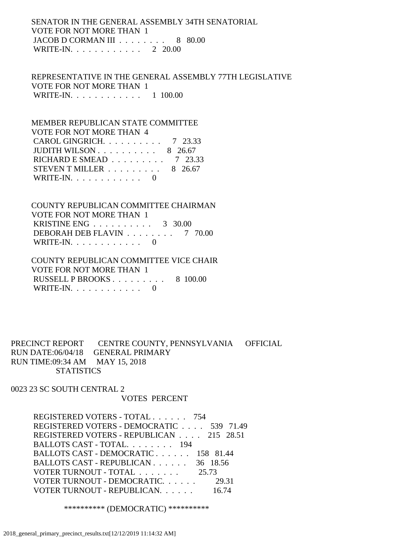# SENATOR IN THE GENERAL ASSEMBLY 34TH SENATORIAL VOTE FOR NOT MORE THAN 1 JACOB D CORMAN III . . . . . . . . 8 80.00 WRITE-IN. . . . . . . . . . . . 2 20.00

 REPRESENTATIVE IN THE GENERAL ASSEMBLY 77TH LEGISLATIVE VOTE FOR NOT MORE THAN 1 WRITE-IN. . . . . . . . . . . . 1 100.00

 MEMBER REPUBLICAN STATE COMMITTEE VOTE FOR NOT MORE THAN 4 CAROL GINGRICH. . . . . . . . . . 7 23.33 JUDITH WILSON  $\ldots$  . . . . . . . . 8 26.67 RICHARD E SMEAD . . . . . . . . . 7 23.33 STEVEN T MILLER  $\ldots \ldots \ldots \ldots$  8 26.67 WRITE-IN.  $\ldots$  . . . . . . . . 0

 COUNTY REPUBLICAN COMMITTEE CHAIRMAN VOTE FOR NOT MORE THAN 1 KRISTINE ENG . . . . . . . . . . 3 30.00 DEBORAH DEB FLAVIN . . . . . . . . 7 70.00 WRITE-IN.  $\ldots$  . . . . . . . . 0

 COUNTY REPUBLICAN COMMITTEE VICE CHAIR VOTE FOR NOT MORE THAN 1 RUSSELL P BROOKS . . . . . . . . . 8 100.00 WRITE-IN. . . . . . . . . . . . 0

PRECINCT REPORT CENTRE COUNTY, PENNSYLVANIA OFFICIAL RUN DATE:06/04/18 GENERAL PRIMARY RUN TIME:09:34 AM MAY 15, 2018 **STATISTICS** 

0023 23 SC SOUTH CENTRAL 2 VOTES PERCENT

> REGISTERED VOTERS - TOTAL . . . . . . 754 REGISTERED VOTERS - DEMOCRATIC . . . . 539 71.49 REGISTERED VOTERS - REPUBLICAN . . . . 215 28.51 BALLOTS CAST - TOTAL. . . . . . . . 194 BALLOTS CAST - DEMOCRATIC . . . . . . 158 81.44 BALLOTS CAST - REPUBLICAN . . . . . . 36 18.56 VOTER TURNOUT - TOTAL . . . . . . . 25.73 VOTER TURNOUT - DEMOCRATIC. . . . . . 29.31 VOTER TURNOUT - REPUBLICAN. . . . . . 16.74

> > \*\*\*\*\*\*\*\*\*\* (DEMOCRATIC) \*\*\*\*\*\*\*\*\*\*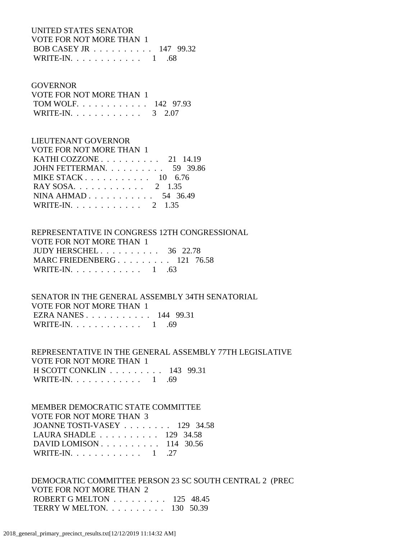## UNITED STATES SENATOR VOTE FOR NOT MORE THAN 1 BOB CASEY JR . . . . . . . . . . 147 99.32 WRITE-IN. . . . . . . . . . . . . 1 .68

#### **GOVERNOR**

| VOTE FOR NOT MORE THAN 1 |  |
|--------------------------|--|
| TOM WOLF. 142 97.93      |  |
| WRITE-IN. 3 2.07         |  |

## LIEUTENANT GOVERNOR

| VOTE FOR NOT MORE THAN 1                          |  |
|---------------------------------------------------|--|
| KATHI COZZONE $\ldots$ $\ldots$ $\ldots$ 21 14.19 |  |
| JOHN FETTERMAN. 59 39.86                          |  |
| MIKE STACK $10 \quad 6.76$                        |  |
| RAY SOSA. 2 1.35                                  |  |
| NINA AHMAD 54 36.49                               |  |
| WRITE-IN. 2 1.35                                  |  |

# REPRESENTATIVE IN CONGRESS 12TH CONGRESSIONAL VOTE FOR NOT MORE THAN 1 JUDY HERSCHEL . . . . . . . . . . 36 22.78 MARC FRIEDENBERG . . . . . . . . . 121 76.58 WRITE-IN. . . . . . . . . . . . 1 .63

 SENATOR IN THE GENERAL ASSEMBLY 34TH SENATORIAL VOTE FOR NOT MORE THAN 1 EZRA NANES . . . . . . . . . . . 144 99.31 WRITE-IN.  $\ldots$  . . . . . . . . . 1 .69

# REPRESENTATIVE IN THE GENERAL ASSEMBLY 77TH LEGISLATIVE VOTE FOR NOT MORE THAN 1 H SCOTT CONKLIN . . . . . . . . . 143 99.31 WRITE-IN. . . . . . . . . . . . . 1 .69

#### MEMBER DEMOCRATIC STATE COMMITTEE VOTE FOR NOT MORE THAN 3 JOANNE TOSTI-VASEY . . . . . . . . 129 34.58

| JOANNE TOSTI-VASEY 129 34.38                         |  |
|------------------------------------------------------|--|
| LAURA SHADLE $\ldots \ldots \ldots \ldots 129$ 34.58 |  |
| DAVID LOMISON $\ldots$ 114 30.56                     |  |
| WRITE-IN. 1 . 27                                     |  |
|                                                      |  |

 DEMOCRATIC COMMITTEE PERSON 23 SC SOUTH CENTRAL 2 (PREC VOTE FOR NOT MORE THAN 2 ROBERT G MELTON . . . . . . . . . 125 48.45 TERRY W MELTON. . . . . . . . . . 130 50.39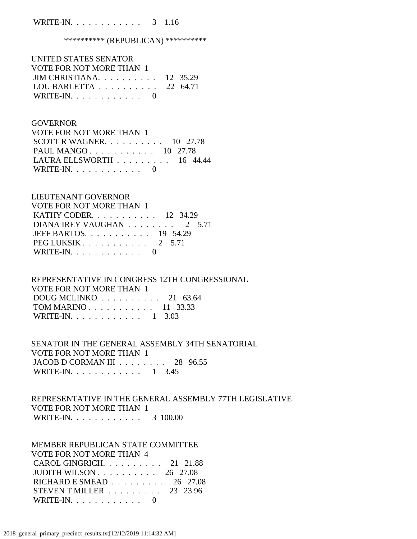## WRITE-IN. . . . . . . . . . . . . 3 1.16

## \*\*\*\*\*\*\*\*\*\*\*\* (REPUBLICAN) \*\*\*\*\*\*\*\*\*\*\*

| UNITED STATES SENATOR                        |  |
|----------------------------------------------|--|
| VOTE FOR NOT MORE THAN 1                     |  |
| JIM CHRISTIANA. $\ldots$ 12 35.29            |  |
| LOU BARLETTA $\ldots \ldots \ldots 22$ 64.71 |  |
| WRITE-IN. $\ldots$ 0                         |  |

## **GOVERNOR**

| VOTE FOR NOT MORE THAN 1                        |  |  |
|-------------------------------------------------|--|--|
| SCOTT R WAGNER. $\ldots$ 10 27.78               |  |  |
| PAUL MANGO 10 27.78                             |  |  |
| LAURA ELLSWORTH $\ldots \ldots \ldots$ 16 44.44 |  |  |
| WRITE-IN. $\ldots$ 0                            |  |  |

#### LIEUTENANT GOVERNOR

| <b>VOTE FOR NOT MORE THAN 1</b> |
|---------------------------------|
| KATHY CODER. 12 34.29           |
| DIANA IREY VAUGHAN 2 5.71       |
| JEFF BARTOS. $\ldots$ 19 54.29  |
| $PEG LUKSIK 2 5.71$             |
| WRITE-IN. $\ldots$ 0            |

# REPRESENTATIVE IN CONGRESS 12TH CONGRESSIONAL VOTE FOR NOT MORE THAN 1 DOUG MCLINKO . . . . . . . . . . 21 63.64 TOM MARINO . . . . . . . . . . . 11 33.33 WRITE-IN. . . . . . . . . . . . 1 3.03

## SENATOR IN THE GENERAL ASSEMBLY 34TH SENATORIAL VOTE FOR NOT MORE THAN 1 JACOB D CORMAN III . . . . . . . . 28 96.55 WRITE-IN. . . . . . . . . . . . 1 3.45

## REPRESENTATIVE IN THE GENERAL ASSEMBLY 77TH LEGISLATIVE VOTE FOR NOT MORE THAN 1 WRITE-IN. . . . . . . . . . . . 3 100.00

## MEMBER REPUBLICAN STATE COMMITTEE VOTE FOR NOT MORE THAN 4

| CAROL GINGRICH. 21 21.88                               |  |
|--------------------------------------------------------|--|
| JUDITH WILSON $\ldots \ldots \ldots \ldots 26$ 27.08   |  |
| RICHARD E SMEAD $\ldots \ldots \ldots \ldots$ 26 27.08 |  |
| STEVEN T MILLER $\ldots \ldots \ldots$ 23 23.96        |  |
| WRITE-IN. $\ldots$ 0                                   |  |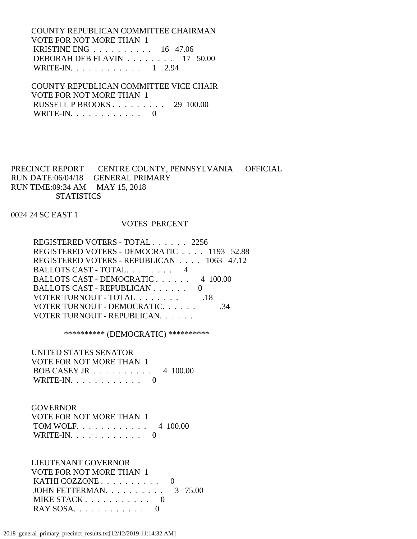COUNTY REPUBLICAN COMMITTEE CHAIRMAN VOTE FOR NOT MORE THAN 1 KRISTINE ENG . . . . . . . . . . 16 47.06 DEBORAH DEB FLAVIN . . . . . . . . 17 50.00 WRITE-IN. . . . . . . . . . . . 1 2.94

 COUNTY REPUBLICAN COMMITTEE VICE CHAIR VOTE FOR NOT MORE THAN 1 RUSSELL P BROOKS . . . . . . . . . 29 100.00 WRITE-IN.  $\ldots$  . . . . . . . . . 0

PRECINCT REPORT CENTRE COUNTY, PENNSYLVANIA OFFICIAL RUN DATE:06/04/18 GENERAL PRIMARY RUN TIME:09:34 AM MAY 15, 2018 **STATISTICS** 

0024 24 SC EAST 1

#### VOTES PERCENT

 REGISTERED VOTERS - TOTAL . . . . . . 2256 REGISTERED VOTERS - DEMOCRATIC . . . . 1193 52.88 REGISTERED VOTERS - REPUBLICAN . . . . 1063 47.12 BALLOTS CAST - TOTAL. . . . . . . . 4 BALLOTS CAST - DEMOCRATIC . . . . . . 4 100.00 BALLOTS CAST - REPUBLICAN . . . . . . 0 VOTER TURNOUT - TOTAL . . . . . . . . . . 18 VOTER TURNOUT - DEMOCRATIC. . . . . . . . . . . . 34 VOTER TURNOUT - REPUBLICAN. . . . . .

\*\*\*\*\*\*\*\*\*\* (DEMOCRATIC) \*\*\*\*\*\*\*\*\*\*

 UNITED STATES SENATOR VOTE FOR NOT MORE THAN 1 BOB CASEY JR . . . . . . . . . . 4 100.00 WRITE-IN. . . . . . . . . . . . 0

#### GOVERNOR

| VOTE FOR NOT MORE THAN 1 |  |
|--------------------------|--|
| TOM WOLF. 4 100.00       |  |
| WRITE-IN. $\ldots$ 0     |  |

 LIEUTENANT GOVERNOR VOTE FOR NOT MORE THAN 1 KATHI COZZONE . . . . . . . . . . 0 JOHN FETTERMAN. . . . . . . . . . . 3 75.00 MIKE STACK . . . . . . . . . . . 0 RAY SOSA. . . . . . . . . . . . 0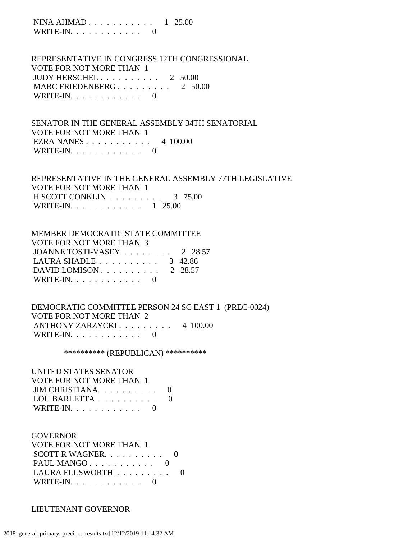NINA AHMAD . . . . . . . . . . . . 1 25.00 WRITE-IN. . . . . . . . . . . . 0

 REPRESENTATIVE IN CONGRESS 12TH CONGRESSIONAL VOTE FOR NOT MORE THAN 1 JUDY HERSCHEL . . . . . . . . . . 2 50.00 MARC FRIEDENBERG . . . . . . . . . 2 50.00 WRITE-IN.  $\ldots$  . . . . . . . . . 0

 SENATOR IN THE GENERAL ASSEMBLY 34TH SENATORIAL VOTE FOR NOT MORE THAN 1 EZRA NANES . . . . . . . . . . . 4 100.00 WRITE-IN.  $\ldots$  . . . . . . . . 0

 REPRESENTATIVE IN THE GENERAL ASSEMBLY 77TH LEGISLATIVE VOTE FOR NOT MORE THAN 1 H SCOTT CONKLIN . . . . . . . . . 3 75.00 WRITE-IN. . . . . . . . . . . . 1 25.00

# MEMBER DEMOCRATIC STATE COMMITTEE VOTE FOR NOT MORE THAN 3 JOANNE TOSTI-VASEY . . . . . . . . 2 28.57 LAURA SHADLE . . . . . . . . . . . 3 42.86 DAVID LOMISON . . . . . . . . . . 2 28.57 WRITE-IN. . . . . . . . . . . . 0

 DEMOCRATIC COMMITTEE PERSON 24 SC EAST 1 (PREC-0024) VOTE FOR NOT MORE THAN 2 ANTHONY ZARZYCKI . . . . . . . . . 4 100.00 WRITE-IN. . . . . . . . . . . . 0

\*\*\*\*\*\*\*\*\*\* (REPUBLICAN) \*\*\*\*\*\*\*\*\*\*

# UNITED STATES SENATOR

| <b>VOTE FOR NOT MORE THAN 1</b> |          |
|---------------------------------|----------|
| JIM CHRISTIANA.                 | $\theta$ |
| LOU BARLETTA                    | ()       |
| WRITE-IN. $\ldots$ 0            |          |

#### GOVERNOR

| VOTE FOR NOT MORE THAN 1                         |       |
|--------------------------------------------------|-------|
| SCOTT R WAGNER. $\ldots$ 0                       |       |
| PAUL MANGO $\ldots$ $\ldots$ $\ldots$ $\ldots$ 0 |       |
| LAURA ELLSWORTH                                  | - ( ) |
| WRITE-IN. $\ldots$ 0                             |       |

#### LIEUTENANT GOVERNOR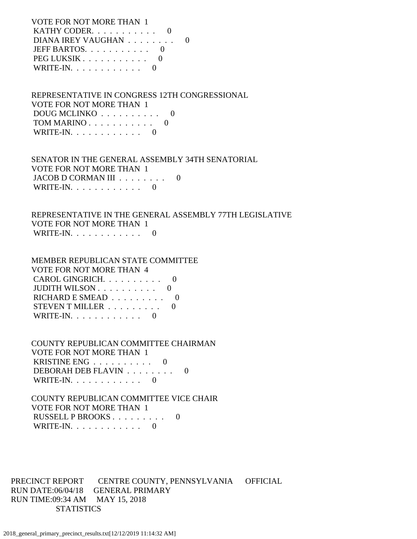VOTE FOR NOT MORE THAN 1 KATHY CODER. . . . . . . . . . . 0 DIANA IREY VAUGHAN . . . . . . . . 0 JEFF BARTOS. . . . . . . . . . . 0 PEG LUKSIK . . . . . . . . . . . 0 WRITE-IN.  $\ldots$  . . . . . . . . 0

 REPRESENTATIVE IN CONGRESS 12TH CONGRESSIONAL VOTE FOR NOT MORE THAN 1 DOUG MCLINKO . . . . . . . . . . 0 TOM MARINO . . . . . . . . . . . 0 WRITE-IN.  $\ldots$  . . . . . . . . 0

 SENATOR IN THE GENERAL ASSEMBLY 34TH SENATORIAL VOTE FOR NOT MORE THAN 1 JACOB D CORMAN III . . . . . . . . 0 WRITE-IN. . . . . . . . . . . . 0

 REPRESENTATIVE IN THE GENERAL ASSEMBLY 77TH LEGISLATIVE VOTE FOR NOT MORE THAN 1 WRITE-IN.  $\ldots$  . . . . . . . . . 0

 MEMBER REPUBLICAN STATE COMMITTEE VOTE FOR NOT MORE THAN 4 CAROL GINGRICH. . . . . . . . . . 0 JUDITH WILSON . . . . . . . . . . 0 RICHARD E SMEAD . . . . . . . . . 0 STEVEN T MILLER . . . . . . . . . 0 WRITE-IN.  $\ldots$  . . . . . . . . 0

 COUNTY REPUBLICAN COMMITTEE CHAIRMAN VOTE FOR NOT MORE THAN 1 KRISTINE ENG . . . . . . . . . . 0 DEBORAH DEB FLAVIN . . . . . . . . 0 WRITE-IN. . . . . . . . . . . . 0

 COUNTY REPUBLICAN COMMITTEE VICE CHAIR VOTE FOR NOT MORE THAN 1 RUSSELL P BROOKS . . . . . . . . . 0 WRITE-IN. . . . . . . . . . . . 0

PRECINCT REPORT CENTRE COUNTY, PENNSYLVANIA OFFICIAL RUN DATE:06/04/18 GENERAL PRIMARY RUN TIME:09:34 AM MAY 15, 2018 **STATISTICS**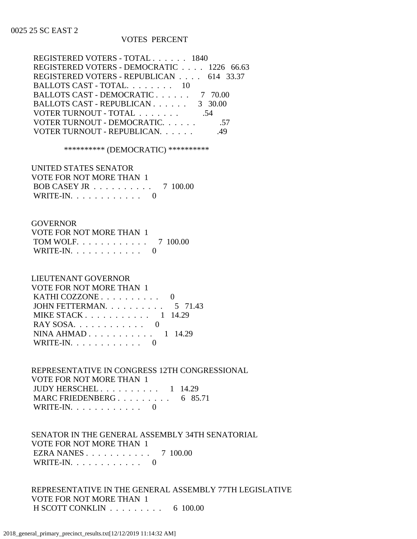# VOTES PERCENT

| REGISTERED VOTERS - TOTAL 1840            |     |
|-------------------------------------------|-----|
| REGISTERED VOTERS - DEMOCRATIC 1226 66.63 |     |
| REGISTERED VOTERS - REPUBLICAN 614 33.37  |     |
| BALLOTS CAST - TOTAL. 10                  |     |
| BALLOTS CAST - DEMOCRATIC 7 70.00         |     |
| BALLOTS CAST - REPUBLICAN 3 30.00         |     |
| VOTER TURNOUT - TOTAL                     | .54 |
| VOTER TURNOUT - DEMOCRATIC.               | -57 |
| VOTER TURNOUT - REPUBLICAN.               |     |
|                                           |     |

\*\*\*\*\*\*\*\*\*\* (DEMOCRATIC) \*\*\*\*\*\*\*\*\*\*

 UNITED STATES SENATOR VOTE FOR NOT MORE THAN 1 BOB CASEY JR . . . . . . . . . . 7 100.00 WRITE-IN.  $\ldots$  . . . . . . . . 0

#### GOVERNOR

| VOTE FOR NOT MORE THAN 1 |  |
|--------------------------|--|
| TOM WOLF. 7 100.00       |  |
| WRITE-IN. $\ldots$ 0     |  |

#### LIEUTENANT GOVERNOR

| VOTE FOR NOT MORE THAN 1                    |  |
|---------------------------------------------|--|
| KATHI COZZONE $\ldots \ldots \ldots \ldots$ |  |
| JOHN FETTERMAN. $\ldots$ 5 71.43            |  |
| MIKE STACK $1 \quad 14.29$                  |  |
|                                             |  |
| NINA AHMAD $1 \t14.29$                      |  |
| WRITE-IN. $\ldots$ 0                        |  |
|                                             |  |

# REPRESENTATIVE IN CONGRESS 12TH CONGRESSIONAL VOTE FOR NOT MORE THAN 1 JUDY HERSCHEL . . . . . . . . . . 1 14.29 MARC FRIEDENBERG . . . . . . . . . 6 85.71 WRITE-IN. . . . . . . . . . . . 0

# SENATOR IN THE GENERAL ASSEMBLY 34TH SENATORIAL VOTE FOR NOT MORE THAN 1 EZRA NANES . . . . . . . . . . . 7 100.00 WRITE-IN. . . . . . . . . . . . 0

 REPRESENTATIVE IN THE GENERAL ASSEMBLY 77TH LEGISLATIVE VOTE FOR NOT MORE THAN 1 H SCOTT CONKLIN . . . . . . . . . 6 100.00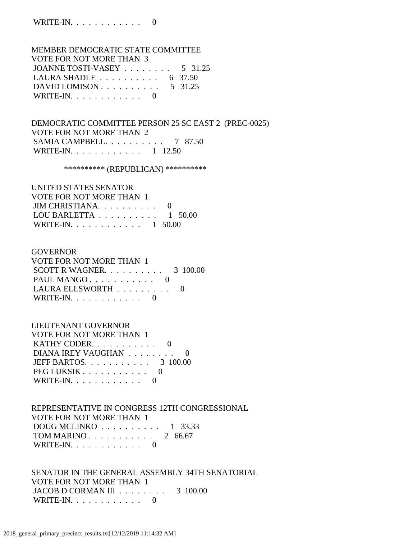# MEMBER DEMOCRATIC STATE COMMITTEE VOTE FOR NOT MORE THAN 3 JOANNE TOSTI-VASEY . . . . . . . . 5 31.25 LAURA SHADLE . . . . . . . . . . 6 37.50 DAVID LOMISON . . . . . . . . . . 5 31.25 WRITE-IN. . . . . . . . . . . . 0

 DEMOCRATIC COMMITTEE PERSON 25 SC EAST 2 (PREC-0025) VOTE FOR NOT MORE THAN 2 SAMIA CAMPBELL. . . . . . . . . . 7 87.50 WRITE-IN. . . . . . . . . . . . . 1 12.50

\*\*\*\*\*\*\*\*\*\* (REPUBLICAN) \*\*\*\*\*\*\*\*\*\*

| UNITED STATES SENATOR                              |  |
|----------------------------------------------------|--|
| VOTE FOR NOT MORE THAN 1                           |  |
| JIM CHRISTIANA. $\ldots$ . 0                       |  |
| LOU BARLETTA $\ldots \ldots \ldots \ldots 1$ 50.00 |  |
| WRITE-IN. 1 50.00                                  |  |

#### GOVERNOR

| VOTE FOR NOT MORE THAN 1               |  |
|----------------------------------------|--|
| SCOTT R WAGNER. $\ldots$ 3 100.00      |  |
|                                        |  |
| LAURA ELLSWORTH $\ldots \ldots \ldots$ |  |
| WRITE-IN. $\ldots$ 0                   |  |

# LIEUTENANT GOVERNOR

| VOTE FOR NOT MORE THAN 1       |  |
|--------------------------------|--|
| KATHY CODER. $\ldots$ 0        |  |
| DIANA IREY VAUGHAN             |  |
| JEFF BARTOS. $\ldots$ 3 100.00 |  |
| PEG LUKSIK                     |  |
| WRITE-IN. $\ldots$ 0           |  |

 REPRESENTATIVE IN CONGRESS 12TH CONGRESSIONAL VOTE FOR NOT MORE THAN 1 DOUG MCLINKO . . . . . . . . . . 1 33.33 TOM MARINO . . . . . . . . . . . 2 66.67 WRITE-IN. . . . . . . . . . . . 0

 SENATOR IN THE GENERAL ASSEMBLY 34TH SENATORIAL VOTE FOR NOT MORE THAN 1 JACOB D CORMAN III . . . . . . . . 3 100.00 WRITE-IN. . . . . . . . . . . . 0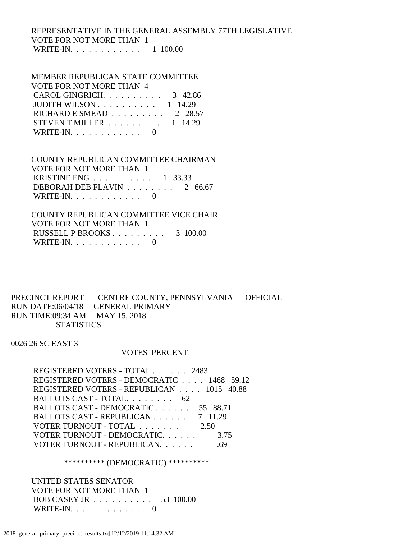# REPRESENTATIVE IN THE GENERAL ASSEMBLY 77TH LEGISLATIVE VOTE FOR NOT MORE THAN 1 WRITE-IN. . . . . . . . . . . . 1 100.00

# MEMBER REPUBLICAN STATE COMMITTEE

| VOTE FOR NOT MORE THAN 4                            |  |
|-----------------------------------------------------|--|
| CAROL GINGRICH. $\ldots$ 3 42.86                    |  |
| JUDITH WILSON $\ldots \ldots \ldots \ldots 1$ 14.29 |  |
| RICHARD E SMEAD $\ldots \ldots \ldots 2$ 28.57      |  |
| STEVEN T MILLER $\ldots \ldots \ldots 1$ 14.29      |  |
| WRITE-IN. $\ldots$ 0                                |  |

# COUNTY REPUBLICAN COMMITTEE CHAIRMAN VOTE FOR NOT MORE THAN 1 KRISTINE ENG . . . . . . . . . . 1 33.33 DEBORAH DEB FLAVIN . . . . . . . . 2 66.67 WRITE-IN.  $\ldots$  . . . . . . . . . 0

 COUNTY REPUBLICAN COMMITTEE VICE CHAIR VOTE FOR NOT MORE THAN 1 RUSSELL P BROOKS . . . . . . . . . 3 100.00 WRITE-IN.  $\ldots$  . . . . . . . . 0

PRECINCT REPORT CENTRE COUNTY, PENNSYLVANIA OFFICIAL RUN DATE:06/04/18 GENERAL PRIMARY RUN TIME:09:34 AM MAY 15, 2018 STATISTICS

0026 26 SC EAST 3

## VOTES PERCENT

 REGISTERED VOTERS - TOTAL . . . . . . 2483 REGISTERED VOTERS - DEMOCRATIC . . . . 1468 59.12 REGISTERED VOTERS - REPUBLICAN . . . . 1015 40.88 BALLOTS CAST - TOTAL. . . . . . . . 62 BALLOTS CAST - DEMOCRATIC . . . . . . 55 88.71 BALLOTS CAST - REPUBLICAN . . . . . . 7 11.29 VOTER TURNOUT - TOTAL . . . . . . . 2.50 VOTER TURNOUT - DEMOCRATIC. . . . . . 3.75 VOTER TURNOUT - REPUBLICAN. . . . . . .69

\*\*\*\*\*\*\*\*\*\* (DEMOCRATIC) \*\*\*\*\*\*\*\*\*\*

 UNITED STATES SENATOR VOTE FOR NOT MORE THAN 1 BOB CASEY JR . . . . . . . . . . 53 100.00 WRITE-IN. . . . . . . . . . . . 0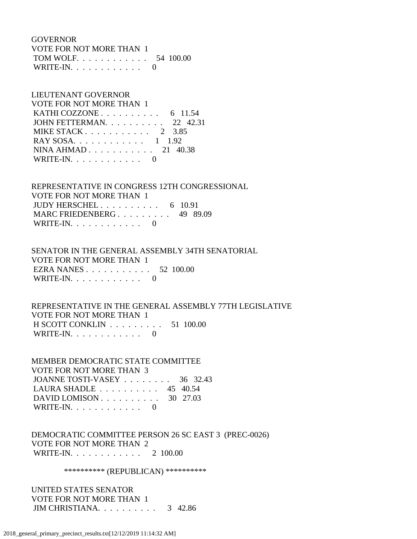GOVERNOR VOTE FOR NOT MORE THAN 1 TOM WOLF. . . . . . . . . . . . 54 100.00 WRITE-IN. . . . . . . . . . . . 0

# LIEUTENANT GOVERNOR VOTE FOR NOT MORE THAN 1 KATHI COZZONE . . . . . . . . . . . 6 11.54 JOHN FETTERMAN. . . . . . . . . . 22 42.31 MIKE STACK . . . . . . . . . . . 2 3.85 RAY SOSA. . . . . . . . . . . . 1 1.92 NINA AHMAD . . . . . . . . . . . 21 40.38 WRITE-IN. . . . . . . . . . . . 0

 REPRESENTATIVE IN CONGRESS 12TH CONGRESSIONAL VOTE FOR NOT MORE THAN 1 JUDY HERSCHEL . . . . . . . . . . 6 10.91 MARC FRIEDENBERG . . . . . . . . . 49 89.09 WRITE-IN. . . . . . . . . . . . 0

# SENATOR IN THE GENERAL ASSEMBLY 34TH SENATORIAL VOTE FOR NOT MORE THAN 1 EZRA NANES . . . . . . . . . . . 52 100.00 WRITE-IN.  $\ldots$  . . . . . . . . 0

# REPRESENTATIVE IN THE GENERAL ASSEMBLY 77TH LEGISLATIVE VOTE FOR NOT MORE THAN 1 H SCOTT CONKLIN . . . . . . . . . 51 100.00 WRITE-IN.  $\ldots$  . . . . . . . . . 0

 MEMBER DEMOCRATIC STATE COMMITTEE VOTE FOR NOT MORE THAN 3 JOANNE TOSTI-VASEY . . . . . . . . 36 32.43 LAURA SHADLE . . . . . . . . . . 45 40.54 DAVID LOMISON . . . . . . . . . . 30 27.03 WRITE-IN. . . . . . . . . . . . 0

 DEMOCRATIC COMMITTEE PERSON 26 SC EAST 3 (PREC-0026) VOTE FOR NOT MORE THAN 2 WRITE-IN. . . . . . . . . . . . 2 100.00

\*\*\*\*\*\*\*\*\*\*\* (REPUBLICAN) \*\*\*\*\*\*\*\*\*\*\*

 UNITED STATES SENATOR VOTE FOR NOT MORE THAN 1 JIM CHRISTIANA. . . . . . . . . . 3 42.86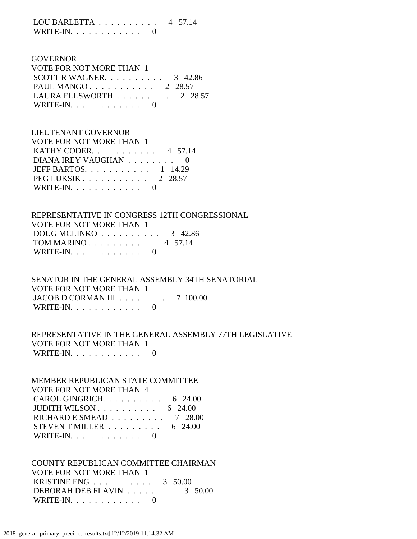LOU BARLETTA . . . . . . . . . . 4 57.14 WRITE-IN.  $\ldots$  . . . . . . . . 0

# GOVERNOR VOTE FOR NOT MORE THAN 1 SCOTT R WAGNER. . . . . . . . . . 3 42.86 PAUL MANGO . . . . . . . . . . . 2 28.57 LAURA ELLSWORTH . . . . . . . . . 2 28.57 WRITE-IN. . . . . . . . . . . . 0

# LIEUTENANT GOVERNOR VOTE FOR NOT MORE THAN 1 KATHY CODER. . . . . . . . . . . 4 57.14 DIANA IREY VAUGHAN . . . . . . . . 0 JEFF BARTOS. . . . . . . . . . . 1 14.29 PEG LUKSIK . . . . . . . . . . . 2 28.57 WRITE-IN.  $\ldots$  . . . . . . . . . 0

 REPRESENTATIVE IN CONGRESS 12TH CONGRESSIONAL VOTE FOR NOT MORE THAN 1 DOUG MCLINKO . . . . . . . . . . 3 42.86 TOM MARINO . . . . . . . . . . . 4 57.14 WRITE-IN. . . . . . . . . . . . 0

 SENATOR IN THE GENERAL ASSEMBLY 34TH SENATORIAL VOTE FOR NOT MORE THAN 1 JACOB D CORMAN III . . . . . . . . 7 100.00 WRITE-IN.  $\ldots$  . . . . . . . . 0

 REPRESENTATIVE IN THE GENERAL ASSEMBLY 77TH LEGISLATIVE VOTE FOR NOT MORE THAN 1 WRITE-IN.  $\ldots$  . . . . . . . . 0

 MEMBER REPUBLICAN STATE COMMITTEE VOTE FOR NOT MORE THAN 4 CAROL GINGRICH. . . . . . . . . . 6 24.00 JUDITH WILSON . . . . . . . . . . 6 24.00 RICHARD E SMEAD . . . . . . . . . 7 28.00 STEVEN T MILLER  $\ldots \ldots \ldots \ldots$  6 24.00 WRITE-IN. . . . . . . . . . . . 0

 COUNTY REPUBLICAN COMMITTEE CHAIRMAN VOTE FOR NOT MORE THAN 1 KRISTINE ENG . . . . . . . . . . 3 50.00 DEBORAH DEB FLAVIN . . . . . . . . 3 50.00 WRITE-IN. . . . . . . . . . . . 0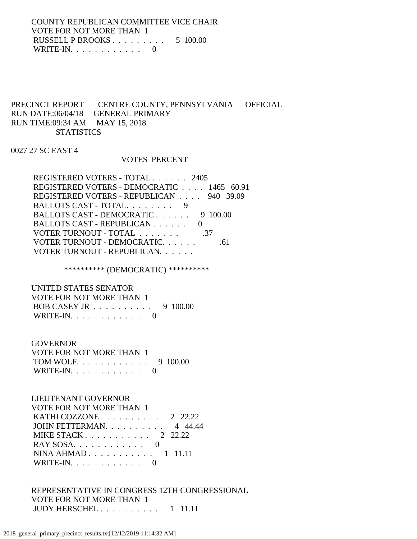COUNTY REPUBLICAN COMMITTEE VICE CHAIR VOTE FOR NOT MORE THAN 1 RUSSELL P BROOKS . . . . . . . . . 5 100.00 WRITE-IN.  $\ldots$  . . . . . . . . . 0

# PRECINCT REPORT CENTRE COUNTY, PENNSYLVANIA OFFICIAL RUN DATE:06/04/18 GENERAL PRIMARY RUN TIME:09:34 AM MAY 15, 2018 **STATISTICS**

# 0027 27 SC EAST 4

#### VOTES PERCENT

| REGISTERED VOTERS - TOTAL 2405            |     |
|-------------------------------------------|-----|
| REGISTERED VOTERS - DEMOCRATIC 1465 60.91 |     |
| REGISTERED VOTERS - REPUBLICAN 940 39.09  |     |
| BALLOTS CAST - TOTAL. 9                   |     |
| BALLOTS CAST - DEMOCRATIC 9 100.00        |     |
| BALLOTS CAST - REPUBLICAN                 |     |
| VOTER TURNOUT - TOTAL                     | -37 |
| VOTER TURNOUT - DEMOCRATIC.               |     |
| VOTER TURNOUT - REPUBLICAN.               |     |

# \*\*\*\*\*\*\*\*\*\* (DEMOCRATIC) \*\*\*\*\*\*\*\*\*\*

 UNITED STATES SENATOR VOTE FOR NOT MORE THAN 1 BOB CASEY JR . . . . . . . . . . 9 100.00 WRITE-IN. . . . . . . . . . . . 0

#### GOVERNOR

| VOTE FOR NOT MORE THAN 1 |  |
|--------------------------|--|
| TOM WOLF. 9 100.00       |  |
| WRITE-IN. $\ldots$ 0     |  |

# LIEUTENANT GOVERNOR

| <b>VOTE FOR NOT MORE THAN 1</b>                  |  |
|--------------------------------------------------|--|
| KATHI COZZONE $\ldots$ $\ldots$ $\ldots$ 2 22.22 |  |
| JOHN FETTERMAN. $\ldots$ 4 44.44                 |  |
| MIKE STACK $2\quad 22.22$                        |  |
|                                                  |  |
| NINA AHMAD $1$ 11.11                             |  |
| WRITE-IN. $\ldots$ 0                             |  |

# REPRESENTATIVE IN CONGRESS 12TH CONGRESSIONAL VOTE FOR NOT MORE THAN 1 JUDY HERSCHEL . . . . . . . . . . 1 11.11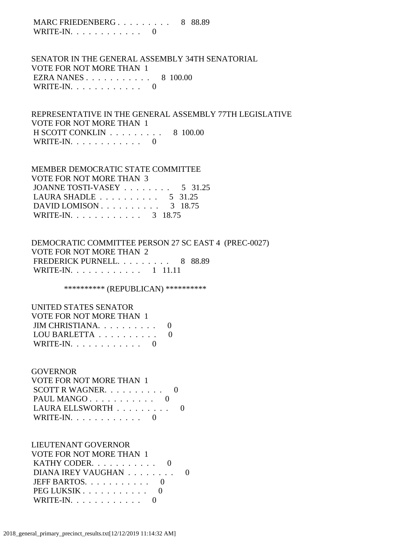MARC FRIEDENBERG . . . . . . . . . 8 88.89 WRITE-IN.  $\ldots$  . . . . . . . . 0

 SENATOR IN THE GENERAL ASSEMBLY 34TH SENATORIAL VOTE FOR NOT MORE THAN 1 EZRA NANES . . . . . . . . . . . 8 100.00 WRITE-IN. . . . . . . . . . . . 0

 REPRESENTATIVE IN THE GENERAL ASSEMBLY 77TH LEGISLATIVE VOTE FOR NOT MORE THAN 1 H SCOTT CONKLIN . . . . . . . . . 8 100.00 WRITE-IN.  $\ldots$  . . . . . . . . . 0

# MEMBER DEMOCRATIC STATE COMMITTEE VOTE FOR NOT MORE THAN 3 JOANNE TOSTI-VASEY . . . . . . . . . 5 31.25 LAURA SHADLE . . . . . . . . . . 5 31.25 DAVID LOMISON . . . . . . . . . . 3 18.75 WRITE-IN. . . . . . . . . . . . . 3 18.75

# DEMOCRATIC COMMITTEE PERSON 27 SC EAST 4 (PREC-0027) VOTE FOR NOT MORE THAN 2 FREDERICK PURNELL. . . . . . . . . 8 88.89 WRITE-IN. . . . . . . . . . . . 1 11.11

\*\*\*\*\*\*\*\*\*\* (REPUBLICAN) \*\*\*\*\*\*\*\*\*\*

| UNITED STATES SENATOR        |  |
|------------------------------|--|
| VOTE FOR NOT MORE THAN 1     |  |
| JIM CHRISTIANA. $\ldots$ . 0 |  |
| LOU BARLETTA                 |  |
| WRITE-IN. $\ldots$           |  |

## **GOVERNOR**

| VOTE FOR NOT MORE THAN 1   |       |
|----------------------------|-------|
| SCOTT R WAGNER. $\ldots$ 0 |       |
|                            |       |
| LAURA ELLSWORTH            | - ( ) |
| WRITE-IN. $\ldots$ 0       |       |

#### LIEUTENANT GOVERNOR

| VOTE FOR NOT MORE THAN 1  |  |
|---------------------------|--|
| KATHY CODER. $\ldots$ . 0 |  |
| DIANA IREY VAUGHAN        |  |
| JEFF BARTOS. $\ldots$ . 0 |  |
| PEG LUKSIK                |  |
| WRITE-IN. $\ldots$ 0      |  |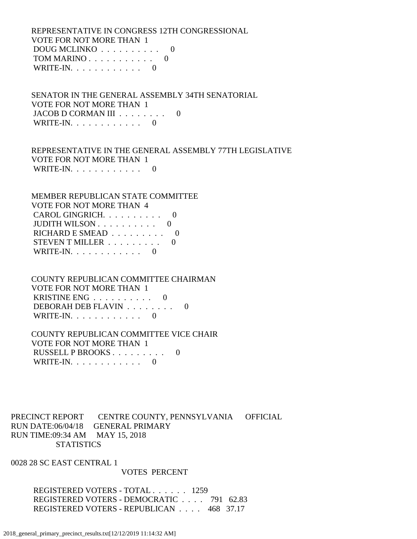REPRESENTATIVE IN CONGRESS 12TH CONGRESSIONAL VOTE FOR NOT MORE THAN 1  $DOUG MCLINKO$  . . . . . . . . . 0 TOM MARINO . . . . . . . . . . . 0 WRITE-IN.  $\ldots$  . . . . . . . . 0

 SENATOR IN THE GENERAL ASSEMBLY 34TH SENATORIAL VOTE FOR NOT MORE THAN 1 JACOB D CORMAN III . . . . . . . . 0 WRITE-IN. . . . . . . . . . . . 0

 REPRESENTATIVE IN THE GENERAL ASSEMBLY 77TH LEGISLATIVE VOTE FOR NOT MORE THAN 1 WRITE-IN. . . . . . . . . . . . 0

 MEMBER REPUBLICAN STATE COMMITTEE VOTE FOR NOT MORE THAN 4 CAROL GINGRICH. . . . . . . . . . 0 JUDITH WILSON . . . . . . . . . . 0 RICHARD E SMEAD  $\ldots$ , . . . . . . 0 STEVEN T MILLER . . . . . . . . . 0 WRITE-IN.  $\ldots$  . . . . . . . . 0

# COUNTY REPUBLICAN COMMITTEE CHAIRMAN VOTE FOR NOT MORE THAN 1 KRISTINE ENG . . . . . . . . . . 0 DEBORAH DEB FLAVIN . . . . . . . . 0 WRITE-IN.  $\ldots$  . . . . . . . . 0

# COUNTY REPUBLICAN COMMITTEE VICE CHAIR VOTE FOR NOT MORE THAN 1 RUSSELL P BROOKS . . . . . . . . . 0 WRITE-IN. . . . . . . . . . . . 0

# PRECINCT REPORT CENTRE COUNTY, PENNSYLVANIA OFFICIAL RUN DATE:06/04/18 GENERAL PRIMARY RUN TIME:09:34 AM MAY 15, 2018 **STATISTICS**

0028 28 SC EAST CENTRAL 1

# VOTES PERCENT

 REGISTERED VOTERS - TOTAL . . . . . . 1259 REGISTERED VOTERS - DEMOCRATIC . . . . 791 62.83 REGISTERED VOTERS - REPUBLICAN . . . . 468 37.17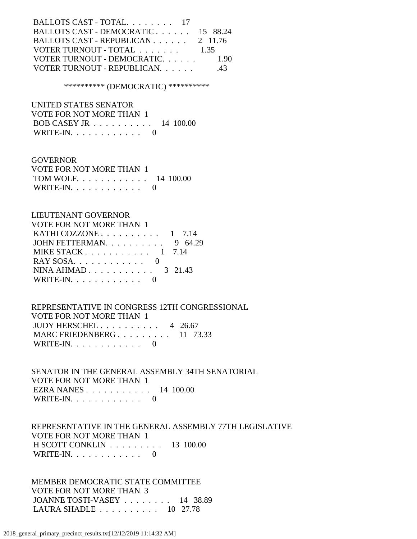| BALLOTS CAST - TOTAL. 17           |        |
|------------------------------------|--------|
| BALLOTS CAST - DEMOCRATIC 15 88.24 |        |
| BALLOTS CAST - REPUBLICAN 2 11.76  |        |
| VOTER TURNOUT - TOTAL              | - 1.35 |
| VOTER TURNOUT - DEMOCRATIC.        | 1.90   |
| VOTER TURNOUT - REPUBLICAN.        | -43    |
|                                    |        |

\*\*\*\*\*\*\*\*\*\* (DEMOCRATIC) \*\*\*\*\*\*\*\*\*\*

 UNITED STATES SENATOR VOTE FOR NOT MORE THAN 1 BOB CASEY JR . . . . . . . . . . 14 100.00 WRITE-IN.  $\ldots$  . . . . . . . . 0

**GOVERNOR**  VOTE FOR NOT MORE THAN 1 TOM WOLF. . . . . . . . . . . . 14 100.00 WRITE-IN. . . . . . . . . . . . 0

# LIEUTENANT GOVERNOR VOTE FOR NOT MORE THAN 1 KATHI COZZONE . . . . . . . . . . 1 7.14 JOHN FETTERMAN. . . . . . . . . . 9 64.29 MIKE STACK . . . . . . . . . . . 1 7.14 RAY SOSA. . . . . . . . . . . . 0 NINA AHMAD . . . . . . . . . . . 3 21.43 WRITE-IN. . . . . . . . . . . . 0

 REPRESENTATIVE IN CONGRESS 12TH CONGRESSIONAL VOTE FOR NOT MORE THAN 1 JUDY HERSCHEL . . . . . . . . . . 4 26.67 MARC FRIEDENBERG . . . . . . . . . 11 73.33 WRITE-IN. . . . . . . . . . . . 0

 SENATOR IN THE GENERAL ASSEMBLY 34TH SENATORIAL VOTE FOR NOT MORE THAN 1 EZRA NANES . . . . . . . . . . . 14 100.00 WRITE-IN.  $\ldots$  . . . . . . . . . 0

 REPRESENTATIVE IN THE GENERAL ASSEMBLY 77TH LEGISLATIVE VOTE FOR NOT MORE THAN 1 H SCOTT CONKLIN . . . . . . . . . 13 100.00 WRITE-IN.  $\ldots$  . . . . . . . . 0

 MEMBER DEMOCRATIC STATE COMMITTEE VOTE FOR NOT MORE THAN 3 JOANNE TOSTI-VASEY . . . . . . . . 14 38.89 LAURA SHADLE . . . . . . . . . . 10 27.78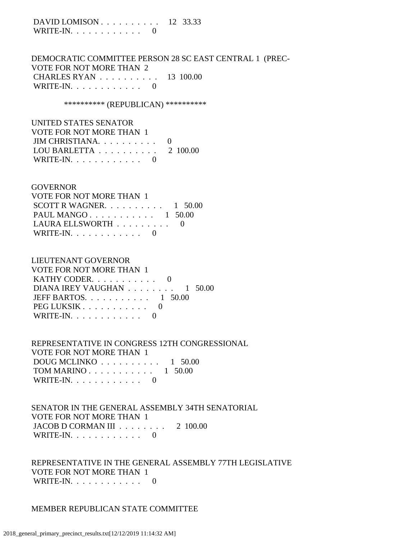DAVID LOMISON . . . . . . . . . . 12 33.33 WRITE-IN.  $\ldots$  . . . . . . . . 0

 DEMOCRATIC COMMITTEE PERSON 28 SC EAST CENTRAL 1 (PREC- VOTE FOR NOT MORE THAN 2 CHARLES RYAN . . . . . . . . . . 13 100.00 WRITE-IN.  $\ldots$  . . . . . . . . . 0

\*\*\*\*\*\*\*\*\*\*\* (REPUBLICAN) \*\*\*\*\*\*\*\*\*\*\*

| UNITED STATES SENATOR                        |  |
|----------------------------------------------|--|
| VOTE FOR NOT MORE THAN 1                     |  |
| JIM CHRISTIANA. $\ldots$ . 0                 |  |
| LOU BARLETTA $\ldots \ldots \ldots 2$ 100.00 |  |
| WRITE-IN. $\ldots$ 0                         |  |

#### GOVERNOR

| VOTE FOR NOT MORE THAN 1               |  |
|----------------------------------------|--|
| SCOTT R WAGNER. $\ldots$ 1 50.00       |  |
| PAUL MANGO $1, 50.00$                  |  |
| LAURA ELLSWORTH $\ldots \ldots \ldots$ |  |
| WRITE-IN. $\ldots$ 0                   |  |

#### LIEUTENANT GOVERNOR

| VOTE FOR NOT MORE THAN 1                                 |  |
|----------------------------------------------------------|--|
| KATHY CODER. $\ldots$ . 0                                |  |
| DIANA IREY VAUGHAN $\ldots \ldots \ldots \ldots$ 1 50.00 |  |
| JEFF BARTOS. $\ldots$ 1 50.00                            |  |
| PEG LUKSIK                                               |  |
| WRITE-IN. $\ldots$ 0                                     |  |

### REPRESENTATIVE IN CONGRESS 12TH CONGRESSIONAL VOTE FOR NOT MORE THAN 1 DOUG MCLINKO . . . . . . . . . . 1 50.00 TOM MARINO . . . . . . . . . . . 1 50.00 WRITE-IN. . . . . . . . . . . . 0

 SENATOR IN THE GENERAL ASSEMBLY 34TH SENATORIAL VOTE FOR NOT MORE THAN 1 JACOB D CORMAN III . . . . . . . . 2 100.00 WRITE-IN.  $\ldots$  . . . . . . . . . 0

 REPRESENTATIVE IN THE GENERAL ASSEMBLY 77TH LEGISLATIVE VOTE FOR NOT MORE THAN 1 WRITE-IN. . . . . . . . . . . . 0

### MEMBER REPUBLICAN STATE COMMITTEE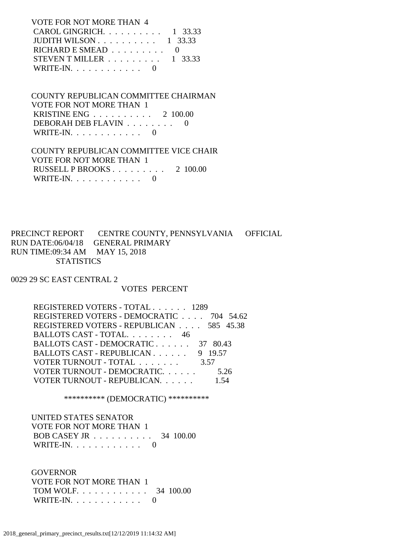### VOTE FOR NOT MORE THAN 4 CAROL GINGRICH. . . . . . . . . . 1 33.33 JUDITH WILSON . . . . . . . . . . 1 33.33 RICHARD E SMEAD  $\ldots \ldots \ldots$  0 STEVEN T MILLER  $\ldots$  . . . . . . . 1 33.33 WRITE-IN.  $\ldots$  . . . . . . . . 0

## COUNTY REPUBLICAN COMMITTEE CHAIRMAN VOTE FOR NOT MORE THAN 1 KRISTINE ENG . . . . . . . . . . 2 100.00 DEBORAH DEB FLAVIN . . . . . . . . 0 WRITE-IN.  $\ldots$  . . . . . . . . 0

### COUNTY REPUBLICAN COMMITTEE VICE CHAIR VOTE FOR NOT MORE THAN 1 RUSSELL P BROOKS . . . . . . . . . 2 100.00 WRITE-IN. . . . . . . . . . . . 0

### PRECINCT REPORT CENTRE COUNTY, PENNSYLVANIA OFFICIAL RUN DATE:06/04/18 GENERAL PRIMARY RUN TIME:09:34 AM MAY 15, 2018 **STATISTICS**

0029 29 SC EAST CENTRAL 2

### VOTES PERCENT

| REGISTERED VOTERS - TOTAL 1289           |         |
|------------------------------------------|---------|
| REGISTERED VOTERS - DEMOCRATIC 704 54.62 |         |
| REGISTERED VOTERS - REPUBLICAN 585 45.38 |         |
| BALLOTS CAST - TOTAL. 46                 |         |
| BALLOTS CAST - DEMOCRATIC 37 80.43       |         |
| BALLOTS CAST - REPUBLICAN                | 9 19.57 |
| VOTER TURNOUT - TOTAL                    | 3.57    |
| VOTER TURNOUT - DEMOCRATIC.              | 5.26    |
| VOTER TURNOUT - REPUBLICAN.              |         |

\*\*\*\*\*\*\*\*\*\* (DEMOCRATIC) \*\*\*\*\*\*\*\*\*\*

 UNITED STATES SENATOR VOTE FOR NOT MORE THAN 1 BOB CASEY JR . . . . . . . . . . 34 100.00 WRITE-IN. . . . . . . . . . . . 0

# GOVERNOR

 VOTE FOR NOT MORE THAN 1 TOM WOLF. . . . . . . . . . . . 34 100.00 WRITE-IN. . . . . . . . . . . . 0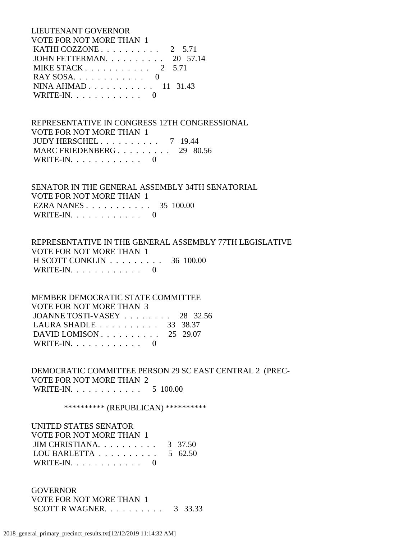LIEUTENANT GOVERNOR VOTE FOR NOT MORE THAN 1 **KATHI COZZONE .** . . . . . . . . . . 2 5.71 JOHN FETTERMAN. . . . . . . . . . 20 57.14 MIKE STACK . . . . . . . . . . . 2 5.71 RAY SOSA. . . . . . . . . . . . 0 NINA AHMAD . . . . . . . . . . . 11 31.43 WRITE-IN.  $\ldots$  . . . . . . . . 0

 REPRESENTATIVE IN CONGRESS 12TH CONGRESSIONAL VOTE FOR NOT MORE THAN 1 JUDY HERSCHEL . . . . . . . . . . 7 19.44 MARC FRIEDENBERG . . . . . . . . . 29 80.56 WRITE-IN.  $\ldots$  . . . . . . . . 0

 SENATOR IN THE GENERAL ASSEMBLY 34TH SENATORIAL VOTE FOR NOT MORE THAN 1 EZRA NANES . . . . . . . . . . . 35 100.00 WRITE-IN.  $\ldots$  . . . . . . . . 0

 REPRESENTATIVE IN THE GENERAL ASSEMBLY 77TH LEGISLATIVE VOTE FOR NOT MORE THAN 1 H SCOTT CONKLIN . . . . . . . . . 36 100.00 WRITE-IN.  $\ldots$  . . . . . . . . . 0

 MEMBER DEMOCRATIC STATE COMMITTEE VOTE FOR NOT MORE THAN 3 JOANNE TOSTI-VASEY . . . . . . . . 28 32.56 LAURA SHADLE . . . . . . . . . . 33 38.37 DAVID LOMISON . . . . . . . . . . 25 29.07 WRITE-IN.  $\ldots$  . . . . . . . . 0

 DEMOCRATIC COMMITTEE PERSON 29 SC EAST CENTRAL 2 (PREC- VOTE FOR NOT MORE THAN 2 WRITE-IN. . . . . . . . . . . . 5 100.00

\*\*\*\*\*\*\*\*\*\* (REPUBLICAN) \*\*\*\*\*\*\*\*\*\*

 UNITED STATES SENATOR VOTE FOR NOT MORE THAN 1 JIM CHRISTIANA. . . . . . . . . . 3 37.50 LOU BARLETTA  $\ldots$  . . . . . . . . 5 62.50 WRITE-IN. . . . . . . . . . . . 0

 GOVERNOR VOTE FOR NOT MORE THAN 1 SCOTT R WAGNER. . . . . . . . . . 3 33.33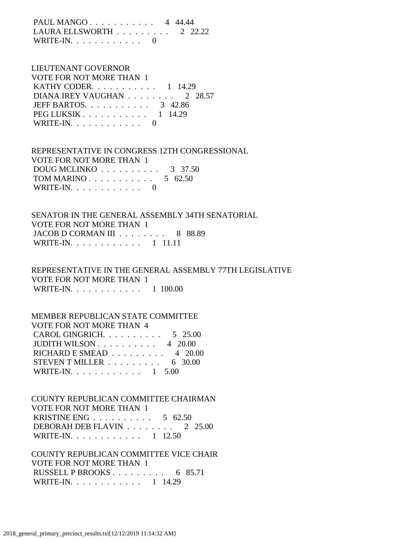PAUL MANGO . . . . . . . . . . . 4 44.44 LAURA ELLSWORTH . . . . . . . . . 2 22.22 WRITE-IN.  $\ldots$  . . . . . . . . . 0

### LIEUTENANT GOVERNOR VOTE FOR NOT MORE THAN 1 KATHY CODER. . . . . . . . . . . 1 14.29 DIANA IREY VAUGHAN . . . . . . . . 2 28.57 JEFF BARTOS. . . . . . . . . . . 3 42.86 PEG LUKSIK . . . . . . . . . . . . 1 14.29 WRITE-IN.  $\ldots$  . . . . . . . . . 0

 REPRESENTATIVE IN CONGRESS 12TH CONGRESSIONAL VOTE FOR NOT MORE THAN 1 DOUG MCLINKO . . . . . . . . . . 3 37.50 TOM MARINO . . . . . . . . . . . . 5 62.50 WRITE-IN. . . . . . . . . . . . 0

 SENATOR IN THE GENERAL ASSEMBLY 34TH SENATORIAL VOTE FOR NOT MORE THAN 1 JACOB D CORMAN III . . . . . . . . 8 88.89 WRITE-IN. . . . . . . . . . . . 1 11.11

 REPRESENTATIVE IN THE GENERAL ASSEMBLY 77TH LEGISLATIVE VOTE FOR NOT MORE THAN 1 WRITE-IN. . . . . . . . . . . . 1 100.00

## MEMBER REPUBLICAN STATE COMMITTEE VOTE FOR NOT MORE THAN 4 CAROL GINGRICH. . . . . . . . . . 5 25.00 JUDITH WILSON . . . . . . . . . . 4 20.00 RICHARD E SMEAD  $\ldots$ , . . . . . . 4 20.00 STEVEN T MILLER  $\ldots \ldots \ldots$  6 30.00 WRITE-IN. . . . . . . . . . . . 1 5.00

 COUNTY REPUBLICAN COMMITTEE CHAIRMAN VOTE FOR NOT MORE THAN 1 KRISTINE ENG . . . . . . . . . . 5 62.50 DEBORAH DEB FLAVIN . . . . . . . . 2 25.00 WRITE-IN. . . . . . . . . . . . 1 12.50

 COUNTY REPUBLICAN COMMITTEE VICE CHAIR VOTE FOR NOT MORE THAN 1 RUSSELL P BROOKS . . . . . . . . . 6 85.71 WRITE-IN. . . . . . . . . . . . 1 14.29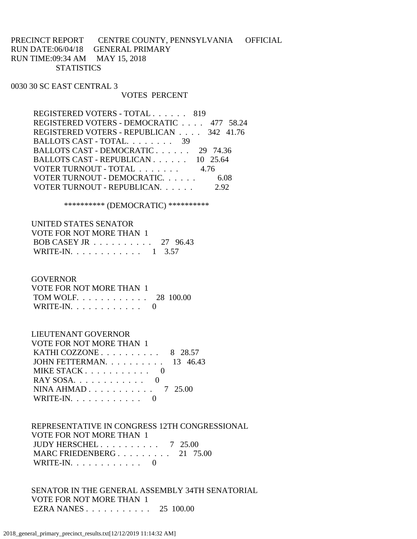PRECINCT REPORT CENTRE COUNTY, PENNSYLVANIA OFFICIAL RUN DATE:06/04/18 GENERAL PRIMARY RUN TIME:09:34 AM MAY 15, 2018 **STATISTICS** 

0030 30 SC EAST CENTRAL 3

#### VOTES PERCENT

| REGISTERED VOTERS - TOTAL 819            |          |
|------------------------------------------|----------|
| REGISTERED VOTERS - DEMOCRATIC 477 58.24 |          |
| REGISTERED VOTERS - REPUBLICAN 342 41.76 |          |
| BALLOTS CAST - TOTAL. 39                 |          |
| BALLOTS CAST - DEMOCRATIC                | 29 74.36 |
| BALLOTS CAST - REPUBLICAN 10 25.64       |          |
| VOTER TURNOUT - TOTAL 4.76               |          |
| VOTER TURNOUT - DEMOCRATIC.              | 6.08     |
| VOTER TURNOUT - REPUBLICAN.              | 292      |
|                                          |          |

\*\*\*\*\*\*\*\*\*\* (DEMOCRATIC) \*\*\*\*\*\*\*\*\*\*

| UNITED STATES SENATOR    |  |
|--------------------------|--|
| VOTE FOR NOT MORE THAN 1 |  |
| BOB CASEY JR 27 96.43    |  |
| WRITE-IN. 1 3.57         |  |

**GOVERNOR** 

| VOTE FOR NOT MORE THAN 1 |  |
|--------------------------|--|
| TOM WOLF. 28 100.00      |  |
| WRITE-IN. $\ldots$ 0     |  |

LIEUTENANT GOVERNOR

| VOTE FOR NOT MORE THAN 1                         |  |
|--------------------------------------------------|--|
| KATHI COZZONE $\ldots$ $\ldots$ $\ldots$ 8 28.57 |  |
| JOHN FETTERMAN. $\ldots$ 13 46.43                |  |
| MIKE STACK $\ldots$ $\ldots$ $\ldots$ $\ldots$ 0 |  |
|                                                  |  |
| NINA AHMAD 7 25.00                               |  |
| WRITE-IN. $\ldots$ 0                             |  |

 REPRESENTATIVE IN CONGRESS 12TH CONGRESSIONAL VOTE FOR NOT MORE THAN 1 JUDY HERSCHEL . . . . . . . . . . 7 25.00 MARC FRIEDENBERG . . . . . . . . . 21 75.00 WRITE-IN. . . . . . . . . . . . 0

 SENATOR IN THE GENERAL ASSEMBLY 34TH SENATORIAL VOTE FOR NOT MORE THAN 1 EZRA NANES . . . . . . . . . . . 25 100.00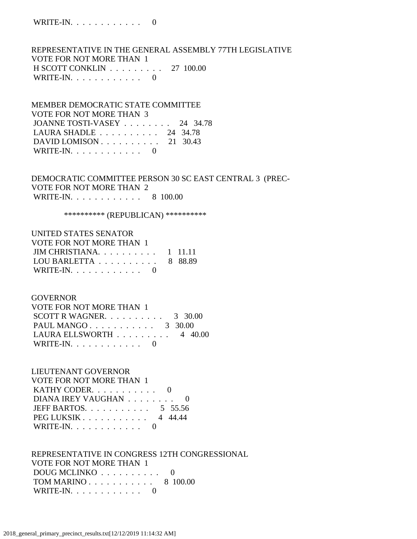REPRESENTATIVE IN THE GENERAL ASSEMBLY 77TH LEGISLATIVE VOTE FOR NOT MORE THAN 1 H SCOTT CONKLIN . . . . . . . . . 27 100.00 WRITE-IN.  $\ldots$  . . . . . . . . 0

### MEMBER DEMOCRATIC STATE COMMITTEE VOTE FOR NOT MORE THAN 3 JOANNE TOSTI-VASEY . . . . . . . . 24 34.78 LAURA SHADLE . . . . . . . . . . 24 34.78 DAVID LOMISON . . . . . . . . . . 21 30.43 WRITE-IN.  $\ldots$  . . . . . . . . 0

### DEMOCRATIC COMMITTEE PERSON 30 SC EAST CENTRAL 3 (PREC- VOTE FOR NOT MORE THAN 2 WRITE-IN. . . . . . . . . . . . 8 100.00

#### \*\*\*\*\*\*\*\*\*\* (REPUBLICAN) \*\*\*\*\*\*\*\*\*\*

| UNITED STATES SENATOR                              |  |
|----------------------------------------------------|--|
| <b>VOTE FOR NOT MORE THAN 1</b>                    |  |
| JIM CHRISTIANA $1$ 11.11                           |  |
| LOU BARLETTA $\ldots \ldots \ldots \ldots$ 8 88.89 |  |
| WRITE-IN. $\ldots$ 0                               |  |

#### **GOVERNOR**

| VOTE FOR NOT MORE THAN 1                       |  |
|------------------------------------------------|--|
| SCOTT R WAGNER. $\ldots$ 3 30.00               |  |
| PAUL MANGO $3 \quad 30.00$                     |  |
| LAURA ELLSWORTH $\ldots \ldots \ldots$ 4 40.00 |  |
| WRITE-IN. $\ldots$ 0                           |  |

## LIEUTENANT GOVERNOR

| VOTE FOR NOT MORE THAN 1                         |  |
|--------------------------------------------------|--|
| KATHY CODER. $\ldots$ . 0                        |  |
| DIANA IREY VAUGHAN 0                             |  |
| JEFF BARTOS 5 55.56                              |  |
| $PEG LUKSIK \ldots \ldots \ldots \ldots 4$ 44.44 |  |
| WRITE-IN. $\ldots$ 0                             |  |

### REPRESENTATIVE IN CONGRESS 12TH CONGRESSIONAL VOTE FOR NOT MORE THAN 1 DOUG MCLINKO . . . . . . . . . . 0 TOM MARINO . . . . . . . . . . . 8 100.00 WRITE-IN. . . . . . . . . . . . 0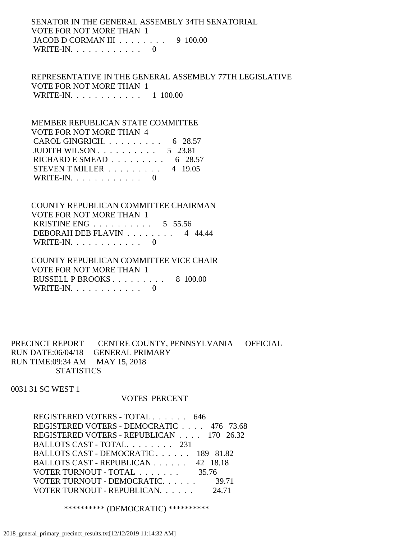### SENATOR IN THE GENERAL ASSEMBLY 34TH SENATORIAL VOTE FOR NOT MORE THAN 1 JACOB D CORMAN III . . . . . . . . 9 100.00 WRITE-IN.  $\ldots$  . . . . . . . . 0

 REPRESENTATIVE IN THE GENERAL ASSEMBLY 77TH LEGISLATIVE VOTE FOR NOT MORE THAN 1 WRITE-IN. . . . . . . . . . . . 1 100.00

## MEMBER REPUBLICAN STATE COMMITTEE VOTE FOR NOT MORE THAN 4 CAROL GINGRICH. . . . . . . . . . 6 28.57 JUDITH WILSON . . . . . . . . . . 5 23.81 RICHARD E SMEAD  $\ldots$ , . . . . . . . 6 28.57 STEVEN T MILLER  $\ldots \ldots \ldots$  4 19.05 WRITE-IN.  $\ldots$  . . . . . . . . 0

 COUNTY REPUBLICAN COMMITTEE CHAIRMAN VOTE FOR NOT MORE THAN 1 KRISTINE ENG . . . . . . . . . . 5 55.56 DEBORAH DEB FLAVIN . . . . . . . . 4 44.44 WRITE-IN.  $\ldots$  . . . . . . . . 0

 COUNTY REPUBLICAN COMMITTEE VICE CHAIR VOTE FOR NOT MORE THAN 1 RUSSELL P BROOKS . . . . . . . . . 8 100.00 WRITE-IN. . . . . . . . . . . . 0

PRECINCT REPORT CENTRE COUNTY, PENNSYLVANIA OFFICIAL RUN DATE:06/04/18 GENERAL PRIMARY RUN TIME:09:34 AM MAY 15, 2018 **STATISTICS** 

0031 31 SC WEST 1

### VOTES PERCENT

 REGISTERED VOTERS - TOTAL . . . . . . 646 REGISTERED VOTERS - DEMOCRATIC . . . . 476 73.68 REGISTERED VOTERS - REPUBLICAN . . . . 170 26.32 BALLOTS CAST - TOTAL. . . . . . . . 231 BALLOTS CAST - DEMOCRATIC . . . . . . 189 81.82 BALLOTS CAST - REPUBLICAN . . . . . . 42 18.18 VOTER TURNOUT - TOTAL . . . . . . . . 35.76 VOTER TURNOUT - DEMOCRATIC. . . . . . 39.71 VOTER TURNOUT - REPUBLICAN. . . . . . 24.71

\*\*\*\*\*\*\*\*\*\* (DEMOCRATIC) \*\*\*\*\*\*\*\*\*\*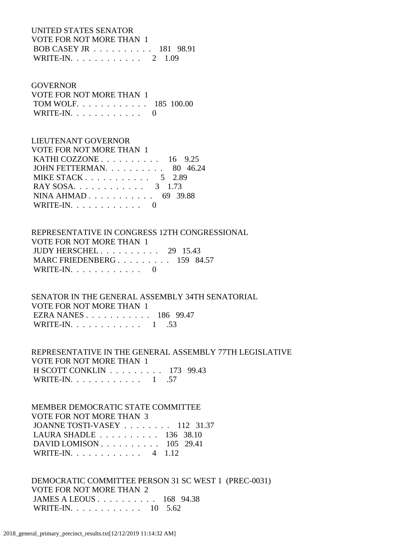### UNITED STATES SENATOR VOTE FOR NOT MORE THAN 1 BOB CASEY JR . . . . . . . . . . 181 98.91 WRITE-IN. . . . . . . . . . . . 2 1.09

#### **GOVERNOR**

 VOTE FOR NOT MORE THAN 1 TOM WOLF. . . . . . . . . . . . 185 100.00 WRITE-IN.  $\ldots$  . . . . . . . . 0

### LIEUTENANT GOVERNOR

| VOTE FOR NOT MORE THAN 1                            |  |
|-----------------------------------------------------|--|
| KATHI COZZONE $\ldots \ldots \ldots \ldots$ 16 9.25 |  |
| JOHN FETTERMAN. $\ldots$ 80 46.24                   |  |
| MIKE STACK 5 2.89                                   |  |
| RAY SOSA 3 1.73                                     |  |
| NINA AHMAD 69 39.88                                 |  |
| WRITE-IN. $\ldots$ 0                                |  |

### REPRESENTATIVE IN CONGRESS 12TH CONGRESSIONAL VOTE FOR NOT MORE THAN 1 JUDY HERSCHEL . . . . . . . . . . 29 15.43 MARC FRIEDENBERG . . . . . . . . . 159 84.57 WRITE-IN.  $\ldots$  . . . . . . . . . 0

 SENATOR IN THE GENERAL ASSEMBLY 34TH SENATORIAL VOTE FOR NOT MORE THAN 1 EZRA NANES . . . . . . . . . . . 186 99.47 WRITE-IN. . . . . . . . . . . . 1 .53

 REPRESENTATIVE IN THE GENERAL ASSEMBLY 77TH LEGISLATIVE VOTE FOR NOT MORE THAN 1 H SCOTT CONKLIN . . . . . . . . . 173 99.43 WRITE-IN. . . . . . . . . . . . 1 .57

## MEMBER DEMOCRATIC STATE COMMITTEE VOTE FOR NOT MORE THAN 3 JOANNE TOSTI-VASEY . . . . . . . . 112 31.37 LAURA SHADLE . . . . . . . . . . 136 38.10 DAVID LOMISON . . . . . . . . . . 105 29.41 WRITE-IN. . . . . . . . . . . . 4 1.12

 DEMOCRATIC COMMITTEE PERSON 31 SC WEST 1 (PREC-0031) VOTE FOR NOT MORE THAN 2 JAMES A LEOUS . . . . . . . . . . 168 94.38 WRITE-IN. . . . . . . . . . . . 10 5.62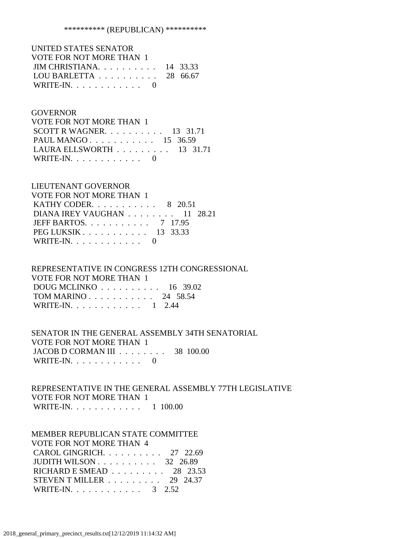| UNITED STATES SENATOR                               |  |
|-----------------------------------------------------|--|
| VOTE FOR NOT MORE THAN 1                            |  |
| JIM CHRISTIANA. $\ldots$ 14 33.33                   |  |
| LOU BARLETTA $\ldots \ldots \ldots \ldots$ 28 66.67 |  |
| WRITE-IN. $\ldots$ 0                                |  |

### **GOVERNOR**

| VOTE FOR NOT MORE THAN 1                        |  |  |
|-------------------------------------------------|--|--|
| SCOTT R WAGNER. $\ldots$ 13 31.71               |  |  |
| PAUL MANGO 15 36.59                             |  |  |
| LAURA ELLSWORTH $\ldots \ldots \ldots$ 13 31.71 |  |  |
| WRITE-IN. $\ldots$ 0                            |  |  |

### LIEUTENANT GOVERNOR

| VOTE FOR NOT MORE THAN 1                           |  |
|----------------------------------------------------|--|
| KATHY CODER. $\ldots$ 8 20.51                      |  |
| DIANA IREY VAUGHAN $\ldots \ldots \ldots 11$ 28.21 |  |
| JEFF BARTOS. $\ldots$ 7 17.95                      |  |
| PEG LUKSIK 13 33.33                                |  |
| WRITE-IN. $\ldots$ 0                               |  |

### REPRESENTATIVE IN CONGRESS 12TH CONGRESSIONAL VOTE FOR NOT MORE THAN 1 DOUG MCLINKO . . . . . . . . . . 16 39.02 TOM MARINO . . . . . . . . . . . 24 58.54

| WRITE-IN. $\ldots$ |  |  |  |  |  |  | $1 \quad 2.44$ |
|--------------------|--|--|--|--|--|--|----------------|
|                    |  |  |  |  |  |  |                |

### SENATOR IN THE GENERAL ASSEMBLY 34TH SENATORIAL VOTE FOR NOT MORE THAN 1 JACOB D CORMAN III . . . . . . . . 38 100.00 WRITE-IN. . . . . . . . . . . .  $0$

### REPRESENTATIVE IN THE GENERAL ASSEMBLY 77TH LEGISLATIVE VOTE FOR NOT MORE THAN 1 WRITE-IN. . . . . . . . . . . . . 1 100.00

#### MEMBER REPUBLICAN STATE COMMITTEE

| VOTE FOR NOT MORE THAN 4                             |  |
|------------------------------------------------------|--|
| CAROL GINGRICH. 27 22.69                             |  |
| JUDITH WILSON $\ldots \ldots \ldots \ldots$ 32 26.89 |  |
| RICHARD E SMEAD $\ldots$ 28 23.53                    |  |
| STEVEN T MILLER $\ldots \ldots \ldots 29$ 24.37      |  |
| WRITE-IN. 3 2.52                                     |  |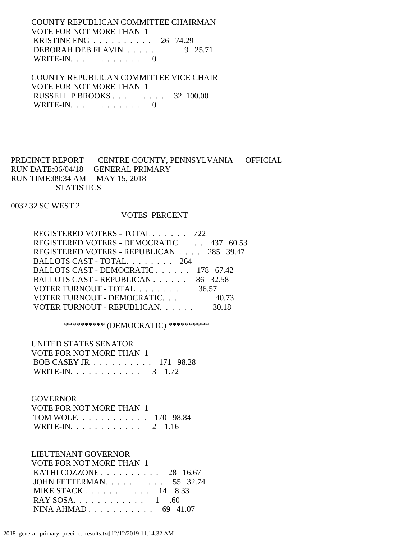COUNTY REPUBLICAN COMMITTEE CHAIRMAN VOTE FOR NOT MORE THAN 1 KRISTINE ENG . . . . . . . . . . 26 74.29 DEBORAH DEB FLAVIN . . . . . . . . 9 25.71 WRITE-IN. . . . . . . . . . . . 0

 COUNTY REPUBLICAN COMMITTEE VICE CHAIR VOTE FOR NOT MORE THAN 1 RUSSELL P BROOKS . . . . . . . . . 32 100.00 WRITE-IN.  $\ldots$  . . . . . . . . . 0

PRECINCT REPORT CENTRE COUNTY, PENNSYLVANIA OFFICIAL RUN DATE:06/04/18 GENERAL PRIMARY RUN TIME:09:34 AM MAY 15, 2018 **STATISTICS** 

0032 32 SC WEST 2

### VOTES PERCENT

| REGISTERED VOTERS - TOTAL 722            |       |
|------------------------------------------|-------|
| REGISTERED VOTERS - DEMOCRATIC 437 60.53 |       |
| REGISTERED VOTERS - REPUBLICAN 285 39.47 |       |
| BALLOTS CAST - TOTAL 264                 |       |
| BALLOTS CAST - DEMOCRATIC 178 67.42      |       |
| BALLOTS CAST - REPUBLICAN 86 32.58       |       |
| VOTER TURNOUT - TOTAL 36.57              |       |
| VOTER TURNOUT - DEMOCRATIC 40.73         |       |
| VOTER TURNOUT - REPUBLICAN.              | 30.18 |

\*\*\*\*\*\*\*\*\*\* (DEMOCRATIC) \*\*\*\*\*\*\*\*\*\*

 UNITED STATES SENATOR VOTE FOR NOT MORE THAN 1 BOB CASEY JR . . . . . . . . . . 171 98.28 WRITE-IN. . . . . . . . . . . . . 3 1.72

#### GOVERNOR

| VOTE FOR NOT MORE THAN 1  |  |
|---------------------------|--|
| TOM WOLF. 170 98.84       |  |
| WRITE-IN. $\ldots$ 2 1.16 |  |

LIEUTENANT GOVERNOR

| VOTE FOR NOT MORE THAN 1        |  |
|---------------------------------|--|
| KATHI COZZONE $\ldots$ 28 16.67 |  |
| JOHN FETTERMAN. 55 32.74        |  |
| MIKE STACK $14$ 8.33            |  |
| RAY SOSA. 1 .60                 |  |
| NINA AHMAD 69 41.07             |  |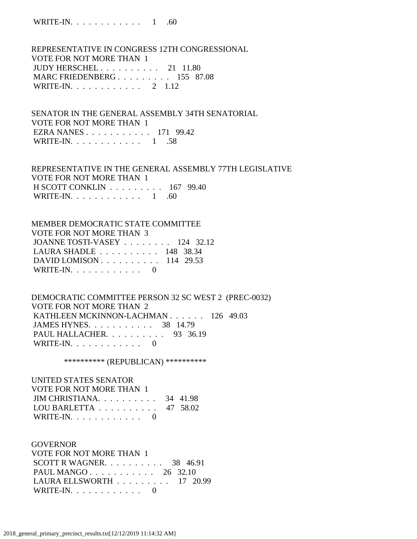WRITE-IN. . . . . . . . . . . . 1 .60

 REPRESENTATIVE IN CONGRESS 12TH CONGRESSIONAL VOTE FOR NOT MORE THAN 1 JUDY HERSCHEL . . . . . . . . . . 21 11.80 MARC FRIEDENBERG . . . . . . . . . 155 87.08 WRITE-IN. . . . . . . . . . . . 2 1.12

 SENATOR IN THE GENERAL ASSEMBLY 34TH SENATORIAL VOTE FOR NOT MORE THAN 1 EZRA NANES . . . . . . . . . . . 171 99.42 WRITE-IN. . . . . . . . . . . . 1 .58

 REPRESENTATIVE IN THE GENERAL ASSEMBLY 77TH LEGISLATIVE VOTE FOR NOT MORE THAN 1 H SCOTT CONKLIN . . . . . . . . . 167 99.40 WRITE-IN. . . . . . . . . . . . . 1 .60

 MEMBER DEMOCRATIC STATE COMMITTEE VOTE FOR NOT MORE THAN 3 JOANNE TOSTI-VASEY . . . . . . . . 124 32.12 LAURA SHADLE . . . . . . . . . . 148 38.34 DAVID LOMISON . . . . . . . . . . 114 29.53 WRITE-IN.  $\ldots$  . . . . . . . . . 0

 DEMOCRATIC COMMITTEE PERSON 32 SC WEST 2 (PREC-0032) VOTE FOR NOT MORE THAN 2 KATHLEEN MCKINNON-LACHMAN . . . . . . 126 49.03 JAMES HYNES. . . . . . . . . . . 38 14.79 PAUL HALLACHER. . . . . . . . . . 93 36.19 WRITE-IN.  $\ldots$  . . . . . . . . . 0

\*\*\*\*\*\*\*\*\*\*\* (REPUBLICAN) \*\*\*\*\*\*\*\*\*\*\*

 UNITED STATES SENATOR VOTE FOR NOT MORE THAN 1 JIM CHRISTIANA. . . . . . . . . . 34 41.98 LOU BARLETTA . . . . . . . . . . 47 58.02 WRITE-IN.  $\ldots$  . . . . . . . . 0

 GOVERNOR VOTE FOR NOT MORE THAN 1 SCOTT R WAGNER. . . . . . . . . . 38 46.91 PAUL MANGO . . . . . . . . . . . 26 32.10 LAURA ELLSWORTH . . . . . . . . . 17 20.99 WRITE-IN.  $\ldots$  . . . . . . . . 0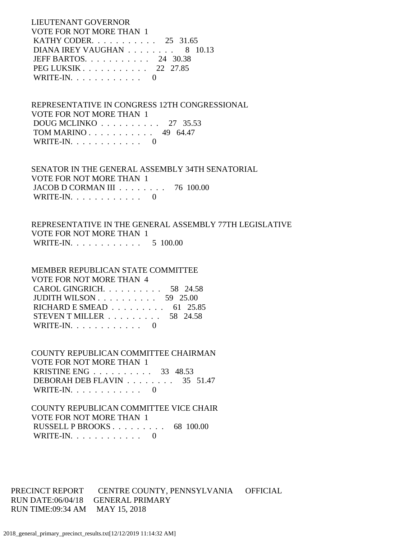LIEUTENANT GOVERNOR VOTE FOR NOT MORE THAN 1 KATHY CODER. . . . . . . . . . . 25 31.65 DIANA IREY VAUGHAN . . . . . . . . 8 10.13 JEFF BARTOS. . . . . . . . . . . 24 30.38 PEG LUKSIK . . . . . . . . . . . 22 27.85 WRITE-IN.  $\ldots$  . . . . . . . . 0

 REPRESENTATIVE IN CONGRESS 12TH CONGRESSIONAL VOTE FOR NOT MORE THAN 1 DOUG MCLINKO . . . . . . . . . . 27 35.53 TOM MARINO . . . . . . . . . . . 49 64.47 WRITE-IN.  $\ldots$  . . . . . . . . 0

 SENATOR IN THE GENERAL ASSEMBLY 34TH SENATORIAL VOTE FOR NOT MORE THAN 1 JACOB D CORMAN III . . . . . . . . 76 100.00 WRITE-IN. . . . . . . . . . . . 0

 REPRESENTATIVE IN THE GENERAL ASSEMBLY 77TH LEGISLATIVE VOTE FOR NOT MORE THAN 1 WRITE-IN. . . . . . . . . . . . 5 100.00

 MEMBER REPUBLICAN STATE COMMITTEE VOTE FOR NOT MORE THAN 4 CAROL GINGRICH. . . . . . . . . . 58 24.58 JUDITH WILSON . . . . . . . . . . 59 25.00 RICHARD E SMEAD . . . . . . . . . 61 25.85 STEVEN T MILLER . . . . . . . . . 58 24.58 WRITE-IN.  $\ldots$  . . . . . . . . . 0

 COUNTY REPUBLICAN COMMITTEE CHAIRMAN VOTE FOR NOT MORE THAN 1 KRISTINE ENG . . . . . . . . . . 33 48.53 DEBORAH DEB FLAVIN . . . . . . . . 35 51.47 WRITE-IN.  $\ldots$  . . . . . . . . 0

 COUNTY REPUBLICAN COMMITTEE VICE CHAIR VOTE FOR NOT MORE THAN 1 RUSSELL P BROOKS . . . . . . . . . 68 100.00 WRITE-IN. . . . . . . . . . . . 0

PRECINCT REPORT CENTRE COUNTY, PENNSYLVANIA OFFICIAL RUN DATE:06/04/18 GENERAL PRIMARY RUN TIME:09:34 AM MAY 15, 2018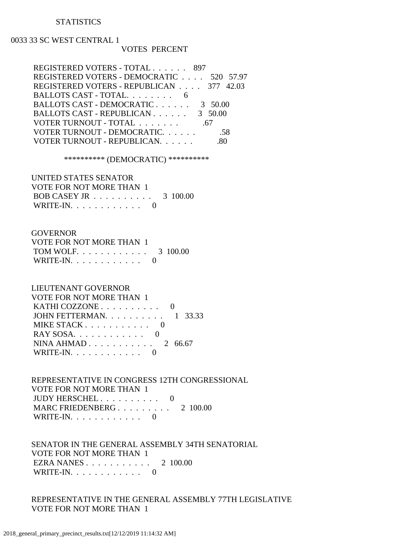#### **STATISTICS**

#### 0033 33 SC WEST CENTRAL 1

#### VOTES PERCENT

| REGISTERED VOTERS - TOTAL 897            |  |
|------------------------------------------|--|
| REGISTERED VOTERS - DEMOCRATIC 520 57.97 |  |
| REGISTERED VOTERS - REPUBLICAN 377 42.03 |  |
| BALLOTS CAST - TOTAL. 6                  |  |
| BALLOTS CAST - DEMOCRATIC<br>3 50.00     |  |
| BALLOTS CAST - REPUBLICAN<br>3 50.00     |  |
| VOTER TURNOUT - TOTAL<br>.67             |  |
| VOTER TURNOUT - DEMOCRATIC.<br>.58       |  |
| VOTER TURNOUT - REPUBLICAN.              |  |
|                                          |  |

\*\*\*\*\*\*\*\*\*\* (DEMOCRATIC) \*\*\*\*\*\*\*\*\*\*

 UNITED STATES SENATOR VOTE FOR NOT MORE THAN 1 BOB CASEY JR . . . . . . . . . . 3 100.00 WRITE-IN.  $\ldots$  . . . . . . . . . 0

### **GOVERNOR**

| VOTE FOR NOT MORE THAN 1 |  |
|--------------------------|--|
| TOM WOLF. 3 100.00       |  |
| WRITE-IN. $\ldots$ 0     |  |

### LIEUTENANT GOVERNOR

| VOTE FOR NOT MORE THAN 1                         |  |
|--------------------------------------------------|--|
| KATHI COZZONE $\ldots \ldots \ldots \ldots$      |  |
| JOHN FETTERMAN. $\ldots$ 1 33.33                 |  |
| MIKE STACK $\ldots$ $\ldots$ $\ldots$ $\ldots$ 0 |  |
|                                                  |  |
| NINA AHMAD $2\,66.67$                            |  |
| WRITE-IN. $\ldots$ 0                             |  |

 REPRESENTATIVE IN CONGRESS 12TH CONGRESSIONAL VOTE FOR NOT MORE THAN 1 JUDY HERSCHEL . . . . . . . . . . 0 MARC FRIEDENBERG . . . . . . . . . 2 100.00 WRITE-IN. . . . . . . . . . . . 0

 SENATOR IN THE GENERAL ASSEMBLY 34TH SENATORIAL VOTE FOR NOT MORE THAN 1 EZRA NANES . . . . . . . . . . . 2 100.00 WRITE-IN.  $\ldots$  . . . . . . . . . 0

 REPRESENTATIVE IN THE GENERAL ASSEMBLY 77TH LEGISLATIVE VOTE FOR NOT MORE THAN 1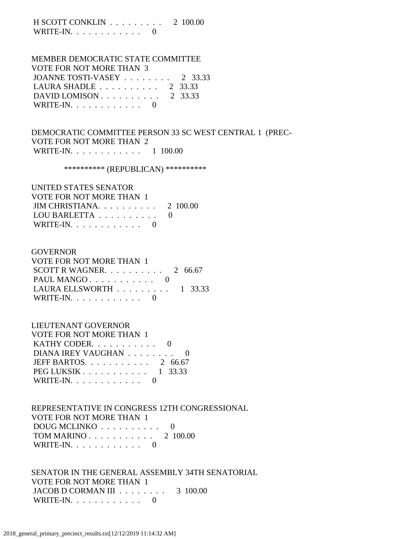H SCOTT CONKLIN . . . . . . . . . 2 100.00 WRITE-IN.  $\ldots$  . . . . . . . . . 0

## MEMBER DEMOCRATIC STATE COMMITTEE VOTE FOR NOT MORE THAN 3 JOANNE TOSTI-VASEY . . . . . . . . 2 33.33 LAURA SHADLE . . . . . . . . . . 2 33.33 DAVID LOMISON . . . . . . . . . . 2 33.33

WRITE-IN.  $\ldots$  . . . . . . . . . 0

## DEMOCRATIC COMMITTEE PERSON 33 SC WEST CENTRAL 1 (PREC- VOTE FOR NOT MORE THAN 2 WRITE-IN. . . . . . . . . . . . 1 100.00

\*\*\*\*\*\*\*\*\*\* (REPUBLICAN) \*\*\*\*\*\*\*\*\*\*

| UNITED STATES SENATOR             |  |
|-----------------------------------|--|
| VOTE FOR NOT MORE THAN 1          |  |
| JIM CHRISTIANA. $\ldots$ 2 100.00 |  |
| LOU BARLETTA                      |  |
| WRITE-IN. $\ldots$ 0              |  |

### GOVERNOR

| VOTE FOR NOT MORE THAN 1                                    |  |
|-------------------------------------------------------------|--|
| SCOTT R WAGNER. $\ldots$ $\ldots$ $\ldots$ $\ldots$ 2 66.67 |  |
| PAUL MANGO $0$                                              |  |
| LAURA ELLSWORTH $\ldots \ldots \ldots 1$ 33.33              |  |
| WRITE-IN. $\ldots$ 0                                        |  |

## LIEUTENANT GOVERNOR

| VOTE FOR NOT MORE THAN 1      |  |
|-------------------------------|--|
| KATHY CODER. 0                |  |
| DIANA IREY VAUGHAN 0          |  |
| JEFF BARTOS. $\ldots$ 2 66.67 |  |
| PEG LUKSIK 1 33.33            |  |
| WRITE-IN. $\ldots$ 0          |  |

 REPRESENTATIVE IN CONGRESS 12TH CONGRESSIONAL VOTE FOR NOT MORE THAN 1 DOUG MCLINKO . . . . . . . . . . 0 TOM MARINO . . . . . . . . . . . 2 100.00 WRITE-IN. . . . . . . . . . . . 0

 SENATOR IN THE GENERAL ASSEMBLY 34TH SENATORIAL VOTE FOR NOT MORE THAN 1 JACOB D CORMAN III . . . . . . . . 3 100.00 WRITE-IN. . . . . . . . . . . . 0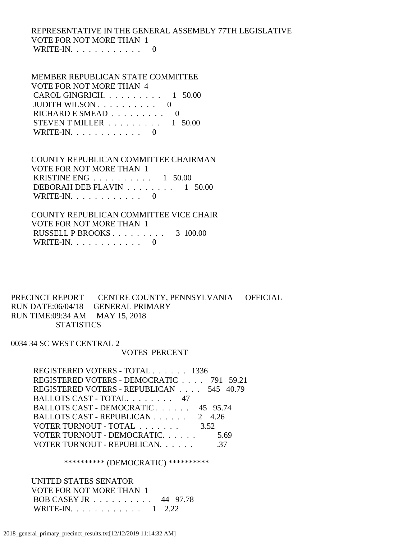## REPRESENTATIVE IN THE GENERAL ASSEMBLY 77TH LEGISLATIVE VOTE FOR NOT MORE THAN 1 WRITE-IN.  $\ldots$  . . . . . . . . 0

## MEMBER REPUBLICAN STATE COMMITTEE VOTE FOR NOT MORE THAN 4 CAROL GINGRICH. . . . . . . . . . 1 50.00 JUDITH WILSON . . . . . . . . . . 0 RICHARD E SMEAD . . . . . . . . . 0

STEVEN T MILLER . . . . . . . . . 1 50.00 WRITE-IN.  $\ldots$  . . . . . . . . 0

### COUNTY REPUBLICAN COMMITTEE CHAIRMAN VOTE FOR NOT MORE THAN 1 KRISTINE ENG  $\ldots$  . . . . . . . . 1 50.00 DEBORAH DEB FLAVIN . . . . . . . . 1 50.00 WRITE-IN.  $\ldots$  . . . . . . . . . 0

 COUNTY REPUBLICAN COMMITTEE VICE CHAIR VOTE FOR NOT MORE THAN 1 RUSSELL P BROOKS . . . . . . . . . 3 100.00 WRITE-IN.  $\ldots$  . . . . . . . . 0

PRECINCT REPORT CENTRE COUNTY, PENNSYLVANIA OFFICIAL RUN DATE:06/04/18 GENERAL PRIMARY RUN TIME:09:34 AM MAY 15, 2018 **STATISTICS** 

0034 34 SC WEST CENTRAL 2

### VOTES PERCENT

 REGISTERED VOTERS - TOTAL . . . . . . 1336 REGISTERED VOTERS - DEMOCRATIC . . . . 791 59.21 REGISTERED VOTERS - REPUBLICAN . . . . 545 40.79 BALLOTS CAST - TOTAL. . . . . . . . 47 BALLOTS CAST - DEMOCRATIC . . . . . . 45 95.74 BALLOTS CAST - REPUBLICAN . . . . . . 2 4.26 VOTER TURNOUT - TOTAL . . . . . . . . 3.52 VOTER TURNOUT - DEMOCRATIC. . . . . . . . 5.69 VOTER TURNOUT - REPUBLICAN. . . . . . . . . . . 37

\*\*\*\*\*\*\*\*\*\* (DEMOCRATIC) \*\*\*\*\*\*\*\*\*\*

 UNITED STATES SENATOR VOTE FOR NOT MORE THAN 1 BOB CASEY JR . . . . . . . . . . 44 97.78 WRITE-IN. . . . . . . . . . . . 1 2.22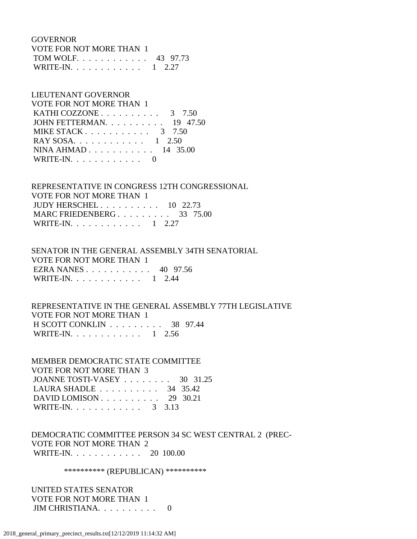GOVERNOR

| VOTE FOR NOT MORE THAN 1 |  |
|--------------------------|--|
| TOM WOLF 43 97.73        |  |
| WRITE-IN. 1 2.27         |  |

### LIEUTENANT GOVERNOR

| <b>VOTE FOR NOT MORE THAN 1</b>                       |  |
|-------------------------------------------------------|--|
| KATHI COZZONE $\ldots \ldots \ldots \ldots$ 3 7.50    |  |
| JOHN FETTERMAN. $\ldots$ 19 47.50                     |  |
| MIKE STACK $\ldots$ $\ldots$ $\ldots$ $\ldots$ 3 7.50 |  |
| RAY SOSA. 1 2.50                                      |  |
| NINA AHMAD 14 35.00                                   |  |
| WRITE-IN. $\ldots$ 0                                  |  |

## REPRESENTATIVE IN CONGRESS 12TH CONGRESSIONAL

 VOTE FOR NOT MORE THAN 1 JUDY HERSCHEL . . . . . . . . . . 10 22.73 MARC FRIEDENBERG . . . . . . . . . 33 75.00 WRITE-IN. . . . . . . . . . . . 1 2.27

### SENATOR IN THE GENERAL ASSEMBLY 34TH SENATORIAL VOTE FOR NOT MORE THAN 1 EZRA NANES . . . . . . . . . . . 40 97.56 WRITE-IN. . . . . . . . . . . . 1 2.44

## REPRESENTATIVE IN THE GENERAL ASSEMBLY 77TH LEGISLATIVE VOTE FOR NOT MORE THAN 1 H SCOTT CONKLIN . . . . . . . . . 38 97.44 WRITE-IN. . . . . . . . . . . . 1 2.56

 MEMBER DEMOCRATIC STATE COMMITTEE VOTE FOR NOT MORE THAN 3 JOANNE TOSTI-VASEY . . . . . . . . 30 31.25 LAURA SHADLE . . . . . . . . . . 34 35.42 DAVID LOMISON . . . . . . . . . . 29 30.21 WRITE-IN. . . . . . . . . . . . . 3 3.13

 DEMOCRATIC COMMITTEE PERSON 34 SC WEST CENTRAL 2 (PREC- VOTE FOR NOT MORE THAN 2 WRITE-IN. . . . . . . . . . . . 20 100.00

\*\*\*\*\*\*\*\*\*\*\* (REPUBLICAN) \*\*\*\*\*\*\*\*\*\*\*

 UNITED STATES SENATOR VOTE FOR NOT MORE THAN 1 JIM CHRISTIANA. . . . . . . . . . 0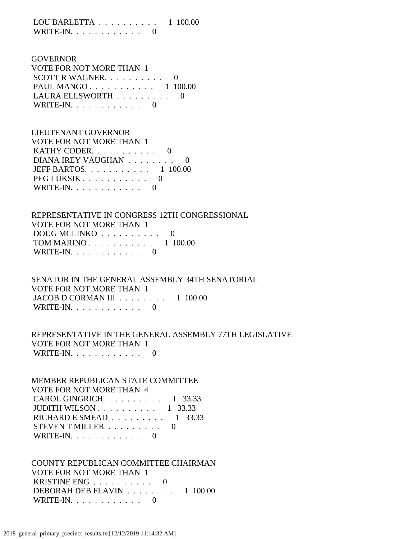LOU BARLETTA . . . . . . . . . . 1 100.00 WRITE-IN. . . . . . . . . . . . 0

| <b>GOVERNOR</b>                        |  |
|----------------------------------------|--|
| <b>VOTE FOR NOT MORE THAN 1</b>        |  |
| SCOTT R WAGNER. $\ldots$ 0             |  |
| PAUL MANGO 1 100.00                    |  |
| LAURA ELLSWORTH $\ldots \ldots \ldots$ |  |
| WRITE-IN. $\ldots$ 0                   |  |

| LIEUTENANT GOVERNOR            |  |
|--------------------------------|--|
| VOTE FOR NOT MORE THAN 1       |  |
| KATHY CODER. $\ldots$ 0        |  |
| DIANA IREY VAUGHAN             |  |
| JEFF BARTOS. $\ldots$ 1 100.00 |  |
| PEG LUKSIK                     |  |
| WRITE-IN. $\ldots$ 0           |  |

 REPRESENTATIVE IN CONGRESS 12TH CONGRESSIONAL VOTE FOR NOT MORE THAN 1 DOUG MCLINKO . . . . . . . . . . 0 TOM MARINO . . . . . . . . . . . 1 100.00 WRITE-IN. . . . . . . . . . . . 0

 SENATOR IN THE GENERAL ASSEMBLY 34TH SENATORIAL VOTE FOR NOT MORE THAN 1 JACOB D CORMAN III . . . . . . . . 1 100.00 WRITE-IN.  $\ldots$  . . . . . . . . . 0

 REPRESENTATIVE IN THE GENERAL ASSEMBLY 77TH LEGISLATIVE VOTE FOR NOT MORE THAN 1 WRITE-IN. . . . . . . . . . . . 0

 MEMBER REPUBLICAN STATE COMMITTEE VOTE FOR NOT MORE THAN 4 CAROL GINGRICH. . . . . . . . . . 1 33.33 JUDITH WILSON . . . . . . . . . . 1 33.33 RICHARD E SMEAD . . . . . . . . . 1 33.33 STEVEN T MILLER . . . . . . . . . 0 WRITE-IN.  $\ldots$  . . . . . . . . . 0

 COUNTY REPUBLICAN COMMITTEE CHAIRMAN VOTE FOR NOT MORE THAN 1 KRISTINE ENG . . . . . . . . . . 0 DEBORAH DEB FLAVIN . . . . . . . . 1 100.00 WRITE-IN. . . . . . . . . . . . 0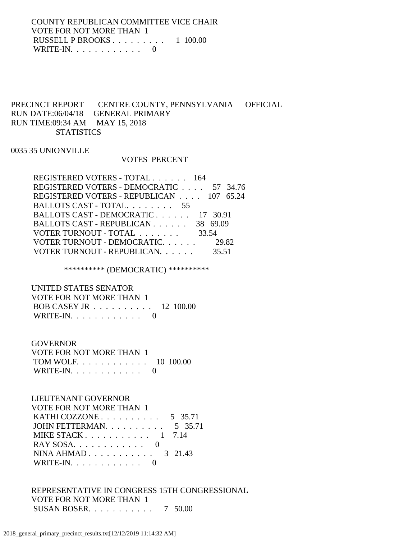COUNTY REPUBLICAN COMMITTEE VICE CHAIR VOTE FOR NOT MORE THAN 1 RUSSELL P BROOKS . . . . . . . . . 1 100.00 WRITE-IN.  $\ldots$  . . . . . . . . . 0

### PRECINCT REPORT CENTRE COUNTY, PENNSYLVANIA OFFICIAL RUN DATE:06/04/18 GENERAL PRIMARY RUN TIME:09:34 AM MAY 15, 2018 **STATISTICS**

### 0035 35 UNIONVILLE

#### VOTES PERCENT

| REGISTERED VOTERS - TOTAL 164            |       |
|------------------------------------------|-------|
| REGISTERED VOTERS - DEMOCRATIC 57 34.76  |       |
| REGISTERED VOTERS - REPUBLICAN 107 65.24 |       |
| BALLOTS CAST - TOTAL. 55                 |       |
| BALLOTS CAST - DEMOCRATIC 17 30.91       |       |
| BALLOTS CAST - REPUBLICAN 38 69.09       |       |
| VOTER TURNOUT - TOTAL                    | 33.54 |
| VOTER TURNOUT - DEMOCRATIC.              | 29.82 |
| VOTER TURNOUT - REPUBLICAN.              | 35.51 |
|                                          |       |

\*\*\*\*\*\*\*\*\*\* (DEMOCRATIC) \*\*\*\*\*\*\*\*\*\*

 UNITED STATES SENATOR VOTE FOR NOT MORE THAN 1 BOB CASEY JR . . . . . . . . . . 12 100.00 WRITE-IN.  $\ldots$  . . . . . . . . . 0

#### GOVERNOR

| VOTE FOR NOT MORE THAN 1 |  |
|--------------------------|--|
| TOM WOLF. 10 100.00      |  |
| WRITE-IN. $\ldots$ 0     |  |

## LIEUTENANT GOVERNOR

| VOTE FOR NOT MORE THAN 1                            |  |
|-----------------------------------------------------|--|
| KATHI COZZONE $\ldots \ldots \ldots \ldots 5$ 35.71 |  |
| JOHN FETTERMAN. $\ldots$ 5 35.71                    |  |
| MIKE STACK $1 \quad 7.14$                           |  |
|                                                     |  |
| NINA AHMAD $3\quad 21.43$                           |  |
| WRITE-IN. $\ldots$ 0                                |  |

 REPRESENTATIVE IN CONGRESS 15TH CONGRESSIONAL VOTE FOR NOT MORE THAN 1 SUSAN BOSER. . . . . . . . . . . 7 50.00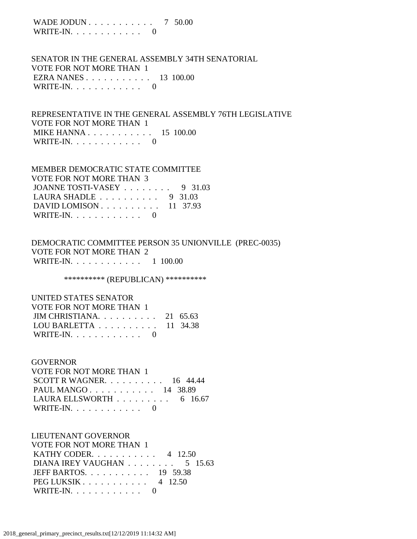WADE JODUN . . . . . . . . . . . 7 50.00 WRITE-IN.  $\ldots$  . . . . . . . . 0

 SENATOR IN THE GENERAL ASSEMBLY 34TH SENATORIAL VOTE FOR NOT MORE THAN 1 EZRA NANES . . . . . . . . . . . 13 100.00 WRITE-IN. . . . . . . . . . . . 0

 REPRESENTATIVE IN THE GENERAL ASSEMBLY 76TH LEGISLATIVE VOTE FOR NOT MORE THAN 1 MIKE HANNA . . . . . . . . . . . . 15 100.00 WRITE-IN.  $\ldots$  . . . . . . . . 0

 MEMBER DEMOCRATIC STATE COMMITTEE VOTE FOR NOT MORE THAN 3 JOANNE TOSTI-VASEY . . . . . . . . 9 31.03 LAURA SHADLE . . . . . . . . . . 9 31.03 DAVID LOMISON . . . . . . . . . . 11 37.93 WRITE-IN.  $\ldots$  . . . . . . . . 0

 DEMOCRATIC COMMITTEE PERSON 35 UNIONVILLE (PREC-0035) VOTE FOR NOT MORE THAN 2 WRITE-IN. . . . . . . . . . . . 1 100.00

\*\*\*\*\*\*\*\*\*\*\* (REPUBLICAN) \*\*\*\*\*\*\*\*\*\*\*

 UNITED STATES SENATOR VOTE FOR NOT MORE THAN 1 JIM CHRISTIANA. . . . . . . . . . 21 65.63 LOU BARLETTA . . . . . . . . . . 11 34.38 WRITE-IN. . . . . . . . . . . . 0

#### GOVERNOR

 VOTE FOR NOT MORE THAN 1 SCOTT R WAGNER. . . . . . . . . . 16 44.44 PAUL MANGO . . . . . . . . . . . 14 38.89 LAURA ELLSWORTH . . . . . . . . . 6 16.67 WRITE-IN.  $\ldots$  . . . . . . . . . 0

### LIEUTENANT GOVERNOR

 VOTE FOR NOT MORE THAN 1 KATHY CODER. . . . . . . . . . . 4 12.50 DIANA IREY VAUGHAN . . . . . . . . . 5 15.63 JEFF BARTOS. . . . . . . . . . . 19 59.38 PEG LUKSIK . . . . . . . . . . . 4 12.50 WRITE-IN.  $\ldots$  . . . . . . . . 0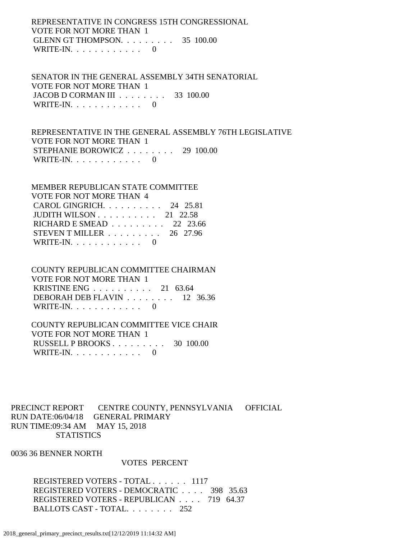REPRESENTATIVE IN CONGRESS 15TH CONGRESSIONAL VOTE FOR NOT MORE THAN 1 GLENN GT THOMPSON. . . . . . . . . 35 100.00 WRITE-IN.  $\ldots$  . . . . . . . . 0

 SENATOR IN THE GENERAL ASSEMBLY 34TH SENATORIAL VOTE FOR NOT MORE THAN 1 JACOB D CORMAN III . . . . . . . . 33 100.00 WRITE-IN.  $\ldots$  . . . . . . . . . 0

 REPRESENTATIVE IN THE GENERAL ASSEMBLY 76TH LEGISLATIVE VOTE FOR NOT MORE THAN 1 STEPHANIE BOROWICZ . . . . . . . . 29 100.00 WRITE-IN.  $\ldots$  . . . . . . . . 0

 MEMBER REPUBLICAN STATE COMMITTEE VOTE FOR NOT MORE THAN 4 CAROL GINGRICH. . . . . . . . . . 24 25.81 JUDITH WILSON . . . . . . . . . . 21 22.58 RICHARD E SMEAD . . . . . . . . . 22 23.66 STEVEN T MILLER . . . . . . . . . 26 27.96 WRITE-IN.  $\ldots$  . . . . . . . . 0

 COUNTY REPUBLICAN COMMITTEE CHAIRMAN VOTE FOR NOT MORE THAN 1 KRISTINE ENG . . . . . . . . . . 21 63.64 DEBORAH DEB FLAVIN . . . . . . . . 12 36.36 WRITE-IN.  $\ldots$  . . . . . . . . . 0

 COUNTY REPUBLICAN COMMITTEE VICE CHAIR VOTE FOR NOT MORE THAN 1 RUSSELL P BROOKS . . . . . . . . . 30 100.00 WRITE-IN. . . . . . . . . . . . 0

PRECINCT REPORT CENTRE COUNTY, PENNSYLVANIA OFFICIAL RUN DATE:06/04/18 GENERAL PRIMARY RUN TIME:09:34 AM MAY 15, 2018 **STATISTICS** 

0036 36 BENNER NORTH

#### VOTES PERCENT

 REGISTERED VOTERS - TOTAL . . . . . . 1117 REGISTERED VOTERS - DEMOCRATIC . . . . 398 35.63 REGISTERED VOTERS - REPUBLICAN . . . . 719 64.37 BALLOTS CAST - TOTAL. . . . . . . . 252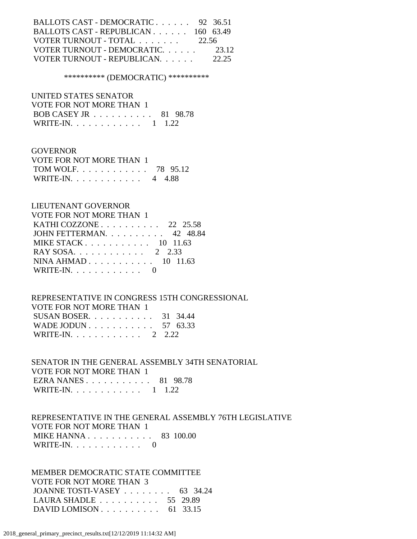| BALLOTS CAST - DEMOCRATIC 92 36.51  |       |
|-------------------------------------|-------|
| BALLOTS CAST - REPUBLICAN 160 63.49 |       |
| VOTER TURNOUT - TOTAL 22.56         |       |
| VOTER TURNOUT - DEMOCRATIC          | 23.12 |
| VOTER TURNOUT - REPUBLICAN.         | 22.25 |

### \*\*\*\*\*\*\*\*\*\* (DEMOCRATIC) \*\*\*\*\*\*\*\*\*\*

 UNITED STATES SENATOR VOTE FOR NOT MORE THAN 1

| BOB CASEY JR 81 98.78 |                |
|-----------------------|----------------|
| WRITE-IN. $\ldots$    | $1 \quad 1.22$ |

### GOVERNOR

| VOTE FOR NOT MORE THAN 1  |  |
|---------------------------|--|
| TOM WOLF 78 95.12         |  |
| WRITE-IN. $\ldots$ 4 4.88 |  |

### LIEUTENANT GOVERNOR

| VOTE FOR NOT MORE THAN 1                                |
|---------------------------------------------------------|
| KATHI COZZONE $\ldots$ $\ldots$ $\ldots$ 22 25.58       |
| JOHN FETTERMAN 42 48.84                                 |
| MIKE STACK $\ldots$ $\ldots$ $\ldots$ $\ldots$ 10 11.63 |
| RAY SOSA. 2 2.33                                        |
| NINA AHMAD 10 11.63                                     |
| WRITE-IN. $\ldots$ 0                                    |
|                                                         |

### REPRESENTATIVE IN CONGRESS 15TH CONGRESSIONAL

| VOTE FOR NOT MORE THAN 1       |  |
|--------------------------------|--|
| SUSAN BOSER. $\ldots$ 31 34.44 |  |
| WADE JODUN 57 63.33            |  |
| WRITE-IN. 2 2.22               |  |

## SENATOR IN THE GENERAL ASSEMBLY 34TH SENATORIAL VOTE FOR NOT MORE THAN 1 EZRA NANES . . . . . . . . . . . 81 98.78

WRITE-IN. . . . . . . . . . . . 1 1.22

### REPRESENTATIVE IN THE GENERAL ASSEMBLY 76TH LEGISLATIVE VOTE FOR NOT MORE THAN 1 MIKE HANNA . . . . . . . . . . . 83 100.00 WRITE-IN. . . . . . . . . . . . 0

### MEMBER DEMOCRATIC STATE COMMITTEE VOTE FOR NOT MORE THAN 3 JOANNE TOSTI-VASEY . . . . . . . . 63 34.24 LAURA SHADLE . . . . . . . . . . 55 29.89 DAVID LOMISON . . . . . . . . . . 61 33.15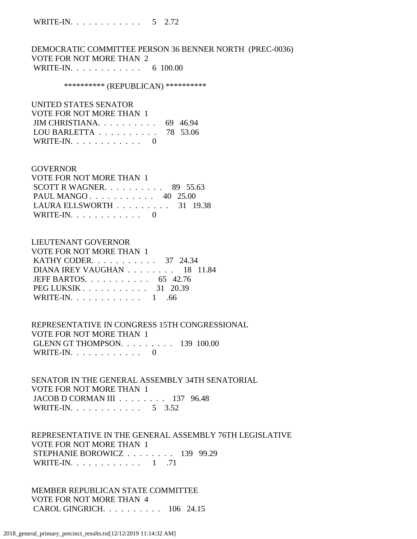DEMOCRATIC COMMITTEE PERSON 36 BENNER NORTH (PREC-0036) VOTE FOR NOT MORE THAN 2 WRITE-IN. . . . . . . . . . . . . 6 100.00

#### \*\*\*\*\*\*\*\*\*\*\* (REPUBLICAN) \*\*\*\*\*\*\*\*\*\*\*

| UNITED STATES SENATOR                               |  |
|-----------------------------------------------------|--|
| VOTE FOR NOT MORE THAN 1                            |  |
| JIM CHRISTIANA. $\ldots$ 69 46.94                   |  |
| LOU BARLETTA $\ldots \ldots \ldots \ldots$ 78 53.06 |  |
| WRITE-IN. $\ldots$ 0                                |  |

#### **GOVERNOR**

| VOTE FOR NOT MORE THAN 1                        |  |  |
|-------------------------------------------------|--|--|
| SCOTT R WAGNER. $\ldots$ 89 55.63               |  |  |
| PAUL MANGO 40 25.00                             |  |  |
| LAURA ELLSWORTH $\ldots \ldots \ldots$ 31 19.38 |  |  |
| WRITE-IN. $\ldots$ 0                            |  |  |

#### LIEUTENANT GOVERNOR

| VOTE FOR NOT MORE THAN 1       |  |
|--------------------------------|--|
| KATHY CODER. 37 24.34          |  |
| DIANA IREY VAUGHAN 18 11.84    |  |
| JEFF BARTOS. $\ldots$ 65 42.76 |  |
| $PEG LUKSIK 31 20.39$          |  |
| WRITE-IN. 1 .66                |  |

 REPRESENTATIVE IN CONGRESS 15TH CONGRESSIONAL VOTE FOR NOT MORE THAN 1 GLENN GT THOMPSON. . . . . . . . . 139 100.00 WRITE-IN. . . . . . . . . . . . 0

 SENATOR IN THE GENERAL ASSEMBLY 34TH SENATORIAL VOTE FOR NOT MORE THAN 1 JACOB D CORMAN III . . . . . . . . 137 96.48 WRITE-IN. . . . . . . . . . . . . 5 3.52

### REPRESENTATIVE IN THE GENERAL ASSEMBLY 76TH LEGISLATIVE VOTE FOR NOT MORE THAN 1 STEPHANIE BOROWICZ . . . . . . . . 139 99.29 WRITE-IN. . . . . . . . . . . . . 1 .71

 MEMBER REPUBLICAN STATE COMMITTEE VOTE FOR NOT MORE THAN 4 CAROL GINGRICH. . . . . . . . . . 106 24.15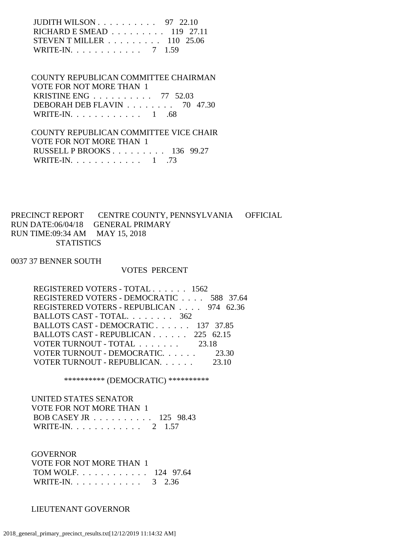| JUDITH WILSON $\ldots$ $\ldots$ $\ldots$ 97 22.10       |  |
|---------------------------------------------------------|--|
| RICHARD E SMEAD $\ldots \ldots \ldots \ldots$ 119 27.11 |  |
| STEVEN T MILLER $\ldots \ldots \ldots 110$ 25.06        |  |
| WRITE-IN. 7 1.59                                        |  |

### COUNTY REPUBLICAN COMMITTEE CHAIRMAN VOTE FOR NOT MORE THAN 1 KRISTINE ENG . . . . . . . . . . 77 52.03 DEBORAH DEB FLAVIN . . . . . . . . 70 47.30 WRITE-IN. . . . . . . . . . . . . 1 .68

 COUNTY REPUBLICAN COMMITTEE VICE CHAIR VOTE FOR NOT MORE THAN 1 RUSSELL P BROOKS . . . . . . . . . 136 99.27 WRITE-IN.  $\ldots$  . . . . . . . . . 1 .73

PRECINCT REPORT CENTRE COUNTY, PENNSYLVANIA OFFICIAL RUN DATE:06/04/18 GENERAL PRIMARY RUN TIME:09:34 AM MAY 15, 2018 **STATISTICS** 

#### 0037 37 BENNER SOUTH

#### VOTES PERCENT

| REGISTERED VOTERS - TOTAL 1562           |       |
|------------------------------------------|-------|
| REGISTERED VOTERS - DEMOCRATIC 588 37.64 |       |
| REGISTERED VOTERS - REPUBLICAN 974 62.36 |       |
| BALLOTS CAST - TOTAL. 362                |       |
| BALLOTS CAST - DEMOCRATIC 137 37.85      |       |
| BALLOTS CAST - REPUBLICAN 225 62.15      |       |
| VOTER TURNOUT - TOTAL 23.18              |       |
| VOTER TURNOUT - DEMOCRATIC 23.30         |       |
| VOTER TURNOUT - REPUBLICAN.              | 23.10 |

\*\*\*\*\*\*\*\*\*\* (DEMOCRATIC) \*\*\*\*\*\*\*\*\*\*

 UNITED STATES SENATOR VOTE FOR NOT MORE THAN 1 BOB CASEY JR . . . . . . . . . . 125 98.43 WRITE-IN. . . . . . . . . . . . 2 1.57

 GOVERNOR VOTE FOR NOT MORE THAN 1 TOM WOLF. . . . . . . . . . . . 124 97.64 WRITE-IN. . . . . . . . . . . . . 3 2.36

### LIEUTENANT GOVERNOR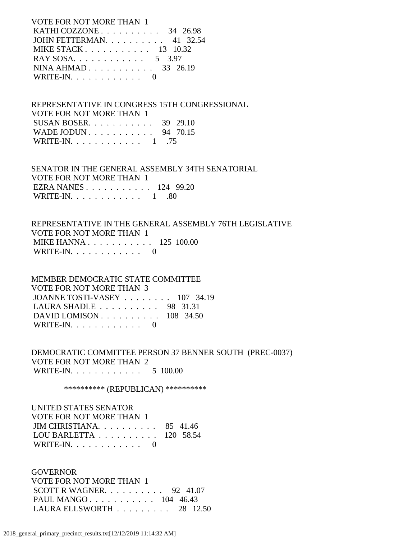VOTE FOR NOT MORE THAN 1 KATHI COZZONE . . . . . . . . . . 34 26.98 JOHN FETTERMAN. . . . . . . . . . 41 32.54 MIKE STACK . . . . . . . . . . . 13 10.32 RAY SOSA. . . . . . . . . . . . . 5 3.97 NINA AHMAD . . . . . . . . . . . 33 26.19 WRITE-IN.  $\ldots$  . . . . . . . . 0

 REPRESENTATIVE IN CONGRESS 15TH CONGRESSIONAL VOTE FOR NOT MORE THAN 1 SUSAN BOSER. . . . . . . . . . . 39 29.10 WADE JODUN . . . . . . . . . . . 94 70.15 WRITE-IN. . . . . . . . . . . . 1 .75

 SENATOR IN THE GENERAL ASSEMBLY 34TH SENATORIAL VOTE FOR NOT MORE THAN 1 EZRA NANES . . . . . . . . . . . 124 99.20 WRITE-IN. . . . . . . . . . . . . 1 .80

 REPRESENTATIVE IN THE GENERAL ASSEMBLY 76TH LEGISLATIVE VOTE FOR NOT MORE THAN 1 MIKE HANNA . . . . . . . . . . . 125 100.00 WRITE-IN. . . . . . . . . . . . 0

 MEMBER DEMOCRATIC STATE COMMITTEE VOTE FOR NOT MORE THAN 3 JOANNE TOSTI-VASEY . . . . . . . . 107 34.19 LAURA SHADLE . . . . . . . . . . 98 31.31 DAVID LOMISON . . . . . . . . . . 108 34.50 WRITE-IN.  $\ldots$  . . . . . . . . 0

 DEMOCRATIC COMMITTEE PERSON 37 BENNER SOUTH (PREC-0037) VOTE FOR NOT MORE THAN 2 WRITE-IN. . . . . . . . . . . . 5 100.00

\*\*\*\*\*\*\*\*\*\*\* (REPUBLICAN) \*\*\*\*\*\*\*\*\*\*\*

 UNITED STATES SENATOR VOTE FOR NOT MORE THAN 1 JIM CHRISTIANA. . . . . . . . . . 85 41.46 LOU BARLETTA . . . . . . . . . . 120 58.54 WRITE-IN. . . . . . . . . . . . 0

**GOVERNOR**  VOTE FOR NOT MORE THAN 1 SCOTT R WAGNER.  $\ldots$  . . . . . . 92 41.07 PAUL MANGO . . . . . . . . . . . 104 46.43 LAURA ELLSWORTH . . . . . . . . . 28 12.50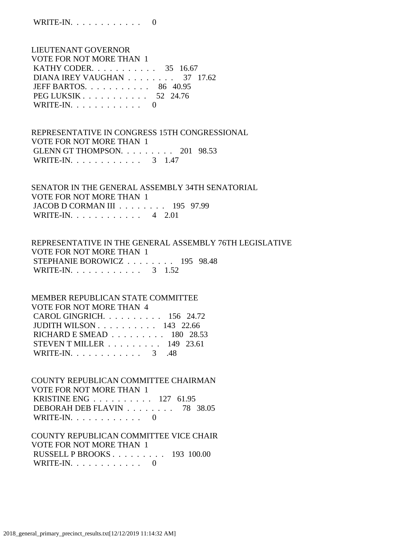LIEUTENANT GOVERNOR VOTE FOR NOT MORE THAN 1 KATHY CODER. . . . . . . . . . . 35 16.67 DIANA IREY VAUGHAN . . . . . . . . 37 17.62 JEFF BARTOS. . . . . . . . . . . 86 40.95 PEG LUKSIK . . . . . . . . . . . . 52 24.76 WRITE-IN. . . . . . . . . . . . 0

 REPRESENTATIVE IN CONGRESS 15TH CONGRESSIONAL VOTE FOR NOT MORE THAN 1 GLENN GT THOMPSON. . . . . . . . . 201 98.53 WRITE-IN. . . . . . . . . . . . . 3 1.47

 SENATOR IN THE GENERAL ASSEMBLY 34TH SENATORIAL VOTE FOR NOT MORE THAN 1 JACOB D CORMAN III . . . . . . . . 195 97.99 WRITE-IN. . . . . . . . . . . . 4 2.01

 REPRESENTATIVE IN THE GENERAL ASSEMBLY 76TH LEGISLATIVE VOTE FOR NOT MORE THAN 1 STEPHANIE BOROWICZ . . . . . . . . 195 98.48 WRITE-IN. . . . . . . . . . . . 3 1.52

## MEMBER REPUBLICAN STATE COMMITTEE VOTE FOR NOT MORE THAN 4 CAROL GINGRICH. . . . . . . . . . 156 24.72 JUDITH WILSON . . . . . . . . . . 143 22.66 RICHARD E SMEAD . . . . . . . . . 180 28.53 STEVEN T MILLER . . . . . . . . . 149 23.61 WRITE-IN. . . . . . . . . . . . . 3 .48

 COUNTY REPUBLICAN COMMITTEE CHAIRMAN VOTE FOR NOT MORE THAN 1 KRISTINE ENG . . . . . . . . . . 127 61.95 DEBORAH DEB FLAVIN . . . . . . . . 78 38.05 WRITE-IN. . . . . . . . . . . . 0

### COUNTY REPUBLICAN COMMITTEE VICE CHAIR VOTE FOR NOT MORE THAN 1 RUSSELL P BROOKS . . . . . . . . . 193 100.00 WRITE-IN. . . . . . . . . . . . 0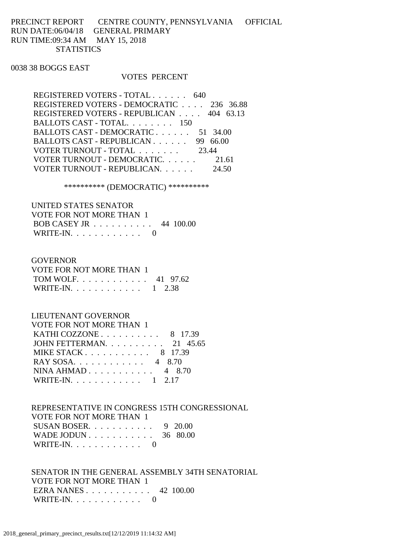## PRECINCT REPORT CENTRE COUNTY, PENNSYLVANIA OFFICIAL RUN DATE:06/04/18 GENERAL PRIMARY RUN TIME:09:34 AM MAY 15, 2018 **STATISTICS**

### 0038 38 BOGGS EAST

#### VOTES PERCENT

| REGISTERED VOTERS - TOTAL 640            |          |
|------------------------------------------|----------|
| REGISTERED VOTERS - DEMOCRATIC 236 36.88 |          |
| REGISTERED VOTERS - REPUBLICAN 404 63.13 |          |
| BALLOTS CAST - TOTAL. 150                |          |
| BALLOTS CAST - DEMOCRATIC                | 51 34.00 |
| BALLOTS CAST - REPUBLICAN                | 99 66.00 |
| VOTER TURNOUT - TOTAL                    | 23.44    |
| VOTER TURNOUT - DEMOCRATIC.              | 21.61    |
| VOTER TURNOUT - REPUBLICAN.              | 24.50    |
|                                          |          |

### \*\*\*\*\*\*\*\*\*\* (DEMOCRATIC) \*\*\*\*\*\*\*\*\*\*

| UNITED STATES SENATOR                                |  |
|------------------------------------------------------|--|
| VOTE FOR NOT MORE THAN 1                             |  |
| BOB CASEY JR $\ldots \ldots \ldots \ldots$ 44 100.00 |  |
| WRITE-IN. $\ldots$ 0                                 |  |

#### **GOVERNOR**

| VOTE FOR NOT MORE THAN 1 |  |
|--------------------------|--|
| TOM WOLF 41 97.62        |  |
| WRITE-IN. 1 2.38         |  |

## LIEUTENANT GOVERNOR

| <b>VOTE FOR NOT MORE THAN 1</b>                     |  |
|-----------------------------------------------------|--|
| KATHI COZZONE $\ldots \ldots \ldots \ldots$ 8 17.39 |  |
| JOHN FETTERMAN. 21 45.65                            |  |
| MIKE STACK 8 17.39                                  |  |
| RAY SOSA. 4 8.70                                    |  |
| NINA AHMAD 4 8.70                                   |  |
| WRITE-IN. 1 2.17                                    |  |
|                                                     |  |

### REPRESENTATIVE IN CONGRESS 15TH CONGRESSIONAL VOTE FOR NOT MORE THAN 1 SUSAN BOSER. . . . . . . . . . . 9 20.00 WADE JODUN . . . . . . . . . . . . 36 80.00 WRITE-IN. . . . . . . . . . . . 0

 SENATOR IN THE GENERAL ASSEMBLY 34TH SENATORIAL VOTE FOR NOT MORE THAN 1 EZRA NANES . . . . . . . . . . . 42 100.00 WRITE-IN. . . . . . . . . . . . 0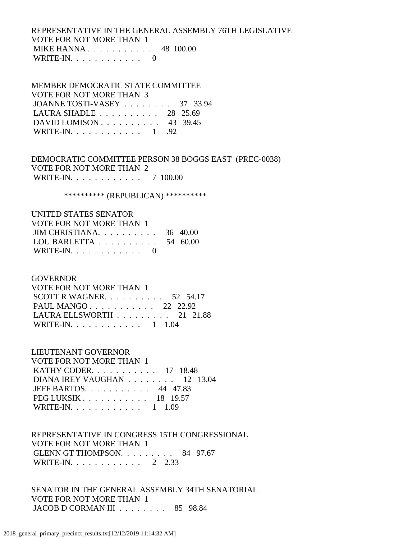## REPRESENTATIVE IN THE GENERAL ASSEMBLY 76TH LEGISLATIVE VOTE FOR NOT MORE THAN 1 MIKE HANNA . . . . . . . . . . . 48 100.00 WRITE-IN.  $\ldots$  . . . . . . . . . 0

### MEMBER DEMOCRATIC STATE COMMITTEE

| VOTE FOR NOT MORE THAN 3                            |  |
|-----------------------------------------------------|--|
| JOANNE TOSTI-VASEY 37 33.94                         |  |
| LAURA SHADLE $\ldots \ldots \ldots \ldots$ 28 25.69 |  |
| DAVID LOMISON $\ldots$ 43 39.45                     |  |
| WRITE-IN. $\ldots$ 1 .92                            |  |

 DEMOCRATIC COMMITTEE PERSON 38 BOGGS EAST (PREC-0038) VOTE FOR NOT MORE THAN 2 WRITE-IN. . . . . . . . . . . . 7 100.00

\*\*\*\*\*\*\*\*\*\* (REPUBLICAN) \*\*\*\*\*\*\*\*\*\*

#### UNITED STATES SENATOR VOTE FOR NOT MORE THAN 1

| VOTE FOR NOT MORE THAN T                            |  |
|-----------------------------------------------------|--|
| JIM CHRISTIANA. $\ldots$ 36 40.00                   |  |
| LOU BARLETTA $\ldots \ldots \ldots \ldots 54$ 60.00 |  |
| WRITE-IN. $\ldots$ 0                                |  |

### GOVERNOR

| VOTE FOR NOT MORE THAN 1          |  |  |
|-----------------------------------|--|--|
| SCOTT R WAGNER. $\ldots$ 52 54.17 |  |  |
| PAUL MANGO 22 22.92               |  |  |
| LAURA ELLSWORTH 21 21.88          |  |  |
| WRITE-IN. 1 1.04                  |  |  |

### LIEUTENANT GOVERNOR

| <b>VOTE FOR NOT MORE THAN 1</b>                    |
|----------------------------------------------------|
| KATHY CODER. 17 18.48                              |
| DIANA IREY VAUGHAN $\ldots \ldots \ldots 12$ 13.04 |
| JEFF BARTOS. 44 47.83                              |
| $PEG LUKSIK 18 19.57$                              |
| WRITE-IN. 1 1.09                                   |

### REPRESENTATIVE IN CONGRESS 15TH CONGRESSIONAL VOTE FOR NOT MORE THAN 1 GLENN GT THOMPSON. . . . . . . . . 84 97.67 WRITE-IN. . . . . . . . . . . . 2 2.33

 SENATOR IN THE GENERAL ASSEMBLY 34TH SENATORIAL VOTE FOR NOT MORE THAN 1 JACOB D CORMAN III . . . . . . . . 85 98.84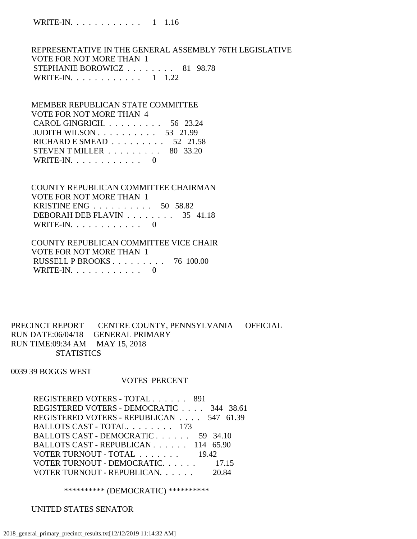REPRESENTATIVE IN THE GENERAL ASSEMBLY 76TH LEGISLATIVE VOTE FOR NOT MORE THAN 1 STEPHANIE BOROWICZ . . . . . . . . 81 98.78 WRITE-IN. . . . . . . . . . . . 1 1.22

 MEMBER REPUBLICAN STATE COMMITTEE VOTE FOR NOT MORE THAN 4 CAROL GINGRICH. . . . . . . . . . 56 23.24 JUDITH WILSON . . . . . . . . . . 53 21.99 RICHARD E SMEAD . . . . . . . . . 52 21.58 STEVEN T MILLER . . . . . . . . . 80 33.20 WRITE-IN.  $\ldots$  . . . . . . . . 0

 COUNTY REPUBLICAN COMMITTEE CHAIRMAN VOTE FOR NOT MORE THAN 1 KRISTINE ENG . . . . . . . . . . 50 58.82 DEBORAH DEB FLAVIN . . . . . . . . 35 41.18 WRITE-IN.  $\ldots$  . . . . . . . . . 0

 COUNTY REPUBLICAN COMMITTEE VICE CHAIR VOTE FOR NOT MORE THAN 1 RUSSELL P BROOKS . . . . . . . . . 76 100.00 WRITE-IN.  $\ldots$  . . . . . . . . 0

PRECINCT REPORT CENTRE COUNTY, PENNSYLVANIA OFFICIAL RUN DATE:06/04/18 GENERAL PRIMARY RUN TIME:09:34 AM MAY 15, 2018 **STATISTICS** 

0039 39 BOGGS WEST

#### VOTES PERCENT

REGISTERED VOTERS - TOTAL . . . . . . 891 REGISTERED VOTERS - DEMOCRATIC . . . . 344 38.61 REGISTERED VOTERS - REPUBLICAN . . . . 547 61.39 BALLOTS CAST - TOTAL. . . . . . . . 173 BALLOTS CAST - DEMOCRATIC . . . . . . 59 34.10 BALLOTS CAST - REPUBLICAN . . . . . . 114 65.90 VOTER TURNOUT - TOTAL . . . . . . . 19.42 VOTER TURNOUT - DEMOCRATIC. . . . . . 17.15 VOTER TURNOUT - REPUBLICAN. . . . . . 20.84

\*\*\*\*\*\*\*\*\*\* (DEMOCRATIC) \*\*\*\*\*\*\*\*\*\*

UNITED STATES SENATOR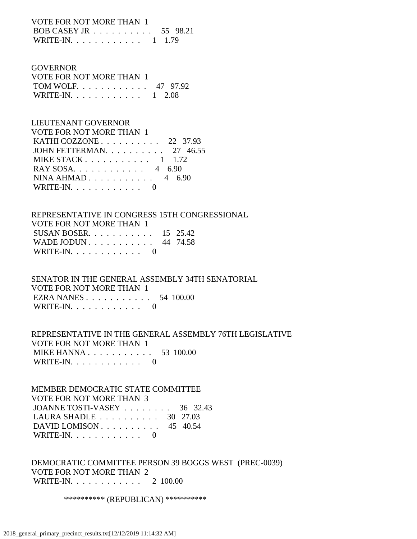VOTE FOR NOT MORE THAN 1 BOB CASEY JR . . . . . . . . . . 55 98.21

| WRITE-IN. $\ldots$ |  |  |  |  |  |  |  |  |  |  |  |  |  | $1 \quad 1.79$ |  |
|--------------------|--|--|--|--|--|--|--|--|--|--|--|--|--|----------------|--|
|--------------------|--|--|--|--|--|--|--|--|--|--|--|--|--|----------------|--|

#### **GOVERNOR**

| VOTE FOR NOT MORE THAN 1 |  |
|--------------------------|--|
| TOM WOLF 47 97.92        |  |
| WRITE-IN. 1 2.08         |  |

#### LIEUTENANT GOVERNOR

| <b>VOTE FOR NOT MORE THAN 1</b>                   |
|---------------------------------------------------|
| KATHI COZZONE $\ldots$ $\ldots$ $\ldots$ 22 37.93 |
| JOHN FETTERMAN. $\ldots$ 27 46.55                 |
| MIKE STACK $1 \quad 1.72$                         |
| RAY SOSA. $\ldots$ 4 6.90                         |
| NINA AHMAD 4 6.90                                 |
| WRITE-IN. $\ldots$ 0                              |

## REPRESENTATIVE IN CONGRESS 15TH CONGRESSIONAL VOTE FOR NOT MORE THAN 1 SUSAN BOSER. . . . . . . . . . . 15 25.42 WADE JODUN . . . . . . . . . . . 44 74.58 WRITE-IN. . . . . . . . . . . . 0

 SENATOR IN THE GENERAL ASSEMBLY 34TH SENATORIAL VOTE FOR NOT MORE THAN 1 EZRA NANES . . . . . . . . . . . 54 100.00 WRITE-IN.  $\ldots$  . . . . . . . . . 0

## REPRESENTATIVE IN THE GENERAL ASSEMBLY 76TH LEGISLATIVE VOTE FOR NOT MORE THAN 1 MIKE HANNA . . . . . . . . . . . . 53 100.00 WRITE-IN. . . . . . . . . . . . 0

 MEMBER DEMOCRATIC STATE COMMITTEE VOTE FOR NOT MORE THAN 3 JOANNE TOSTI-VASEY . . . . . . . . 36 32.43 LAURA SHADLE . . . . . . . . . . 30 27.03 DAVID LOMISON . . . . . . . . . . 45 40.54 WRITE-IN. . . . . . . . . . . . 0

### DEMOCRATIC COMMITTEE PERSON 39 BOGGS WEST (PREC-0039) VOTE FOR NOT MORE THAN 2 WRITE-IN. . . . . . . . . . . . 2 100.00

\*\*\*\*\*\*\*\*\*\* (REPUBLICAN) \*\*\*\*\*\*\*\*\*\*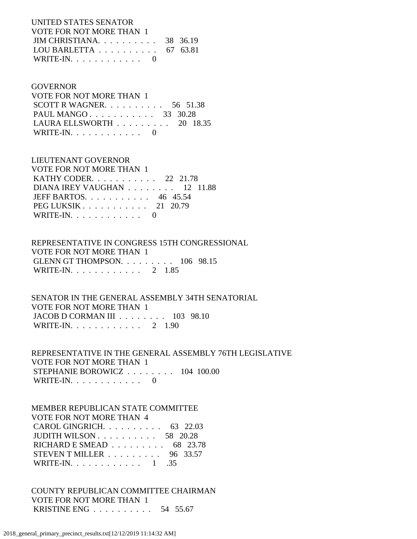UNITED STATES SENATOR VOTE FOR NOT MORE THAN 1 JIM CHRISTIANA. . . . . . . . . . 38 36.19 LOU BARLETTA . . . . . . . . . . 67 63.81 WRITE-IN.  $\ldots$  . . . . . . . . 0

#### GOVERNOR

 VOTE FOR NOT MORE THAN 1 SCOTT R WAGNER. . . . . . . . . . 56 51.38 PAUL MANGO . . . . . . . . . . . . 33 30.28 LAURA ELLSWORTH . . . . . . . . . 20 18.35 WRITE-IN. . . . . . . . . . . . 0

 LIEUTENANT GOVERNOR VOTE FOR NOT MORE THAN 1 KATHY CODER. . . . . . . . . . . 22 21.78 DIANA IREY VAUGHAN . . . . . . . . 12 11.88 JEFF BARTOS. . . . . . . . . . . 46 45.54 PEG LUKSIK . . . . . . . . . . . 21 20.79 WRITE-IN.  $\ldots$  . . . . . . . . 0

 REPRESENTATIVE IN CONGRESS 15TH CONGRESSIONAL VOTE FOR NOT MORE THAN 1 GLENN GT THOMPSON. . . . . . . . . 106 98.15 WRITE-IN. . . . . . . . . . . . 2 1.85

 SENATOR IN THE GENERAL ASSEMBLY 34TH SENATORIAL VOTE FOR NOT MORE THAN 1 JACOB D CORMAN III . . . . . . . . 103 98.10 WRITE-IN. . . . . . . . . . . . 2 1.90

 REPRESENTATIVE IN THE GENERAL ASSEMBLY 76TH LEGISLATIVE VOTE FOR NOT MORE THAN 1 STEPHANIE BOROWICZ . . . . . . . . 104 100.00 WRITE-IN. . . . . . . . . . . . 0

 MEMBER REPUBLICAN STATE COMMITTEE VOTE FOR NOT MORE THAN 4 CAROL GINGRICH. . . . . . . . . . 63 22.03 JUDITH WILSON . . . . . . . . . . 58 20.28 RICHARD E SMEAD . . . . . . . . . 68 23.78 STEVEN T MILLER . . . . . . . . . 96 33.57 WRITE-IN. . . . . . . . . . . . 1 .35

 COUNTY REPUBLICAN COMMITTEE CHAIRMAN VOTE FOR NOT MORE THAN 1 KRISTINE ENG . . . . . . . . . . 54 55.67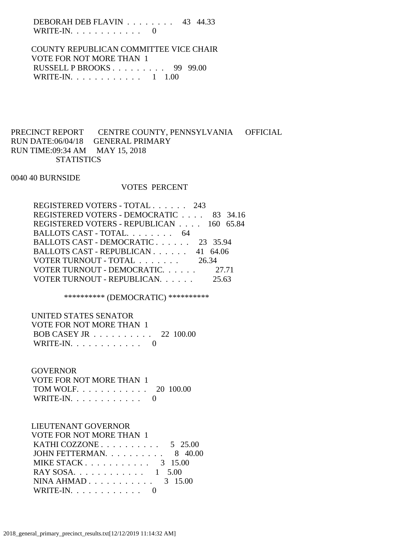DEBORAH DEB FLAVIN . . . . . . . . 43 44.33 WRITE-IN. . . . . . . . . . . . 0

 COUNTY REPUBLICAN COMMITTEE VICE CHAIR VOTE FOR NOT MORE THAN 1 RUSSELL P BROOKS . . . . . . . . . 99 99.00 WRITE-IN. . . . . . . . . . . . 1 1.00

## PRECINCT REPORT CENTRE COUNTY, PENNSYLVANIA OFFICIAL RUN DATE:06/04/18 GENERAL PRIMARY RUN TIME:09:34 AM MAY 15, 2018 **STATISTICS**

0040 40 BURNSIDE

### VOTES PERCENT

| REGISTERED VOTERS - TOTAL 243            |       |  |
|------------------------------------------|-------|--|
| REGISTERED VOTERS - DEMOCRATIC 83 34.16  |       |  |
| REGISTERED VOTERS - REPUBLICAN 160 65.84 |       |  |
| BALLOTS CAST - TOTAL. 64                 |       |  |
| BALLOTS CAST - DEMOCRATIC 23 35.94       |       |  |
| BALLOTS CAST - REPUBLICAN 41 64.06       |       |  |
| VOTER TURNOUT - TOTAL 26.34              |       |  |
| VOTER TURNOUT - DEMOCRATIC 27.71         |       |  |
| VOTER TURNOUT - REPUBLICAN.              | 25.63 |  |

\*\*\*\*\*\*\*\*\*\* (DEMOCRATIC) \*\*\*\*\*\*\*\*\*\*

UNITED STATES SENATOR

| VOTE FOR NOT MORE THAN 1                             |  |
|------------------------------------------------------|--|
| BOB CASEY JR $\ldots \ldots \ldots \ldots 22$ 100.00 |  |
| WRITE-IN. $\ldots$ 0                                 |  |

### **GOVERNOR**

| VOTE FOR NOT MORE THAN 1 |  |
|--------------------------|--|
| TOM WOLF. 20 100.00      |  |
| WRITE-IN. $\ldots$       |  |

# LIEUTENANT GOVERNOR

| VOTE FOR NOT MORE THAN 1                            |  |
|-----------------------------------------------------|--|
| KATHI COZZONE $\ldots \ldots \ldots \ldots 5$ 25.00 |  |
| JOHN FETTERMAN. $\ldots$ 8 40.00                    |  |
| MIKE STACK 3 15.00                                  |  |
| RAY SOSA. 1 5.00                                    |  |
| NINA AHMAD $3\quad 15.00$                           |  |
| WRITE-IN. $\ldots$ 0                                |  |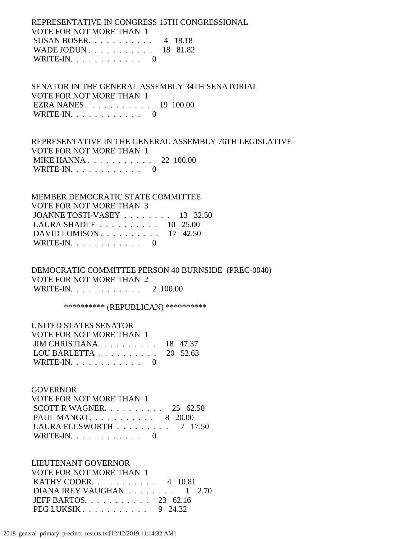REPRESENTATIVE IN CONGRESS 15TH CONGRESSIONAL VOTE FOR NOT MORE THAN 1 SUSAN BOSER. . . . . . . . . . . 4 18.18 WADE JODUN . . . . . . . . . . . 18 81.82 WRITE-IN.  $\ldots$  . . . . . . . . 0

 SENATOR IN THE GENERAL ASSEMBLY 34TH SENATORIAL VOTE FOR NOT MORE THAN 1 EZRA NANES . . . . . . . . . . . 19 100.00 WRITE-IN. . . . . . . . . . . . 0

 REPRESENTATIVE IN THE GENERAL ASSEMBLY 76TH LEGISLATIVE VOTE FOR NOT MORE THAN 1 MIKE HANNA . . . . . . . . . . . 22 100.00 WRITE-IN. . . . . . . . . . . . 0

 MEMBER DEMOCRATIC STATE COMMITTEE VOTE FOR NOT MORE THAN 3 JOANNE TOSTI-VASEY . . . . . . . . 13 32.50 LAURA SHADLE . . . . . . . . . . 10 25.00 DAVID LOMISON . . . . . . . . . . 17 42.50 WRITE-IN. . . . . . . . . . . . 0

 DEMOCRATIC COMMITTEE PERSON 40 BURNSIDE (PREC-0040) VOTE FOR NOT MORE THAN 2 WRITE-IN. . . . . . . . . . . . 2 100.00

\*\*\*\*\*\*\*\*\*\*\*\* (REPUBLICAN) \*\*\*\*\*\*\*\*\*\*\*

| UNITED STATES SENATOR                               |  |
|-----------------------------------------------------|--|
| VOTE FOR NOT MORE THAN 1                            |  |
| JIM CHRISTIANA. $\ldots$ 18 47.37                   |  |
| LOU BARLETTA $\ldots \ldots \ldots \ldots$ 20 52.63 |  |
| WRITE-IN. $\ldots$ 0                                |  |

#### GOVERNOR

| VOTE FOR NOT MORE THAN 1                       |  |  |
|------------------------------------------------|--|--|
| SCOTT R WAGNER. 25 62.50                       |  |  |
| PAUL MANGO 8 20.00                             |  |  |
| LAURA ELLSWORTH $\ldots \ldots \ldots$ 7 17.50 |  |  |
| WRITE-IN. $\ldots$ 0                           |  |  |

 LIEUTENANT GOVERNOR VOTE FOR NOT MORE THAN 1 KATHY CODER. . . . . . . . . . . 4 10.81 DIANA IREY VAUGHAN . . . . . . . . 1 2.70 JEFF BARTOS. . . . . . . . . . . 23 62.16 PEG LUKSIK . . . . . . . . . . . 9 24.32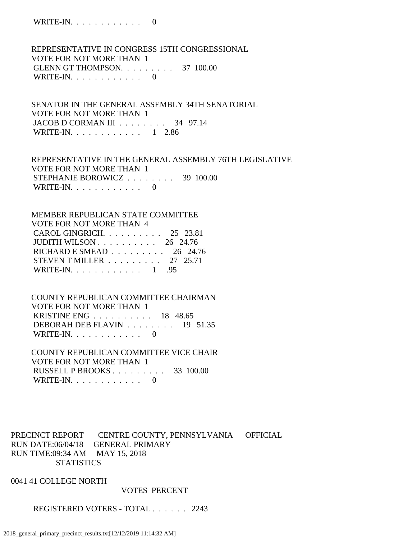WRITE-IN. . . . . . . . . . . . 0

 REPRESENTATIVE IN CONGRESS 15TH CONGRESSIONAL VOTE FOR NOT MORE THAN 1 GLENN GT THOMPSON. . . . . . . . . 37 100.00 WRITE-IN.  $\ldots$  . . . . . . . . 0

 SENATOR IN THE GENERAL ASSEMBLY 34TH SENATORIAL VOTE FOR NOT MORE THAN 1 JACOB D CORMAN III . . . . . . . . 34 97.14 WRITE-IN. . . . . . . . . . . . 1 2.86

 REPRESENTATIVE IN THE GENERAL ASSEMBLY 76TH LEGISLATIVE VOTE FOR NOT MORE THAN 1 STEPHANIE BOROWICZ . . . . . . . . 39 100.00 WRITE-IN.  $\ldots$  . . . . . . . . . 0

 MEMBER REPUBLICAN STATE COMMITTEE VOTE FOR NOT MORE THAN 4 CAROL GINGRICH. . . . . . . . . . 25 23.81 JUDITH WILSON . . . . . . . . . . 26 24.76 RICHARD E SMEAD . . . . . . . . . 26 24.76 STEVEN T MILLER . . . . . . . . . 27 25.71 WRITE-IN. . . . . . . . . . . . 1 .95

 COUNTY REPUBLICAN COMMITTEE CHAIRMAN VOTE FOR NOT MORE THAN 1 KRISTINE ENG . . . . . . . . . . 18 48.65 DEBORAH DEB FLAVIN . . . . . . . . 19 51.35 WRITE-IN. . . . . . . . . . . . 0

 COUNTY REPUBLICAN COMMITTEE VICE CHAIR VOTE FOR NOT MORE THAN 1 RUSSELL P BROOKS . . . . . . . . . 33 100.00 WRITE-IN. . . . . . . . . . . . 0

PRECINCT REPORT CENTRE COUNTY, PENNSYLVANIA OFFICIAL RUN DATE:06/04/18 GENERAL PRIMARY RUN TIME:09:34 AM MAY 15, 2018 **STATISTICS** 

0041 41 COLLEGE NORTH

VOTES PERCENT

REGISTERED VOTERS - TOTAL . . . . . . 2243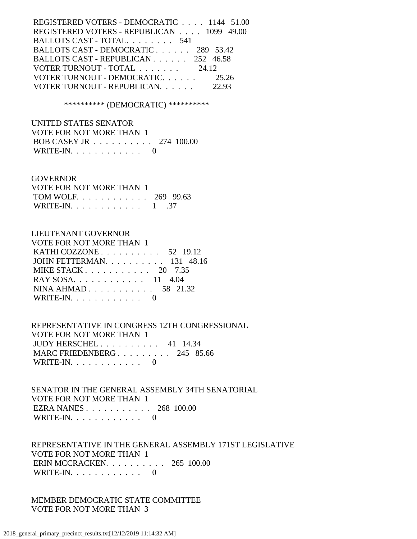| REGISTERED VOTERS - DEMOCRATIC 1144 51.00          |       |
|----------------------------------------------------|-------|
| REGISTERED VOTERS - REPUBLICAN 1099 49.00          |       |
| BALLOTS CAST - TOTAL. 541                          |       |
| BALLOTS CAST - DEMOCRATIC 289 53.42                |       |
| BALLOTS CAST - REPUBLICAN 252 46.58                |       |
| VOTER TURNOUT - TOTAL $\ldots \ldots \ldots$ 24.12 |       |
| VOTER TURNOUT - DEMOCRATIC.                        | 25.26 |
| VOTER TURNOUT - REPUBLICAN.                        | 22.93 |
|                                                    |       |

\*\*\*\*\*\*\*\*\*\* (DEMOCRATIC) \*\*\*\*\*\*\*\*\*\*

 UNITED STATES SENATOR VOTE FOR NOT MORE THAN 1 BOB CASEY JR . . . . . . . . . . 274 100.00 WRITE-IN. . . . . . . . . . . . 0

#### **GOVERNOR**

| VOTE FOR NOT MORE THAN 1  |  |
|---------------------------|--|
| TOM WOLF. 269 99.63       |  |
| WRITE-IN. $\ldots$ 1 . 37 |  |

#### LIEUTENANT GOVERNOR

| VOTE FOR NOT MORE THAN 1                          |  |
|---------------------------------------------------|--|
| KATHI COZZONE $\ldots$ $\ldots$ $\ldots$ 52 19.12 |  |
| JOHN FETTERMAN. 131 48.16                         |  |
| MIKE STACK $20$ 7.35                              |  |
| RAY SOSA 11 4.04                                  |  |
| NINA AHMAD 58 21.32                               |  |
| WRITE-IN. $\ldots$ 0                              |  |

 REPRESENTATIVE IN CONGRESS 12TH CONGRESSIONAL VOTE FOR NOT MORE THAN 1 JUDY HERSCHEL . . . . . . . . . . 41 14.34 MARC FRIEDENBERG . . . . . . . . . 245 85.66 WRITE-IN. . . . . . . . . . . . 0

 SENATOR IN THE GENERAL ASSEMBLY 34TH SENATORIAL VOTE FOR NOT MORE THAN 1 EZRA NANES . . . . . . . . . . . 268 100.00 WRITE-IN. . . . . . . . . . . . 0

 REPRESENTATIVE IN THE GENERAL ASSEMBLY 171ST LEGISLATIVE VOTE FOR NOT MORE THAN 1 ERIN MCCRACKEN. . . . . . . . . . 265 100.00 WRITE-IN.  $\ldots$  . . . . . . . . 0

 MEMBER DEMOCRATIC STATE COMMITTEE VOTE FOR NOT MORE THAN 3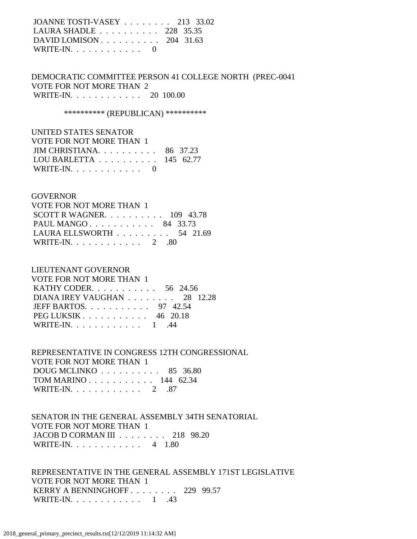| JOANNE TOSTI-VASEY 213 33.02     |  |
|----------------------------------|--|
| LAURA SHADLE 228 35.35           |  |
| DAVID LOMISON $\ldots$ 204 31.63 |  |
| WRITE-IN. $\ldots$ 0             |  |

 DEMOCRATIC COMMITTEE PERSON 41 COLLEGE NORTH (PREC-0041 VOTE FOR NOT MORE THAN 2 WRITE-IN. . . . . . . . . . . . 20 100.00

\*\*\*\*\*\*\*\*\*\*\* (REPUBLICAN) \*\*\*\*\*\*\*\*\*\*\*

| UNITED STATES SENATOR                         |  |
|-----------------------------------------------|--|
| VOTE FOR NOT MORE THAN 1                      |  |
| JIM CHRISTIANA. $\ldots$ 86 37.23             |  |
| LOU BARLETTA $\ldots \ldots \ldots 145$ 62.77 |  |
| WRITE-IN. $\ldots$ 0                          |  |

### GOVERNOR

| VOTE FOR NOT MORE THAN 1                        |  |
|-------------------------------------------------|--|
| SCOTT R WAGNER. $\ldots$ 109 43.78              |  |
| PAUL MANGO 84 33.73                             |  |
| LAURA ELLSWORTH $\ldots \ldots \ldots$ 54 21.69 |  |
| WRITE-IN. $\ldots$ 2 .80                        |  |

### LIEUTENANT GOVERNOR

| VOTE FOR NOT MORE THAN 1       |
|--------------------------------|
| KATHY CODER. 56 24.56          |
| DIANA IREY VAUGHAN 28 12.28    |
| JEFF BARTOS. $\ldots$ 97 42.54 |
| PEG LUKSIK $\ldots$ 46 20.18   |
| WRITE-IN. $\ldots$ 1 .44       |
|                                |

 REPRESENTATIVE IN CONGRESS 12TH CONGRESSIONAL VOTE FOR NOT MORE THAN 1 DOUG MCLINKO . . . . . . . . . . 85 36.80 TOM MARINO . . . . . . . . . . . 144 62.34 WRITE-IN. . . . . . . . . . . . . 2 .87

 SENATOR IN THE GENERAL ASSEMBLY 34TH SENATORIAL VOTE FOR NOT MORE THAN 1 JACOB D CORMAN III . . . . . . . . 218 98.20 WRITE-IN. . . . . . . . . . . . 4 1.80

 REPRESENTATIVE IN THE GENERAL ASSEMBLY 171ST LEGISLATIVE VOTE FOR NOT MORE THAN 1 KERRY A BENNINGHOFF . . . . . . . . 229 99.57 WRITE-IN. . . . . . . . . . . . 1 .43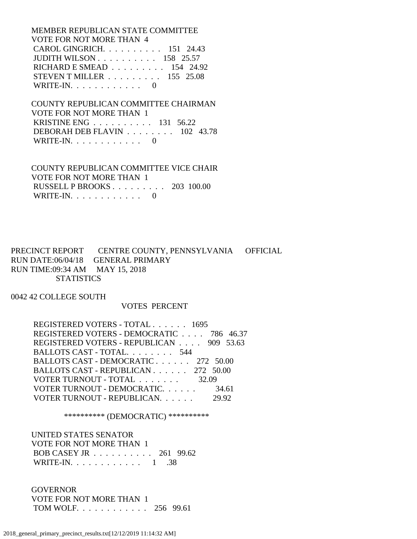MEMBER REPUBLICAN STATE COMMITTEE VOTE FOR NOT MORE THAN 4 CAROL GINGRICH. . . . . . . . . . 151 24.43 JUDITH WILSON . . . . . . . . . . 158 25.57 RICHARD E SMEAD . . . . . . . . . 154 24.92 STEVEN T MILLER . . . . . . . . . 155 25.08 WRITE-IN.  $\ldots$  . . . . . . . . . 0

 COUNTY REPUBLICAN COMMITTEE CHAIRMAN VOTE FOR NOT MORE THAN 1 KRISTINE ENG . . . . . . . . . . 131 56.22 DEBORAH DEB FLAVIN . . . . . . . . 102 43.78 WRITE-IN.  $\ldots$  . . . . . . . . . 0

 COUNTY REPUBLICAN COMMITTEE VICE CHAIR VOTE FOR NOT MORE THAN 1 RUSSELL P BROOKS . . . . . . . . . 203 100.00 WRITE-IN.  $\ldots$  . . . . . . . . 0

PRECINCT REPORT CENTRE COUNTY, PENNSYLVANIA OFFICIAL RUN DATE:06/04/18 GENERAL PRIMARY RUN TIME:09:34 AM MAY 15, 2018 **STATISTICS** 

0042 42 COLLEGE SOUTH

#### VOTES PERCENT

 REGISTERED VOTERS - TOTAL . . . . . . 1695 REGISTERED VOTERS - DEMOCRATIC . . . . 786 46.37 REGISTERED VOTERS - REPUBLICAN . . . . 909 53.63 BALLOTS CAST - TOTAL. . . . . . . . . 544 BALLOTS CAST - DEMOCRATIC . . . . . . 272 50.00 BALLOTS CAST - REPUBLICAN . . . . . . 272 50.00 VOTER TURNOUT - TOTAL . . . . . . . 32.09 VOTER TURNOUT - DEMOCRATIC. . . . . . 34.61 VOTER TURNOUT - REPUBLICAN. . . . . . 29.92

\*\*\*\*\*\*\*\*\*\* (DEMOCRATIC) \*\*\*\*\*\*\*\*\*\*

 UNITED STATES SENATOR VOTE FOR NOT MORE THAN 1 BOB CASEY JR . . . . . . . . . . 261 99.62 WRITE-IN. . . . . . . . . . . . 1 .38

 GOVERNOR VOTE FOR NOT MORE THAN 1 TOM WOLF. . . . . . . . . . . . 256 99.61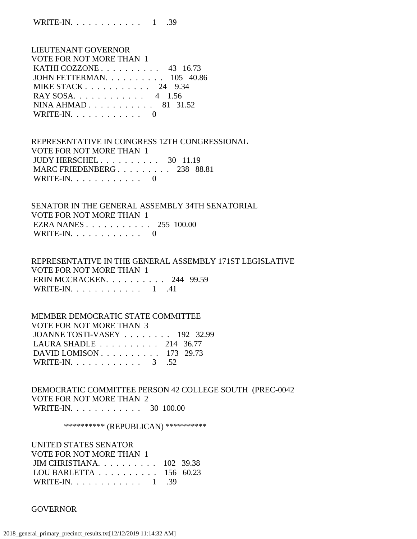WRITE-IN. . . . . . . . . . . . 1 .39

 LIEUTENANT GOVERNOR VOTE FOR NOT MORE THAN 1 KATHI COZZONE . . . . . . . . . . 43 16.73 JOHN FETTERMAN. . . . . . . . . . 105 40.86 MIKE STACK . . . . . . . . . . . 24 9.34 RAY SOSA. . . . . . . . . . . . 4 1.56 NINA AHMAD . . . . . . . . . . . 81 31.52 WRITE-IN. . . . . . . . . . . . 0

 REPRESENTATIVE IN CONGRESS 12TH CONGRESSIONAL VOTE FOR NOT MORE THAN 1 JUDY HERSCHEL . . . . . . . . . . 30 11.19 MARC FRIEDENBERG . . . . . . . . . 238 88.81 WRITE-IN.  $\ldots$  . . . . . . . . . 0

 SENATOR IN THE GENERAL ASSEMBLY 34TH SENATORIAL VOTE FOR NOT MORE THAN 1 EZRA NANES . . . . . . . . . . . 255 100.00 WRITE-IN.  $\ldots$  . . . . . . . . 0

 REPRESENTATIVE IN THE GENERAL ASSEMBLY 171ST LEGISLATIVE VOTE FOR NOT MORE THAN 1 ERIN MCCRACKEN. . . . . . . . . . 244 99.59 WRITE-IN.  $\ldots$  . . . . . . . . . 1 .41

 MEMBER DEMOCRATIC STATE COMMITTEE VOTE FOR NOT MORE THAN 3 JOANNE TOSTI-VASEY . . . . . . . . 192 32.99 LAURA SHADLE . . . . . . . . . . 214 36.77 DAVID LOMISON . . . . . . . . . . 173 29.73 WRITE-IN. . . . . . . . . . . . . 3 .52

 DEMOCRATIC COMMITTEE PERSON 42 COLLEGE SOUTH (PREC-0042 VOTE FOR NOT MORE THAN 2 WRITE-IN. . . . . . . . . . . . 30 100.00

\*\*\*\*\*\*\*\*\*\*\* (REPUBLICAN) \*\*\*\*\*\*\*\*\*\*\*

 UNITED STATES SENATOR VOTE FOR NOT MORE THAN 1 JIM CHRISTIANA. . . . . . . . . . 102 39.38 LOU BARLETTA . . . . . . . . . . 156 60.23 WRITE-IN. . . . . . . . . . . . 1 .39

GOVERNOR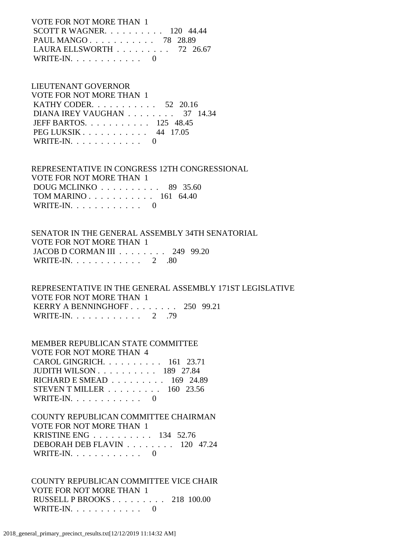VOTE FOR NOT MORE THAN 1 SCOTT R WAGNER. . . . . . . . . . 120 44.44 PAUL MANGO . . . . . . . . . . . 78 28.89 LAURA ELLSWORTH . . . . . . . . . 72 26.67 WRITE-IN.  $\ldots$  . . . . . . . . . 0

# LIEUTENANT GOVERNOR

| VOTE FOR NOT MORE THAN 1        |  |
|---------------------------------|--|
| KATHY CODER. $\ldots$ 52 20.16  |  |
| DIANA IREY VAUGHAN 37 14.34     |  |
| JEFF BARTOS. $\ldots$ 125 48.45 |  |
| PEG LUKSIK 44 17.05             |  |
| WRITE-IN. $\ldots$ 0            |  |

 REPRESENTATIVE IN CONGRESS 12TH CONGRESSIONAL VOTE FOR NOT MORE THAN 1 DOUG MCLINKO . . . . . . . . . . 89 35.60 TOM MARINO . . . . . . . . . . . 161 64.40 WRITE-IN. . . . . . . . . . . . 0

# SENATOR IN THE GENERAL ASSEMBLY 34TH SENATORIAL VOTE FOR NOT MORE THAN 1 JACOB D CORMAN III . . . . . . . . 249 99.20 WRITE-IN. . . . . . . . . . . . 2 .80

 REPRESENTATIVE IN THE GENERAL ASSEMBLY 171ST LEGISLATIVE VOTE FOR NOT MORE THAN 1 KERRY A BENNINGHOFF . . . . . . . . 250 99.21 WRITE-IN. . . . . . . . . . . . 2 .79

 MEMBER REPUBLICAN STATE COMMITTEE VOTE FOR NOT MORE THAN 4 CAROL GINGRICH. . . . . . . . . . 161 23.71 JUDITH WILSON . . . . . . . . . . 189 27.84 RICHARD E SMEAD . . . . . . . . . 169 24.89 STEVEN T MILLER . . . . . . . . . 160 23.56 WRITE-IN.  $\ldots$  . . . . . . . . 0

# COUNTY REPUBLICAN COMMITTEE CHAIRMAN VOTE FOR NOT MORE THAN 1 KRISTINE ENG . . . . . . . . . . 134 52.76 DEBORAH DEB FLAVIN . . . . . . . . 120 47.24

WRITE-IN.  $\ldots$  . . . . . . . . 0

 COUNTY REPUBLICAN COMMITTEE VICE CHAIR VOTE FOR NOT MORE THAN 1 RUSSELL P BROOKS . . . . . . . . . 218 100.00 WRITE-IN. . . . . . . . . . . . 0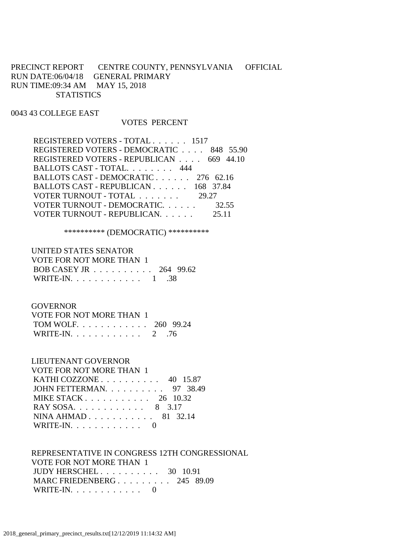PRECINCT REPORT CENTRE COUNTY, PENNSYLVANIA OFFICIAL RUN DATE:06/04/18 GENERAL PRIMARY RUN TIME:09:34 AM MAY 15, 2018 **STATISTICS** 

#### 0043 43 COLLEGE EAST

#### VOTES PERCENT

 REGISTERED VOTERS - TOTAL . . . . . . 1517 REGISTERED VOTERS - DEMOCRATIC . . . . 848 55.90 REGISTERED VOTERS - REPUBLICAN . . . . 669 44.10 BALLOTS CAST - TOTAL. . . . . . . . 444 BALLOTS CAST - DEMOCRATIC . . . . . . 276 62.16 BALLOTS CAST - REPUBLICAN . . . . . . 168 37.84 VOTER TURNOUT - TOTAL . . . . . . . 29.27 VOTER TURNOUT - DEMOCRATIC. . . . . . 32.55 VOTER TURNOUT - REPUBLICAN. . . . . . 25.11

\*\*\*\*\*\*\*\*\*\* (DEMOCRATIC) \*\*\*\*\*\*\*\*\*\*

 UNITED STATES SENATOR VOTE FOR NOT MORE THAN 1 BOB CASEY JR . . . . . . . . . . 264 99.62 WRITE-IN. . . . . . . . . . . . 1 .38

#### **GOVERNOR**

| VOTE FOR NOT MORE THAN 1 |  |
|--------------------------|--|
| TOM WOLF 260 99.24       |  |
| WRITE-IN. $\ldots$ 2 .76 |  |

LIEUTENANT GOVERNOR

#### VOTE FOR NOT MORE THAN 1

| KATHI COZZONE $\ldots$ $\ldots$ $\ldots$ 40 15.87       |  |
|---------------------------------------------------------|--|
| JOHN FETTERMAN. 97 38.49                                |  |
| MIKE STACK $\ldots$ $\ldots$ $\ldots$ $\ldots$ 26 10.32 |  |
| RAY SOSA. 8 3.17                                        |  |
| NINA AHMAD 81 32.14                                     |  |
| WRITE-IN. $\ldots$ 0                                    |  |
|                                                         |  |

 REPRESENTATIVE IN CONGRESS 12TH CONGRESSIONAL VOTE FOR NOT MORE THAN 1 JUDY HERSCHEL . . . . . . . . . . 30 10.91 MARC FRIEDENBERG . . . . . . . . . 245 89.09 WRITE-IN. . . . . . . . . . . . 0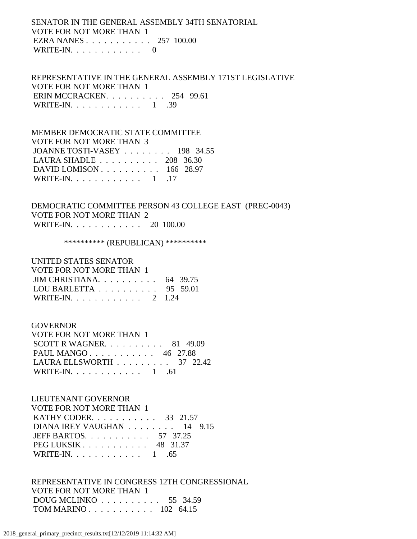# SENATOR IN THE GENERAL ASSEMBLY 34TH SENATORIAL VOTE FOR NOT MORE THAN 1 EZRA NANES . . . . . . . . . . . 257 100.00 WRITE-IN.  $\ldots$  . . . . . . . . 0

 REPRESENTATIVE IN THE GENERAL ASSEMBLY 171ST LEGISLATIVE VOTE FOR NOT MORE THAN 1 ERIN MCCRACKEN. . . . . . . . . . 254 99.61 WRITE-IN. . . . . . . . . . . . . 1 .39

 MEMBER DEMOCRATIC STATE COMMITTEE VOTE FOR NOT MORE THAN 3 JOANNE TOSTI-VASEY . . . . . . . . 198 34.55 LAURA SHADLE . . . . . . . . . . 208 36.30 DAVID LOMISON . . . . . . . . . . 166 28.97 WRITE-IN. . . . . . . . . . . . . 1 .17

 DEMOCRATIC COMMITTEE PERSON 43 COLLEGE EAST (PREC-0043) VOTE FOR NOT MORE THAN 2 WRITE-IN. . . . . . . . . . . . 20 100.00

\*\*\*\*\*\*\*\*\*\*\* (REPUBLICAN) \*\*\*\*\*\*\*\*\*\*\*

## UNITED STATES SENATOR

| VOTE FOR NOT MORE THAN 1                            |  |
|-----------------------------------------------------|--|
| JIM CHRISTIANA. $\ldots$ 64 39.75                   |  |
| LOU BARLETTA $\ldots \ldots \ldots \ldots$ 95 59.01 |  |
| WRITE-IN. 2 1.24                                    |  |

#### GOVERNOR

| VOTE FOR NOT MORE THAN 1          |  |  |
|-----------------------------------|--|--|
| SCOTT R WAGNER. $\ldots$ 81 49.09 |  |  |
| PAUL MANGO 46 27.88               |  |  |
| LAURA ELLSWORTH 37 22.42          |  |  |
| WRITE-IN. $\ldots$ 1 .61          |  |  |

#### LIEUTENANT GOVERNOR

| VOTE FOR NOT MORE THAN 1   |  |
|----------------------------|--|
| KATHY CODER. 33 21.57      |  |
| DIANA IREY VAUGHAN 14 9.15 |  |
| JEFF BARTOS. 57 37.25      |  |
| PEG LUKSIK 48 31.37        |  |
| WRITE-IN. 1 .65            |  |

 REPRESENTATIVE IN CONGRESS 12TH CONGRESSIONAL VOTE FOR NOT MORE THAN 1 DOUG MCLINKO . . . . . . . . . . 55 34.59 TOM MARINO . . . . . . . . . . . 102 64.15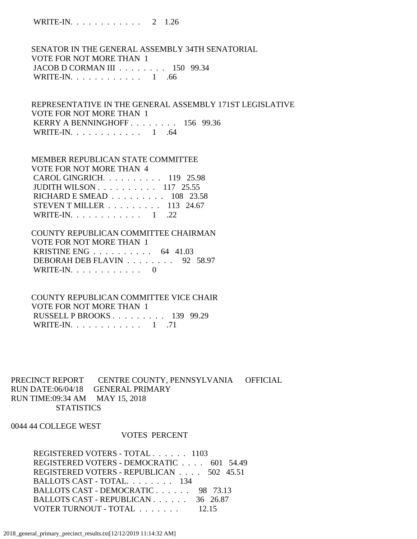WRITE-IN. . . . . . . . . . . . 2 1.26

 SENATOR IN THE GENERAL ASSEMBLY 34TH SENATORIAL VOTE FOR NOT MORE THAN 1 JACOB D CORMAN III . . . . . . . . 150 99.34 WRITE-IN. . . . . . . . . . . . 1 .66

 REPRESENTATIVE IN THE GENERAL ASSEMBLY 171ST LEGISLATIVE VOTE FOR NOT MORE THAN 1 KERRY A BENNINGHOFF . . . . . . . . 156 99.36 WRITE-IN.  $\ldots$  . . . . . . . . . 1 .64

## MEMBER REPUBLICAN STATE COMMITTEE VOTE FOR NOT MORE THAN 4 CAROL GINGRICH. . . . . . . . . . 119 25.98 JUDITH WILSON . . . . . . . . . . 117 25.55 RICHARD E SMEAD . . . . . . . . . 108 23.58 STEVEN T MILLER . . . . . . . . . 113 24.67 WRITE-IN.  $\ldots$  . . . . . . . . . 1 . 22

 COUNTY REPUBLICAN COMMITTEE CHAIRMAN VOTE FOR NOT MORE THAN 1 KRISTINE ENG . . . . . . . . . . 64 41.03 DEBORAH DEB FLAVIN . . . . . . . . 92 58.97 WRITE-IN.  $\ldots$  . . . . . . . . . 0

 COUNTY REPUBLICAN COMMITTEE VICE CHAIR VOTE FOR NOT MORE THAN 1 RUSSELL P BROOKS . . . . . . . . . 139 99.29 WRITE-IN. . . . . . . . . . . . 1 .71

PRECINCT REPORT CENTRE COUNTY, PENNSYLVANIA OFFICIAL RUN DATE:06/04/18 GENERAL PRIMARY RUN TIME:09:34 AM MAY 15, 2018 **STATISTICS** 

0044 44 COLLEGE WEST

#### VOTES PERCENT

 REGISTERED VOTERS - TOTAL . . . . . . 1103 REGISTERED VOTERS - DEMOCRATIC . . . . 601 54.49 REGISTERED VOTERS - REPUBLICAN . . . . 502 45.51 BALLOTS CAST - TOTAL. . . . . . . . 134 BALLOTS CAST - DEMOCRATIC . . . . . . 98 73.13 BALLOTS CAST - REPUBLICAN . . . . . . 36 26.87 VOTER TURNOUT - TOTAL . . . . . . . 12.15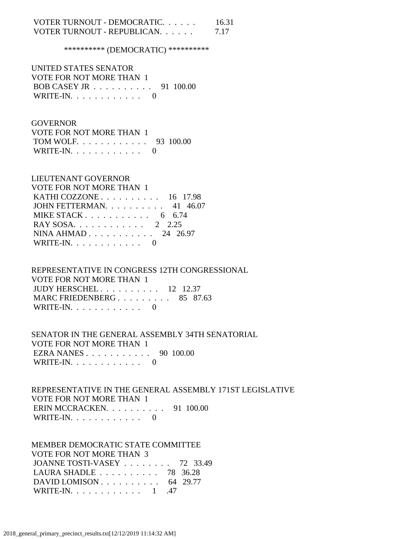## VOTER TURNOUT - DEMOCRATIC. . . . . . 16.31 VOTER TURNOUT - REPUBLICAN. . . . . . 7.17

\*\*\*\*\*\*\*\*\*\* (DEMOCRATIC) \*\*\*\*\*\*\*\*\*\*

 UNITED STATES SENATOR VOTE FOR NOT MORE THAN 1 BOB CASEY JR . . . . . . . . . . 91 100.00 WRITE-IN. . . . . . . . . . . . 0

### **GOVERNOR**

 VOTE FOR NOT MORE THAN 1 TOM WOLF. . . . . . . . . . . . 93 100.00 WRITE-IN.  $\ldots$  . . . . . . . . 0

### LIEUTENANT GOVERNOR

| VOTE FOR NOT MORE THAN 1                          |  |
|---------------------------------------------------|--|
| KATHI COZZONE $\ldots$ $\ldots$ $\ldots$ 16 17.98 |  |
| JOHN FETTERMAN. $\ldots$ 41 46.07                 |  |
| MIKE STACK 6 6.74                                 |  |
| RAY SOSA 2 2.25                                   |  |
| NINA AHMAD 24 26.97                               |  |
| WRITE-IN. $\ldots$ 0                              |  |

 REPRESENTATIVE IN CONGRESS 12TH CONGRESSIONAL VOTE FOR NOT MORE THAN 1 JUDY HERSCHEL . . . . . . . . . . 12 12.37 MARC FRIEDENBERG . . . . . . . . . 85 87.63 WRITE-IN.  $\ldots$  . . . . . . . . . 0

 SENATOR IN THE GENERAL ASSEMBLY 34TH SENATORIAL VOTE FOR NOT MORE THAN 1 EZRA NANES . . . . . . . . . . . 90 100.00 WRITE-IN. . . . . . . . . . . . 0

 REPRESENTATIVE IN THE GENERAL ASSEMBLY 171ST LEGISLATIVE VOTE FOR NOT MORE THAN 1 ERIN MCCRACKEN. . . . . . . . . . 91 100.00 WRITE-IN. . . . . . . . . . . . 0

## MEMBER DEMOCRATIC STATE COMMITTEE VOTE FOR NOT MORE THAN 3 JOANNE TOSTI-VASEY . . . . . . . . 72 33.49 LAURA SHADLE . . . . . . . . . . 78 36.28 DAVID LOMISON . . . . . . . . . . . 64 29.77 WRITE-IN. . . . . . . . . . . . 1 .47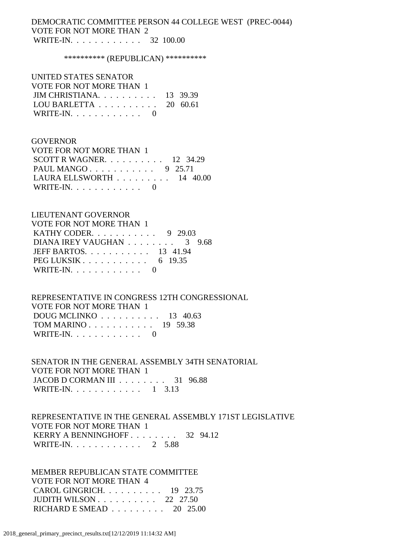### DEMOCRATIC COMMITTEE PERSON 44 COLLEGE WEST (PREC-0044) VOTE FOR NOT MORE THAN 2 WRITE-IN. . . . . . . . . . . . 32 100.00

\*\*\*\*\*\*\*\*\*\* (REPUBLICAN) \*\*\*\*\*\*\*\*\*\*

# UNITED STATES SENATOR VOTE FOR NOT MORE THAN 1 JIM CHRISTIANA. . . . . . . . . . 13 39.39 LOU BARLETTA . . . . . . . . . . 20 60.61 WRITE-IN. . . . . . . . . . . . 0

#### GOVERNOR

| VOTE FOR NOT MORE THAN 1                        |  |
|-------------------------------------------------|--|
| SCOTT R WAGNER. $\ldots$ 12 34.29               |  |
| PAUL MANGO 9 25.71                              |  |
| LAURA ELLSWORTH $\ldots \ldots \ldots 14$ 40.00 |  |
| WRITE-IN. $\ldots$ 0                            |  |

#### LIEUTENANT GOVERNOR

| VOTE FOR NOT MORE THAN 1       |  |
|--------------------------------|--|
| <b>KATHY CODER.</b> 9 29.03    |  |
| DIANA IREY VAUGHAN 3 9.68      |  |
| JEFF BARTOS. $\ldots$ 13 41.94 |  |
| PEG LUKSIK 6 19.35             |  |
| WRITE-IN. $\ldots$ 0           |  |

### REPRESENTATIVE IN CONGRESS 12TH CONGRESSIONAL VOTE FOR NOT MORE THAN 1 DOUG MCLINKO . . . . . . . . . . 13 40.63 TOM MARINO . . . . . . . . . . . 19 59.38 WRITE-IN.  $\ldots$  . . . . . . . . . 0

 SENATOR IN THE GENERAL ASSEMBLY 34TH SENATORIAL VOTE FOR NOT MORE THAN 1 JACOB D CORMAN III . . . . . . . . 31 96.88 WRITE-IN. . . . . . . . . . . . 1 3.13

# REPRESENTATIVE IN THE GENERAL ASSEMBLY 171ST LEGISLATIVE VOTE FOR NOT MORE THAN 1 KERRY A BENNINGHOFF . . . . . . . . 32 94.12 WRITE-IN. . . . . . . . . . . . . 2 5.88

 MEMBER REPUBLICAN STATE COMMITTEE VOTE FOR NOT MORE THAN 4 CAROL GINGRICH. . . . . . . . . . 19 23.75 JUDITH WILSON . . . . . . . . . . 22 27.50 RICHARD E SMEAD . . . . . . . . . 20 25.00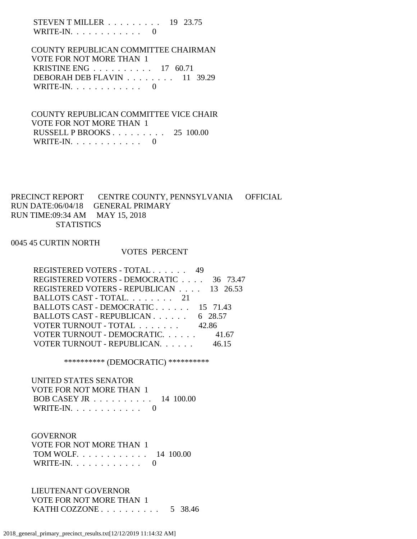STEVEN T MILLER . . . . . . . . . 19 23.75 WRITE-IN.  $\ldots$  . . . . . . . . 0

 COUNTY REPUBLICAN COMMITTEE CHAIRMAN VOTE FOR NOT MORE THAN 1 KRISTINE ENG . . . . . . . . . . 17 60.71 DEBORAH DEB FLAVIN . . . . . . . . 11 39.29 WRITE-IN.  $\ldots$  . . . . . . . . . 0

 COUNTY REPUBLICAN COMMITTEE VICE CHAIR VOTE FOR NOT MORE THAN 1 RUSSELL P BROOKS . . . . . . . . . 25 100.00 WRITE-IN. . . . . . . . . . . . 0

# PRECINCT REPORT CENTRE COUNTY, PENNSYLVANIA OFFICIAL RUN DATE:06/04/18 GENERAL PRIMARY RUN TIME:09:34 AM MAY 15, 2018 **STATISTICS**

### 0045 45 CURTIN NORTH

#### VOTES PERCENT

| REGISTERED VOTERS - TOTAL 49            |         |
|-----------------------------------------|---------|
| REGISTERED VOTERS - DEMOCRATIC 36 73.47 |         |
| REGISTERED VOTERS - REPUBLICAN 13 26.53 |         |
| BALLOTS CAST - TOTAL 21                 |         |
| BALLOTS CAST - DEMOCRATIC 15 71.43      |         |
| BALLOTS CAST - REPUBLICAN               | 6 28.57 |
| VOTER TURNOUT - TOTAL                   | 42.86   |
| VOTER TURNOUT - DEMOCRATIC.             | 41.67   |
| VOTER TURNOUT - REPUBLICAN.             | 46 15   |

\*\*\*\*\*\*\*\*\*\* (DEMOCRATIC) \*\*\*\*\*\*\*\*\*\*

 UNITED STATES SENATOR VOTE FOR NOT MORE THAN 1 BOB CASEY JR . . . . . . . . . . 14 100.00 WRITE-IN. . . . . . . . . . . . 0

 GOVERNOR VOTE FOR NOT MORE THAN 1 TOM WOLF. . . . . . . . . . . . 14 100.00 WRITE-IN. . . . . . . . . . . . 0

 LIEUTENANT GOVERNOR VOTE FOR NOT MORE THAN 1 KATHI COZZONE . . . . . . . . . . 5 38.46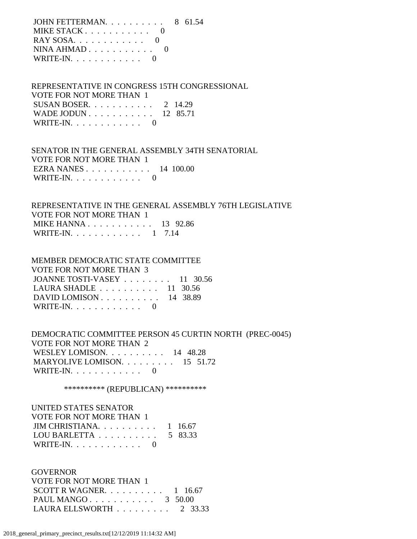| JOHN FETTERMAN. $\ldots$ 8 61.54                |  |
|-------------------------------------------------|--|
| MIKE STACK $\ldots \ldots \ldots \ldots \ldots$ |  |
|                                                 |  |
| NINA AHMAD $0$                                  |  |
| WRITE-IN. $\ldots$ 0                            |  |

### REPRESENTATIVE IN CONGRESS 15TH CONGRESSIONAL VOTE FOR NOT MORE THAN 1 SUSAN BOSER. . . . . . . . . . . 2 14.29 WADE JODUN . . . . . . . . . . . 12 85.71 WRITE-IN. . . . . . . . . . . . 0

 SENATOR IN THE GENERAL ASSEMBLY 34TH SENATORIAL VOTE FOR NOT MORE THAN 1 EZRA NANES . . . . . . . . . . . 14 100.00 WRITE-IN.  $\ldots$  . . . . . . . . 0

## REPRESENTATIVE IN THE GENERAL ASSEMBLY 76TH LEGISLATIVE VOTE FOR NOT MORE THAN 1 MIKE HANNA . . . . . . . . . . . . 13 92.86 WRITE-IN. . . . . . . . . . . . 1 7.14

# MEMBER DEMOCRATIC STATE COMMITTEE VOTE FOR NOT MORE THAN 3 JOANNE TOSTI-VASEY . . . . . . . . 11 30.56 LAURA SHADLE . . . . . . . . . . 11 30.56 DAVID LOMISON . . . . . . . . . . 14 38.89 WRITE-IN.  $\ldots$  . . . . . . . . . 0

 DEMOCRATIC COMMITTEE PERSON 45 CURTIN NORTH (PREC-0045) VOTE FOR NOT MORE THAN 2 WESLEY LOMISON. . . . . . . . . . 14 48.28 MARYOLIVE LOMISON. . . . . . . . . 15 51.72 WRITE-IN. . . . . . . . . . . . 0

\*\*\*\*\*\*\*\*\*\*\* (REPUBLICAN) \*\*\*\*\*\*\*\*\*\*\*

| UNITED STATES SENATOR                              |  |
|----------------------------------------------------|--|
| VOTE FOR NOT MORE THAN 1                           |  |
| JIM CHRISTIANA $1\quad 16.67$                      |  |
| LOU BARLETTA $\ldots \ldots \ldots \ldots$ 5 83.33 |  |
| WRITE-IN. $\ldots$ 0                               |  |

**GOVERNOR**  VOTE FOR NOT MORE THAN 1 SCOTT R WAGNER.  $\ldots$  . . . . . . . 1 16.67 PAUL MANGO . . . . . . . . . . . . 3 50.00 LAURA ELLSWORTH . . . . . . . . . 2 33.33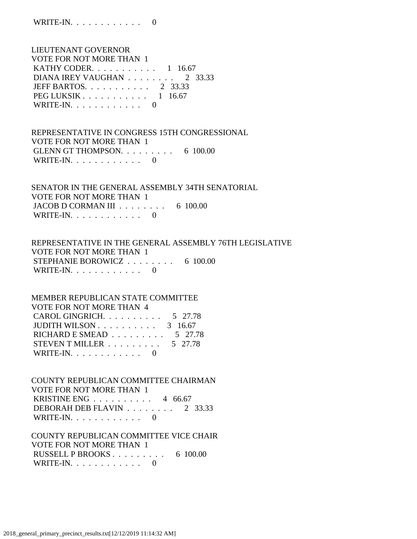LIEUTENANT GOVERNOR VOTE FOR NOT MORE THAN 1 KATHY CODER. . . . . . . . . . . 1 16.67 DIANA IREY VAUGHAN . . . . . . . . 2 33.33 JEFF BARTOS. . . . . . . . . . . 2 33.33 PEG LUKSIK . . . . . . . . . . . 1 16.67 WRITE-IN. . . . . . . . . . . . 0

 REPRESENTATIVE IN CONGRESS 15TH CONGRESSIONAL VOTE FOR NOT MORE THAN 1 GLENN GT THOMPSON. . . . . . . . . . 6 100.00 WRITE-IN.  $\ldots$  . . . . . . . . 0

 SENATOR IN THE GENERAL ASSEMBLY 34TH SENATORIAL VOTE FOR NOT MORE THAN 1 JACOB D CORMAN III . . . . . . . . 6 100.00 WRITE-IN.  $\ldots$  . . . . . . . . 0

 REPRESENTATIVE IN THE GENERAL ASSEMBLY 76TH LEGISLATIVE VOTE FOR NOT MORE THAN 1 STEPHANIE BOROWICZ . . . . . . . . . 6 100.00 WRITE-IN.  $\ldots$  . . . . . . . . 0

## MEMBER REPUBLICAN STATE COMMITTEE VOTE FOR NOT MORE THAN 4 CAROL GINGRICH. . . . . . . . . . 5 27.78 JUDITH WILSON . . . . . . . . . . 3 16.67 RICHARD E SMEAD  $\ldots \ldots \ldots \ldots$  5 27.78 STEVEN T MILLER  $\ldots \ldots \ldots \ldots 5$  27.78 WRITE-IN.  $\ldots$  . . . . . . . . 0

 COUNTY REPUBLICAN COMMITTEE CHAIRMAN VOTE FOR NOT MORE THAN 1 KRISTINE ENG . . . . . . . . . . 4 66.67 DEBORAH DEB FLAVIN . . . . . . . . 2 33.33 WRITE-IN. . . . . . . . . . . . 0

## COUNTY REPUBLICAN COMMITTEE VICE CHAIR VOTE FOR NOT MORE THAN 1 RUSSELL P BROOKS  $\ldots$  . . . . . . . . 6 100.00 WRITE-IN. . . . . . . . . . . . 0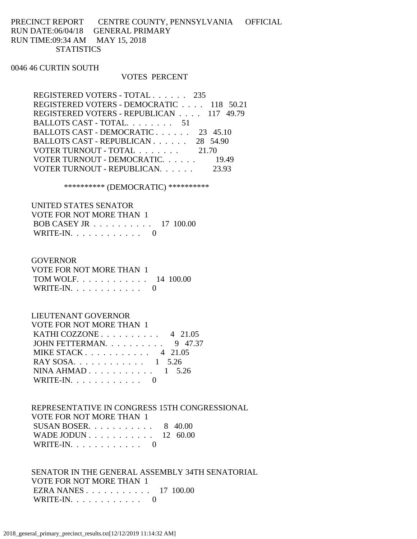# PRECINCT REPORT CENTRE COUNTY, PENNSYLVANIA OFFICIAL RUN DATE:06/04/18 GENERAL PRIMARY RUN TIME:09:34 AM MAY 15, 2018 **STATISTICS**

#### 0046 46 CURTIN SOUTH

#### VOTES PERCENT

| REGISTERED VOTERS - TOTAL 235            |          |
|------------------------------------------|----------|
| REGISTERED VOTERS - DEMOCRATIC 118 50.21 |          |
| REGISTERED VOTERS - REPUBLICAN 117 49.79 |          |
| BALLOTS CAST - TOTAL. 51                 |          |
| BALLOTS CAST - DEMOCRATIC                | 23 45.10 |
| BALLOTS CAST - REPUBLICAN 28 54.90       |          |
| VOTER TURNOUT - TOTAL 21.70              |          |
| VOTER TURNOUT - DEMOCRATIC.              | 19.49    |
| VOTER TURNOUT - REPUBLICAN.              |          |
|                                          |          |

### \*\*\*\*\*\*\*\*\*\* (DEMOCRATIC) \*\*\*\*\*\*\*\*\*\*

| UNITED STATES SENATOR                                |  |
|------------------------------------------------------|--|
| VOTE FOR NOT MORE THAN 1                             |  |
| BOB CASEY JR $\ldots \ldots \ldots \ldots 17$ 100.00 |  |
| WRITE-IN. $\ldots$ 0                                 |  |

### GOVERNOR

| VOTE FOR NOT MORE THAN 1 |  |
|--------------------------|--|
| TOM WOLF. 14 100.00      |  |
| WRITE-IN. $\ldots$ 0     |  |

## LIEUTENANT GOVERNOR

| VOTE FOR NOT MORE THAN 1                         |  |
|--------------------------------------------------|--|
| KATHI COZZONE $\ldots$ $\ldots$ $\ldots$ 4 21.05 |  |
| JOHN FETTERMAN. $\ldots$ 9 47.37                 |  |
| MIKE STACK 4 21.05                               |  |
| RAY SOSA. 1 5.26                                 |  |
| NINA AHMAD $1\quad 5.26$                         |  |
| WRITE-IN. $\ldots$ 0                             |  |
|                                                  |  |

## REPRESENTATIVE IN CONGRESS 15TH CONGRESSIONAL VOTE FOR NOT MORE THAN 1 SUSAN BOSER. . . . . . . . . . . 8 40.00 WADE JODUN . . . . . . . . . . . 12 60.00 WRITE-IN. . . . . . . . . . . . 0

 SENATOR IN THE GENERAL ASSEMBLY 34TH SENATORIAL VOTE FOR NOT MORE THAN 1 EZRA NANES . . . . . . . . . . . 17 100.00 WRITE-IN. . . . . . . . . . . . 0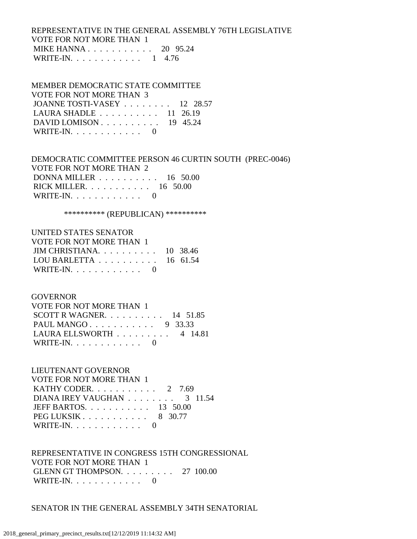# REPRESENTATIVE IN THE GENERAL ASSEMBLY 76TH LEGISLATIVE VOTE FOR NOT MORE THAN 1 MIKE HANNA . . . . . . . . . . . 20 95.24 WRITE-IN. . . . . . . . . . . . 1 4.76

### MEMBER DEMOCRATIC STATE COMMITTEE

| VOTE FOR NOT MORE THAN 3                            |  |
|-----------------------------------------------------|--|
| JOANNE TOSTI-VASEY 12 28.57                         |  |
| LAURA SHADLE $\ldots \ldots \ldots \ldots$ 11 26.19 |  |
| DAVID LOMISON $\ldots$ 19 45.24                     |  |
| WRITE-IN. $\ldots$ 0                                |  |

## DEMOCRATIC COMMITTEE PERSON 46 CURTIN SOUTH (PREC-0046) VOTE FOR NOT MORE THAN 2 DONNA MILLER . . . . . . . . . . 16 50.00 RICK MILLER. . . . . . . . . . . 16 50.00 WRITE-IN. . . . . . . . . . . . 0

\*\*\*\*\*\*\*\*\*\* (REPUBLICAN) \*\*\*\*\*\*\*\*\*\*

#### UNITED STATES SENATOR

| VOTE FOR NOT MORE THAN 1                            |  |
|-----------------------------------------------------|--|
| JIM CHRISTIANA. $\ldots$ . 10 38.46                 |  |
| LOU BARLETTA $\ldots \ldots \ldots \ldots$ 16 61.54 |  |
| WRITE-IN. $\ldots$ 0                                |  |

### GOVERNOR

| VOTE FOR NOT MORE THAN 1                       |  |  |
|------------------------------------------------|--|--|
| SCOTT R WAGNER. $\ldots$ 14 51.85              |  |  |
| PAUL MANGO 9 33.33                             |  |  |
| LAURA ELLSWORTH $\ldots \ldots \ldots$ 4 14.81 |  |  |
| WRITE-IN. $\ldots$ 0                           |  |  |

## LIEUTENANT GOVERNOR

| VOTE FOR NOT MORE THAN 1                          |  |
|---------------------------------------------------|--|
| KATHY CODER. $\ldots$ 2 7.69                      |  |
| DIANA IREY VAUGHAN $\ldots \ldots \ldots$ 3 11.54 |  |
| JEFF BARTOS. $\ldots$ 13 50.00                    |  |
| PEG LUKSIK 8 30.77                                |  |
| WRITE-IN. $\ldots$ 0                              |  |

# REPRESENTATIVE IN CONGRESS 15TH CONGRESSIONAL VOTE FOR NOT MORE THAN 1 GLENN GT THOMPSON. . . . . . . . . 27 100.00 WRITE-IN.  $\ldots$  . . . . . . . . . 0

## SENATOR IN THE GENERAL ASSEMBLY 34TH SENATORIAL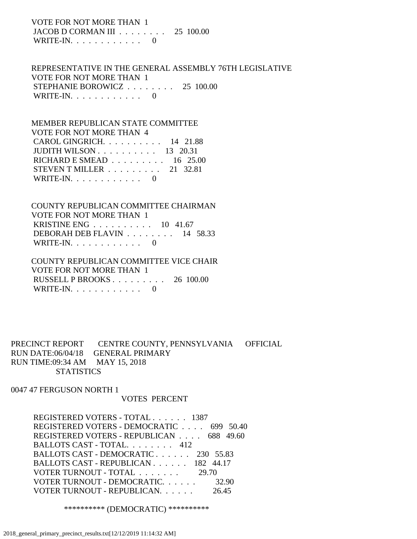VOTE FOR NOT MORE THAN 1 JACOB D CORMAN III . . . . . . . . 25 100.00 WRITE-IN.  $\ldots$  . . . . . . . . . 0

 REPRESENTATIVE IN THE GENERAL ASSEMBLY 76TH LEGISLATIVE VOTE FOR NOT MORE THAN 1 STEPHANIE BOROWICZ . . . . . . . . 25 100.00 WRITE-IN. . . . . . . . . . . . 0

 MEMBER REPUBLICAN STATE COMMITTEE VOTE FOR NOT MORE THAN 4 CAROL GINGRICH. . . . . . . . . . 14 21.88 JUDITH WILSON . . . . . . . . . . 13 20.31 RICHARD E SMEAD . . . . . . . . . 16 25.00 STEVEN T MILLER . . . . . . . . . 21 32.81 WRITE-IN.  $\ldots$  . . . . . . . . 0

 COUNTY REPUBLICAN COMMITTEE CHAIRMAN VOTE FOR NOT MORE THAN 1 KRISTINE ENG . . . . . . . . . . 10 41.67 DEBORAH DEB FLAVIN . . . . . . . . 14 58.33 WRITE-IN.  $\ldots$  . . . . . . . . 0

 COUNTY REPUBLICAN COMMITTEE VICE CHAIR VOTE FOR NOT MORE THAN 1 RUSSELL P BROOKS . . . . . . . . . 26 100.00 WRITE-IN.  $\ldots$  . . . . . . . . 0

PRECINCT REPORT CENTRE COUNTY, PENNSYLVANIA OFFICIAL RUN DATE:06/04/18 GENERAL PRIMARY RUN TIME:09:34 AM MAY 15, 2018 **STATISTICS** 

0047 47 FERGUSON NORTH 1

#### VOTES PERCENT

 REGISTERED VOTERS - TOTAL . . . . . . 1387 REGISTERED VOTERS - DEMOCRATIC . . . . 699 50.40 REGISTERED VOTERS - REPUBLICAN . . . . 688 49.60 BALLOTS CAST - TOTAL. . . . . . . . 412 BALLOTS CAST - DEMOCRATIC . . . . . . 230 55.83 BALLOTS CAST - REPUBLICAN . . . . . . 182 44.17 VOTER TURNOUT - TOTAL . . . . . . . 29.70 VOTER TURNOUT - DEMOCRATIC. . . . . . 32.90 VOTER TURNOUT - REPUBLICAN. . . . . . 26.45

\*\*\*\*\*\*\*\*\*\* (DEMOCRATIC) \*\*\*\*\*\*\*\*\*\*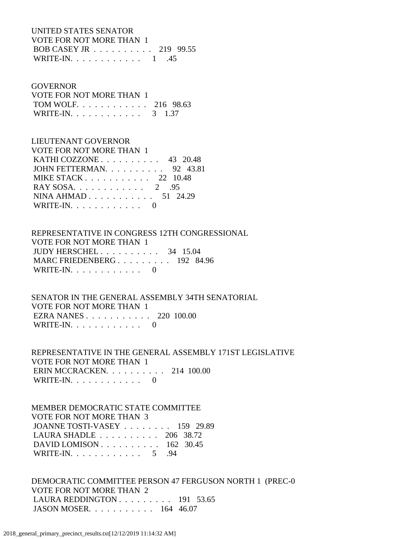UNITED STATES SENATOR VOTE FOR NOT MORE THAN 1 BOB CASEY JR . . . . . . . . . . 219 99.55 WRITE-IN. . . . . . . . . . . . . 1 .45

#### GOVERNOR

| VOTE FOR NOT MORE THAN 1 |  |  |
|--------------------------|--|--|
| TOM WOLF. 216 98.63      |  |  |
| WRITE-IN. 3 1.37         |  |  |

#### LIEUTENANT GOVERNOR

| VOTE FOR NOT MORE THAN 1                          |  |
|---------------------------------------------------|--|
| KATHI COZZONE $\ldots$ $\ldots$ $\ldots$ 43 20.48 |  |
| JOHN FETTERMAN. $\ldots$ 92 43.81                 |  |
| MIKE STACK 22 10.48                               |  |
| RAY SOSA. $\ldots$ 2 .95                          |  |
| NINA AHMAD 51 24.29                               |  |
| WRITE-IN. $\ldots$ 0                              |  |

 REPRESENTATIVE IN CONGRESS 12TH CONGRESSIONAL VOTE FOR NOT MORE THAN 1 JUDY HERSCHEL . . . . . . . . . . 34 15.04 MARC FRIEDENBERG . . . . . . . . . 192 84.96 WRITE-IN. . . . . . . . . . . . 0

 SENATOR IN THE GENERAL ASSEMBLY 34TH SENATORIAL VOTE FOR NOT MORE THAN 1 EZRA NANES . . . . . . . . . . . 220 100.00 WRITE-IN.  $\ldots$  . . . . . . . . 0

 REPRESENTATIVE IN THE GENERAL ASSEMBLY 171ST LEGISLATIVE VOTE FOR NOT MORE THAN 1 ERIN MCCRACKEN. . . . . . . . . . 214 100.00 WRITE-IN. . . . . . . . . . . . 0

 MEMBER DEMOCRATIC STATE COMMITTEE VOTE FOR NOT MORE THAN 3 JOANNE TOSTI-VASEY . . . . . . . . 159 29.89 LAURA SHADLE . . . . . . . . . . 206 38.72 DAVID LOMISON . . . . . . . . . . 162 30.45 WRITE-IN. . . . . . . . . . . . 5 .94

 DEMOCRATIC COMMITTEE PERSON 47 FERGUSON NORTH 1 (PREC-0 VOTE FOR NOT MORE THAN 2 LAURA REDDINGTON . . . . . . . . . 191 53.65 JASON MOSER. . . . . . . . . . . 164 46.07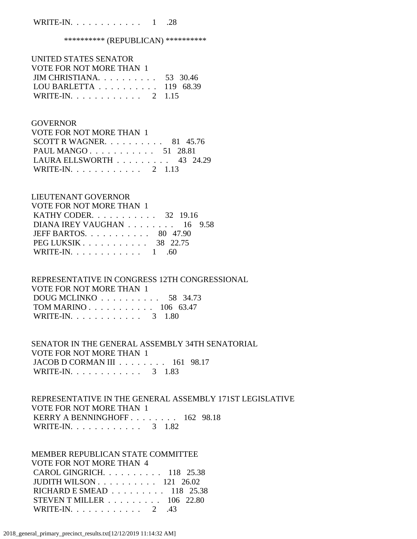## WRITE-IN. . . . . . . . . . . . 1 .28

#### \*\*\*\*\*\*\*\*\*\*\* (REPUBLICAN) \*\*\*\*\*\*\*\*\*\*\*

| UNITED STATES SENATOR                                |  |
|------------------------------------------------------|--|
| VOTE FOR NOT MORE THAN 1                             |  |
| JIM CHRISTIANA. $\ldots$ 53 30.46                    |  |
| LOU BARLETTA $\ldots \ldots \ldots \ldots$ 119 68.39 |  |
| WRITE-IN. 2 1.15                                     |  |

#### **GOVERNOR**

| VOTE FOR NOT MORE THAN 1          |  |  |
|-----------------------------------|--|--|
| SCOTT R WAGNER. $\ldots$ 81 45.76 |  |  |
| PAUL MANGO 51 28.81               |  |  |
| LAURA ELLSWORTH 43 24.29          |  |  |
| WRITE-IN. 2 1.13                  |  |  |

#### LIEUTENANT GOVERNOR

| <b>VOTE FOR NOT MORE THAN 1</b>                   |
|---------------------------------------------------|
| KATHY CODER. $\ldots$ 32 19.16                    |
| DIANA IREY VAUGHAN $\ldots \ldots \ldots 16$ 9.58 |
| JEFF BARTOS. $\ldots$ 80 47.90                    |
| PEG LUKSIK 38 22.75                               |
| WRITE-IN. 1 .60                                   |

## REPRESENTATIVE IN CONGRESS 12TH CONGRESSIONAL VOTE FOR NOT MORE THAN 1 DOUG MCLINKO . . . . . . . . . . 58 34.73 TOM MARINO . . . . . . . . . . . 106 63.47 WRITE-IN. . . . . . . . . . . . . 3 1.80

### SENATOR IN THE GENERAL ASSEMBLY 34TH SENATORIAL VOTE FOR NOT MORE THAN 1 JACOB D CORMAN III . . . . . . . . 161 98.17 WRITE-IN. . . . . . . . . . . . 3 1.83

## REPRESENTATIVE IN THE GENERAL ASSEMBLY 171ST LEGISLATIVE VOTE FOR NOT MORE THAN 1 KERRY A BENNINGHOFF . . . . . . . . 162 98.18 WRITE-IN. . . . . . . . . . . . . 3 1.82

 MEMBER REPUBLICAN STATE COMMITTEE VOTE FOR NOT MORE THAN 4 CAROL GINGRICH. . . . . . . . . . 118 25.38 JUDITH WILSON . . . . . . . . . . 121 26.02 RICHARD E SMEAD . . . . . . . . . 118 25.38 STEVEN T MILLER . . . . . . . . . 106 22.80 WRITE-IN. . . . . . . . . . . . 2 .43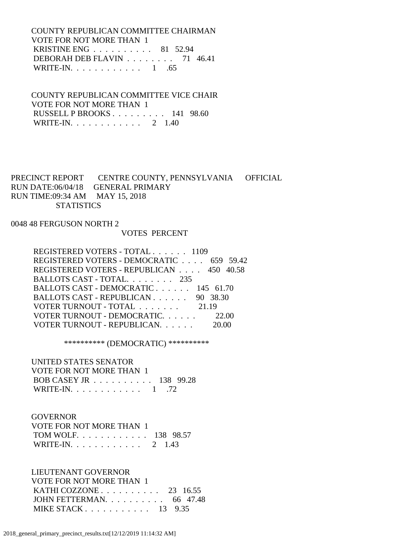COUNTY REPUBLICAN COMMITTEE CHAIRMAN VOTE FOR NOT MORE THAN 1 KRISTINE ENG . . . . . . . . . . 81 52.94 DEBORAH DEB FLAVIN . . . . . . . . 71 46.41 WRITE-IN. . . . . . . . . . . . 1 .65

 COUNTY REPUBLICAN COMMITTEE VICE CHAIR VOTE FOR NOT MORE THAN 1 RUSSELL P BROOKS . . . . . . . . . 141 98.60 WRITE-IN. . . . . . . . . . . . 2 1.40

# PRECINCT REPORT CENTRE COUNTY, PENNSYLVANIA OFFICIAL RUN DATE:06/04/18 GENERAL PRIMARY RUN TIME:09:34 AM MAY 15, 2018 **STATISTICS**

### 0048 48 FERGUSON NORTH 2

#### VOTES PERCENT

| REGISTERED VOTERS - TOTAL 1109           |  |
|------------------------------------------|--|
| REGISTERED VOTERS - DEMOCRATIC 659 59.42 |  |
| REGISTERED VOTERS - REPUBLICAN 450 40.58 |  |
| BALLOTS CAST - TOTAL. 235                |  |
| BALLOTS CAST - DEMOCRATIC 145 61.70      |  |
| BALLOTS CAST - REPUBLICAN 90 38.30       |  |
| VOTER TURNOUT - TOTAL 21.19              |  |
| VOTER TURNOUT - DEMOCRATIC 22.00         |  |
| VOTER TURNOUT - REPUBLICAN.              |  |
|                                          |  |

\*\*\*\*\*\*\*\*\*\* (DEMOCRATIC) \*\*\*\*\*\*\*\*\*\*

#### UNITED STATES SENATOR

| VOTE FOR NOT MORE THAN 1 |  |
|--------------------------|--|
| BOB CASEY JR 138 99.28   |  |
| WRITE-IN. $\ldots$ 1 .72 |  |

#### GOVERNOR

| VOTE FOR NOT MORE THAN 1  |  |
|---------------------------|--|
| TOM WOLF. 138 98.57       |  |
| WRITE-IN. $\ldots$ 2 1.43 |  |

### LIEUTENANT GOVERNOR

 VOTE FOR NOT MORE THAN 1 KATHI COZZONE . . . . . . . . . . 23 16.55 JOHN FETTERMAN. . . . . . . . . . 66 47.48 MIKE STACK . . . . . . . . . . . 13 9.35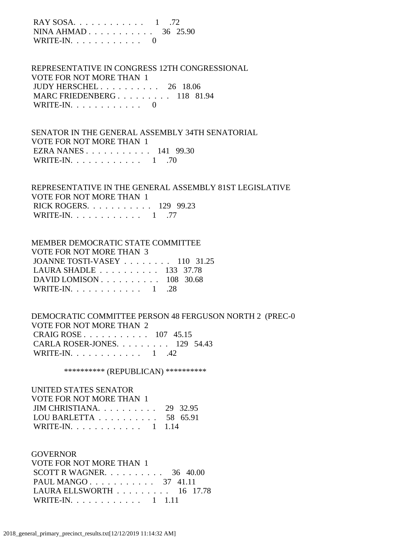| RAY SOSA. $\ldots$ . 1 .72 |  |  |
|----------------------------|--|--|
| NINA AHMAD 36 25.90        |  |  |
| WRITE-IN. $\ldots$ 0       |  |  |

 REPRESENTATIVE IN CONGRESS 12TH CONGRESSIONAL VOTE FOR NOT MORE THAN 1 JUDY HERSCHEL . . . . . . . . . . 26 18.06 MARC FRIEDENBERG . . . . . . . . . 118 81.94 WRITE-IN.  $\ldots$  . . . . . . . . . 0

 SENATOR IN THE GENERAL ASSEMBLY 34TH SENATORIAL VOTE FOR NOT MORE THAN 1 EZRA NANES . . . . . . . . . . . 141 99.30 WRITE-IN.  $\ldots$  . . . . . . . . . 1 .70

 REPRESENTATIVE IN THE GENERAL ASSEMBLY 81ST LEGISLATIVE VOTE FOR NOT MORE THAN 1 RICK ROGERS. . . . . . . . . . . 129 99.23 WRITE-IN. . . . . . . . . . . . 1 .77

#### MEMBER DEMOCRATIC STATE COMMITTEE

 VOTE FOR NOT MORE THAN 3 JOANNE TOSTI-VASEY . . . . . . . . 110 31.25 LAURA SHADLE . . . . . . . . . . 133 37.78 DAVID LOMISON . . . . . . . . . . 108 30.68 WRITE-IN. . . . . . . . . . . . 1 .28

## DEMOCRATIC COMMITTEE PERSON 48 FERGUSON NORTH 2 (PREC-0 VOTE FOR NOT MORE THAN 2 CRAIG ROSE . . . . . . . . . . . 107 45.15 CARLA ROSER-JONES. . . . . . . . . 129 54.43 WRITE-IN. . . . . . . . . . . . 1 .42

\*\*\*\*\*\*\*\*\*\* (REPUBLICAN) \*\*\*\*\*\*\*\*\*\*

| UNITED STATES SENATOR                               |  |
|-----------------------------------------------------|--|
| VOTE FOR NOT MORE THAN 1                            |  |
| JIM CHRISTIANA. $\ldots$ 29 32.95                   |  |
| LOU BARLETTA $\ldots \ldots \ldots \ldots 58$ 65.91 |  |
| WRITE-IN. 1 1.14                                    |  |

#### GOVERNOR

| <b>VOTE FOR NOT MORE THAN 1</b>                 |  |  |
|-------------------------------------------------|--|--|
| SCOTT R WAGNER. $\ldots$ 36 40.00               |  |  |
| PAUL MANGO 37 41.11                             |  |  |
| LAURA ELLSWORTH $\ldots \ldots \ldots 16$ 17.78 |  |  |
| WRITE-IN. 1 1.11                                |  |  |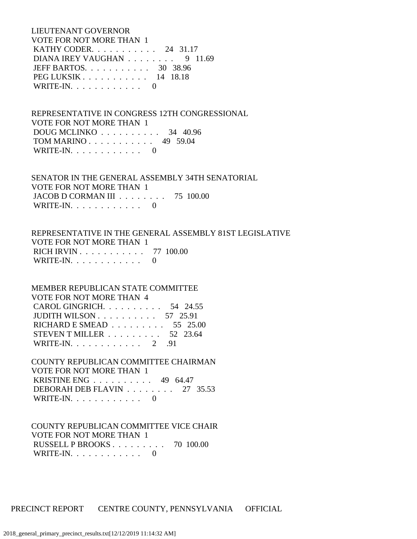LIEUTENANT GOVERNOR VOTE FOR NOT MORE THAN 1 KATHY CODER. . . . . . . . . . . 24 31.17 DIANA IREY VAUGHAN . . . . . . . . 9 11.69 JEFF BARTOS. . . . . . . . . . . 30 38.96 PEG LUKSIK . . . . . . . . . . . 14 18.18 WRITE-IN. . . . . . . . . . . . 0

 REPRESENTATIVE IN CONGRESS 12TH CONGRESSIONAL VOTE FOR NOT MORE THAN 1 DOUG MCLINKO . . . . . . . . . . 34 40.96 TOM MARINO . . . . . . . . . . . 49 59.04 WRITE-IN.  $\ldots$  . . . . . . . . 0

 SENATOR IN THE GENERAL ASSEMBLY 34TH SENATORIAL VOTE FOR NOT MORE THAN 1 JACOB D CORMAN III . . . . . . . . 75 100.00 WRITE-IN. . . . . . . . . . . . 0

 REPRESENTATIVE IN THE GENERAL ASSEMBLY 81ST LEGISLATIVE VOTE FOR NOT MORE THAN 1 RICH IRVIN . . . . . . . . . . . 77 100.00 WRITE-IN.  $\ldots$  . . . . . . . . 0

 MEMBER REPUBLICAN STATE COMMITTEE VOTE FOR NOT MORE THAN 4 CAROL GINGRICH. . . . . . . . . . 54 24.55 JUDITH WILSON . . . . . . . . . . 57 25.91 RICHARD E SMEAD . . . . . . . . . 55 25.00 STEVEN T MILLER . . . . . . . . . 52 23.64 WRITE-IN. . . . . . . . . . . . 2 .91

 COUNTY REPUBLICAN COMMITTEE CHAIRMAN VOTE FOR NOT MORE THAN 1 KRISTINE ENG . . . . . . . . . . 49 64.47 DEBORAH DEB FLAVIN . . . . . . . . 27 35.53 WRITE-IN.  $\ldots$  . . . . . . . . 0

 COUNTY REPUBLICAN COMMITTEE VICE CHAIR VOTE FOR NOT MORE THAN 1 RUSSELL P BROOKS . . . . . . . . . 70 100.00 WRITE-IN.  $\ldots$  . . . . . . . . 0

PRECINCT REPORT CENTRE COUNTY, PENNSYLVANIA OFFICIAL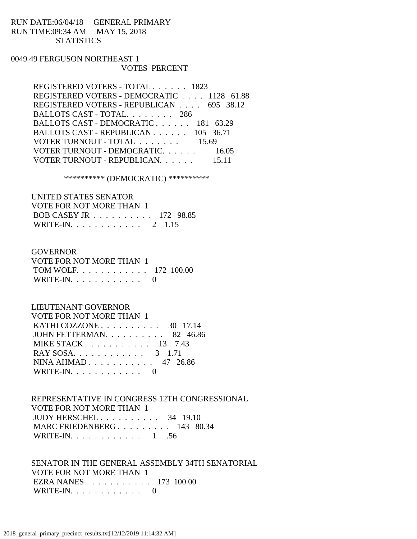# RUN DATE:06/04/18 GENERAL PRIMARY RUN TIME:09:34 AM MAY 15, 2018 **STATISTICS**

### 0049 49 FERGUSON NORTHEAST 1 VOTES PERCENT

| REGISTERED VOTERS - DEMOCRATIC 1128 61.88<br>REGISTERED VOTERS - REPUBLICAN 695 38.12<br>BALLOTS CAST - TOTAL. 286<br>BALLOTS CAST - DEMOCRATIC 181 63.29<br>BALLOTS CAST - REPUBLICAN 105 36.71<br>VOTER TURNOUT - TOTAL 15.69<br>VOTER TURNOUT - DEMOCRATIC. 16.05<br>15 11 | REGISTERED VOTERS - TOTAL 1823 |
|-------------------------------------------------------------------------------------------------------------------------------------------------------------------------------------------------------------------------------------------------------------------------------|--------------------------------|
|                                                                                                                                                                                                                                                                               |                                |
|                                                                                                                                                                                                                                                                               |                                |
|                                                                                                                                                                                                                                                                               |                                |
|                                                                                                                                                                                                                                                                               |                                |
|                                                                                                                                                                                                                                                                               |                                |
|                                                                                                                                                                                                                                                                               |                                |
|                                                                                                                                                                                                                                                                               |                                |
|                                                                                                                                                                                                                                                                               | VOTER TURNOUT - REPUBLICAN.    |

\*\*\*\*\*\*\*\*\*\* (DEMOCRATIC) \*\*\*\*\*\*\*\*\*\*

# UNITED STATES SENATOR VOTE FOR NOT MORE THAN 1 BOB CASEY JR . . . . . . . . . . 172 98.85 WRITE-IN. . . . . . . . . . . . 2 1.15

#### GOVERNOR

| VOTE FOR NOT MORE THAN 1 |  |
|--------------------------|--|
| TOM WOLF $172$ 100.00    |  |
| WRITE-IN. $\ldots$ 0     |  |

# LIEUTENANT GOVERNOR

| VOTE FOR NOT MORE THAN 1                          |
|---------------------------------------------------|
| KATHI COZZONE $\ldots$ $\ldots$ $\ldots$ 30 17.14 |
| JOHN FETTERMAN. 82 46.86                          |
| MIKE STACK $13$ 7.43                              |
| RAY SOSA. 3 1.71                                  |
| NINA AHMAD 47 26.86                               |
| WRITE-IN. $\ldots$ 0                              |

 REPRESENTATIVE IN CONGRESS 12TH CONGRESSIONAL VOTE FOR NOT MORE THAN 1 JUDY HERSCHEL . . . . . . . . . . 34 19.10 MARC FRIEDENBERG . . . . . . . . . 143 80.34 WRITE-IN. . . . . . . . . . . . 1 .56

 SENATOR IN THE GENERAL ASSEMBLY 34TH SENATORIAL VOTE FOR NOT MORE THAN 1 EZRA NANES . . . . . . . . . . . 173 100.00 WRITE-IN.  $\ldots$  . . . . . . . . . 0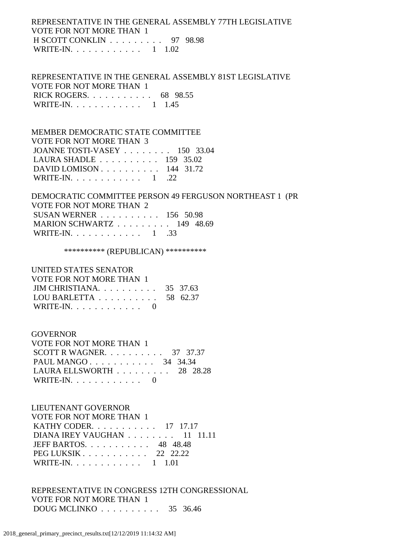## REPRESENTATIVE IN THE GENERAL ASSEMBLY 77TH LEGISLATIVE VOTE FOR NOT MORE THAN 1 H SCOTT CONKLIN . . . . . . . . . 97 98.98 WRITE-IN. . . . . . . . . . . . 1 1.02

 REPRESENTATIVE IN THE GENERAL ASSEMBLY 81ST LEGISLATIVE VOTE FOR NOT MORE THAN 1 RICK ROGERS. . . . . . . . . . . 68 98.55 WRITE-IN. . . . . . . . . . . . 1 1.45

 MEMBER DEMOCRATIC STATE COMMITTEE VOTE FOR NOT MORE THAN 3 JOANNE TOSTI-VASEY . . . . . . . . 150 33.04 LAURA SHADLE . . . . . . . . . . 159 35.02 DAVID LOMISON . . . . . . . . . . 144 31.72 WRITE-IN.  $\ldots$  . . . . . . . . . 1 .22

 DEMOCRATIC COMMITTEE PERSON 49 FERGUSON NORTHEAST 1 (PR VOTE FOR NOT MORE THAN 2 SUSAN WERNER . . . . . . . . . . 156 50.98 MARION SCHWARTZ . . . . . . . . . 149 48.69 WRITE-IN. . . . . . . . . . . . 1 .33

\*\*\*\*\*\*\*\*\*\*\* (REPUBLICAN) \*\*\*\*\*\*\*\*\*\*\*

 UNITED STATES SENATOR  $\overline{v}$  For  $\overline{v}$   $\overline{v}$   $\overline{v}$   $\overline{v}$   $\overline{v}$   $\overline{v}$   $\overline{v}$   $\overline{v}$   $\overline{v}$   $\overline{v}$   $\overline{v}$   $\overline{v}$   $\overline{v}$   $\overline{v}$   $\overline{v}$   $\overline{v}$   $\overline{v}$   $\overline{v}$   $\overline{v}$   $\overline{v}$   $\overline{v}$   $\overline{v}$   $\overline{v}$ 

| VOTE FOR NOT MORE THAN T                            |  |
|-----------------------------------------------------|--|
| JIM CHRISTIANA. $\ldots$ 35 37.63                   |  |
| LOU BARLETTA $\ldots \ldots \ldots \ldots$ 58 62.37 |  |
| WRITE-IN. $\ldots$ 0                                |  |

GOVERNOR

| VOTE FOR NOT MORE THAN 1                        |  |  |
|-------------------------------------------------|--|--|
| SCOTT R WAGNER. $\ldots$ 37 37.37               |  |  |
| PAUL MANGO 34 34.34                             |  |  |
| LAURA ELLSWORTH $\ldots \ldots \ldots$ 28 28.28 |  |  |
| WRITE-IN. $\ldots$ 0                            |  |  |

 LIEUTENANT GOVERNOR VOTE FOR NOT MORE THAN 1 KATHY CODER. . . . . . . . . . . 17 17.17 DIANA IREY VAUGHAN . . . . . . . . 11 11.11 JEFF BARTOS. . . . . . . . . . . 48 48.48 PEG LUKSIK . . . . . . . . . . . 22 22.22 WRITE-IN. . . . . . . . . . . . 1 1.01

 REPRESENTATIVE IN CONGRESS 12TH CONGRESSIONAL VOTE FOR NOT MORE THAN 1 DOUG MCLINKO . . . . . . . . . . 35 36.46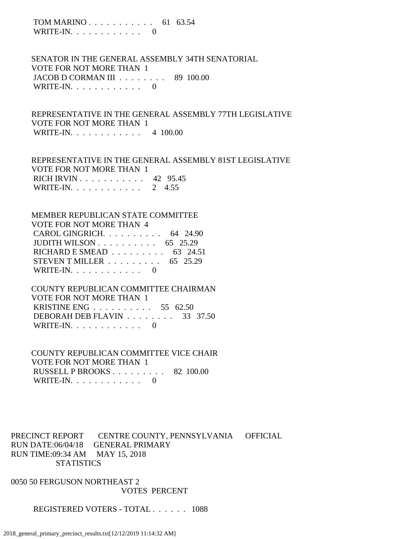TOM MARINO . . . . . . . . . . . 61 63.54 WRITE-IN.  $\ldots$  . . . . . . . . 0

 SENATOR IN THE GENERAL ASSEMBLY 34TH SENATORIAL VOTE FOR NOT MORE THAN 1 JACOB D CORMAN III . . . . . . . . 89 100.00 WRITE-IN.  $\ldots$  . . . . . . . . . 0

 REPRESENTATIVE IN THE GENERAL ASSEMBLY 77TH LEGISLATIVE VOTE FOR NOT MORE THAN 1 WRITE-IN. . . . . . . . . . . . 4 100.00

 REPRESENTATIVE IN THE GENERAL ASSEMBLY 81ST LEGISLATIVE VOTE FOR NOT MORE THAN 1 RICH IRVIN . . . . . . . . . . . 42 95.45 WRITE-IN. . . . . . . . . . . . 2 4.55

 MEMBER REPUBLICAN STATE COMMITTEE VOTE FOR NOT MORE THAN 4 CAROL GINGRICH. . . . . . . . . . 64 24.90 JUDITH WILSON . . . . . . . . . . 65 25.29 RICHARD E SMEAD . . . . . . . . . 63 24.51 STEVEN T MILLER . . . . . . . . . 65 25.29 WRITE-IN.  $\ldots$  . . . . . . . . 0

 COUNTY REPUBLICAN COMMITTEE CHAIRMAN VOTE FOR NOT MORE THAN 1 KRISTINE ENG . . . . . . . . . . 55 62.50 DEBORAH DEB FLAVIN . . . . . . . . 33 37.50 WRITE-IN.  $\ldots$  . . . . . . . . . 0

 COUNTY REPUBLICAN COMMITTEE VICE CHAIR VOTE FOR NOT MORE THAN 1 RUSSELL P BROOKS . . . . . . . . . 82 100.00 WRITE-IN. . . . . . . . . . . . 0

PRECINCT REPORT CENTRE COUNTY, PENNSYLVANIA OFFICIAL RUN DATE:06/04/18 GENERAL PRIMARY RUN TIME:09:34 AM MAY 15, 2018 **STATISTICS** 

0050 50 FERGUSON NORTHEAST 2 VOTES PERCENT

REGISTERED VOTERS - TOTAL . . . . . . 1088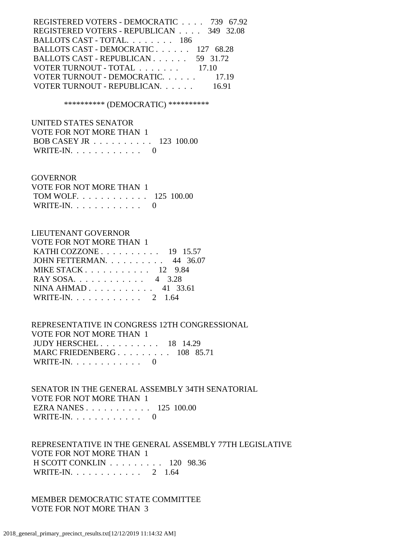| REGISTERED VOTERS - DEMOCRATIC 739 67.92 |       |
|------------------------------------------|-------|
| REGISTERED VOTERS - REPUBLICAN 349 32.08 |       |
| BALLOTS CAST - TOTAL. 186                |       |
| BALLOTS CAST - DEMOCRATIC 127 68.28      |       |
| BALLOTS CAST - REPUBLICAN 59 31.72       |       |
| VOTER TURNOUT - TOTAL 17.10              |       |
| VOTER TURNOUT - DEMOCRATIC 17.19         |       |
| VOTER TURNOUT - REPUBLICAN.              | 16.91 |
|                                          |       |

\*\*\*\*\*\*\*\*\*\* (DEMOCRATIC) \*\*\*\*\*\*\*\*\*\*

 UNITED STATES SENATOR VOTE FOR NOT MORE THAN 1 BOB CASEY JR . . . . . . . . . . 123 100.00 WRITE-IN.  $\ldots$  . . . . . . . . 0

#### GOVERNOR

| VOTE FOR NOT MORE THAN 1 |  |
|--------------------------|--|
| TOM WOLF. 125 100.00     |  |
| WRITE-IN. $\ldots$ 0     |  |

### LIEUTENANT GOVERNOR

| VOTE FOR NOT MORE THAN 1 |  |
|--------------------------|--|
| KATHI COZZONE 19 15.57   |  |
| JOHN FETTERMAN. 44 36.07 |  |
| MIKE STACK 12 9.84       |  |
| RAY SOSA. 4 3.28         |  |
| NINA AHMAD 41 33.61      |  |
| WRITE-IN. 2 1.64         |  |

 REPRESENTATIVE IN CONGRESS 12TH CONGRESSIONAL VOTE FOR NOT MORE THAN 1 JUDY HERSCHEL . . . . . . . . . . 18 14.29 MARC FRIEDENBERG . . . . . . . . . 108 85.71 WRITE-IN. . . . . . . . . . . . 0

 SENATOR IN THE GENERAL ASSEMBLY 34TH SENATORIAL VOTE FOR NOT MORE THAN 1 EZRA NANES . . . . . . . . . . . 125 100.00 WRITE-IN. . . . . . . . . . . . 0

 REPRESENTATIVE IN THE GENERAL ASSEMBLY 77TH LEGISLATIVE VOTE FOR NOT MORE THAN 1 H SCOTT CONKLIN . . . . . . . . . 120 98.36 WRITE-IN. . . . . . . . . . . . 2 1.64

 MEMBER DEMOCRATIC STATE COMMITTEE VOTE FOR NOT MORE THAN 3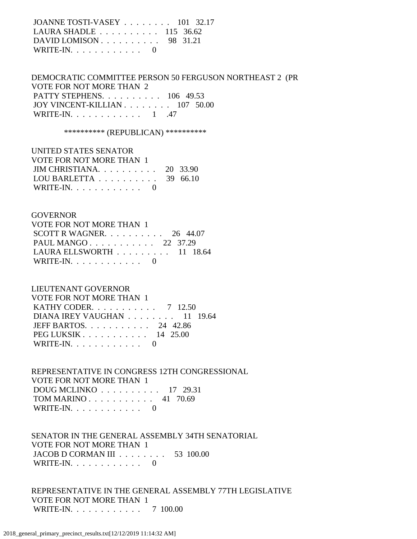JOANNE TOSTI-VASEY . . . . . . . . 101 32.17 LAURA SHADLE . . . . . . . . . . 115 36.62 DAVID LOMISON . . . . . . . . . . 98 31.21 WRITE-IN.  $\ldots$  . . . . . . . . 0

 DEMOCRATIC COMMITTEE PERSON 50 FERGUSON NORTHEAST 2 (PR VOTE FOR NOT MORE THAN 2 PATTY STEPHENS. . . . . . . . . . 106 49.53 JOY VINCENT-KILLIAN . . . . . . . . 107 50.00 WRITE-IN. . . . . . . . . . . . 1 .47

\*\*\*\*\*\*\*\*\*\* (REPUBLICAN) \*\*\*\*\*\*\*\*\*\*

 UNITED STATES SENATOR VOTE FOR NOT MORE THAN 1 JIM CHRISTIANA. . . . . . . . . . 20 33.90 LOU BARLETTA . . . . . . . . . . 39 66.10 WRITE-IN.  $\ldots$  . . . . . . . . . 0

#### GOVERNOR

| VOTE FOR NOT MORE THAN 1                        |  |  |
|-------------------------------------------------|--|--|
| SCOTT R WAGNER. $\ldots$ 26 44.07               |  |  |
| PAUL MANGO 22 37.29                             |  |  |
| LAURA ELLSWORTH $\ldots \ldots \ldots 11$ 18.64 |  |  |
| WRITE-IN. $\ldots$ 0                            |  |  |

#### LIEUTENANT GOVERNOR

| VOTE FOR NOT MORE THAN 1             |  |
|--------------------------------------|--|
| <b>KATHY CODER.</b> 7 12.50          |  |
| DIANA IREY VAUGHAN $\ldots$ 11 19.64 |  |
| JEFF BARTOS. $\ldots$ , 24 42.86     |  |
| PEG LUKSIK $\ldots$ 14 25.00         |  |
| WRITE-IN. $\ldots$ 0                 |  |

 REPRESENTATIVE IN CONGRESS 12TH CONGRESSIONAL VOTE FOR NOT MORE THAN 1 DOUG MCLINKO . . . . . . . . . . 17 29.31 TOM MARINO . . . . . . . . . . . 41 70.69 WRITE-IN. . . . . . . . . . . . 0

 SENATOR IN THE GENERAL ASSEMBLY 34TH SENATORIAL VOTE FOR NOT MORE THAN 1 JACOB D CORMAN III . . . . . . . . 53 100.00 WRITE-IN.  $\ldots$  . . . . . . . . 0

 REPRESENTATIVE IN THE GENERAL ASSEMBLY 77TH LEGISLATIVE VOTE FOR NOT MORE THAN 1 WRITE-IN. . . . . . . . . . . . 7 100.00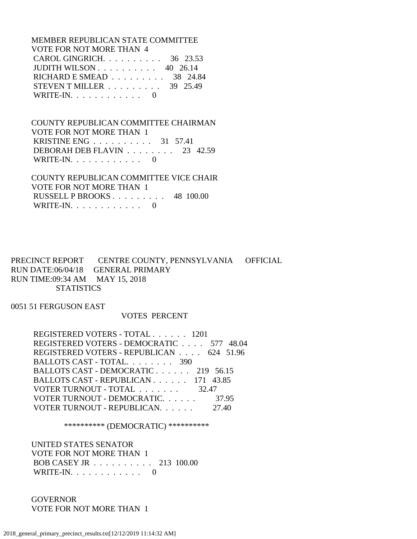MEMBER REPUBLICAN STATE COMMITTEE VOTE FOR NOT MORE THAN 4 CAROL GINGRICH. . . . . . . . . . 36 23.53 JUDITH WILSON . . . . . . . . . . 40 26.14 RICHARD E SMEAD . . . . . . . . . 38 24.84 STEVEN T MILLER . . . . . . . . . 39 25.49 WRITE-IN.  $\ldots$  . . . . . . . . 0

 COUNTY REPUBLICAN COMMITTEE CHAIRMAN VOTE FOR NOT MORE THAN 1 KRISTINE ENG . . . . . . . . . . 31 57.41 DEBORAH DEB FLAVIN . . . . . . . . 23 42.59 WRITE-IN.  $\ldots$  . . . . . . . . 0

 COUNTY REPUBLICAN COMMITTEE VICE CHAIR VOTE FOR NOT MORE THAN 1 RUSSELL P BROOKS . . . . . . . . . 48 100.00 WRITE-IN.  $\ldots$  . . . . . . . . 0

PRECINCT REPORT CENTRE COUNTY, PENNSYLVANIA OFFICIAL RUN DATE:06/04/18 GENERAL PRIMARY RUN TIME:09:34 AM MAY 15, 2018 **STATISTICS** 

0051 51 FERGUSON EAST

VOTES PERCENT

 REGISTERED VOTERS - TOTAL . . . . . . 1201 REGISTERED VOTERS - DEMOCRATIC . . . . 577 48.04 REGISTERED VOTERS - REPUBLICAN . . . . 624 51.96 BALLOTS CAST - TOTAL. . . . . . . . 390 BALLOTS CAST - DEMOCRATIC . . . . . . 219 56.15 BALLOTS CAST - REPUBLICAN . . . . . . 171 43.85 VOTER TURNOUT - TOTAL . . . . . . . 32.47 VOTER TURNOUT - DEMOCRATIC. . . . . . 37.95 VOTER TURNOUT - REPUBLICAN. . . . . . 27.40

\*\*\*\*\*\*\*\*\*\* (DEMOCRATIC) \*\*\*\*\*\*\*\*\*\*

 UNITED STATES SENATOR VOTE FOR NOT MORE THAN 1 BOB CASEY JR . . . . . . . . . . 213 100.00 WRITE-IN. . . . . . . . . . . . 0

 GOVERNOR VOTE FOR NOT MORE THAN 1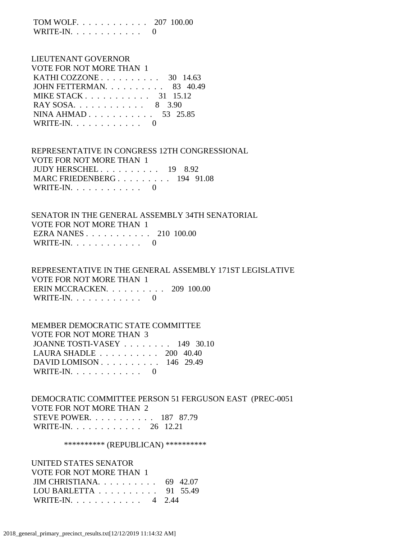TOM WOLF. . . . . . . . . . . . 207 100.00 WRITE-IN.  $\ldots$  . . . . . . . . 0

# LIEUTENANT GOVERNOR VOTE FOR NOT MORE THAN 1 KATHI COZZONE . . . . . . . . . . 30 14.63 JOHN FETTERMAN. . . . . . . . . . 83 40.49 MIKE STACK . . . . . . . . . . . 31 15.12 RAY SOSA. . . . . . . . . . . . 8 3.90 NINA AHMAD . . . . . . . . . . . 53 25.85 WRITE-IN.  $\ldots$  . . . . . . . . . 0

 REPRESENTATIVE IN CONGRESS 12TH CONGRESSIONAL VOTE FOR NOT MORE THAN 1 JUDY HERSCHEL . . . . . . . . . . 19 8.92 MARC FRIEDENBERG . . . . . . . . . 194 91.08 WRITE-IN. . . . . . . . . . . . 0

 SENATOR IN THE GENERAL ASSEMBLY 34TH SENATORIAL VOTE FOR NOT MORE THAN 1 EZRA NANES . . . . . . . . . . . 210 100.00 WRITE-IN.  $\ldots$  . . . . . . . . 0

 REPRESENTATIVE IN THE GENERAL ASSEMBLY 171ST LEGISLATIVE VOTE FOR NOT MORE THAN 1 ERIN MCCRACKEN. . . . . . . . . . 209 100.00 WRITE-IN.  $\ldots$  . . . . . . . . 0

 MEMBER DEMOCRATIC STATE COMMITTEE VOTE FOR NOT MORE THAN 3 JOANNE TOSTI-VASEY . . . . . . . . 149 30.10 LAURA SHADLE . . . . . . . . . . 200 40.40 DAVID LOMISON . . . . . . . . . . 146 29.49 WRITE-IN.  $\ldots$  . . . . . . . . 0

 DEMOCRATIC COMMITTEE PERSON 51 FERGUSON EAST (PREC-0051 VOTE FOR NOT MORE THAN 2 STEVE POWER. . . . . . . . . . . 187 87.79 WRITE-IN. . . . . . . . . . . . 26 12.21

\*\*\*\*\*\*\*\*\*\*\* (REPUBLICAN) \*\*\*\*\*\*\*\*\*\*\*

 UNITED STATES SENATOR VOTE FOR NOT MORE THAN 1 JIM CHRISTIANA. . . . . . . . . . 69 42.07 LOU BARLETTA . . . . . . . . . . 91 55.49 WRITE-IN. . . . . . . . . . . . 4 2.44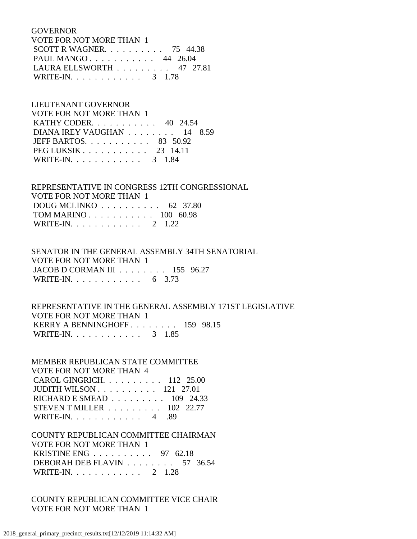GOVERNOR

| VOTE FOR NOT MORE THAN 1                        |  |
|-------------------------------------------------|--|
| SCOTT R WAGNER. $\ldots$ 75 44.38               |  |
| PAUL MANGO 44 26.04                             |  |
| LAURA ELLSWORTH $\ldots \ldots \ldots$ 47 27.81 |  |
| WRITE-IN. 3 1.78                                |  |

 LIEUTENANT GOVERNOR VOTE FOR NOT MORE THAN 1 KATHY CODER. . . . . . . . . . . 40 24.54 DIANA IREY VAUGHAN . . . . . . . . 14 8.59 JEFF BARTOS. . . . . . . . . . . 83 50.92 PEG LUKSIK . . . . . . . . . . . 23 14.11 WRITE-IN. . . . . . . . . . . . 3 1.84

 REPRESENTATIVE IN CONGRESS 12TH CONGRESSIONAL VOTE FOR NOT MORE THAN 1 DOUG MCLINKO . . . . . . . . . . 62 37.80 TOM MARINO . . . . . . . . . . . 100 60.98 WRITE-IN. . . . . . . . . . . . 2 1.22

 SENATOR IN THE GENERAL ASSEMBLY 34TH SENATORIAL VOTE FOR NOT MORE THAN 1 JACOB D CORMAN III . . . . . . . . 155 96.27 WRITE-IN. . . . . . . . . . . . . 6 3.73

 REPRESENTATIVE IN THE GENERAL ASSEMBLY 171ST LEGISLATIVE VOTE FOR NOT MORE THAN 1 KERRY A BENNINGHOFF . . . . . . . . 159 98.15 WRITE-IN. . . . . . . . . . . . . 3 1.85

 MEMBER REPUBLICAN STATE COMMITTEE VOTE FOR NOT MORE THAN 4 CAROL GINGRICH. . . . . . . . . . 112 25.00 JUDITH WILSON . . . . . . . . . . 121 27.01 RICHARD E SMEAD . . . . . . . . . 109 24.33 STEVEN T MILLER . . . . . . . . . 102 22.77 WRITE-IN. . . . . . . . . . . . 4 .89

 COUNTY REPUBLICAN COMMITTEE CHAIRMAN VOTE FOR NOT MORE THAN 1 KRISTINE ENG . . . . . . . . . . 97 62.18 DEBORAH DEB FLAVIN . . . . . . . . 57 36.54 WRITE-IN. . . . . . . . . . . . 2 1.28

 COUNTY REPUBLICAN COMMITTEE VICE CHAIR VOTE FOR NOT MORE THAN 1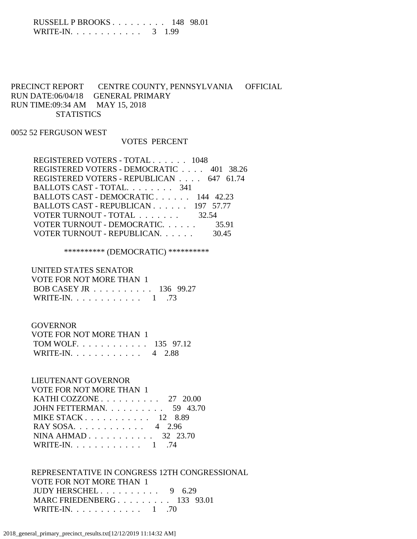### RUSSELL P BROOKS . . . . . . . . . 148 98.01 WRITE-IN. . . . . . . . . . . . . 3 1.99

# PRECINCT REPORT CENTRE COUNTY, PENNSYLVANIA OFFICIAL RUN DATE:06/04/18 GENERAL PRIMARY RUN TIME:09:34 AM MAY 15, 2018 **STATISTICS**

### 0052 52 FERGUSON WEST

#### VOTES PERCENT

| REGISTERED VOTERS - TOTAL 1048           |       |
|------------------------------------------|-------|
| REGISTERED VOTERS - DEMOCRATIC 401 38.26 |       |
| REGISTERED VOTERS - REPUBLICAN 647 61.74 |       |
| BALLOTS CAST - TOTAL. 341                |       |
| BALLOTS CAST - DEMOCRATIC 144 42.23      |       |
| BALLOTS CAST - REPUBLICAN 197 57.77      |       |
| VOTER TURNOUT - TOTAL 32.54              |       |
| VOTER TURNOUT - DEMOCRATIC.              | 35.91 |
| VOTER TURNOUT - REPUBLICAN.              | 30.45 |
|                                          |       |

# \*\*\*\*\*\*\*\*\*\* (DEMOCRATIC) \*\*\*\*\*\*\*\*\*\*

## UNITED STATES SENATOR

| VOTE FOR NOT MORE THAN 1 |  |
|--------------------------|--|
| BOB CASEY JR 136 99.27   |  |
| WRITE-IN. $\ldots$ 1 .73 |  |

#### GOVERNOR

| VOTE FOR NOT MORE THAN 1  |  |
|---------------------------|--|
| TOM WOLF. 135 97.12       |  |
| WRITE-IN. $\ldots$ 4 2.88 |  |

## LIEUTENANT GOVERNOR

| VOTE FOR NOT MORE THAN 1                             |
|------------------------------------------------------|
| KATHI COZZONE $\ldots \ldots \ldots \ldots 27$ 20.00 |
| JOHN FETTERMAN. $\ldots$ 59 43.70                    |
| MIKE STACK $12$ 8.89                                 |
| RAY SOSA. 4 2.96                                     |
| NINA AHMAD 32 23.70                                  |
| WRITE-IN. 1 .74                                      |

## REPRESENTATIVE IN CONGRESS 12TH CONGRESSIONAL VOTE FOR NOT MORE THAN 1 JUDY HERSCHEL . . . . . . . . . . 9 6.29 MARC FRIEDENBERG . . . . . . . . . 133 93.01 WRITE-IN. . . . . . . . . . . . 1 .70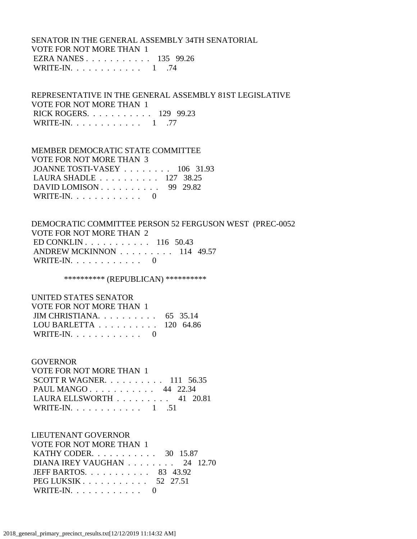## SENATOR IN THE GENERAL ASSEMBLY 34TH SENATORIAL VOTE FOR NOT MORE THAN 1 EZRA NANES . . . . . . . . . . . 135 99.26 WRITE-IN. . . . . . . . . . . . 1 .74

 REPRESENTATIVE IN THE GENERAL ASSEMBLY 81ST LEGISLATIVE VOTE FOR NOT MORE THAN 1 RICK ROGERS. . . . . . . . . . . 129 99.23 WRITE-IN. . . . . . . . . . . . 1 .77

#### MEMBER DEMOCRATIC STATE COMMITTEE

 VOTE FOR NOT MORE THAN 3 JOANNE TOSTI-VASEY . . . . . . . . 106 31.93 LAURA SHADLE . . . . . . . . . . 127 38.25 DAVID LOMISON . . . . . . . . . . 99 29.82 WRITE-IN.  $\ldots$  . . . . . . . . . 0

 DEMOCRATIC COMMITTEE PERSON 52 FERGUSON WEST (PREC-0052 VOTE FOR NOT MORE THAN 2 ED CONKLIN . . . . . . . . . . . 116 50.43 ANDREW MCKINNON . . . . . . . . . 114 49.57 WRITE-IN.  $\ldots$  . . . . . . . . 0

\*\*\*\*\*\*\*\*\*\*\* (REPUBLICAN) \*\*\*\*\*\*\*\*\*\*\*

| UNITED STATES SENATOR                                |  |
|------------------------------------------------------|--|
| VOTE FOR NOT MORE THAN 1                             |  |
| JIM CHRISTIANA $65$ 35.14                            |  |
| LOU BARLETTA $\ldots \ldots \ldots \ldots$ 120 64.86 |  |
| WRITE-IN. $\ldots$ 0                                 |  |

#### GOVERNOR

 VOTE FOR NOT MORE THAN 1 SCOTT R WAGNER. . . . . . . . . . 111 56.35 PAUL MANGO . . . . . . . . . . . 44 22.34 LAURA ELLSWORTH . . . . . . . . . 41 20.81 WRITE-IN. . . . . . . . . . . . 1 .51

#### LIEUTENANT GOVERNOR

 VOTE FOR NOT MORE THAN 1 KATHY CODER. . . . . . . . . . . 30 15.87 DIANA IREY VAUGHAN . . . . . . . . 24 12.70 JEFF BARTOS. . . . . . . . . . . 83 43.92 PEG LUKSIK . . . . . . . . . . . 52 27.51 WRITE-IN. . . . . . . . . . . . 0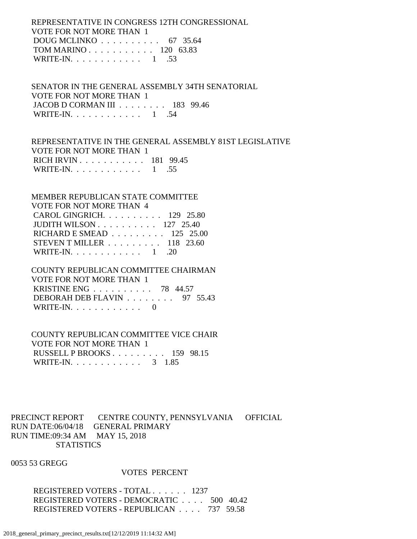REPRESENTATIVE IN CONGRESS 12TH CONGRESSIONAL VOTE FOR NOT MORE THAN 1 DOUG MCLINKO . . . . . . . . . . 67 35.64 TOM MARINO . . . . . . . . . . . 120 63.83 WRITE-IN. . . . . . . . . . . . 1 .53

 SENATOR IN THE GENERAL ASSEMBLY 34TH SENATORIAL VOTE FOR NOT MORE THAN 1 JACOB D CORMAN III . . . . . . . . 183 99.46 WRITE-IN. . . . . . . . . . . . . 1 .54

 REPRESENTATIVE IN THE GENERAL ASSEMBLY 81ST LEGISLATIVE VOTE FOR NOT MORE THAN 1 RICH IRVIN . . . . . . . . . . . 181 99.45 WRITE-IN. . . . . . . . . . . . 1 .55

 MEMBER REPUBLICAN STATE COMMITTEE VOTE FOR NOT MORE THAN 4 CAROL GINGRICH. . . . . . . . . . 129 25.80 JUDITH WILSON . . . . . . . . . . 127 25.40 RICHARD E SMEAD . . . . . . . . . 125 25.00 STEVEN T MILLER . . . . . . . . . 118 23.60 WRITE-IN. . . . . . . . . . . . 1 .20

# COUNTY REPUBLICAN COMMITTEE CHAIRMAN VOTE FOR NOT MORE THAN 1 KRISTINE ENG . . . . . . . . . . 78 44.57 DEBORAH DEB FLAVIN . . . . . . . . 97 55.43

WRITE-IN.  $\ldots$  . . . . . . . . . 0

 COUNTY REPUBLICAN COMMITTEE VICE CHAIR VOTE FOR NOT MORE THAN 1 RUSSELL P BROOKS . . . . . . . . . 159 98.15 WRITE-IN. . . . . . . . . . . . 3 1.85

PRECINCT REPORT CENTRE COUNTY, PENNSYLVANIA OFFICIAL RUN DATE:06/04/18 GENERAL PRIMARY RUN TIME:09:34 AM MAY 15, 2018 **STATISTICS** 

0053 53 GREGG

#### VOTES PERCENT

 REGISTERED VOTERS - TOTAL . . . . . . 1237 REGISTERED VOTERS - DEMOCRATIC . . . . 500 40.42 REGISTERED VOTERS - REPUBLICAN . . . . 737 59.58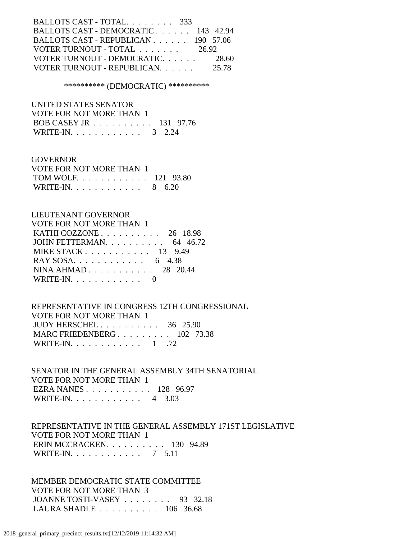| BALLOTS CAST - TOTAL. 333                          |       |
|----------------------------------------------------|-------|
| BALLOTS CAST - DEMOCRATIC 143 42.94                |       |
| BALLOTS CAST - REPUBLICAN 190 57.06                |       |
| VOTER TURNOUT - TOTAL $\ldots \ldots \ldots$ 26.92 |       |
| VOTER TURNOUT - DEMOCRATIC.                        | 28.60 |
| VOTER TURNOUT - REPUBLICAN.                        | 25.78 |
|                                                    |       |

#### \*\*\*\*\*\*\*\*\*\* (DEMOCRATIC) \*\*\*\*\*\*\*\*\*\*

 UNITED STATES SENATOR VOTE FOR NOT MORE THAN 1 BOB CASEY JR . . . . . . . . . . 131 97.76 WRITE-IN. . . . . . . . . . . . . 3 2.24

#### GOVERNOR

| VOTE FOR NOT MORE THAN 1 |  |
|--------------------------|--|
| TOM WOLF. 121 93.80      |  |
| WRITE-IN. 8 6.20         |  |

#### LIEUTENANT GOVERNOR

| VOTE FOR NOT MORE THAN 1                          |  |
|---------------------------------------------------|--|
| KATHI COZZONE $\ldots$ $\ldots$ $\ldots$ 26 18.98 |  |
| JOHN FETTERMAN. $\ldots$ 64 46.72                 |  |
| MIKE STACK 13 9.49                                |  |
| RAY SOSA. 6 4.38                                  |  |
| NINA AHMAD 28 20.44                               |  |
| WRITE-IN. $\ldots$ 0                              |  |

## REPRESENTATIVE IN CONGRESS 12TH CONGRESSIONAL VOTE FOR NOT MORE THAN 1 JUDY HERSCHEL . . . . . . . . . . 36 25.90 MARC FRIEDENBERG . . . . . . . . . 102 73.38 WRITE-IN. . . . . . . . . . . . . 1 .72

 SENATOR IN THE GENERAL ASSEMBLY 34TH SENATORIAL VOTE FOR NOT MORE THAN 1 EZRA NANES . . . . . . . . . . . 128 96.97 WRITE-IN. . . . . . . . . . . . 4 3.03

## REPRESENTATIVE IN THE GENERAL ASSEMBLY 171ST LEGISLATIVE VOTE FOR NOT MORE THAN 1 ERIN MCCRACKEN. . . . . . . . . . 130 94.89 WRITE-IN. . . . . . . . . . . . 7 5.11

 MEMBER DEMOCRATIC STATE COMMITTEE VOTE FOR NOT MORE THAN 3 JOANNE TOSTI-VASEY . . . . . . . . 93 32.18 LAURA SHADLE . . . . . . . . . . 106 36.68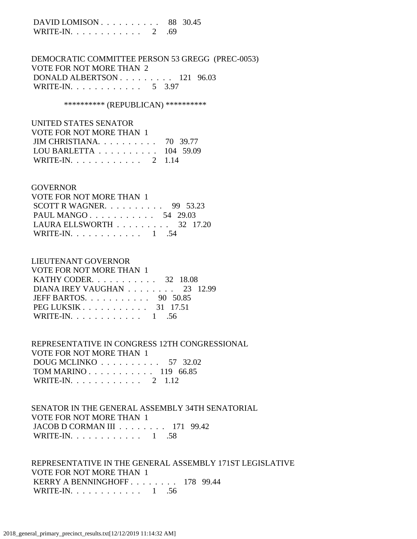DAVID LOMISON . . . . . . . . . . 88 30.45 WRITE-IN. . . . . . . . . . . . 2 .69

 DEMOCRATIC COMMITTEE PERSON 53 GREGG (PREC-0053) VOTE FOR NOT MORE THAN 2 DONALD ALBERTSON . . . . . . . . . 121 96.03 WRITE-IN. . . . . . . . . . . . 5 3.97

\*\*\*\*\*\*\*\*\*\*\* (REPUBLICAN) \*\*\*\*\*\*\*\*\*\*\*

 UNITED STATES SENATOR VOTE FOR NOT MORE THAN 1 JIM CHRISTIANA. . . . . . . . . . 70 39.77 LOU BARLETTA . . . . . . . . . . 104 59.09 WRITE-IN. . . . . . . . . . . . 2 1.14

#### **GOVERNOR**

| VOTE FOR NOT MORE THAN 1                        |  |  |
|-------------------------------------------------|--|--|
| SCOTT R WAGNER. $\ldots$ 99 53.23               |  |  |
| PAUL MANGO 54 29.03                             |  |  |
| LAURA ELLSWORTH $\ldots \ldots \ldots$ 32 17.20 |  |  |
| WRITE-IN. 1 .54                                 |  |  |

### LIEUTENANT GOVERNOR

| <b>VOTE FOR NOT MORE THAN 1</b>                    |
|----------------------------------------------------|
| KATHY CODER. $\ldots$ 32 18.08                     |
| DIANA IREY VAUGHAN $\ldots \ldots \ldots$ 23 12.99 |
| JEFF BARTOS. $\ldots$ 90 50.85                     |
| $PEG LUKSIK 31 17.51$                              |
| WRITE-IN. 1 .56                                    |

 REPRESENTATIVE IN CONGRESS 12TH CONGRESSIONAL VOTE FOR NOT MORE THAN 1

| DOUG MCLINKO $\ldots \ldots \ldots \ldots 57$ 32.02 |  |  |  |  |  |  |
|-----------------------------------------------------|--|--|--|--|--|--|
| TOM MARINO 119 66.85                                |  |  |  |  |  |  |
| WRITE-IN. 2 $1.12$                                  |  |  |  |  |  |  |

 SENATOR IN THE GENERAL ASSEMBLY 34TH SENATORIAL VOTE FOR NOT MORE THAN 1 JACOB D CORMAN III . . . . . . . . 171 99.42 WRITE-IN. . . . . . . . . . . . . 1 .58

 REPRESENTATIVE IN THE GENERAL ASSEMBLY 171ST LEGISLATIVE VOTE FOR NOT MORE THAN 1 KERRY A BENNINGHOFF . . . . . . . . 178 99.44 WRITE-IN.  $\ldots$  . . . . . . . . . 1 .56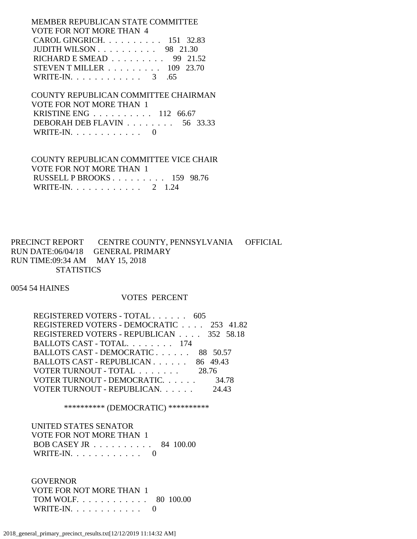MEMBER REPUBLICAN STATE COMMITTEE VOTE FOR NOT MORE THAN 4 CAROL GINGRICH. . . . . . . . . . 151 32.83 JUDITH WILSON . . . . . . . . . . 98 21.30 RICHARD E SMEAD . . . . . . . . . 99 21.52 STEVEN T MILLER . . . . . . . . . 109 23.70 WRITE-IN. . . . . . . . . . . . . 3 .65

 COUNTY REPUBLICAN COMMITTEE CHAIRMAN VOTE FOR NOT MORE THAN 1 KRISTINE ENG . . . . . . . . . . 112 66.67 DEBORAH DEB FLAVIN . . . . . . . . 56 33.33 WRITE-IN. . . . . . . . . . . . 0

 COUNTY REPUBLICAN COMMITTEE VICE CHAIR VOTE FOR NOT MORE THAN 1 RUSSELL P BROOKS . . . . . . . . . 159 98.76 WRITE-IN. . . . . . . . . . . . 2 1.24

PRECINCT REPORT CENTRE COUNTY, PENNSYLVANIA OFFICIAL RUN DATE:06/04/18 GENERAL PRIMARY RUN TIME:09:34 AM MAY 15, 2018 **STATISTICS** 

0054 54 HAINES

#### VOTES PERCENT

| REGISTERED VOTERS - TOTAL 605            |       |
|------------------------------------------|-------|
| REGISTERED VOTERS - DEMOCRATIC 253 41.82 |       |
| REGISTERED VOTERS - REPUBLICAN 352 58.18 |       |
| BALLOTS CAST - TOTAL. 174                |       |
| BALLOTS CAST - DEMOCRATIC 88 50.57       |       |
| BALLOTS CAST - REPUBLICAN 86 49.43       |       |
| VOTER TURNOUT - TOTAL                    | 28.76 |
| VOTER TURNOUT - DEMOCRATIC.              | 34.78 |
| VOTER TURNOUT - REPUBLICAN.              | 24.43 |

\*\*\*\*\*\*\*\*\*\* (DEMOCRATIC) \*\*\*\*\*\*\*\*\*\*

 UNITED STATES SENATOR VOTE FOR NOT MORE THAN 1 BOB CASEY JR . . . . . . . . . . 84 100.00 WRITE-IN.  $\ldots$  . . . . . . . . 0

 GOVERNOR VOTE FOR NOT MORE THAN 1 TOM WOLF. . . . . . . . . . . . 80 100.00 WRITE-IN. . . . . . . . . . . . 0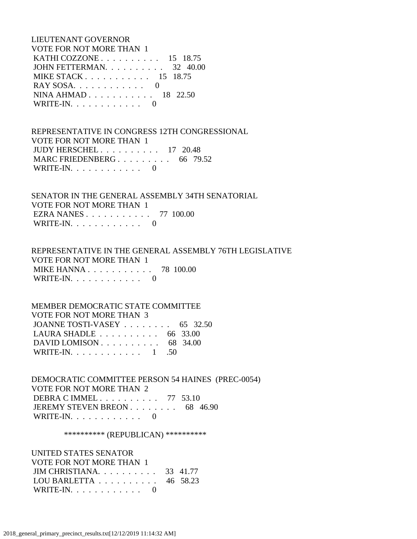LIEUTENANT GOVERNOR VOTE FOR NOT MORE THAN 1 KATHI COZZONE . . . . . . . . . . 15 18.75 JOHN FETTERMAN. . . . . . . . . . 32 40.00 MIKE STACK . . . . . . . . . . . 15 18.75 RAY SOSA. . . . . . . . . . . . . 0 NINA AHMAD . . . . . . . . . . . 18 22.50 WRITE-IN.  $\ldots$  . . . . . . . . 0

 REPRESENTATIVE IN CONGRESS 12TH CONGRESSIONAL VOTE FOR NOT MORE THAN 1 JUDY HERSCHEL . . . . . . . . . . 17 20.48 MARC FRIEDENBERG . . . . . . . . . 66 79.52 WRITE-IN.  $\ldots$  . . . . . . . . . 0

 SENATOR IN THE GENERAL ASSEMBLY 34TH SENATORIAL VOTE FOR NOT MORE THAN 1 EZRA NANES . . . . . . . . . . . 77 100.00 WRITE-IN. . . . . . . . . . . . 0

 REPRESENTATIVE IN THE GENERAL ASSEMBLY 76TH LEGISLATIVE VOTE FOR NOT MORE THAN 1 MIKE HANNA . . . . . . . . . . . 78 100.00 WRITE-IN.  $\ldots$  . . . . . . . . 0

## MEMBER DEMOCRATIC STATE COMMITTEE VOTE FOR NOT MORE THAN 3 JOANNE TOSTI-VASEY . . . . . . . . 65 32.50 LAURA SHADLE . . . . . . . . . . 66 33.00 DAVID LOMISON . . . . . . . . . . . 68 34.00

WRITE-IN. . . . . . . . . . . . 1 .50

 DEMOCRATIC COMMITTEE PERSON 54 HAINES (PREC-0054) VOTE FOR NOT MORE THAN 2 DEBRA C IMMEL . . . . . . . . . . 77 53.10 JEREMY STEVEN BREON . . . . . . . . 68 46.90 WRITE-IN.  $\ldots$  . . . . . . . . 0

\*\*\*\*\*\*\*\*\*\*\* (REPUBLICAN) \*\*\*\*\*\*\*\*\*\*\*

 UNITED STATES SENATOR VOTE FOR NOT MORE THAN 1 JIM CHRISTIANA. . . . . . . . . . 33 41.77 LOU BARLETTA . . . . . . . . . . 46 58.23 WRITE-IN. . . . . . . . . . . . 0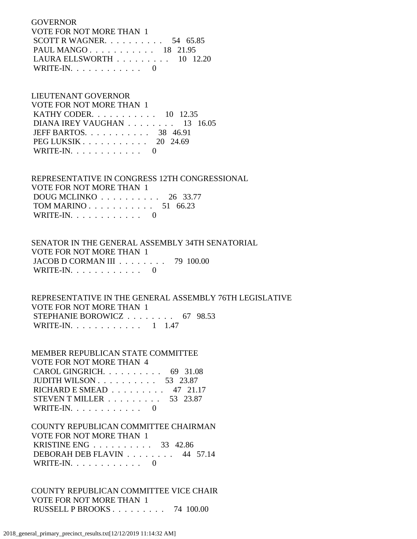**GOVERNOR**  VOTE FOR NOT MORE THAN 1 SCOTT R WAGNER. . . . . . . . . . 54 65.85 PAUL MANGO . . . . . . . . . . . 18 21.95 LAURA ELLSWORTH . . . . . . . . . 10 12.20 WRITE-IN.  $\ldots$  . . . . . . . . 0

# LIEUTENANT GOVERNOR

| VOTE FOR NOT MORE THAN 1                                |  |
|---------------------------------------------------------|--|
| <b>KATHY CODER.</b> 10 12.35                            |  |
| DIANA IREY VAUGHAN $\ldots \ldots \ldots 13$ 16.05      |  |
| JEFF BARTOS. $\ldots$ 38 46.91                          |  |
| PEG LUKSIK $\ldots$ $\ldots$ $\ldots$ $\ldots$ 20 24.69 |  |
| WRITE-IN. $\ldots$ 0                                    |  |

## REPRESENTATIVE IN CONGRESS 12TH CONGRESSIONAL VOTE FOR NOT MORE THAN 1 DOUG MCLINKO . . . . . . . . . . 26 33.77 TOM MARINO . . . . . . . . . . . 51 66.23

WRITE-IN.  $\ldots$  . . . . . . . . 0

## SENATOR IN THE GENERAL ASSEMBLY 34TH SENATORIAL VOTE FOR NOT MORE THAN 1 JACOB D CORMAN III . . . . . . . . 79 100.00 WRITE-IN.  $\ldots$  . . . . . . . . 0

 REPRESENTATIVE IN THE GENERAL ASSEMBLY 76TH LEGISLATIVE VOTE FOR NOT MORE THAN 1 STEPHANIE BOROWICZ . . . . . . . . 67 98.53 WRITE-IN. . . . . . . . . . . . 1 1.47

## MEMBER REPUBLICAN STATE COMMITTEE VOTE FOR NOT MORE THAN 4 CAROL GINGRICH. . . . . . . . . . 69 31.08 JUDITH WILSON . . . . . . . . . . 53 23.87 RICHARD E SMEAD . . . . . . . . . 47 21.17 STEVEN T MILLER . . . . . . . . . 53 23.87 WRITE-IN. . . . . . . . . . . . 0

## COUNTY REPUBLICAN COMMITTEE CHAIRMAN VOTE FOR NOT MORE THAN 1 KRISTINE ENG . . . . . . . . . . 33 42.86 DEBORAH DEB FLAVIN . . . . . . . . 44 57.14 WRITE-IN. . . . . . . . . . . . 0

# COUNTY REPUBLICAN COMMITTEE VICE CHAIR VOTE FOR NOT MORE THAN 1 RUSSELL P BROOKS . . . . . . . . . 74 100.00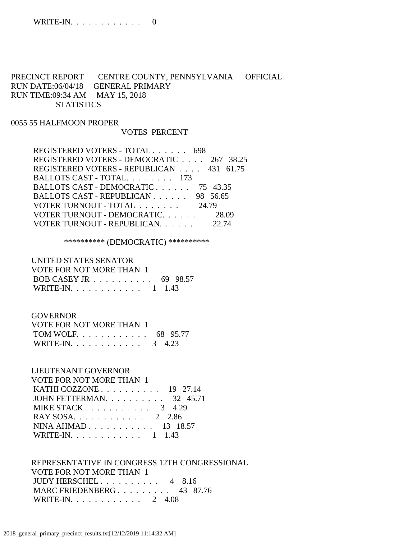# PRECINCT REPORT CENTRE COUNTY, PENNSYLVANIA OFFICIAL RUN DATE:06/04/18 GENERAL PRIMARY RUN TIME:09:34 AM MAY 15, 2018 **STATISTICS**

#### 0055 55 HALFMOON PROPER

### VOTES PERCENT

 REGISTERED VOTERS - TOTAL . . . . . . 698 REGISTERED VOTERS - DEMOCRATIC . . . . 267 38.25 REGISTERED VOTERS - REPUBLICAN . . . . 431 61.75 BALLOTS CAST - TOTAL. . . . . . . . 173 BALLOTS CAST - DEMOCRATIC . . . . . . 75 43.35 BALLOTS CAST - REPUBLICAN . . . . . . 98 56.65 VOTER TURNOUT - TOTAL . . . . . . . 24.79 VOTER TURNOUT - DEMOCRATIC. . . . . . 28.09 VOTER TURNOUT - REPUBLICAN. . . . . . 22.74

\*\*\*\*\*\*\*\*\*\* (DEMOCRATIC) \*\*\*\*\*\*\*\*\*\*

# UNITED STATES SENATOR VOTE FOR NOT MORE THAN 1 BOB CASEY JR . . . . . . . . . . 69 98.57 WRITE-IN. . . . . . . . . . . . 1 1.43

#### GOVERNOR

| VOTE FOR NOT MORE THAN 1 |  |
|--------------------------|--|
| TOM WOLF 68 95.77        |  |
| WRITE-IN. 3 4.23         |  |

## LIEUTENANT GOVERNOR

#### VOTE FOR NOT MORE THAN 1

| KATHI COZZONE $\ldots$ 19 27.14   |  |
|-----------------------------------|--|
| JOHN FETTERMAN. $\ldots$ 32 45.71 |  |
| MIKE STACK $3 \quad 4.29$         |  |
| RAY SOSA. 2 2.86                  |  |
| NINA AHMAD 13 18.57               |  |
| WRITE-IN. 1 1.43                  |  |
|                                   |  |

# REPRESENTATIVE IN CONGRESS 12TH CONGRESSIONAL VOTE FOR NOT MORE THAN 1

| JUDY HERSCHEL $4 \quad 8.16$ |  |  |
|------------------------------|--|--|
| MARC FRIEDENBERG 43 87.76    |  |  |
| WRITE-IN. $\ldots$ 2 4.08    |  |  |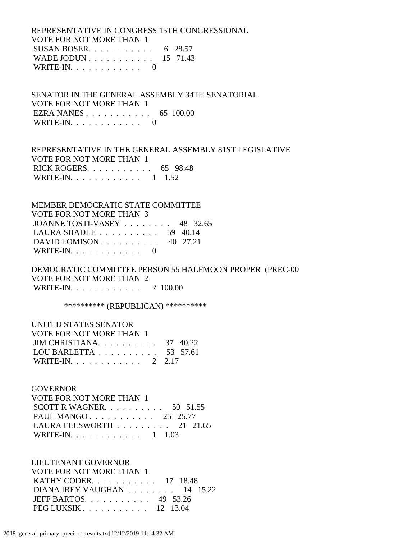REPRESENTATIVE IN CONGRESS 15TH CONGRESSIONAL VOTE FOR NOT MORE THAN 1 SUSAN BOSER. . . . . . . . . . . 6 28.57 WADE JODUN . . . . . . . . . . . 15 71.43 WRITE-IN. . . . . . . . . . . . 0

 SENATOR IN THE GENERAL ASSEMBLY 34TH SENATORIAL VOTE FOR NOT MORE THAN 1 EZRA NANES . . . . . . . . . . . 65 100.00 WRITE-IN. . . . . . . . . . . . 0

 REPRESENTATIVE IN THE GENERAL ASSEMBLY 81ST LEGISLATIVE VOTE FOR NOT MORE THAN 1 RICK ROGERS. . . . . . . . . . . 65 98.48 WRITE-IN. . . . . . . . . . . . 1 1.52

 MEMBER DEMOCRATIC STATE COMMITTEE VOTE FOR NOT MORE THAN 3 JOANNE TOSTI-VASEY . . . . . . . . 48 32.65 LAURA SHADLE . . . . . . . . . . 59 40.14 DAVID LOMISON . . . . . . . . . . 40 27.21 WRITE-IN.  $\ldots$  . . . . . . . . . 0

 DEMOCRATIC COMMITTEE PERSON 55 HALFMOON PROPER (PREC-00 VOTE FOR NOT MORE THAN 2 WRITE-IN. . . . . . . . . . . . 2 100.00

\*\*\*\*\*\*\*\*\*\*\* (REPUBLICAN) \*\*\*\*\*\*\*\*\*\*\*

| UNITED STATES SENATOR                               |  |
|-----------------------------------------------------|--|
| VOTE FOR NOT MORE THAN 1                            |  |
| JIM CHRISTIANA $37 \quad 40.22$                     |  |
| LOU BARLETTA $\ldots \ldots \ldots \ldots 53$ 57.61 |  |
| WRITE-IN. 2 2.17                                    |  |

#### **GOVERNOR**

| VOTE FOR NOT MORE THAN 1                        |  |  |
|-------------------------------------------------|--|--|
| SCOTT R WAGNER. $\ldots$ 50 51.55               |  |  |
| PAUL MANGO 25 25.77                             |  |  |
| LAURA ELLSWORTH $\ldots \ldots \ldots 21$ 21.65 |  |  |
| WRITE-IN. 1 1.03                                |  |  |

 LIEUTENANT GOVERNOR VOTE FOR NOT MORE THAN 1 KATHY CODER. . . . . . . . . . . 17 18.48 DIANA IREY VAUGHAN . . . . . . . . 14 15.22 JEFF BARTOS. . . . . . . . . . . 49 53.26 PEG LUKSIK . . . . . . . . . . . 12 13.04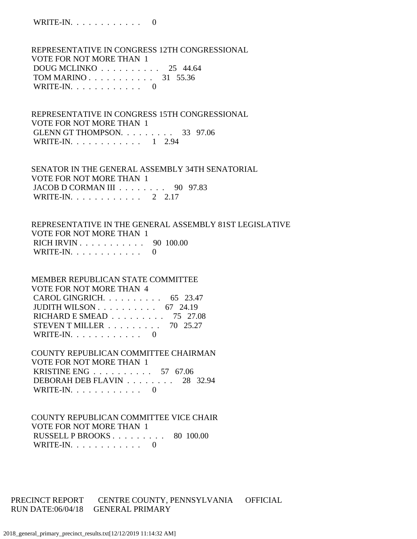REPRESENTATIVE IN CONGRESS 12TH CONGRESSIONAL VOTE FOR NOT MORE THAN 1 DOUG MCLINKO . . . . . . . . . . 25 44.64 TOM MARINO . . . . . . . . . . . 31 55.36 WRITE-IN. . . . . . . . . . . . 0

 REPRESENTATIVE IN CONGRESS 15TH CONGRESSIONAL VOTE FOR NOT MORE THAN 1 GLENN GT THOMPSON. . . . . . . . . 33 97.06 WRITE-IN. . . . . . . . . . . . 1 2.94

 SENATOR IN THE GENERAL ASSEMBLY 34TH SENATORIAL VOTE FOR NOT MORE THAN 1 JACOB D CORMAN III . . . . . . . . 90 97.83 WRITE-IN. . . . . . . . . . . . 2 2.17

 REPRESENTATIVE IN THE GENERAL ASSEMBLY 81ST LEGISLATIVE VOTE FOR NOT MORE THAN 1 RICH IRVIN . . . . . . . . . . . 90 100.00 WRITE-IN.  $\ldots$  . . . . . . . . . 0

 MEMBER REPUBLICAN STATE COMMITTEE VOTE FOR NOT MORE THAN 4 CAROL GINGRICH. . . . . . . . . . 65 23.47 JUDITH WILSON . . . . . . . . . . 67 24.19 RICHARD E SMEAD . . . . . . . . . 75 27.08 STEVEN T MILLER . . . . . . . . . 70 25.27 WRITE-IN. . . . . . . . . . . . 0

 COUNTY REPUBLICAN COMMITTEE CHAIRMAN VOTE FOR NOT MORE THAN 1 KRISTINE ENG . . . . . . . . . . 57 67.06 DEBORAH DEB FLAVIN . . . . . . . . 28 32.94 WRITE-IN. . . . . . . . . . . . 0

 COUNTY REPUBLICAN COMMITTEE VICE CHAIR VOTE FOR NOT MORE THAN 1 RUSSELL P BROOKS . . . . . . . . . 80 100.00 WRITE-IN. . . . . . . . . . . . 0

PRECINCT REPORT CENTRE COUNTY, PENNSYLVANIA OFFICIAL RUN DATE:06/04/18 GENERAL PRIMARY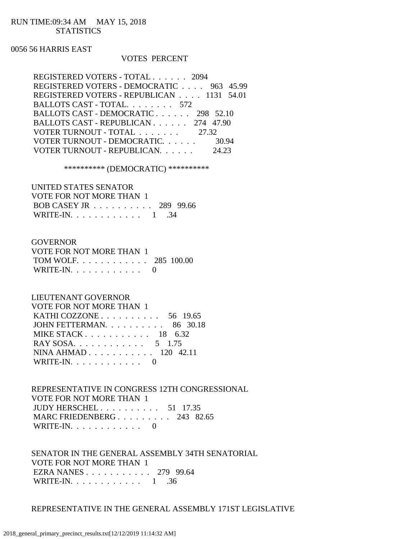### RUN TIME:09:34 AM MAY 15, 2018 **STATISTICS**

### 0056 56 HARRIS EAST

### VOTES PERCENT

| REGISTERED VOTERS - TOTAL 2094            |       |
|-------------------------------------------|-------|
| REGISTERED VOTERS - DEMOCRATIC 963 45.99  |       |
| REGISTERED VOTERS - REPUBLICAN 1131 54.01 |       |
| BALLOTS CAST - TOTAL. 572                 |       |
| BALLOTS CAST - DEMOCRATIC 298 52.10       |       |
| BALLOTS CAST - REPUBLICAN 274 47.90       |       |
| VOTER TURNOUT - TOTAL 27.32               |       |
| VOTER TURNOUT - DEMOCRATIC.               | 30.94 |
| VOTER TURNOUT - REPUBLICAN.<br>24.23      |       |

\*\*\*\*\*\*\*\*\*\* (DEMOCRATIC) \*\*\*\*\*\*\*\*\*\*

| UNITED STATES SENATOR    |  |
|--------------------------|--|
| VOTE FOR NOT MORE THAN 1 |  |
| BOB CASEY JR 289 99.66   |  |
| WRITE-IN. $\ldots$ 1 34  |  |

#### GOVERNOR

| VOTE FOR NOT MORE THAN 1 |  |
|--------------------------|--|
| TOM WOLF. 285 100.00     |  |
| WRITE-IN. $\ldots$ 0     |  |

### LIEUTENANT GOVERNOR

| VOTE FOR NOT MORE THAN 1   |  |
|----------------------------|--|
| KATHI COZZONE 56 19.65     |  |
| JOHN FETTERMAN. 86 30.18   |  |
| MIKE STACK $18 \quad 6.32$ |  |
| RAY SOSA. 5 1.75           |  |
| NINA AHMAD $120$ 42.11     |  |
| WRITE-IN. $\ldots$ 0       |  |

 REPRESENTATIVE IN CONGRESS 12TH CONGRESSIONAL VOTE FOR NOT MORE THAN 1 JUDY HERSCHEL . . . . . . . . . . 51 17.35 MARC FRIEDENBERG . . . . . . . . . 243 82.65 WRITE-IN.  $\ldots$  . . . . . . . . . 0

 SENATOR IN THE GENERAL ASSEMBLY 34TH SENATORIAL VOTE FOR NOT MORE THAN 1 EZRA NANES . . . . . . . . . . . 279 99.64 WRITE-IN. . . . . . . . . . . . 1 .36

### REPRESENTATIVE IN THE GENERAL ASSEMBLY 171ST LEGISLATIVE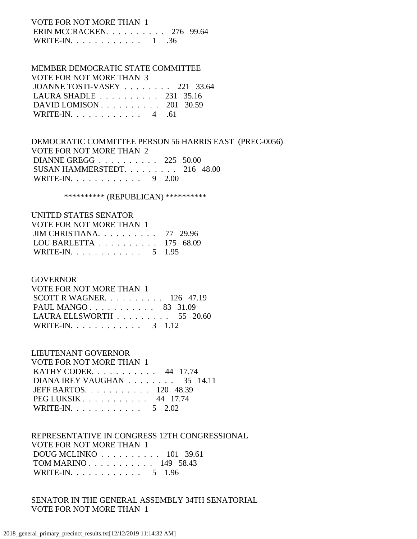# VOTE FOR NOT MORE THAN 1 ERIN MCCRACKEN. . . . . . . . . . 276 99.64

WRITE-IN. . . . . . . . . . . . . 1 .36

# MEMBER DEMOCRATIC STATE COMMITTEE

| VOTE FOR NOT MORE THAN 3                             |  |  |
|------------------------------------------------------|--|--|
| JOANNE TOSTI-VASEY 221 33.64                         |  |  |
| LAURA SHADLE $\ldots \ldots \ldots \ldots$ 231 35.16 |  |  |
| DAVID LOMISON $\ldots$ 201 30.59                     |  |  |
| WRITE-IN. $\ldots$ 4 .61                             |  |  |

# DEMOCRATIC COMMITTEE PERSON 56 HARRIS EAST (PREC-0056) VOTE FOR NOT MORE THAN 2 DIANNE GREGG . . . . . . . . . . 225 50.00 SUSAN HAMMERSTEDT. . . . . . . . . 216 48.00 WRITE-IN. . . . . . . . . . . . 9 2.00

\*\*\*\*\*\*\*\*\*\*\* (REPUBLICAN) \*\*\*\*\*\*\*\*\*\*\*

| UNITED STATES SENATOR                                |  |
|------------------------------------------------------|--|
| VOTE FOR NOT MORE THAN 1                             |  |
| JIM CHRISTIANA. $\ldots$ 77 29.96                    |  |
| LOU BARLETTA $\ldots \ldots \ldots \ldots 175$ 68.09 |  |
| WRITE-IN. 5 1.95                                     |  |

# GOVERNOR

| VOTE FOR NOT MORE THAN 1                               |  |  |
|--------------------------------------------------------|--|--|
| SCOTT R WAGNER. $\ldots$ 126 47.19                     |  |  |
| PAUL MANGO 83 31.09                                    |  |  |
| LAURA ELLSWORTH $\ldots \ldots \ldots \ldots$ 55 20.60 |  |  |
| WRITE-IN. 3 1.12                                       |  |  |

# LIEUTENANT GOVERNOR

| VOTE FOR NOT MORE THAN 1                           |  |
|----------------------------------------------------|--|
| KATHY CODER. 44 17.74                              |  |
| DIANA IREY VAUGHAN $\ldots \ldots \ldots$ 35 14.11 |  |
| JEFF BARTOS. 120 48.39                             |  |
| PEG LUKSIK 44 17.74                                |  |
| WRITE-IN. 5 2.02                                   |  |

# REPRESENTATIVE IN CONGRESS 12TH CONGRESSIONAL VOTE FOR NOT MORE THAN 1 DOUG MCLINKO . . . . . . . . . . 101 39.61 TOM MARINO . . . . . . . . . . . 149 58.43

WRITE-IN. . . . . . . . . . . . 5 1.96

# SENATOR IN THE GENERAL ASSEMBLY 34TH SENATORIAL VOTE FOR NOT MORE THAN 1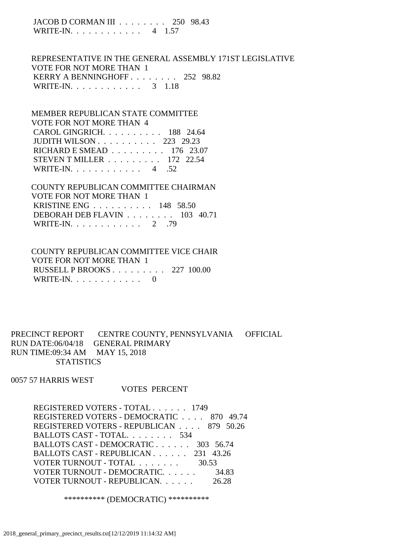JACOB D CORMAN III . . . . . . . . 250 98.43 WRITE-IN. . . . . . . . . . . . 4 1.57

 REPRESENTATIVE IN THE GENERAL ASSEMBLY 171ST LEGISLATIVE VOTE FOR NOT MORE THAN 1 KERRY A BENNINGHOFF . . . . . . . . 252 98.82 WRITE-IN. . . . . . . . . . . . . 3 1.18

 MEMBER REPUBLICAN STATE COMMITTEE VOTE FOR NOT MORE THAN 4 CAROL GINGRICH. . . . . . . . . . 188 24.64 JUDITH WILSON . . . . . . . . . . 223 29.23 RICHARD E SMEAD . . . . . . . . . 176 23.07 STEVEN T MILLER . . . . . . . . . 172 22.54 WRITE-IN. . . . . . . . . . . . 4 .52

 COUNTY REPUBLICAN COMMITTEE CHAIRMAN VOTE FOR NOT MORE THAN 1 KRISTINE ENG . . . . . . . . . . 148 58.50 DEBORAH DEB FLAVIN . . . . . . . . 103 40.71 WRITE-IN. . . . . . . . . . . . 2 .79

 COUNTY REPUBLICAN COMMITTEE VICE CHAIR VOTE FOR NOT MORE THAN 1 RUSSELL P BROOKS . . . . . . . . . 227 100.00 WRITE-IN. . . . . . . . . . . . 0

PRECINCT REPORT CENTRE COUNTY, PENNSYLVANIA OFFICIAL RUN DATE:06/04/18 GENERAL PRIMARY RUN TIME:09:34 AM MAY 15, 2018 **STATISTICS** 

0057 57 HARRIS WEST

### VOTES PERCENT

 REGISTERED VOTERS - TOTAL . . . . . . 1749 REGISTERED VOTERS - DEMOCRATIC . . . . 870 49.74 REGISTERED VOTERS - REPUBLICAN . . . . 879 50.26 BALLOTS CAST - TOTAL. . . . . . . . 534 BALLOTS CAST - DEMOCRATIC . . . . . . 303 56.74 BALLOTS CAST - REPUBLICAN . . . . . . 231 43.26 VOTER TURNOUT - TOTAL . . . . . . . . 30.53 VOTER TURNOUT - DEMOCRATIC. . . . . . 34.83 VOTER TURNOUT - REPUBLICAN. . . . . . 26.28

\*\*\*\*\*\*\*\*\*\* (DEMOCRATIC) \*\*\*\*\*\*\*\*\*\*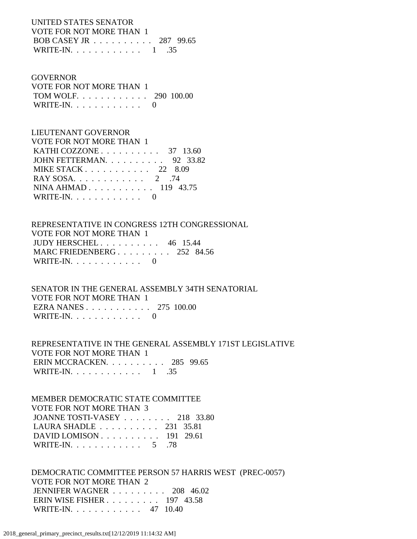UNITED STATES SENATOR VOTE FOR NOT MORE THAN 1 BOB CASEY JR . . . . . . . . . . 287 99.65 WRITE-IN. . . . . . . . . . . . 1 .35

### GOVERNOR

| VOTE FOR NOT MORE THAN 1 |  |
|--------------------------|--|
| TOM WOLF 290 100.00      |  |
| WRITE-IN. $\ldots$ 0     |  |

# LIEUTENANT GOVERNOR

| VOTE FOR NOT MORE THAN 1                             |
|------------------------------------------------------|
| KATHI COZZONE $\ldots \ldots \ldots \ldots$ 37 13.60 |
| JOHN FETTERMAN. $\ldots$ 92 33.82                    |
| MIKE STACK $22\quad 8.09$                            |
| RAY SOSA. $\ldots$ 2 .74                             |
| NINA AHMAD 119 43.75                                 |
| WRITE-IN. $\ldots$ 0                                 |
|                                                      |

# REPRESENTATIVE IN CONGRESS 12TH CONGRESSIONAL VOTE FOR NOT MORE THAN 1 JUDY HERSCHEL . . . . . . . . . . 46 15.44 MARC FRIEDENBERG . . . . . . . . . 252 84.56 WRITE-IN. . . . . . . . . . . . 0

 SENATOR IN THE GENERAL ASSEMBLY 34TH SENATORIAL VOTE FOR NOT MORE THAN 1 EZRA NANES . . . . . . . . . . . 275 100.00 WRITE-IN.  $\ldots$  . . . . . . . . . 0

 REPRESENTATIVE IN THE GENERAL ASSEMBLY 171ST LEGISLATIVE VOTE FOR NOT MORE THAN 1 ERIN MCCRACKEN. . . . . . . . . . 285 99.65 WRITE-IN. . . . . . . . . . . . 1 .35

# MEMBER DEMOCRATIC STATE COMMITTEE VOTE FOR NOT MORE THAN 3 JOANNE TOSTI-VASEY . . . . . . . . 218 33.80 LAURA SHADLE . . . . . . . . . . 231 35.81 DAVID LOMISON . . . . . . . . . . 191 29.61 WRITE-IN. . . . . . . . . . . . . 5 .78

 DEMOCRATIC COMMITTEE PERSON 57 HARRIS WEST (PREC-0057) VOTE FOR NOT MORE THAN 2 JENNIFER WAGNER . . . . . . . . . 208 46.02 ERIN WISE FISHER . . . . . . . . . 197 43.58 WRITE-IN. . . . . . . . . . . . 47 10.40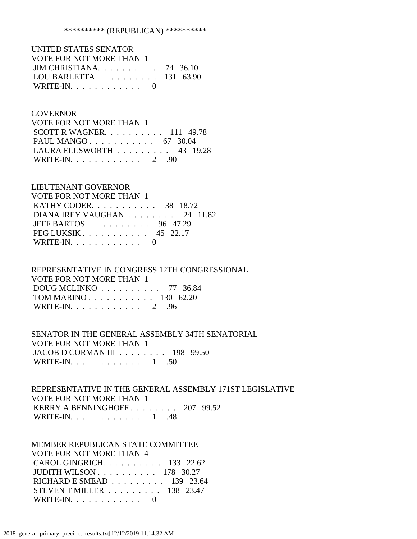| UNITED STATES SENATOR                         |  |
|-----------------------------------------------|--|
| VOTE FOR NOT MORE THAN 1                      |  |
| JIM CHRISTIANA. $\ldots$ 74 36.10             |  |
| LOU BARLETTA $\ldots \ldots \ldots 131$ 63.90 |  |
| WRITE-IN. $\ldots$ 0                          |  |

### GOVERNOR

| VOTE FOR NOT MORE THAN 1           |  |  |
|------------------------------------|--|--|
| SCOTT R WAGNER. $\ldots$ 111 49.78 |  |  |
| PAUL MANGO 67 30.04                |  |  |
| LAURA ELLSWORTH $\ldots$ 43 19.28  |  |  |
| WRITE-IN. $\ldots$ 2 .90           |  |  |

### LIEUTENANT GOVERNOR

| VOTE FOR NOT MORE THAN 1         |  |
|----------------------------------|--|
| KATHY CODER. $\ldots$ 38 18.72   |  |
| DIANA IREY VAUGHAN 24 11.82      |  |
| JEFF BARTOS. $\ldots$ , 96 47.29 |  |
| PEG LUKSIK $\ldots$ 45 22.17     |  |
| WRITE-IN. $\ldots$ 0             |  |

# REPRESENTATIVE IN CONGRESS 12TH CONGRESSIONAL VOTE FOR NOT MORE THAN 1 DOUG MCLINKO . . . . . . . . . . 77 36.84 TOM MARINO . . . . . . . . . . . 130 62.20 WRITE-IN. . . . . . . . . . . . 2 .96

# SENATOR IN THE GENERAL ASSEMBLY 34TH SENATORIAL VOTE FOR NOT MORE THAN 1 JACOB D CORMAN III . . . . . . . . 198 99.50 WRITE-IN. . . . . . . . . . . . 1 .50

# REPRESENTATIVE IN THE GENERAL ASSEMBLY 171ST LEGISLATIVE VOTE FOR NOT MORE THAN 1 KERRY A BENNINGHOFF . . . . . . . . 207 99.52 WRITE-IN. . . . . . . . . . . . . 1 .48

#### MEMBER REPUBLICAN STATE COMMITTEE VOTE FOR NOT MORE THAN 4

| YULETUN INJI MUJINE HIAD T |                                                      |
|----------------------------|------------------------------------------------------|
|                            | CAROL GINGRICH. 133 22.62                            |
|                            | JUDITH WILSON $\ldots$ $\ldots$ $\ldots$ 178 30.27   |
|                            | RICHARD E SMEAD $\ldots \ldots \ldots$ 139 23.64     |
|                            | STEVEN T MILLER $\ldots$ $\ldots$ $\ldots$ 138 23.47 |
| WRITE-IN. $\ldots$ 0       |                                                      |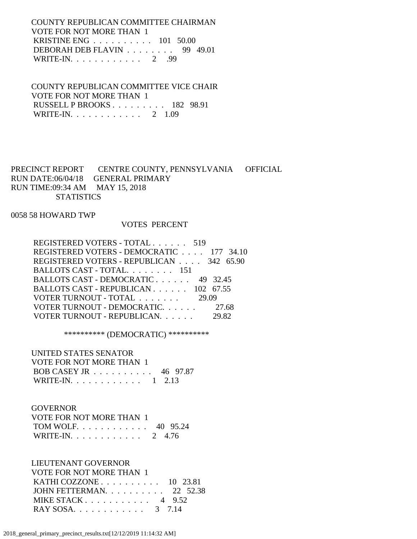COUNTY REPUBLICAN COMMITTEE CHAIRMAN VOTE FOR NOT MORE THAN 1 KRISTINE ENG . . . . . . . . . . 101 50.00 DEBORAH DEB FLAVIN . . . . . . . . 99 49.01 WRITE-IN. . . . . . . . . . . . . 2 .99

 COUNTY REPUBLICAN COMMITTEE VICE CHAIR VOTE FOR NOT MORE THAN 1 RUSSELL P BROOKS . . . . . . . . . 182 98.91 WRITE-IN. . . . . . . . . . . . 2 1.09

PRECINCT REPORT CENTRE COUNTY, PENNSYLVANIA OFFICIAL RUN DATE:06/04/18 GENERAL PRIMARY RUN TIME:09:34 AM MAY 15, 2018 **STATISTICS** 

0058 58 HOWARD TWP

### VOTES PERCENT

| REGISTERED VOTERS - DEMOCRATIC 177 34.10 |
|------------------------------------------|
|                                          |
| REGISTERED VOTERS - REPUBLICAN 342 65.90 |
| BALLOTS CAST - TOTAL. 151                |
| BALLOTS CAST - DEMOCRATIC 49 32.45       |
| BALLOTS CAST - REPUBLICAN 102 67.55      |
| VOTER TURNOUT - TOTAL 29.09              |
| VOTER TURNOUT - DEMOCRATIC. 27.68        |
| VOTER TURNOUT - REPUBLICAN.<br>29.82     |

\*\*\*\*\*\*\*\*\*\* (DEMOCRATIC) \*\*\*\*\*\*\*\*\*\*

 UNITED STATES SENATOR VOTE FOR NOT MORE THAN 1 BOB CASEY JR . . . . . . . . . . 46 97.87 WRITE-IN. . . . . . . . . . . . 1 2.13

### GOVERNOR

| VOTE FOR NOT MORE THAN 1 |  |
|--------------------------|--|
| TOM WOLF 40 95.24        |  |
| WRITE-IN. 2 4.76         |  |

 LIEUTENANT GOVERNOR VOTE FOR NOT MORE THAN 1 KATHI COZZONE . . . . . . . . . . 10 23.81 JOHN FETTERMAN. . . . . . . . . . 22 52.38 MIKE STACK . . . . . . . . . . . 4 9.52 RAY SOSA. . . . . . . . . . . . . 3 7.14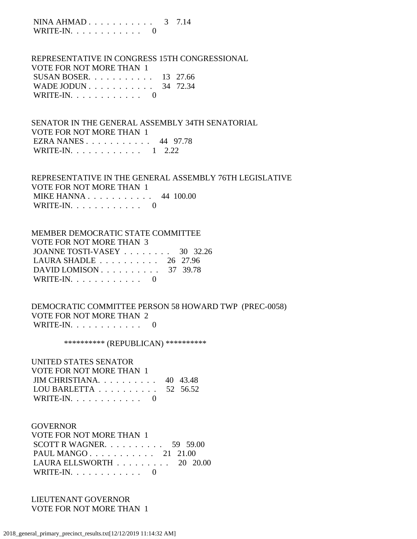NINA AHMAD . . . . . . . . . . . 3 7.14 WRITE-IN.  $\ldots$  . . . . . . . . 0

 REPRESENTATIVE IN CONGRESS 15TH CONGRESSIONAL VOTE FOR NOT MORE THAN 1 SUSAN BOSER. . . . . . . . . . . 13 27.66 WADE JODUN . . . . . . . . . . . . 34 72.34 WRITE-IN.  $\ldots$  . . . . . . . . 0

 SENATOR IN THE GENERAL ASSEMBLY 34TH SENATORIAL VOTE FOR NOT MORE THAN 1 EZRA NANES . . . . . . . . . . . 44 97.78 WRITE-IN. . . . . . . . . . . . 1 2.22

 REPRESENTATIVE IN THE GENERAL ASSEMBLY 76TH LEGISLATIVE VOTE FOR NOT MORE THAN 1 MIKE HANNA . . . . . . . . . . . 44 100.00 WRITE-IN. . . . . . . . . . . . 0

 MEMBER DEMOCRATIC STATE COMMITTEE  $V$ OTE FOR NOT MORE THAN  $\sim$ 

| VOTE FOR NOT MORE THAN 3                             |  |
|------------------------------------------------------|--|
| JOANNE TOSTI-VASEY 30 32.26                          |  |
| LAURA SHADLE $\ldots \ldots \ldots \ldots$ 26 27.96  |  |
| DAVID LOMISON $\ldots \ldots \ldots \ldots$ 37 39.78 |  |
| WRITE-IN. $\ldots$ 0                                 |  |

 DEMOCRATIC COMMITTEE PERSON 58 HOWARD TWP (PREC-0058) VOTE FOR NOT MORE THAN 2 WRITE-IN.  $\ldots$  . . . . . . . . . 0

\*\*\*\*\*\*\*\*\*\* (REPUBLICAN) \*\*\*\*\*\*\*\*\*\*

 UNITED STATES SENATOR VOTE FOR NOT MORE THAN 1 JIM CHRISTIANA. . . . . . . . . . 40 43.48 LOU BARLETTA . . . . . . . . . . 52 56.52 WRITE-IN. . . . . . . . . . . . 0

 GOVERNOR VOTE FOR NOT MORE THAN 1 SCOTT R WAGNER. . . . . . . . . . 59 59.00 PAUL MANGO . . . . . . . . . . . 21 21.00 LAURA ELLSWORTH . . . . . . . . . 20 20.00 WRITE-IN. . . . . . . . . . . . 0

 LIEUTENANT GOVERNOR VOTE FOR NOT MORE THAN 1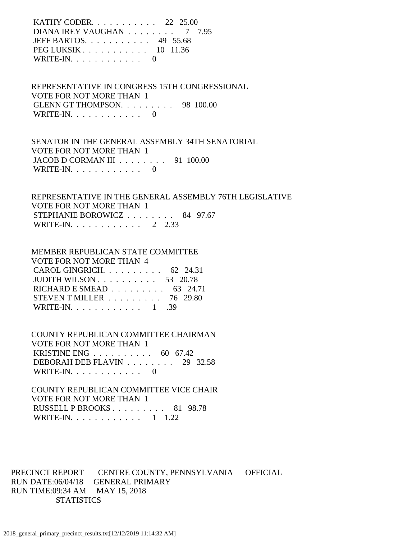KATHY CODER. . . . . . . . . . . 22 25.00 DIANA IREY VAUGHAN . . . . . . . . 7 7.95 JEFF BARTOS. . . . . . . . . . . 49 55.68 PEG LUKSIK . . . . . . . . . . . 10 11.36 WRITE-IN.  $\ldots$  . . . . . . . . 0

 REPRESENTATIVE IN CONGRESS 15TH CONGRESSIONAL VOTE FOR NOT MORE THAN 1 GLENN GT THOMPSON. . . . . . . . . 98 100.00 WRITE-IN.  $\ldots$  . . . . . . . . . 0

 SENATOR IN THE GENERAL ASSEMBLY 34TH SENATORIAL VOTE FOR NOT MORE THAN 1 JACOB D CORMAN III . . . . . . . . 91 100.00 WRITE-IN.  $\ldots$  . . . . . . . . . 0

 REPRESENTATIVE IN THE GENERAL ASSEMBLY 76TH LEGISLATIVE VOTE FOR NOT MORE THAN 1 STEPHANIE BOROWICZ . . . . . . . . 84 97.67 WRITE-IN. . . . . . . . . . . . 2 2.33

#### MEMBER REPUBLICAN STATE COMMITTEE VOTE FOR NOT MORE THAN 4  $C$  A<sub>DO</sub> C<sub>NO</sub> C<sub>NO</sub> C<sub>NO</sub> C<sub>OO</sub> 24.21

| CAROL GINGRICH. $\ldots$ $\ldots$ $\ldots$ . $62$ 24.31 |  |
|---------------------------------------------------------|--|
| JUDITH WILSON $\ldots \ldots \ldots \ldots 53$ 20.78    |  |
| RICHARD E SMEAD $\ldots \ldots \ldots$ 63 24.71         |  |
| STEVEN T MILLER $\ldots \ldots \ldots \ldots$ 76 29.80  |  |
| WRITE-IN. 1 .39                                         |  |

 COUNTY REPUBLICAN COMMITTEE CHAIRMAN VOTE FOR NOT MORE THAN 1 KRISTINE ENG . . . . . . . . . . 60 67.42 DEBORAH DEB FLAVIN . . . . . . . . 29 32.58 WRITE-IN.  $\ldots$  . . . . . . . . 0

 COUNTY REPUBLICAN COMMITTEE VICE CHAIR VOTE FOR NOT MORE THAN 1 RUSSELL P BROOKS . . . . . . . . . 81 98.78 WRITE-IN. . . . . . . . . . . . 1 1.22

PRECINCT REPORT CENTRE COUNTY, PENNSYLVANIA OFFICIAL RUN DATE:06/04/18 GENERAL PRIMARY RUN TIME:09:34 AM MAY 15, 2018 **STATISTICS**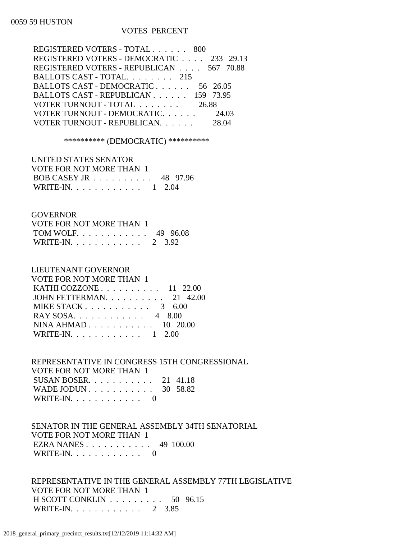### 0059 59 HUSTON

# VOTES PERCENT

| REGISTERED VOTERS - TOTAL 800            |       |
|------------------------------------------|-------|
| REGISTERED VOTERS - DEMOCRATIC 233 29.13 |       |
| REGISTERED VOTERS - REPUBLICAN 567 70.88 |       |
| BALLOTS CAST - TOTAL. 215                |       |
| BALLOTS CAST - DEMOCRATIC 56 26.05       |       |
| BALLOTS CAST - REPUBLICAN 159 73.95      |       |
| VOTER TURNOUT - TOTAL                    | 26.88 |
| VOTER TURNOUT - DEMOCRATIC 24.03         |       |
| VOTER TURNOUT - REPUBLICAN.              |       |
|                                          |       |

\*\*\*\*\*\*\*\*\*\* (DEMOCRATIC) \*\*\*\*\*\*\*\*\*\*

| UNITED STATES SENATOR    |  |
|--------------------------|--|
| VOTE FOR NOT MORE THAN 1 |  |
| BOB CASEY JR 48 97.96    |  |
| WRITE-IN. 1 2.04         |  |

## **GOVERNOR**

| VOTE FOR NOT MORE THAN 1  |  |
|---------------------------|--|
| TOM WOLF 49 96.08         |  |
| WRITE-IN. $\ldots$ 2 3.92 |  |

# LIEUTENANT GOVERNOR

| <b>VOTE FOR NOT MORE THAN 1</b>   |
|-----------------------------------|
| KATHI COZZONE $\ldots$ 11 22.00   |
| JOHN FETTERMAN. $\ldots$ 21 42.00 |
| MIKE STACK $3\quad 6.00$          |
| RAY SOSA. 4 8.00                  |
| NINA AHMAD 10 20.00               |
| WRITE-IN. 1 2.00                  |
|                                   |

# REPRESENTATIVE IN CONGRESS 15TH CONGRESSIONAL VOTE FOR NOT MORE THAN 1 SUSAN BOSER. . . . . . . . . . . 21 41.18 WADE JODUN . . . . . . . . . . . . 30 58.82

| WRITE-IN. $\ldots$ |  |  |  |  |  |  |
|--------------------|--|--|--|--|--|--|
|                    |  |  |  |  |  |  |

## SENATOR IN THE GENERAL ASSEMBLY 34TH SENATORIAL VOTE FOR NOT MORE THAN 1 EZRA NANES . . . . . . . . . . . 49 100.00 WRITE-IN. . . . . . . . . . . . 0

 REPRESENTATIVE IN THE GENERAL ASSEMBLY 77TH LEGISLATIVE VOTE FOR NOT MORE THAN 1 H SCOTT CONKLIN . . . . . . . . . 50 96.15 WRITE-IN. . . . . . . . . . . . 2 3.85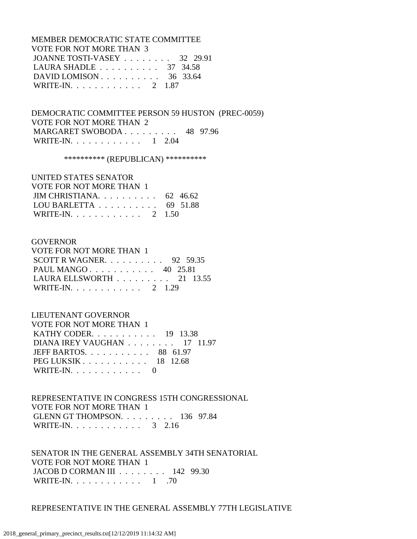MEMBER DEMOCRATIC STATE COMMITTEE VOTE FOR NOT MORE THAN 3 JOANNE TOSTI-VASEY . . . . . . . . 32 29.91 LAURA SHADLE . . . . . . . . . . 37 34.58 DAVID LOMISON . . . . . . . . . . . 36 33.64 WRITE-IN. . . . . . . . . . . . 2 1.87

 DEMOCRATIC COMMITTEE PERSON 59 HUSTON (PREC-0059) VOTE FOR NOT MORE THAN 2 MARGARET SWOBODA . . . . . . . . . 48 97.96 WRITE-IN. . . . . . . . . . . . 1 2.04

\*\*\*\*\*\*\*\*\*\* (REPUBLICAN) \*\*\*\*\*\*\*\*\*\*

### UNITED STATES SENATOR

| VOTE FOR NOT MORE THAN 1                            |  |
|-----------------------------------------------------|--|
| JIM CHRISTIANA 62 46.62                             |  |
| LOU BARLETTA $\ldots \ldots \ldots \ldots$ 69 51.88 |  |
| WRITE-IN. 2 1.50                                    |  |

### **GOVERNOR**

| VOTE FOR NOT MORE THAN 1                        |  |  |
|-------------------------------------------------|--|--|
| SCOTT R WAGNER. $\ldots$ 92 59.35               |  |  |
| PAUL MANGO $40$ 25.81                           |  |  |
| LAURA ELLSWORTH $\ldots \ldots \ldots 21$ 13.55 |  |  |
| WRITE-IN. 2 1.29                                |  |  |

### LIEUTENANT GOVERNOR

| VOTE FOR NOT MORE THAN 1                                |  |
|---------------------------------------------------------|--|
| <b>KATHY CODER.</b> 19 13.38                            |  |
| DIANA IREY VAUGHAN 17 11.97                             |  |
| JEFF BARTOS. 88 61.97                                   |  |
| PEG LUKSIK $\ldots$ $\ldots$ $\ldots$ $\ldots$ 18 12.68 |  |
| WRITE-IN. $\ldots$ 0                                    |  |

 REPRESENTATIVE IN CONGRESS 15TH CONGRESSIONAL VOTE FOR NOT MORE THAN 1 GLENN GT THOMPSON. . . . . . . . . 136 97.84 WRITE-IN. . . . . . . . . . . . 3 2.16

 SENATOR IN THE GENERAL ASSEMBLY 34TH SENATORIAL VOTE FOR NOT MORE THAN 1 JACOB D CORMAN III . . . . . . . . 142 99.30 WRITE-IN. . . . . . . . . . . . . 1 .70

### REPRESENTATIVE IN THE GENERAL ASSEMBLY 77TH LEGISLATIVE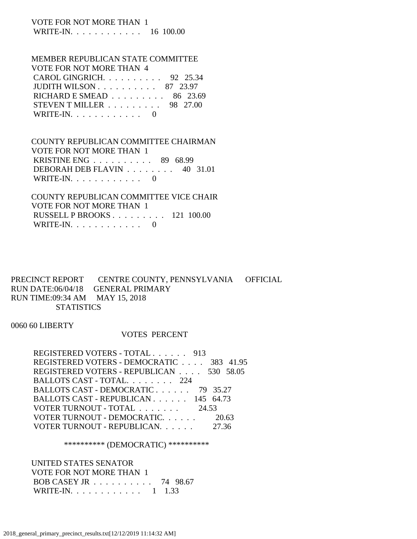### VOTE FOR NOT MORE THAN 1 WRITE-IN. . . . . . . . . . . . 16 100.00

#### MEMBER REPUBLICAN STATE COMMITTEE VOTE FOR NOT MORE THAN 4

| VOI'E FOR NOT MORE THAN 4                         |  |
|---------------------------------------------------|--|
| CAROL GINGRICH. $\ldots$ 92 25.34                 |  |
| JUDITH WILSON $\ldots$ $\ldots$ $\ldots$ 87 23.97 |  |
| RICHARD E SMEAD $\ldots \ldots \ldots$ 86 23.69   |  |
| STEVEN T MILLER $\ldots \ldots \ldots$ 98 27.00   |  |
| WRITE-IN. $\ldots$ 0                              |  |

## COUNTY REPUBLICAN COMMITTEE CHAIRMAN VOTE FOR NOT MORE THAN 1 KRISTINE ENG . . . . . . . . . . 89 68.99 DEBORAH DEB FLAVIN . . . . . . . . 40 31.01 WRITE-IN. . . . . . . . . . . . 0

 COUNTY REPUBLICAN COMMITTEE VICE CHAIR VOTE FOR NOT MORE THAN 1 RUSSELL P BROOKS . . . . . . . . . 121 100.00 WRITE-IN. . . . . . . . . . . . 0

### PRECINCT REPORT CENTRE COUNTY, PENNSYLVANIA OFFICIAL RUN DATE:06/04/18 GENERAL PRIMARY RUN TIME:09:34 AM MAY 15, 2018 **STATISTICS**

0060 60 LIBERTY

# VOTES PERCENT

| REGISTERED VOTERS - DEMOCRATIC 383 41.95 |
|------------------------------------------|
| REGISTERED VOTERS - REPUBLICAN 530 58.05 |
|                                          |
|                                          |
|                                          |
|                                          |
|                                          |
|                                          |
|                                          |

### \*\*\*\*\*\*\*\*\*\* (DEMOCRATIC) \*\*\*\*\*\*\*\*\*\*

 UNITED STATES SENATOR VOTE FOR NOT MORE THAN 1 BOB CASEY JR . . . . . . . . . . 74 98.67 WRITE-IN. . . . . . . . . . . . 1 1.33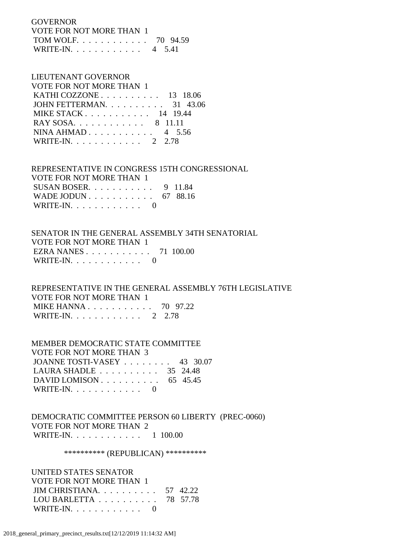GOVERNOR VOTE FOR NOT MORE THAN 1 TOM WOLF. . . . . . . . . . . . 70 94.59 WRITE-IN. . . . . . . . . . . . 4 5.41

# LIEUTENANT GOVERNOR

| VOTE FOR NOT MORE THAN 1                          |  |
|---------------------------------------------------|--|
| KATHI COZZONE $\ldots$ $\ldots$ $\ldots$ 13 18.06 |  |
| JOHN FETTERMAN. $\ldots$ 31 43.06                 |  |
| MIKE STACK 14 19.44                               |  |
| RAY SOSA. 8 11.11                                 |  |
| NINA AHMAD 4 $5.56$                               |  |
| WRITE-IN. 2 2.78                                  |  |

 REPRESENTATIVE IN CONGRESS 15TH CONGRESSIONAL VOTE FOR NOT MORE THAN 1 SUSAN BOSER. . . . . . . . . . . 9 11.84

| WADE JODUN 67 88.16 |  |
|---------------------|--|
| WRITE-IN. $\ldots$  |  |

### SENATOR IN THE GENERAL ASSEMBLY 34TH SENATORIAL VOTE FOR NOT MORE THAN 1 EZRA NANES . . . . . . . . . . . 71 100.00 WRITE-IN.  $\ldots$  . . . . . . . . 0

 REPRESENTATIVE IN THE GENERAL ASSEMBLY 76TH LEGISLATIVE VOTE FOR NOT MORE THAN 1 MIKE HANNA . . . . . . . . . . . 70 97.22 WRITE-IN. . . . . . . . . . . . 2 2.78

 MEMBER DEMOCRATIC STATE COMMITTEE VOTE FOR NOT MORE THAN 3 JOANNE TOSTI-VASEY . . . . . . . . 43 30.07 LAURA SHADLE . . . . . . . . . . 35 24.48 DAVID LOMISON . . . . . . . . . . . 65 45.45 WRITE-IN. . . . . . . . . . . . 0

 DEMOCRATIC COMMITTEE PERSON 60 LIBERTY (PREC-0060) VOTE FOR NOT MORE THAN 2 WRITE-IN. . . . . . . . . . . . 1 100.00

\*\*\*\*\*\*\*\*\*\* (REPUBLICAN) \*\*\*\*\*\*\*\*\*\*

 UNITED STATES SENATOR VOTE FOR NOT MORE THAN 1 JIM CHRISTIANA. . . . . . . . . . 57 42.22 LOU BARLETTA . . . . . . . . . . 78 57.78 WRITE-IN. . . . . . . . . . . . 0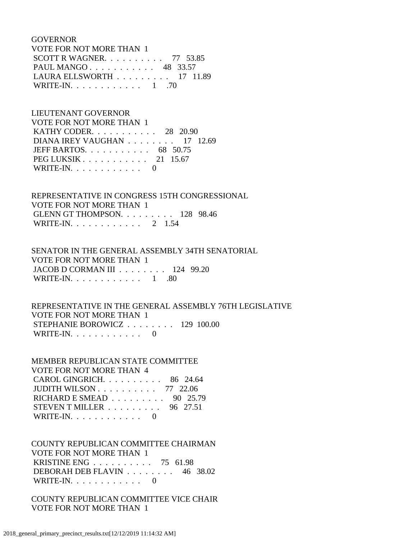GOVERNOR VOTE FOR NOT MORE THAN 1 SCOTT R WAGNER. . . . . . . . . . 77 53.85 PAUL MANGO . . . . . . . . . . . 48 33.57 LAURA ELLSWORTH . . . . . . . . . 17 11.89 WRITE-IN. . . . . . . . . . . . . 1 .70

# LIEUTENANT GOVERNOR VOTE FOR NOT MORE THAN 1 KATHY CODER. . . . . . . . . . . 28 20.90 DIANA IREY VAUGHAN . . . . . . . . 17 12.69 JEFF BARTOS. . . . . . . . . . . 68 50.75 PEG LUKSIK . . . . . . . . . . . 21 15.67 WRITE-IN. . . . . . . . . . . . 0

 REPRESENTATIVE IN CONGRESS 15TH CONGRESSIONAL VOTE FOR NOT MORE THAN 1 GLENN GT THOMPSON. . . . . . . . . 128 98.46 WRITE-IN. . . . . . . . . . . . 2 1.54

 SENATOR IN THE GENERAL ASSEMBLY 34TH SENATORIAL VOTE FOR NOT MORE THAN 1 JACOB D CORMAN III . . . . . . . . 124 99.20 WRITE-IN.  $\ldots$  . . . . . . . . . 1 .80

# REPRESENTATIVE IN THE GENERAL ASSEMBLY 76TH LEGISLATIVE VOTE FOR NOT MORE THAN 1 STEPHANIE BOROWICZ . . . . . . . . 129 100.00 WRITE-IN.  $\ldots$  . . . . . . . . 0

 MEMBER REPUBLICAN STATE COMMITTEE VOTE FOR NOT MORE THAN 4 CAROL GINGRICH. . . . . . . . . . 86 24.64 JUDITH WILSON . . . . . . . . . . 77 22.06 RICHARD E SMEAD . . . . . . . . . 90 25.79 STEVEN T MILLER . . . . . . . . . 96 27.51 WRITE-IN.  $\ldots$  . . . . . . . . 0

 COUNTY REPUBLICAN COMMITTEE CHAIRMAN VOTE FOR NOT MORE THAN 1 KRISTINE ENG . . . . . . . . . . 75 61.98 DEBORAH DEB FLAVIN . . . . . . . . 46 38.02 WRITE-IN. . . . . . . . . . . . 0

 COUNTY REPUBLICAN COMMITTEE VICE CHAIR VOTE FOR NOT MORE THAN 1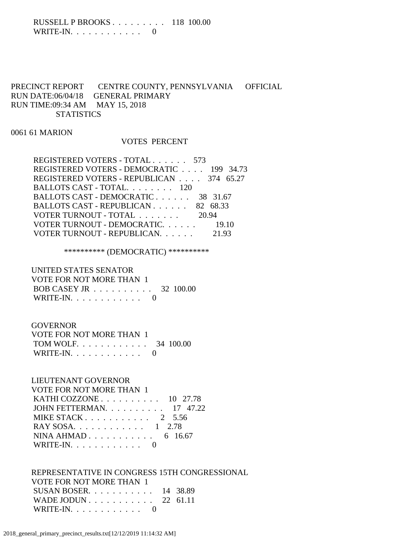### RUSSELL P BROOKS . . . . . . . . . 118 100.00 WRITE-IN.  $\ldots$  . . . . . . . . . 0

# PRECINCT REPORT CENTRE COUNTY, PENNSYLVANIA OFFICIAL RUN DATE:06/04/18 GENERAL PRIMARY RUN TIME:09:34 AM MAY 15, 2018 **STATISTICS**

0061 61 MARION

### VOTES PERCENT

| REGISTERED VOTERS - TOTAL 573            |          |
|------------------------------------------|----------|
| REGISTERED VOTERS - DEMOCRATIC 199 34.73 |          |
| REGISTERED VOTERS - REPUBLICAN 374 65.27 |          |
| BALLOTS CAST - TOTAL. 120                |          |
| BALLOTS CAST - DEMOCRATIC                | 38 31.67 |
| BALLOTS CAST - REPUBLICAN 82 68.33       |          |
| VOTER TURNOUT - TOTAL 20.94              |          |
| VOTER TURNOUT - DEMOCRATIC. 19.10        |          |
| VOTER TURNOUT - REPUBLICAN.              | 21.93    |

# \*\*\*\*\*\*\*\*\*\* (DEMOCRATIC) \*\*\*\*\*\*\*\*\*\*

| UNITED STATES SENATOR    |  |
|--------------------------|--|
| VOTE FOR NOT MORE THAN 1 |  |
| BOB CASEY JR 32 100.00   |  |
| WRITE-IN. $\ldots$ 0     |  |

### **GOVERNOR**

| VOTE FOR NOT MORE THAN 1 |  |
|--------------------------|--|
| TOM WOLF. 34 100.00      |  |
| WRITE-IN. $\ldots$ 0     |  |

# LIEUTENANT GOVERNOR

| VOTE FOR NOT MORE THAN 1                              |  |
|-------------------------------------------------------|--|
| KATHI COZZONE $\ldots$ 10 27.78                       |  |
| JOHN FETTERMAN. $\ldots$ 17 47.22                     |  |
| MIKE STACK $\ldots$ $\ldots$ $\ldots$ $\ldots$ 2 5.56 |  |
| RAY SOSA. 1 2.78                                      |  |
| NINA AHMAD 6 16.67                                    |  |
| WRITE-IN. $\ldots$ 0                                  |  |

#### REPRESENTATIVE IN CONGRESS 15TH CONGRESSIONAL VOTE FOR NOT MORE THAN 1

| VOIE FOR NOT MORE THAN T       |  |
|--------------------------------|--|
| SUSAN BOSER. $\ldots$ 14 38.89 |  |
| WADE JODUN $22\;61.11$         |  |
| WRITE-IN. $\ldots$ 0           |  |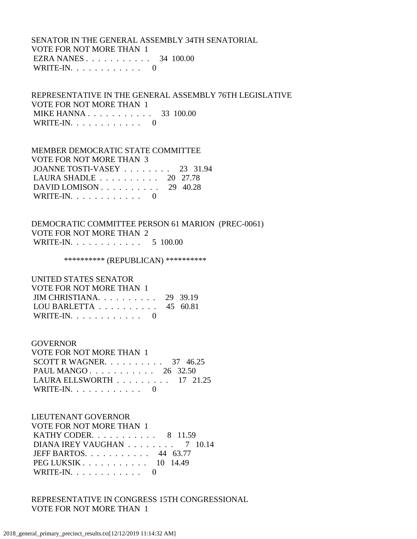### SENATOR IN THE GENERAL ASSEMBLY 34TH SENATORIAL VOTE FOR NOT MORE THAN 1 EZRA NANES . . . . . . . . . . . 34 100.00 WRITE-IN.  $\ldots$  . . . . . . . . 0

 REPRESENTATIVE IN THE GENERAL ASSEMBLY 76TH LEGISLATIVE VOTE FOR NOT MORE THAN 1 MIKE HANNA . . . . . . . . . . . 33 100.00 WRITE-IN. . . . . . . . . . . . 0

### MEMBER DEMOCRATIC STATE COMMITTEE

 VOTE FOR NOT MORE THAN 3 JOANNE TOSTI-VASEY . . . . . . . . 23 31.94 LAURA SHADLE . . . . . . . . . . 20 27.78 DAVID LOMISON . . . . . . . . . . 29 40.28 WRITE-IN.  $\ldots$  . . . . . . . . . 0

## DEMOCRATIC COMMITTEE PERSON 61 MARION (PREC-0061) VOTE FOR NOT MORE THAN 2 WRITE-IN. . . . . . . . . . . . . 5 100.00

\*\*\*\*\*\*\*\*\*\*\* (REPUBLICAN) \*\*\*\*\*\*\*\*\*\*\*

 UNITED STATES SENATOR VOTE FOR NOT MORE THAN 1 JIM CHRISTIANA. . . . . . . . . . 29 39.19 LOU BARLETTA . . . . . . . . . . 45 60.81 WRITE-IN.  $\ldots$  . . . . . . . . 0

### GOVERNOR

 VOTE FOR NOT MORE THAN 1 SCOTT R WAGNER. . . . . . . . . . 37 46.25 PAUL MANGO . . . . . . . . . . . 26 32.50 LAURA ELLSWORTH . . . . . . . . . 17 21.25 WRITE-IN.  $\ldots$  . . . . . . . . 0

# LIEUTENANT GOVERNOR

| VOTE FOR NOT MORE THAN 1                                |  |
|---------------------------------------------------------|--|
| <b>KATHY CODER.</b> 8 11.59                             |  |
| DIANA IREY VAUGHAN $\ldots \ldots \ldots$ 7 10.14       |  |
| JEFF BARTOS. $\ldots$ , 44 63.77                        |  |
| PEG LUKSIK $\ldots$ $\ldots$ $\ldots$ $\ldots$ 10 14.49 |  |
| WRITE-IN. $\ldots$ 0                                    |  |

 REPRESENTATIVE IN CONGRESS 15TH CONGRESSIONAL VOTE FOR NOT MORE THAN 1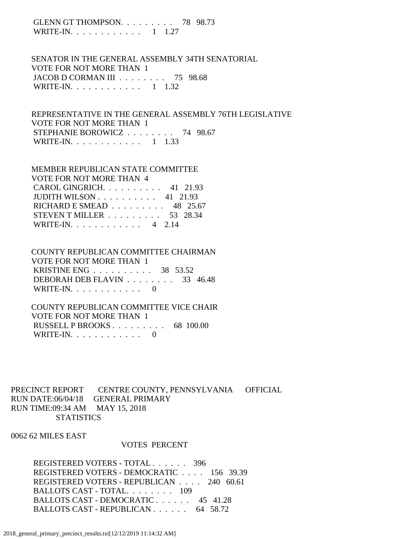GLENN GT THOMPSON. . . . . . . . . 78 98.73 WRITE-IN. . . . . . . . . . . . 1 1.27

 SENATOR IN THE GENERAL ASSEMBLY 34TH SENATORIAL VOTE FOR NOT MORE THAN 1 JACOB D CORMAN III . . . . . . . . 75 98.68 WRITE-IN. . . . . . . . . . . . 1 1.32

 REPRESENTATIVE IN THE GENERAL ASSEMBLY 76TH LEGISLATIVE VOTE FOR NOT MORE THAN 1 STEPHANIE BOROWICZ . . . . . . . . 74 98.67 WRITE-IN. . . . . . . . . . . . 1 1.33

#### MEMBER REPUBLICAN STATE COMMITTEE VOTE FOR NOT MORE THAN 4

| CAROL GINGRICH. $\ldots$ . 41 21.93                    |  |
|--------------------------------------------------------|--|
| JUDITH WILSON $\ldots \ldots \ldots \ldots$ 41 21.93   |  |
| RICHARD E SMEAD $\ldots$ 48 25.67                      |  |
| STEVEN T MILLER $\ldots \ldots \ldots \ldots$ 53 28.34 |  |
| WRITE-IN. 4 2.14                                       |  |

# COUNTY REPUBLICAN COMMITTEE CHAIRMAN VOTE FOR NOT MORE THAN 1

 KRISTINE ENG . . . . . . . . . . 38 53.52 DEBORAH DEB FLAVIN . . . . . . . . 33 46.48 WRITE-IN.  $\ldots$  . . . . . . . . . 0

# COUNTY REPUBLICAN COMMITTEE VICE CHAIR VOTE FOR NOT MORE THAN 1 RUSSELL P BROOKS . . . . . . . . . 68 100.00 WRITE-IN. . . . . . . . . . . . 0

PRECINCT REPORT CENTRE COUNTY, PENNSYLVANIA OFFICIAL RUN DATE:06/04/18 GENERAL PRIMARY RUN TIME:09:34 AM MAY 15, 2018 **STATISTICS** 

0062 62 MILES EAST

### VOTES PERCENT

 REGISTERED VOTERS - TOTAL . . . . . . 396 REGISTERED VOTERS - DEMOCRATIC . . . . 156 39.39 REGISTERED VOTERS - REPUBLICAN . . . . 240 60.61 BALLOTS CAST - TOTAL. . . . . . . . 109 BALLOTS CAST - DEMOCRATIC . . . . . . 45 41.28 BALLOTS CAST - REPUBLICAN . . . . . . 64 58.72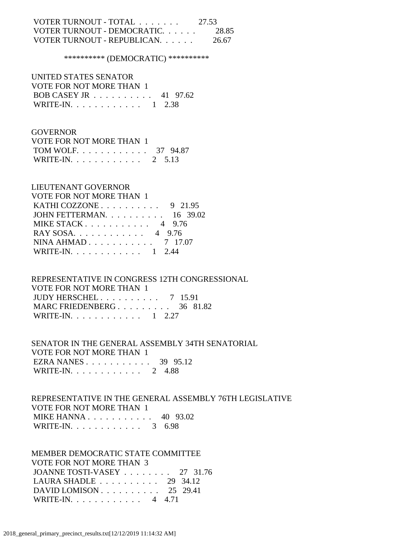# VOTER TURNOUT - TOTAL . . . . . . . 27.53 VOTER TURNOUT - DEMOCRATIC. . . . . . 28.85 VOTER TURNOUT - REPUBLICAN. . . . . . 26.67

\*\*\*\*\*\*\*\*\*\* (DEMOCRATIC) \*\*\*\*\*\*\*\*\*\*

 UNITED STATES SENATOR VOTE FOR NOT MORE THAN 1 BOB CASEY JR . . . . . . . . . . 41 97.62 WRITE-IN. . . . . . . . . . . . 1 2.38

### GOVERNOR

| VOTE FOR NOT MORE THAN 1 |  |  |
|--------------------------|--|--|
| TOM WOLF 37 94.87        |  |  |
| WRITE-IN. 2 $5.13$       |  |  |

### LIEUTENANT GOVERNOR

| <b>VOTE FOR NOT MORE THAN 1</b>              |  |
|----------------------------------------------|--|
| KATHI COZZONE $\ldots \ldots \ldots$ 9 21.95 |  |
| JOHN FETTERMAN. 16 39.02                     |  |
| MIKE STACK 4 9.76                            |  |
| RAY SOSA. 4 9.76                             |  |
| NINA AHMAD 7 17.07                           |  |
| WRITE-IN. 1 2.44                             |  |

# REPRESENTATIVE IN CONGRESS 12TH CONGRESSIONAL VOTE FOR NOT MORE THAN 1 JUDY HERSCHEL . . . . . . . . . . 7 15.91 MARC FRIEDENBERG . . . . . . . . . 36 81.82

WRITE-IN. . . . . . . . . . . . 1 2.27

### SENATOR IN THE GENERAL ASSEMBLY 34TH SENATORIAL VOTE FOR NOT MORE THAN 1 EZRA NANES . . . . . . . . . . . 39 95.12 WRITE-IN. . . . . . . . . . . . 2 4.88

### REPRESENTATIVE IN THE GENERAL ASSEMBLY 76TH LEGISLATIVE VOTE FOR NOT MORE THAN 1 MIKE HANNA . . . . . . . . . . . 40 93.02 WRITE-IN. . . . . . . . . . . . . 3 6.98

 MEMBER DEMOCRATIC STATE COMMITTEE VOTE FOR NOT MORE THAN 3 JOANNE TOSTI-VASEY . . . . . . . . 27 31.76 LAURA SHADLE . . . . . . . . . . 29 34.12 DAVID LOMISON . . . . . . . . . . 25 29.41 WRITE-IN. . . . . . . . . . . . 4 4.71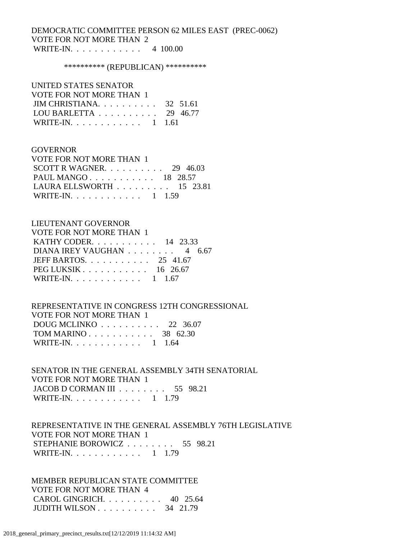# DEMOCRATIC COMMITTEE PERSON 62 MILES EAST (PREC-0062) VOTE FOR NOT MORE THAN 2 WRITE-IN. . . . . . . . . . . . 4 100.00

#### \*\*\*\*\*\*\*\*\*\*\* (REPUBLICAN) \*\*\*\*\*\*\*\*\*\*\*

# UNITED STATES SENATOR

| VOTE FOR NOT MORE THAN 1                     |  |
|----------------------------------------------|--|
| JIM CHRISTIANA 32 51.61                      |  |
| LOU BARLETTA $\ldots \ldots \ldots 29$ 46.77 |  |
| WRITE-IN. 1 1.61                             |  |

### **GOVERNOR**

| VOTE FOR NOT MORE THAN 1                        |  |  |
|-------------------------------------------------|--|--|
| SCOTT R WAGNER. $\ldots$ 29 46.03               |  |  |
| PAUL MANGO 18 28.57                             |  |  |
| LAURA ELLSWORTH $\ldots \ldots \ldots 15$ 23.81 |  |  |
| WRITE-IN. 1 1.59                                |  |  |

### LIEUTENANT GOVERNOR

| <b>VOTE FOR NOT MORE THAN 1</b> |  |  |
|---------------------------------|--|--|
| KATHY CODER. 14 23.33           |  |  |
| DIANA IREY VAUGHAN 4 6.67       |  |  |
| JEFF BARTOS. $\ldots$ 25 41.67  |  |  |
| PEG LUKSIK $\ldots$ 16 26.67    |  |  |
| WRITE-IN. 1 1.67                |  |  |

# REPRESENTATIVE IN CONGRESS 12TH CONGRESSIONAL VOTE FOR NOT MORE THAN 1 DOUG MCLINKO . . . . . . . . . . 22 36.07 TOM MARINO . . . . . . . . . . . . 38 62.30 WRITE-IN. . . . . . . . . . . . 1 1.64

 SENATOR IN THE GENERAL ASSEMBLY 34TH SENATORIAL VOTE FOR NOT MORE THAN 1 JACOB D CORMAN III . . . . . . . . 55 98.21 WRITE-IN. . . . . . . . . . . . 1 1.79

# REPRESENTATIVE IN THE GENERAL ASSEMBLY 76TH LEGISLATIVE VOTE FOR NOT MORE THAN 1 STEPHANIE BOROWICZ . . . . . . . . 55 98.21 WRITE-IN. . . . . . . . . . . . 1 1.79

 MEMBER REPUBLICAN STATE COMMITTEE VOTE FOR NOT MORE THAN 4 CAROL GINGRICH. . . . . . . . . . 40 25.64 JUDITH WILSON . . . . . . . . . . 34 21.79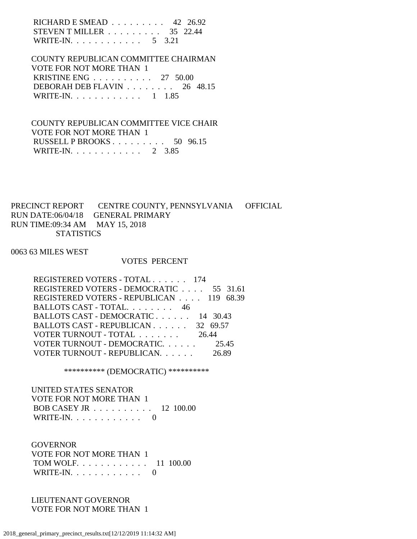RICHARD E SMEAD . . . . . . . . . 42 26.92 STEVEN T MILLER . . . . . . . . . 35 22.44 WRITE-IN. . . . . . . . . . . . . 5 3.21

 COUNTY REPUBLICAN COMMITTEE CHAIRMAN VOTE FOR NOT MORE THAN 1 KRISTINE ENG . . . . . . . . . . 27 50.00 DEBORAH DEB FLAVIN . . . . . . . . 26 48.15 WRITE-IN. . . . . . . . . . . . 1 1.85

 COUNTY REPUBLICAN COMMITTEE VICE CHAIR VOTE FOR NOT MORE THAN 1 RUSSELL P BROOKS . . . . . . . . . 50 96.15 WRITE-IN. . . . . . . . . . . . 2 3.85

PRECINCT REPORT CENTRE COUNTY, PENNSYLVANIA OFFICIAL RUN DATE:06/04/18 GENERAL PRIMARY RUN TIME:09:34 AM MAY 15, 2018 **STATISTICS** 

0063 63 MILES WEST

### VOTES PERCENT

| REGISTERED VOTERS - TOTAL 174            |       |
|------------------------------------------|-------|
| REGISTERED VOTERS - DEMOCRATIC 55 31.61  |       |
| REGISTERED VOTERS - REPUBLICAN 119 68.39 |       |
| BALLOTS CAST - TOTAL. 46                 |       |
| BALLOTS CAST - DEMOCRATIC 14 30.43       |       |
| BALLOTS CAST - REPUBLICAN 32 69.57       |       |
| VOTER TURNOUT - TOTAL 26.44              |       |
| VOTER TURNOUT - DEMOCRATIC.              | 25.45 |
| VOTER TURNOUT - REPUBLICAN.              | 26.89 |

\*\*\*\*\*\*\*\*\*\* (DEMOCRATIC) \*\*\*\*\*\*\*\*\*\*

 UNITED STATES SENATOR VOTE FOR NOT MORE THAN 1 BOB CASEY JR . . . . . . . . . . 12 100.00 WRITE-IN. . . . . . . . . . . . 0

**GOVERNOR**  VOTE FOR NOT MORE THAN 1 TOM WOLF. . . . . . . . . . . . 11 100.00 WRITE-IN. . . . . . . . . . . . 0

 LIEUTENANT GOVERNOR VOTE FOR NOT MORE THAN 1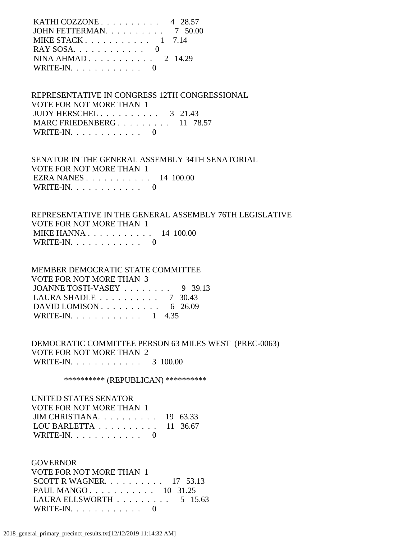| JOHN FETTERMAN. 7 50.00                        |
|------------------------------------------------|
|                                                |
| MIKE STACK $1 \quad 7.14$                      |
| $RAY$ SOSA, $\ldots$ , $\ldots$ , $\ldots$ , 0 |
| NINA AHMAD $2 \t14.29$                         |
| WRITE-IN. $\ldots$ 0                           |

 REPRESENTATIVE IN CONGRESS 12TH CONGRESSIONAL VOTE FOR NOT MORE THAN 1 JUDY HERSCHEL . . . . . . . . . . 3 21.43 MARC FRIEDENBERG . . . . . . . . . 11 78.57 WRITE-IN.  $\ldots$  . . . . . . . . 0

 SENATOR IN THE GENERAL ASSEMBLY 34TH SENATORIAL VOTE FOR NOT MORE THAN 1 EZRA NANES . . . . . . . . . . . 14 100.00 WRITE-IN. . . . . . . . . . . . 0

 REPRESENTATIVE IN THE GENERAL ASSEMBLY 76TH LEGISLATIVE VOTE FOR NOT MORE THAN 1 MIKE HANNA . . . . . . . . . . . 14 100.00 WRITE-IN.  $\ldots$  . . . . . . . . 0

 MEMBER DEMOCRATIC STATE COMMITTEE VOTE FOR NOT MORE THAN 3 JOANNE TOSTI-VASEY . . . . . . . . 9 39.13 LAURA SHADLE . . . . . . . . . . 7 30.43 DAVID LOMISON . . . . . . . . . . . 6 26.09 WRITE-IN. . . . . . . . . . . . 1 4.35

 DEMOCRATIC COMMITTEE PERSON 63 MILES WEST (PREC-0063) VOTE FOR NOT MORE THAN 2 WRITE-IN. . . . . . . . . . . . 3 100.00

\*\*\*\*\*\*\*\*\*\*\* (REPUBLICAN) \*\*\*\*\*\*\*\*\*\*\*

# UNITED STATES SENATOR VOTE FOR NOT MORE THAN 1 JIM CHRISTIANA. . . . . . . . . . 19 63.33 LOU BARLETTA . . . . . . . . . . 11 36.67 WRITE-IN. . . . . . . . . . . . 0

 GOVERNOR VOTE FOR NOT MORE THAN 1 SCOTT R WAGNER. . . . . . . . . . 17 53.13 PAUL MANGO . . . . . . . . . . . 10 31.25 LAURA ELLSWORTH . . . . . . . . . 5 15.63 WRITE-IN. . . . . . . . . . . . 0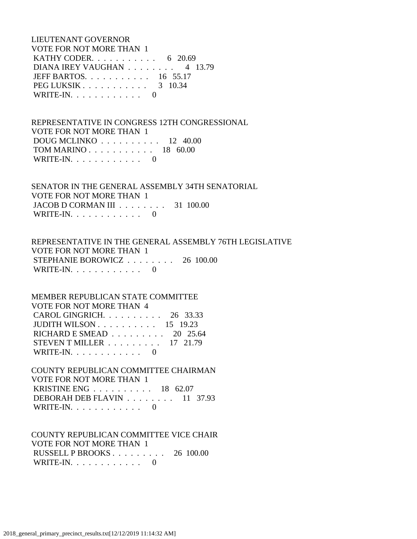LIEUTENANT GOVERNOR VOTE FOR NOT MORE THAN 1 KATHY CODER. . . . . . . . . . . . 6 20.69 DIANA IREY VAUGHAN . . . . . . . . 4 13.79 JEFF BARTOS. . . . . . . . . . . 16 55.17 PEG LUKSIK . . . . . . . . . . . . 3 10.34 WRITE-IN.  $\ldots$  . . . . . . . . 0

 REPRESENTATIVE IN CONGRESS 12TH CONGRESSIONAL VOTE FOR NOT MORE THAN 1 DOUG MCLINKO . . . . . . . . . . 12 40.00 TOM MARINO . . . . . . . . . . . 18 60.00 WRITE-IN. . . . . . . . . . . . 0

 SENATOR IN THE GENERAL ASSEMBLY 34TH SENATORIAL VOTE FOR NOT MORE THAN 1 JACOB D CORMAN III . . . . . . . . 31 100.00 WRITE-IN.  $\ldots$  . . . . . . . . 0

 REPRESENTATIVE IN THE GENERAL ASSEMBLY 76TH LEGISLATIVE VOTE FOR NOT MORE THAN 1 STEPHANIE BOROWICZ . . . . . . . . 26 100.00 WRITE-IN.  $\ldots$  . . . . . . . . 0

# MEMBER REPUBLICAN STATE COMMITTEE VOTE FOR NOT MORE THAN 4 CAROL GINGRICH. . . . . . . . . . 26 33.33 JUDITH WILSON . . . . . . . . . . 15 19.23 RICHARD E SMEAD . . . . . . . . . 20 25.64 STEVEN T MILLER . . . . . . . . . 17 21.79 WRITE-IN. . . . . . . . . . . . 0

 COUNTY REPUBLICAN COMMITTEE CHAIRMAN VOTE FOR NOT MORE THAN 1 KRISTINE ENG . . . . . . . . . . 18 62.07 DEBORAH DEB FLAVIN . . . . . . . . 11 37.93 WRITE-IN. . . . . . . . . . . . 0

# COUNTY REPUBLICAN COMMITTEE VICE CHAIR VOTE FOR NOT MORE THAN 1 RUSSELL P BROOKS . . . . . . . . . 26 100.00 WRITE-IN. . . . . . . . . . . . 0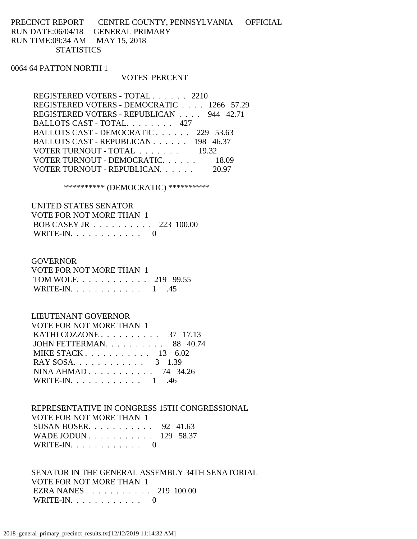PRECINCT REPORT CENTRE COUNTY, PENNSYLVANIA OFFICIAL RUN DATE:06/04/18 GENERAL PRIMARY RUN TIME:09:34 AM MAY 15, 2018 **STATISTICS** 

0064 64 PATTON NORTH 1

#### VOTES PERCENT

 REGISTERED VOTERS - TOTAL . . . . . . 2210 REGISTERED VOTERS - DEMOCRATIC . . . . 1266 57.29 REGISTERED VOTERS - REPUBLICAN . . . . 944 42.71 BALLOTS CAST - TOTAL. . . . . . . . 427 BALLOTS CAST - DEMOCRATIC . . . . . . 229 53.63 BALLOTS CAST - REPUBLICAN . . . . . . 198 46.37 VOTER TURNOUT - TOTAL . . . . . . . 19.32 VOTER TURNOUT - DEMOCRATIC. . . . . . 18.09 VOTER TURNOUT - REPUBLICAN. . . . . . 20.97

\*\*\*\*\*\*\*\*\*\* (DEMOCRATIC) \*\*\*\*\*\*\*\*\*\*

 UNITED STATES SENATOR VOTE FOR NOT MORE THAN 1 BOB CASEY JR . . . . . . . . . . 223 100.00 WRITE-IN. . . . . . . . . . . . 0

#### GOVERNOR

 VOTE FOR NOT MORE THAN 1 TOM WOLF. . . . . . . . . . . . 219 99.55 WRITE-IN. . . . . . . . . . . . 1 .45

### LIEUTENANT GOVERNOR

| VOTE FOR NOT MORE THAN 1                          |  |
|---------------------------------------------------|--|
| KATHI COZZONE $\ldots$ $\ldots$ $\ldots$ 37 17.13 |  |
| JOHN FETTERMAN 88 40.74                           |  |
| MIKE STACK $13 \quad 6.02$                        |  |
| RAY SOSA. 3 1.39                                  |  |
| NINA AHMAD 74 34.26                               |  |
| WRITE-IN. $\ldots$ 1 .46                          |  |

 REPRESENTATIVE IN CONGRESS 15TH CONGRESSIONAL VOTE FOR NOT MORE THAN 1 SUSAN BOSER. . . . . . . . . . . 92 41.63 WADE JODUN . . . . . . . . . . . 129 58.37 WRITE-IN. . . . . . . . . . . . 0

 SENATOR IN THE GENERAL ASSEMBLY 34TH SENATORIAL VOTE FOR NOT MORE THAN 1 EZRA NANES . . . . . . . . . . . 219 100.00 WRITE-IN. . . . . . . . . . . . 0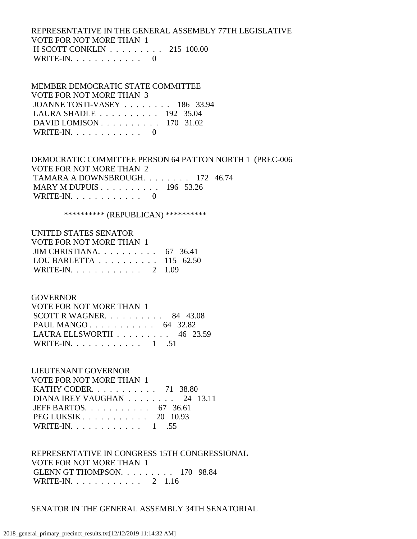REPRESENTATIVE IN THE GENERAL ASSEMBLY 77TH LEGISLATIVE VOTE FOR NOT MORE THAN 1 H SCOTT CONKLIN . . . . . . . . . 215 100.00 WRITE-IN. . . . . . . . . . . . 0

### MEMBER DEMOCRATIC STATE COMMITTEE VOTE FOR NOT MORE THAN 3 JOANNE TOSTI-VASEY . . . . . . . . 186 33.94 LAURA SHADLE . . . . . . . . . . 192 35.04 DAVID LOMISON . . . . . . . . . . 170 31.02 WRITE-IN.  $\ldots$  . . . . . . . . 0

 DEMOCRATIC COMMITTEE PERSON 64 PATTON NORTH 1 (PREC-006 VOTE FOR NOT MORE THAN 2 TAMARA A DOWNSBROUGH. . . . . . . . 172 46.74 MARY M DUPUIS . . . . . . . . . . 196 53.26 WRITE-IN. . . . . . . . . . . . 0

\*\*\*\*\*\*\*\*\*\* (REPUBLICAN) \*\*\*\*\*\*\*\*\*\*

### UNITED STATES SENATOR

| VOTE FOR NOT MORE THAN 1                             |  |
|------------------------------------------------------|--|
| JIM CHRISTIANA $67 \quad 36.41$                      |  |
| LOU BARLETTA $\ldots \ldots \ldots \ldots 115$ 62.50 |  |
| WRITE-IN. 2 1.09                                     |  |

### GOVERNOR

| VOTE FOR NOT MORE THAN 1                        |  |
|-------------------------------------------------|--|
| SCOTT R WAGNER. $\ldots$ 84 43.08               |  |
| PAUL MANGO 64 32.82                             |  |
| LAURA ELLSWORTH $\ldots \ldots \ldots$ 46 23.59 |  |
| WRITE-IN. 1 .51                                 |  |

# LIEUTENANT GOVERNOR

| VOTE FOR NOT MORE THAN 1                                |  |
|---------------------------------------------------------|--|
| KATHY CODER. $\ldots$ 71 38.80                          |  |
| DIANA IREY VAUGHAN $\ldots$ 24 13.11                    |  |
| JEFF BARTOS. $\ldots$ 67 36.61                          |  |
| PEG LUKSIK $\ldots$ $\ldots$ $\ldots$ $\ldots$ 20 10.93 |  |
| WRITE-IN. 1 .55                                         |  |

 REPRESENTATIVE IN CONGRESS 15TH CONGRESSIONAL VOTE FOR NOT MORE THAN 1 GLENN GT THOMPSON. . . . . . . . . 170 98.84 WRITE-IN. . . . . . . . . . . . 2 1.16

### SENATOR IN THE GENERAL ASSEMBLY 34TH SENATORIAL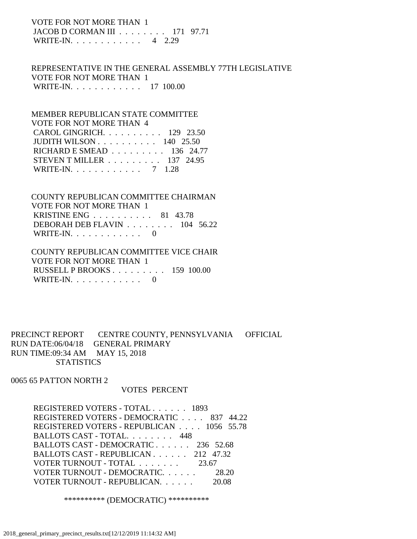# VOTE FOR NOT MORE THAN 1 JACOB D CORMAN III . . . . . . . . 171 97.71 WRITE-IN. . . . . . . . . . . . 4 2.29

 REPRESENTATIVE IN THE GENERAL ASSEMBLY 77TH LEGISLATIVE VOTE FOR NOT MORE THAN 1 WRITE-IN. . . . . . . . . . . . 17 100.00

 MEMBER REPUBLICAN STATE COMMITTEE VOTE FOR NOT MORE THAN 4 CAROL GINGRICH. . . . . . . . . . 129 23.50 JUDITH WILSON . . . . . . . . . . 140 25.50 RICHARD E SMEAD . . . . . . . . . 136 24.77 STEVEN T MILLER . . . . . . . . . 137 24.95 WRITE-IN. . . . . . . . . . . . 7 1.28

 COUNTY REPUBLICAN COMMITTEE CHAIRMAN VOTE FOR NOT MORE THAN 1 KRISTINE ENG . . . . . . . . . . 81 43.78 DEBORAH DEB FLAVIN . . . . . . . . 104 56.22 WRITE-IN. . . . . . . . . . . . 0

### COUNTY REPUBLICAN COMMITTEE VICE CHAIR VOTE FOR NOT MORE THAN 1 RUSSELL P BROOKS . . . . . . . . . 159 100.00 WRITE-IN. . . . . . . . . . . . 0

# PRECINCT REPORT CENTRE COUNTY, PENNSYLVANIA OFFICIAL RUN DATE:06/04/18 GENERAL PRIMARY RUN TIME:09:34 AM MAY 15, 2018 **STATISTICS**

0065 65 PATTON NORTH 2

### VOTES PERCENT

 REGISTERED VOTERS - TOTAL . . . . . . 1893 REGISTERED VOTERS - DEMOCRATIC . . . . 837 44.22 REGISTERED VOTERS - REPUBLICAN . . . . 1056 55.78 BALLOTS CAST - TOTAL. . . . . . . . 448 BALLOTS CAST - DEMOCRATIC . . . . . . 236 52.68 BALLOTS CAST - REPUBLICAN . . . . . . 212 47.32 VOTER TURNOUT - TOTAL . . . . . . . 23.67 VOTER TURNOUT - DEMOCRATIC. . . . . . 28.20 VOTER TURNOUT - REPUBLICAN. . . . . . 20.08

\*\*\*\*\*\*\*\*\*\* (DEMOCRATIC) \*\*\*\*\*\*\*\*\*\*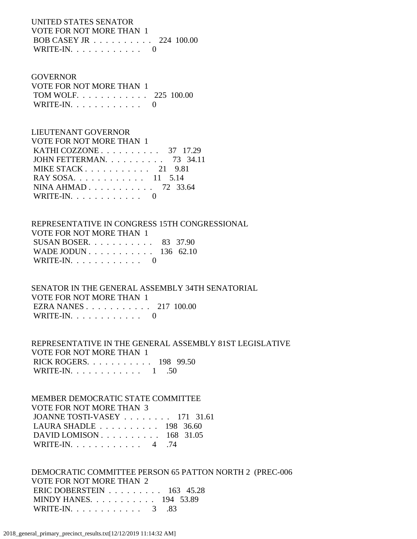UNITED STATES SENATOR VOTE FOR NOT MORE THAN 1 BOB CASEY JR . . . . . . . . . . 224 100.00 WRITE-IN.  $\ldots$  . . . . . . . . 0

### GOVERNOR

| VOTE FOR NOT MORE THAN 1 |  |
|--------------------------|--|
| TOM WOLF 225 100.00      |  |
| WRITE-IN. $\ldots$ 0     |  |

# LIEUTENANT GOVERNOR

| <b>VOTE FOR NOT MORE THAN 1</b>                      |  |
|------------------------------------------------------|--|
| KATHI COZZONE $\ldots \ldots \ldots \ldots$ 37 17.29 |  |
| JOHN FETTERMAN. 73 34.11                             |  |
| MIKE STACK $21$ 9.81                                 |  |
| RAY SOSA. 11 5.14                                    |  |
| NINA AHMAD 72 33.64                                  |  |
| WRITE-IN. $\ldots$ 0                                 |  |

# REPRESENTATIVE IN CONGRESS 15TH CONGRESSIONAL VOTE FOR NOT MORE THAN 1 SUSAN BOSER. . . . . . . . . . . 83 37.90 WADE JODUN . . . . . . . . . . . 136 62.10 WRITE-IN.  $\ldots$  . . . . . . . . 0

 SENATOR IN THE GENERAL ASSEMBLY 34TH SENATORIAL VOTE FOR NOT MORE THAN 1 EZRA NANES . . . . . . . . . . . 217 100.00 WRITE-IN.  $\ldots$  . . . . . . . . 0

### REPRESENTATIVE IN THE GENERAL ASSEMBLY 81ST LEGISLATIVE VOTE FOR NOT MORE THAN 1 RICK ROGERS. . . . . . . . . . . 198 99.50 WRITE-IN. . . . . . . . . . . . . 1 .50

# MEMBER DEMOCRATIC STATE COMMITTEE

 VOTE FOR NOT MORE THAN 3 JOANNE TOSTI-VASEY . . . . . . . . 171 31.61 LAURA SHADLE . . . . . . . . . . 198 36.60 DAVID LOMISON . . . . . . . . . . 168 31.05

WRITE-IN. . . . . . . . . . . . 4 .74

 DEMOCRATIC COMMITTEE PERSON 65 PATTON NORTH 2 (PREC-006 VOTE FOR NOT MORE THAN 2 ERIC DOBERSTEIN . . . . . . . . . 163 45.28 MINDY HANES. . . . . . . . . . . 194 53.89 WRITE-IN. . . . . . . . . . . . . 3 .83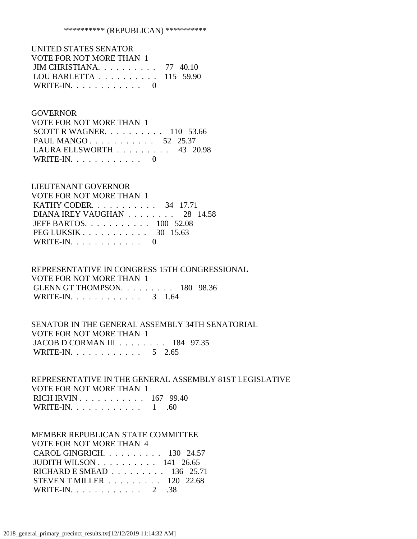| UNITED STATES SENATOR                                |  |
|------------------------------------------------------|--|
| VOTE FOR NOT MORE THAN 1                             |  |
| JIM CHRISTIANA. $\ldots$ 77 40.10                    |  |
| LOU BARLETTA $\ldots \ldots \ldots \ldots 115$ 59.90 |  |
| WRITE-IN. $\ldots$ 0                                 |  |

### GOVERNOR

| VOTE FOR NOT MORE THAN 1           |  |  |
|------------------------------------|--|--|
| SCOTT R WAGNER. $\ldots$ 110 53.66 |  |  |
| PAUL MANGO 52 25.37                |  |  |
| LAURA ELLSWORTH $\ldots$ 43 20.98  |  |  |
| WRITE-IN. $\ldots$ 0               |  |  |

### LIEUTENANT GOVERNOR

| VOTE FOR NOT MORE THAN 1                                |  |
|---------------------------------------------------------|--|
| KATHY CODER. 34 17.71                                   |  |
| DIANA IREY VAUGHAN 28 14.58                             |  |
| JEFF BARTOS. $\ldots$ 100 52.08                         |  |
| PEG LUKSIK $\ldots$ $\ldots$ $\ldots$ $\ldots$ 30 15.63 |  |
| WRITE-IN. $\ldots$ 0                                    |  |

# REPRESENTATIVE IN CONGRESS 15TH CONGRESSIONAL VOTE FOR NOT MORE THAN 1 GLENN GT THOMPSON. . . . . . . . . 180 98.36 WRITE-IN. . . . . . . . . . . . . 3 1.64

# SENATOR IN THE GENERAL ASSEMBLY 34TH SENATORIAL VOTE FOR NOT MORE THAN 1 JACOB D CORMAN III . . . . . . . . 184 97.35 WRITE-IN. . . . . . . . . . . . . 5 2.65

## REPRESENTATIVE IN THE GENERAL ASSEMBLY 81ST LEGISLATIVE VOTE FOR NOT MORE THAN 1 RICH IRVIN . . . . . . . . . . . 167 99.40 WRITE-IN. . . . . . . . . . . . . 1 .60

### MEMBER REPUBLICAN STATE COMMITTEE

| <b>VOTE FOR NOT MORE THAN 4</b>                    |  |
|----------------------------------------------------|--|
| CAROL GINGRICH. $\ldots$ 130 24.57                 |  |
| JUDITH WILSON $\ldots$ $\ldots$ $\ldots$ 141 26.65 |  |
| RICHARD E SMEAD 136 25.71                          |  |
| STEVEN T MILLER $\ldots \ldots \ldots 120$ 22.68   |  |
| WRITE-IN. $\ldots$ 2 .38                           |  |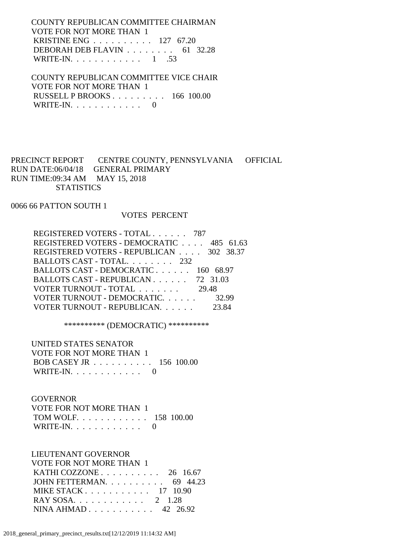COUNTY REPUBLICAN COMMITTEE CHAIRMAN VOTE FOR NOT MORE THAN 1 KRISTINE ENG . . . . . . . . . . 127 67.20 DEBORAH DEB FLAVIN . . . . . . . . 61 32.28 WRITE-IN. . . . . . . . . . . . . 1 .53

 COUNTY REPUBLICAN COMMITTEE VICE CHAIR VOTE FOR NOT MORE THAN 1 RUSSELL P BROOKS . . . . . . . . . 166 100.00 WRITE-IN.  $\ldots$  . . . . . . . . . 0

PRECINCT REPORT CENTRE COUNTY, PENNSYLVANIA OFFICIAL RUN DATE:06/04/18 GENERAL PRIMARY RUN TIME:09:34 AM MAY 15, 2018 **STATISTICS** 

0066 66 PATTON SOUTH 1

### VOTES PERCENT

| REGISTERED VOTERS - TOTAL 787            |       |
|------------------------------------------|-------|
| REGISTERED VOTERS - DEMOCRATIC 485 61.63 |       |
| REGISTERED VOTERS - REPUBLICAN 302 38.37 |       |
| BALLOTS CAST - TOTAL 232                 |       |
| BALLOTS CAST - DEMOCRATIC 160 68.97      |       |
| BALLOTS CAST - REPUBLICAN 72 31.03       |       |
| VOTER TURNOUT - TOTAL 29.48              |       |
| VOTER TURNOUT - DEMOCRATIC.              | 32.99 |
| VOTER TURNOUT - REPUBLICAN.              |       |

\*\*\*\*\*\*\*\*\*\* (DEMOCRATIC) \*\*\*\*\*\*\*\*\*\*

 UNITED STATES SENATOR VOTE FOR NOT MORE THAN 1 BOB CASEY JR . . . . . . . . . . 156 100.00 WRITE-IN.  $\ldots$  . . . . . . . . . 0

#### GOVERNOR

| VOTE FOR NOT MORE THAN 1 |  |
|--------------------------|--|
| TOM WOLF. 158 100.00     |  |
| WRITE-IN. $\ldots$ 0     |  |

LIEUTENANT GOVERNOR

| <b>VOTE FOR NOT MORE THAN 1</b>                      |  |
|------------------------------------------------------|--|
| KATHI COZZONE $\ldots$ $\ldots$ $\ldots$ 26 16.67    |  |
| JOHN FETTERMAN. $\ldots$ 69 44.23                    |  |
| MIKE STACK $\ldots$ , $\ldots$ , $\ldots$ , 17 10.90 |  |
| RAY SOSA 2 1.28                                      |  |
| NINA AHMAD 42 26.92                                  |  |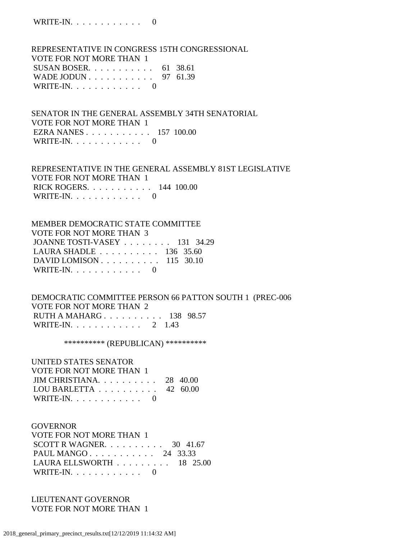REPRESENTATIVE IN CONGRESS 15TH CONGRESSIONAL VOTE FOR NOT MORE THAN 1 SUSAN BOSER. . . . . . . . . . . 61 38.61 WADE JODUN . . . . . . . . . . . 97 61.39 WRITE-IN.  $\ldots$  . . . . . . . . . 0

 SENATOR IN THE GENERAL ASSEMBLY 34TH SENATORIAL VOTE FOR NOT MORE THAN 1 EZRA NANES . . . . . . . . . . . 157 100.00 WRITE-IN.  $\ldots$  . . . . . . . . . 0

 REPRESENTATIVE IN THE GENERAL ASSEMBLY 81ST LEGISLATIVE VOTE FOR NOT MORE THAN 1 RICK ROGERS. . . . . . . . . . . 144 100.00 WRITE-IN. . . . . . . . . . . . 0

 MEMBER DEMOCRATIC STATE COMMITTEE VOTE FOR NOT MORE THAN 3 JOANNE TOSTI-VASEY . . . . . . . . 131 34.29 LAURA SHADLE . . . . . . . . . . 136 35.60 DAVID LOMISON . . . . . . . . . . 115 30.10 WRITE-IN. . . . . . . . . . . . 0

 DEMOCRATIC COMMITTEE PERSON 66 PATTON SOUTH 1 (PREC-006 VOTE FOR NOT MORE THAN 2 RUTH A MAHARG . . . . . . . . . . 138 98.57 WRITE-IN. . . . . . . . . . . . 2 1.43

\*\*\*\*\*\*\*\*\*\*\* (REPUBLICAN) \*\*\*\*\*\*\*\*\*\*\*

UNITED STATES SENATOR

| VOTE FOR NOT MORE THAN 1                     |  |
|----------------------------------------------|--|
| JIM CHRISTIANA. $\ldots$ 28 40.00            |  |
| LOU BARLETTA $\ldots \ldots \ldots$ 42 60.00 |  |
| WRITE-IN. $\ldots$ 0                         |  |

 GOVERNOR VOTE FOR NOT MORE THAN 1 SCOTT R WAGNER. . . . . . . . . . 30 41.67 PAUL MANGO . . . . . . . . . . . 24 33.33 LAURA ELLSWORTH . . . . . . . . . 18 25.00 WRITE-IN.  $\ldots$  . . . . . . . . . 0

 LIEUTENANT GOVERNOR VOTE FOR NOT MORE THAN 1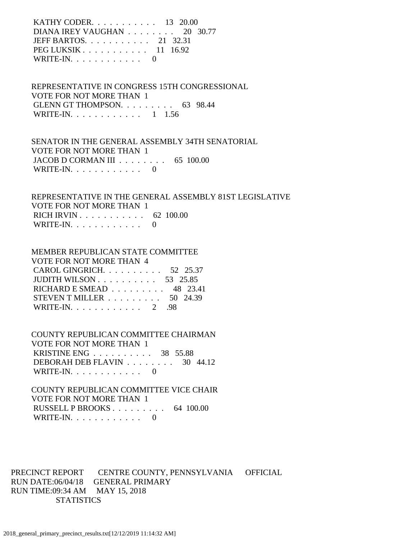KATHY CODER. . . . . . . . . . . 13 20.00 DIANA IREY VAUGHAN . . . . . . . . 20 30.77 JEFF BARTOS. . . . . . . . . . . 21 32.31 PEG LUKSIK . . . . . . . . . . . 11 16.92 WRITE-IN.  $\ldots$  . . . . . . . . 0

 REPRESENTATIVE IN CONGRESS 15TH CONGRESSIONAL VOTE FOR NOT MORE THAN 1 GLENN GT THOMPSON. . . . . . . . . 63 98.44 WRITE-IN. . . . . . . . . . . . 1 1.56

 SENATOR IN THE GENERAL ASSEMBLY 34TH SENATORIAL VOTE FOR NOT MORE THAN 1 JACOB D CORMAN III . . . . . . . . 65 100.00 WRITE-IN.  $\ldots$  . . . . . . . . . 0

 REPRESENTATIVE IN THE GENERAL ASSEMBLY 81ST LEGISLATIVE VOTE FOR NOT MORE THAN 1 RICH IRVIN . . . . . . . . . . . 62 100.00 WRITE-IN.  $\ldots$  . . . . . . . . 0

### MEMBER REPUBLICAN STATE COMMITTEE

| VOTE FOR NOT MORE THAN 4                               |  |
|--------------------------------------------------------|--|
| CAROL GINGRICH. $\ldots$ 52 25.37                      |  |
| JUDITH WILSON $\ldots \ldots \ldots \ldots 53$ 25.85   |  |
| RICHARD E SMEAD $\ldots \ldots \ldots$ 48 23.41        |  |
| STEVEN T MILLER $\ldots \ldots \ldots \ldots$ 50 24.39 |  |
| WRITE-IN. $\ldots$ 2 .98                               |  |

 COUNTY REPUBLICAN COMMITTEE CHAIRMAN VOTE FOR NOT MORE THAN 1 KRISTINE ENG . . . . . . . . . . 38 55.88 DEBORAH DEB FLAVIN . . . . . . . . 30 44.12 WRITE-IN.  $\ldots$  . . . . . . . . 0

 COUNTY REPUBLICAN COMMITTEE VICE CHAIR VOTE FOR NOT MORE THAN 1 RUSSELL P BROOKS . . . . . . . . . 64 100.00 WRITE-IN. . . . . . . . . . . . 0

PRECINCT REPORT CENTRE COUNTY, PENNSYLVANIA OFFICIAL RUN DATE:06/04/18 GENERAL PRIMARY RUN TIME:09:34 AM MAY 15, 2018 **STATISTICS**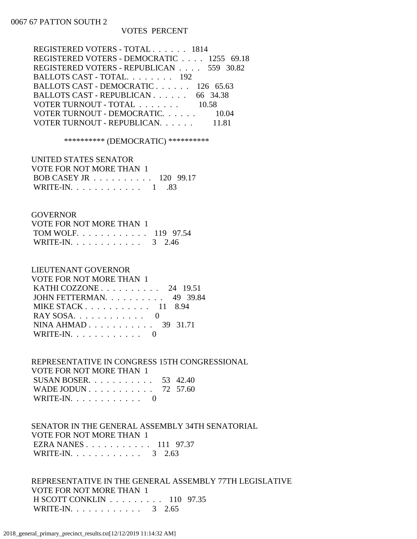### 0067 67 PATTON SOUTH 2

### VOTES PERCENT

| REGISTERED VOTERS - TOTAL 1814            |
|-------------------------------------------|
| REGISTERED VOTERS - DEMOCRATIC 1255 69.18 |
| REGISTERED VOTERS - REPUBLICAN 559 30.82  |
| BALLOTS CAST - TOTAL 192                  |
| BALLOTS CAST - DEMOCRATIC 126 65.63       |
| BALLOTS CAST - REPUBLICAN 66 34.38        |
| VOTER TURNOUT - TOTAL 10.58               |
| VOTER TURNOUT - DEMOCRATIC 10.04          |
| VOTER TURNOUT - REPUBLICAN.<br>11.81      |
|                                           |

\*\*\*\*\*\*\*\*\*\* (DEMOCRATIC) \*\*\*\*\*\*\*\*\*\*

| UNITED STATES SENATOR                         |  |
|-----------------------------------------------|--|
| VOTE FOR NOT MORE THAN 1                      |  |
| BOB CASEY JR $\ldots \ldots \ldots 120$ 99.17 |  |
| WRITE-IN. $\ldots$ 1 .83                      |  |

### GOVERNOR

| VOTE FOR NOT MORE THAN 1 |  |  |
|--------------------------|--|--|
| TOM WOLF. 119 97.54      |  |  |
| WRITE-IN. 3 2.46         |  |  |

### LIEUTENANT GOVERNOR

| VOTE FOR NOT MORE THAN 1                          |
|---------------------------------------------------|
| KATHI COZZONE $\ldots$ $\ldots$ $\ldots$ 24 19.51 |
| JOHN FETTERMAN. 49 39.84                          |
| MIKE STACK $118.94$                               |
| $RAY$ SOSA. 0                                     |
| NINA AHMAD 39 31.71                               |
| WRITE-IN. $\ldots$ 0                              |
|                                                   |

### REPRESENTATIVE IN CONGRESS 15TH CONGRESSIONAL VOTE FOR NOT MORE THAN 1 SUSAN BOSER. . . . . . . . . . . 53 42.40 WADE JODUN . . . . . . . . . . . 72 57.60 WRITE-IN.  $\ldots$  . . . . . . . . . 0

# SENATOR IN THE GENERAL ASSEMBLY 34TH SENATORIAL VOTE FOR NOT MORE THAN 1 EZRA NANES . . . . . . . . . . . 111 97.37 WRITE-IN. . . . . . . . . . . . . 3 2.63

 REPRESENTATIVE IN THE GENERAL ASSEMBLY 77TH LEGISLATIVE VOTE FOR NOT MORE THAN 1 H SCOTT CONKLIN . . . . . . . . . 110 97.35 WRITE-IN. . . . . . . . . . . . . 3 2.65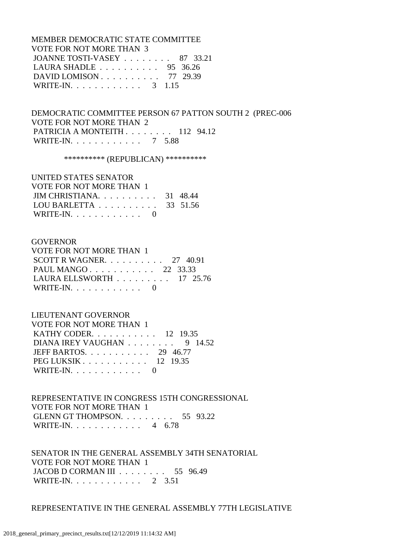MEMBER DEMOCRATIC STATE COMMITTEE VOTE FOR NOT MORE THAN 3 JOANNE TOSTI-VASEY . . . . . . . . 87 33.21 LAURA SHADLE . . . . . . . . . . 95 36.26 DAVID LOMISON . . . . . . . . . . 77 29.39 WRITE-IN. . . . . . . . . . . . . 3 1.15

 DEMOCRATIC COMMITTEE PERSON 67 PATTON SOUTH 2 (PREC-006 VOTE FOR NOT MORE THAN 2 PATRICIA A MONTEITH . . . . . . . . 112 94.12 WRITE-IN. . . . . . . . . . . . 7 5.88

\*\*\*\*\*\*\*\*\*\* (REPUBLICAN) \*\*\*\*\*\*\*\*\*\*

# UNITED STATES SENATOR

| VOTE FOR NOT MORE THAN 1                            |  |
|-----------------------------------------------------|--|
| $JIM$ CHRISTIANA 31 48.44                           |  |
| LOU BARLETTA $\ldots \ldots \ldots \ldots$ 33 51.56 |  |
| WRITE-IN. $\ldots$ 0                                |  |

### GOVERNOR

| <b>VOTE FOR NOT MORE THAN 1</b>                 |  |  |
|-------------------------------------------------|--|--|
| SCOTT R WAGNER. $\ldots$ 27 40.91               |  |  |
| PAUL MANGO 22 33.33                             |  |  |
| LAURA ELLSWORTH $\ldots \ldots \ldots 17$ 25.76 |  |  |
| WRITE-IN. $\ldots$ 0                            |  |  |

### LIEUTENANT GOVERNOR

| VOTE FOR NOT MORE THAN 1                                |  |
|---------------------------------------------------------|--|
| <b>KATHY CODER.</b> 12 19.35                            |  |
| DIANA IREY VAUGHAN $\ldots \ldots \ldots$ 9 14.52       |  |
| JEFF BARTOS. $\ldots$ 29 46.77                          |  |
| PEG LUKSIK $\ldots$ $\ldots$ $\ldots$ $\ldots$ 12 19.35 |  |
| WRITE-IN. $\ldots$ 0                                    |  |

 REPRESENTATIVE IN CONGRESS 15TH CONGRESSIONAL VOTE FOR NOT MORE THAN 1 GLENN GT THOMPSON. . . . . . . . . 55 93.22 WRITE-IN. . . . . . . . . . . . 4 6.78

 SENATOR IN THE GENERAL ASSEMBLY 34TH SENATORIAL VOTE FOR NOT MORE THAN 1 JACOB D CORMAN III . . . . . . . . 55 96.49 WRITE-IN. . . . . . . . . . . . 2 3.51

### REPRESENTATIVE IN THE GENERAL ASSEMBLY 77TH LEGISLATIVE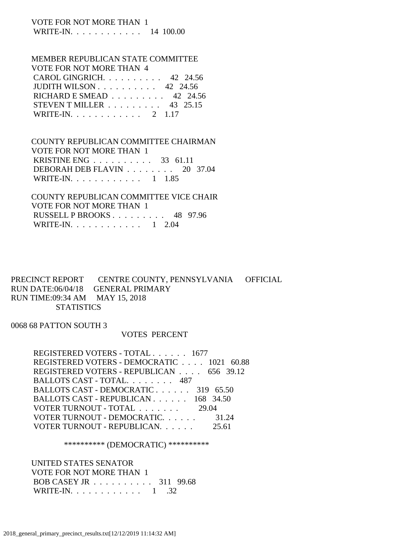### VOTE FOR NOT MORE THAN 1 WRITE-IN. . . . . . . . . . . . 14 100.00

# MEMBER REPUBLICAN STATE COMMITTEE

| VOTE FOR NOT MORE THAN 4                          |  |
|---------------------------------------------------|--|
| CAROL GINGRICH. 42 24.56                          |  |
| JUDITH WILSON $\ldots$ $\ldots$ $\ldots$ 42 24.56 |  |
| RICHARD E SMEAD $\ldots \ldots \ldots$ 42 24.56   |  |
| STEVEN T MILLER $\ldots \ldots \ldots$ 43 25.15   |  |
| WRITE-IN. 2 1.17                                  |  |

## COUNTY REPUBLICAN COMMITTEE CHAIRMAN VOTE FOR NOT MORE THAN 1 KRISTINE ENG . . . . . . . . . . 33 61.11 DEBORAH DEB FLAVIN . . . . . . . . 20 37.04 WRITE-IN. . . . . . . . . . . . 1 1.85

 COUNTY REPUBLICAN COMMITTEE VICE CHAIR VOTE FOR NOT MORE THAN 1 RUSSELL P BROOKS . . . . . . . . . 48 97.96 WRITE-IN. . . . . . . . . . . . 1 2.04

### PRECINCT REPORT CENTRE COUNTY, PENNSYLVANIA OFFICIAL RUN DATE:06/04/18 GENERAL PRIMARY RUN TIME:09:34 AM MAY 15, 2018 **STATISTICS**

0068 68 PATTON SOUTH 3

# VOTES PERCENT

| REGISTERED VOTERS - TOTAL 1677            |
|-------------------------------------------|
| REGISTERED VOTERS - DEMOCRATIC 1021 60.88 |
| REGISTERED VOTERS - REPUBLICAN 656 39.12  |
| BALLOTS CAST - TOTAL 487                  |
| BALLOTS CAST - DEMOCRATIC 319 65.50       |
| BALLOTS CAST - REPUBLICAN 168 34.50       |
| VOTER TURNOUT - TOTAL 29.04               |
| VOTER TURNOUT - DEMOCRATIC<br>31.24       |
| VOTER TURNOUT - REPUBLICAN.<br>25.61      |

### \*\*\*\*\*\*\*\*\*\* (DEMOCRATIC) \*\*\*\*\*\*\*\*\*\*

 UNITED STATES SENATOR VOTE FOR NOT MORE THAN 1 BOB CASEY JR . . . . . . . . . . 311 99.68 WRITE-IN. . . . . . . . . . . . 1 .32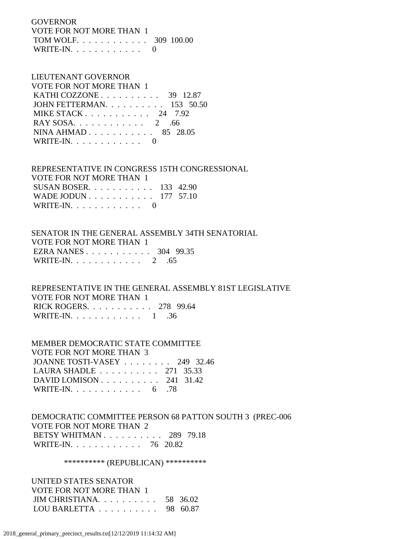GOVERNOR VOTE FOR NOT MORE THAN 1 TOM WOLF. . . . . . . . . . . . 309 100.00 WRITE-IN.  $\ldots$  . . . . . . . . 0

#### LIEUTENANT GOVERNOR VOTE FOR NOT MORE THAN 1

| VOTE FOR NOT MORE THAN T                          |
|---------------------------------------------------|
| KATHI COZZONE $\ldots$ $\ldots$ $\ldots$ 39 12.87 |
| JOHN FETTERMAN. 153 50.50                         |
| MIKE STACK $24$ 7.92                              |
| RAY SOSA. $\ldots$ 2 .66                          |
| NINA AHMAD 85 28.05                               |
| WRITE-IN. $\ldots$ 0                              |

 REPRESENTATIVE IN CONGRESS 15TH CONGRESSIONAL VOTE FOR NOT MORE THAN 1 SUSAN BOSER. . . . . . . . . . . 133 42.90 WADE JODUN . . . . . . . . . . . 177 57.10 WRITE-IN. . . . . . . . . . . . 0

# SENATOR IN THE GENERAL ASSEMBLY 34TH SENATORIAL VOTE FOR NOT MORE THAN 1 EZRA NANES . . . . . . . . . . . 304 99.35 WRITE-IN. . . . . . . . . . . . 2 .65

 REPRESENTATIVE IN THE GENERAL ASSEMBLY 81ST LEGISLATIVE VOTE FOR NOT MORE THAN 1 RICK ROGERS. . . . . . . . . . . 278 99.64 WRITE-IN. . . . . . . . . . . . 1 .36

 MEMBER DEMOCRATIC STATE COMMITTEE VOTE FOR NOT MORE THAN 3 JOANNE TOSTI-VASEY . . . . . . . . 249 32.46 LAURA SHADLE . . . . . . . . . . 271 35.33 DAVID LOMISON . . . . . . . . . . 241 31.42 WRITE-IN. . . . . . . . . . . . . 6 .78

 DEMOCRATIC COMMITTEE PERSON 68 PATTON SOUTH 3 (PREC-006 VOTE FOR NOT MORE THAN 2 BETSY WHITMAN . . . . . . . . . . 289 79.18 WRITE-IN. . . . . . . . . . . . 76 20.82

\*\*\*\*\*\*\*\*\*\*\* (REPUBLICAN) \*\*\*\*\*\*\*\*\*\*\*

 UNITED STATES SENATOR VOTE FOR NOT MORE THAN 1 JIM CHRISTIANA. . . . . . . . . . 58 36.02 LOU BARLETTA . . . . . . . . . . 98 60.87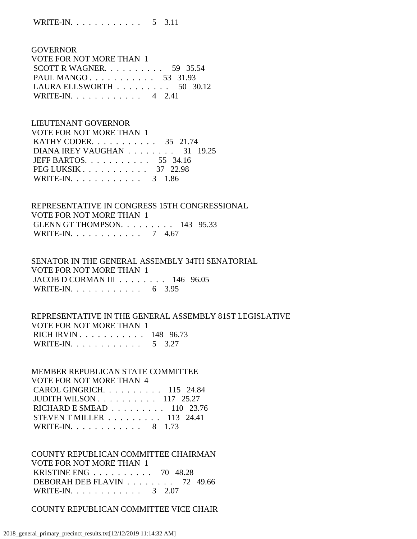GOVERNOR VOTE FOR NOT MORE THAN 1 SCOTT R WAGNER. . . . . . . . . . 59 35.54 PAUL MANGO . . . . . . . . . . . 53 31.93 LAURA ELLSWORTH . . . . . . . . . 50 30.12 WRITE-IN. . . . . . . . . . . . 4 2.41

 LIEUTENANT GOVERNOR VOTE FOR NOT MORE THAN 1 KATHY CODER. . . . . . . . . . . 35 21.74 DIANA IREY VAUGHAN . . . . . . . . 31 19.25 JEFF BARTOS. . . . . . . . . . . 55 34.16 PEG LUKSIK . . . . . . . . . . . . . 37 22.98 WRITE-IN. . . . . . . . . . . . 3 1.86

 REPRESENTATIVE IN CONGRESS 15TH CONGRESSIONAL VOTE FOR NOT MORE THAN 1 GLENN GT THOMPSON. . . . . . . . . 143 95.33 WRITE-IN. . . . . . . . . . . . 7 4.67

 SENATOR IN THE GENERAL ASSEMBLY 34TH SENATORIAL VOTE FOR NOT MORE THAN 1 JACOB D CORMAN III . . . . . . . . 146 96.05 WRITE-IN. . . . . . . . . . . . 6 3.95

 REPRESENTATIVE IN THE GENERAL ASSEMBLY 81ST LEGISLATIVE VOTE FOR NOT MORE THAN 1 RICH IRVIN . . . . . . . . . . . 148 96.73 WRITE-IN. . . . . . . . . . . . . 5 3.27

 MEMBER REPUBLICAN STATE COMMITTEE VOTE FOR NOT MORE THAN 4 CAROL GINGRICH. . . . . . . . . . 115 24.84 JUDITH WILSON . . . . . . . . . . 117 25.27 RICHARD E SMEAD . . . . . . . . . 110 23.76 STEVEN T MILLER . . . . . . . . . 113 24.41 WRITE-IN. . . . . . . . . . . . 8 1.73

 COUNTY REPUBLICAN COMMITTEE CHAIRMAN VOTE FOR NOT MORE THAN 1 KRISTINE ENG . . . . . . . . . . 70 48.28 DEBORAH DEB FLAVIN . . . . . . . . 72 49.66 WRITE-IN. . . . . . . . . . . . . 3 2.07

COUNTY REPUBLICAN COMMITTEE VICE CHAIR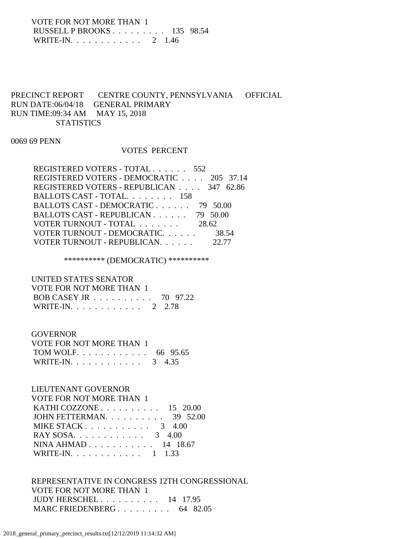VOTE FOR NOT MORE THAN 1 RUSSELL P BROOKS . . . . . . . . . 135 98.54 WRITE-IN. . . . . . . . . . . . 2 1.46

# PRECINCT REPORT CENTRE COUNTY, PENNSYLVANIA OFFICIAL RUN DATE:06/04/18 GENERAL PRIMARY RUN TIME:09:34 AM MAY 15, 2018 **STATISTICS**

0069 69 PENN

### VOTES PERCENT

| REGISTERED VOTERS - TOTAL 552            |       |
|------------------------------------------|-------|
| REGISTERED VOTERS - DEMOCRATIC 205 37.14 |       |
| REGISTERED VOTERS - REPUBLICAN 347 62.86 |       |
| BALLOTS CAST - TOTAL. 158                |       |
| BALLOTS CAST - DEMOCRATIC 79 50.00       |       |
| BALLOTS CAST - REPUBLICAN 79 50.00       |       |
| VOTER TURNOUT - TOTAL                    | 28.62 |
| VOTER TURNOUT - DEMOCRATIC.              | 38.54 |
| VOTER TURNOUT - REPUBLICAN.              | 22.77 |

\*\*\*\*\*\*\*\*\*\* (DEMOCRATIC) \*\*\*\*\*\*\*\*\*\*

 UNITED STATES SENATOR VOTE FOR NOT MORE THAN 1 BOB CASEY JR . . . . . . . . . . 70 97.22 WRITE-IN. . . . . . . . . . . . 2 2.78

# GOVERNOR VOTE FOR NOT MORE THAN 1 TOM WOLF. . . . . . . . . . . . 66 95.65 WRITE-IN. . . . . . . . . . . . . 3 4.35

# LIEUTENANT GOVERNOR VOTE FOR NOT MORE THAN 1 KATHI COZZONE . . . . . . . . . . 15 20.00 JOHN FETTERMAN. . . . . . . . . . 39 52.00 MIKE STACK . . . . . . . . . . . . 3 4.00 RAY SOSA. . . . . . . . . . . . . 3 4.00 NINA AHMAD . . . . . . . . . . . 14 18.67 WRITE-IN. . . . . . . . . . . . 1 1.33

 REPRESENTATIVE IN CONGRESS 12TH CONGRESSIONAL VOTE FOR NOT MORE THAN 1 JUDY HERSCHEL . . . . . . . . . . 14 17.95 MARC FRIEDENBERG . . . . . . . . . . 64 82.05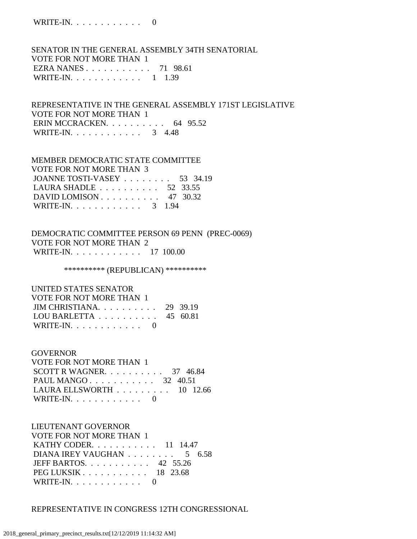# SENATOR IN THE GENERAL ASSEMBLY 34TH SENATORIAL VOTE FOR NOT MORE THAN 1 EZRA NANES . . . . . . . . . . . 71 98.61 WRITE-IN. . . . . . . . . . . . 1 1.39

# REPRESENTATIVE IN THE GENERAL ASSEMBLY 171ST LEGISLATIVE VOTE FOR NOT MORE THAN 1 ERIN MCCRACKEN. . . . . . . . . . 64 95.52 WRITE-IN. . . . . . . . . . . . . 3 4.48

# MEMBER DEMOCRATIC STATE COMMITTEE VOTE FOR NOT MORE THAN 3 JOANNE TOSTI-VASEY . . . . . . . . 53 34.19 LAURA SHADLE . . . . . . . . . . 52 33.55 DAVID LOMISON . . . . . . . . . . 47 30.32 WRITE-IN. . . . . . . . . . . . 3 1.94

# DEMOCRATIC COMMITTEE PERSON 69 PENN (PREC-0069) VOTE FOR NOT MORE THAN 2 WRITE-IN. . . . . . . . . . . . 17 100.00

\*\*\*\*\*\*\*\*\*\* (REPUBLICAN) \*\*\*\*\*\*\*\*\*\*

#### UNITED STATES SENATOR

| VOTE FOR NOT MORE THAN 1                     |  |
|----------------------------------------------|--|
| JIM CHRISTIANA. $\ldots$ 29 39.19            |  |
| LOU BARLETTA $\ldots \ldots \ldots$ 45 60.81 |  |
| WRITE-IN. $\ldots$ 0                         |  |

#### GOVERNOR

 VOTE FOR NOT MORE THAN 1 SCOTT R WAGNER.  $\ldots$  . . . . . . . 37 46.84 PAUL MANGO . . . . . . . . . . . 32 40.51 LAURA ELLSWORTH . . . . . . . . . 10 12.66 WRITE-IN.  $\ldots$  . . . . . . . . . 0

# LIEUTENANT GOVERNOR

 VOTE FOR NOT MORE THAN 1 KATHY CODER. . . . . . . . . . . 11 14.47 DIANA IREY VAUGHAN  $\ldots$  . . . . . . . 5 6.58 JEFF BARTOS. . . . . . . . . . . 42 55.26 PEG LUKSIK . . . . . . . . . . . 18 23.68 WRITE-IN.  $\ldots$  . . . . . . . . . 0

# REPRESENTATIVE IN CONGRESS 12TH CONGRESSIONAL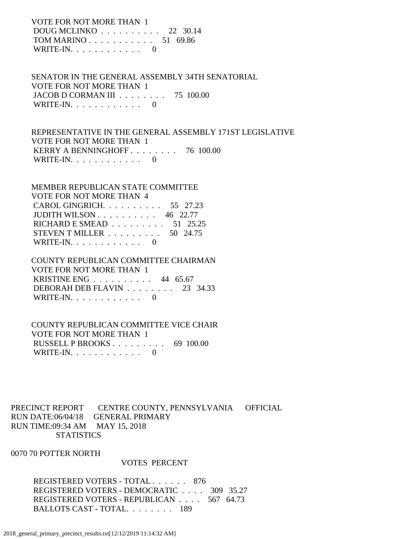VOTE FOR NOT MORE THAN 1 DOUG MCLINKO . . . . . . . . . . 22 30.14 TOM MARINO . . . . . . . . . . . 51 69.86 WRITE-IN.  $\ldots$  . . . . . . . . 0

 SENATOR IN THE GENERAL ASSEMBLY 34TH SENATORIAL VOTE FOR NOT MORE THAN 1 JACOB D CORMAN III . . . . . . . . 75 100.00 WRITE-IN.  $\ldots$  . . . . . . . . . 0

 REPRESENTATIVE IN THE GENERAL ASSEMBLY 171ST LEGISLATIVE VOTE FOR NOT MORE THAN 1 KERRY A BENNINGHOFF . . . . . . . . 76 100.00 WRITE-IN.  $\ldots$  . . . . . . . . 0

| MEMBER REPUBLICAN STATE COMMITTEE                      |  |
|--------------------------------------------------------|--|
| <b>VOTE FOR NOT MORE THAN 4</b>                        |  |
| CAROL GINGRICH. 55 27.23                               |  |
| JUDITH WILSON $\ldots$ $\ldots$ $\ldots$ 46 22.77      |  |
| RICHARD E SMEAD $\ldots \ldots \ldots \ldots$ 51 25.25 |  |
| STEVEN T MILLER $\ldots \ldots \ldots \ldots$ 50 24.75 |  |
| WRITE-IN. $\ldots$ 0                                   |  |

 COUNTY REPUBLICAN COMMITTEE CHAIRMAN VOTE FOR NOT MORE THAN 1 KRISTINE ENG . . . . . . . . . . 44 65.67 DEBORAH DEB FLAVIN . . . . . . . . 23 34.33 WRITE-IN.  $\ldots$  . . . . . . . . . 0

 COUNTY REPUBLICAN COMMITTEE VICE CHAIR VOTE FOR NOT MORE THAN 1 RUSSELL P BROOKS . . . . . . . . . 69 100.00 WRITE-IN. . . . . . . . . . . . 0

PRECINCT REPORT CENTRE COUNTY, PENNSYLVANIA OFFICIAL RUN DATE:06/04/18 GENERAL PRIMARY RUN TIME:09:34 AM MAY 15, 2018 **STATISTICS** 

0070 70 POTTER NORTH

#### VOTES PERCENT

REGISTERED VOTERS - TOTAL . . . . . . 876 REGISTERED VOTERS - DEMOCRATIC . . . . 309 35.27 REGISTERED VOTERS - REPUBLICAN . . . . 567 64.73 BALLOTS CAST - TOTAL. . . . . . . . 189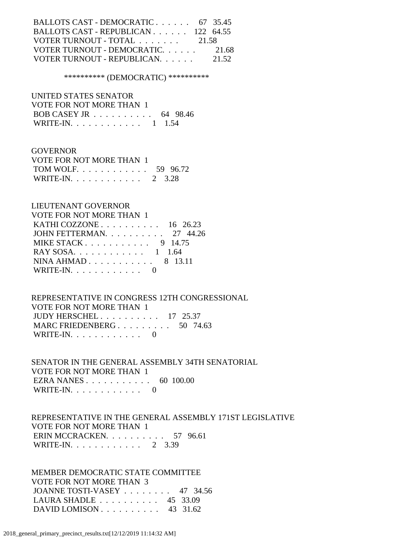| BALLOTS CAST - DEMOCRATIC 67 35.45  |       |
|-------------------------------------|-------|
| BALLOTS CAST - REPUBLICAN 122 64.55 |       |
| VOTER TURNOUT - TOTAL 21.58         |       |
| VOTER TURNOUT - DEMOCRATIC          | 21.68 |
| VOTER TURNOUT - REPUBLICAN.         | 21.52 |

#### \*\*\*\*\*\*\*\*\*\* (DEMOCRATIC) \*\*\*\*\*\*\*\*\*\*

 UNITED STATES SENATOR VOTE FOR NOT MORE THAN 1 BOB CASEY JR . . . . . . . . . . 64 98.46 WRITE-IN. . . . . . . . . . . . 1 1.54

 GOVERNOR VOTE FOR NOT MORE THAN 1 TOM WOLF. . . . . . . . . . . . 59 96.72 WRITE-IN. . . . . . . . . . . . 2 3.28

| LIEUTENANT GOVERNOR             |
|---------------------------------|
| VOTE FOR NOT MORE THAN 1        |
| KATHI COZZONE $\ldots$ 16 26.23 |
| JOHN FETTERMAN 27 44.26         |
| MIKE STACK 9 14.75              |
| RAY SOSA. 1 1.64                |
| NINA AHMAD $8$ 13.11            |
| WRITE-IN. $\ldots$ 0            |

 REPRESENTATIVE IN CONGRESS 12TH CONGRESSIONAL VOTE FOR NOT MORE THAN 1 JUDY HERSCHEL . . . . . . . . . . 17 25.37 MARC FRIEDENBERG . . . . . . . . . 50 74.63 WRITE-IN. . . . . . . . . . . . 0

 SENATOR IN THE GENERAL ASSEMBLY 34TH SENATORIAL VOTE FOR NOT MORE THAN 1 EZRA NANES . . . . . . . . . . . 60 100.00 WRITE-IN. . . . . . . . . . . . 0

 REPRESENTATIVE IN THE GENERAL ASSEMBLY 171ST LEGISLATIVE VOTE FOR NOT MORE THAN 1 ERIN MCCRACKEN. . . . . . . . . . 57 96.61 WRITE-IN. . . . . . . . . . . . 2 3.39

 MEMBER DEMOCRATIC STATE COMMITTEE VOTE FOR NOT MORE THAN 3 JOANNE TOSTI-VASEY . . . . . . . . 47 34.56 LAURA SHADLE . . . . . . . . . . 45 33.09 DAVID LOMISON . . . . . . . . . . 43 31.62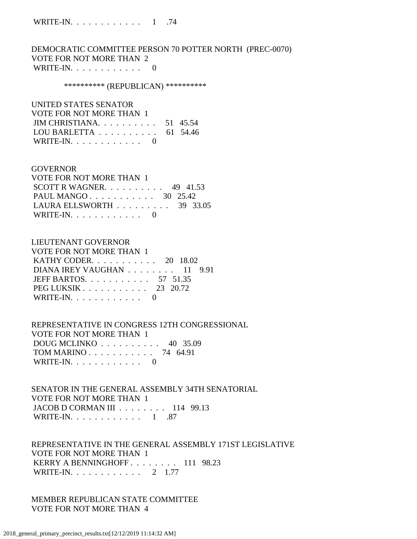DEMOCRATIC COMMITTEE PERSON 70 POTTER NORTH (PREC-0070) VOTE FOR NOT MORE THAN 2 WRITE-IN. . . . . . . . . . . . 0

#### \*\*\*\*\*\*\*\*\*\*\* (REPUBLICAN) \*\*\*\*\*\*\*\*\*\*\*

 UNITED STATES SENATOR VOTE FOR NOT MORE THAN 1 JIM CHRISTIANA. . . . . . . . . . 51 45.54 LOU BARLETTA . . . . . . . . . . 61 54.46 WRITE-IN. . . . . . . . . . . . 0

#### **GOVERNOR**

| VOTE FOR NOT MORE THAN 1                        |  |  |
|-------------------------------------------------|--|--|
| SCOTT R WAGNER. $\ldots$ 49 41.53               |  |  |
| PAUL MANGO 30 25.42                             |  |  |
| LAURA ELLSWORTH $\ldots \ldots \ldots$ 39 33.05 |  |  |
| WRITE-IN. $\ldots$ 0                            |  |  |

#### LIEUTENANT GOVERNOR

| VOTE FOR NOT MORE THAN 1       |  |  |
|--------------------------------|--|--|
| KATHY CODER. $\ldots$ 20 18.02 |  |  |
| DIANA IREY VAUGHAN 11 9.91     |  |  |
| JEFF BARTOS. $\ldots$ 57 51.35 |  |  |
| PEG LUKSIK 23 20.72            |  |  |
| WRITE-IN. $\ldots$ 0           |  |  |

 REPRESENTATIVE IN CONGRESS 12TH CONGRESSIONAL VOTE FOR NOT MORE THAN 1 DOUG MCLINKO . . . . . . . . . . 40 35.09 TOM MARINO . . . . . . . . . . . 74 64.91 WRITE-IN. . . . . . . . . . . . 0

 SENATOR IN THE GENERAL ASSEMBLY 34TH SENATORIAL VOTE FOR NOT MORE THAN 1 JACOB D CORMAN III . . . . . . . . 114 99.13 WRITE-IN. . . . . . . . . . . . 1 .87

 REPRESENTATIVE IN THE GENERAL ASSEMBLY 171ST LEGISLATIVE VOTE FOR NOT MORE THAN 1 KERRY A BENNINGHOFF . . . . . . . . 111 98.23 WRITE-IN. . . . . . . . . . . . 2 1.77

 MEMBER REPUBLICAN STATE COMMITTEE VOTE FOR NOT MORE THAN 4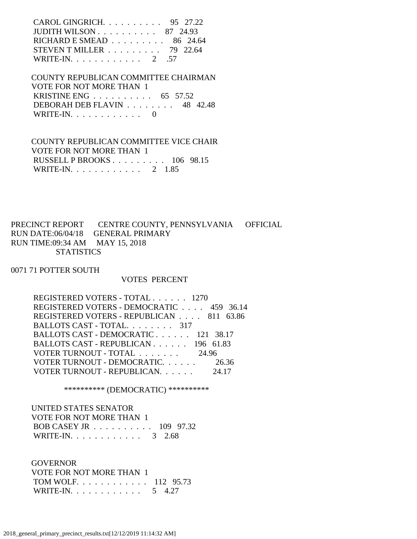| CAROL GINGRICH. $\ldots$ 95 27.22                 |  |
|---------------------------------------------------|--|
| JUDITH WILSON $\ldots$ $\ldots$ $\ldots$ 87 24.93 |  |
| RICHARD E SMEAD $\ldots \ldots \ldots$ 86 24.64   |  |
| STEVEN T MILLER $\ldots \ldots \ldots$ 79 22.64   |  |
| WRITE-IN. 2 .57                                   |  |

 COUNTY REPUBLICAN COMMITTEE CHAIRMAN VOTE FOR NOT MORE THAN 1 KRISTINE ENG . . . . . . . . . . 65 57.52 DEBORAH DEB FLAVIN . . . . . . . . 48 42.48 WRITE-IN. . . . . . . . . . . . 0

 COUNTY REPUBLICAN COMMITTEE VICE CHAIR VOTE FOR NOT MORE THAN 1 RUSSELL P BROOKS . . . . . . . . . 106 98.15 WRITE-IN. . . . . . . . . . . . 2 1.85

PRECINCT REPORT CENTRE COUNTY, PENNSYLVANIA OFFICIAL RUN DATE:06/04/18 GENERAL PRIMARY RUN TIME:09:34 AM MAY 15, 2018 **STATISTICS** 

0071 71 POTTER SOUTH

#### VOTES PERCENT

| REGISTERED VOTERS - TOTAL 1270           |       |
|------------------------------------------|-------|
| REGISTERED VOTERS - DEMOCRATIC 459 36.14 |       |
| REGISTERED VOTERS - REPUBLICAN 811 63.86 |       |
| BALLOTS CAST - TOTAL. 317                |       |
| BALLOTS CAST - DEMOCRATIC 121 38.17      |       |
| BALLOTS CAST - REPUBLICAN 196 61.83      |       |
| VOTER TURNOUT - TOTAL 24.96              |       |
| VOTER TURNOUT - DEMOCRATIC. 26.36        |       |
| VOTER TURNOUT - REPUBLICAN.              | 24.17 |
|                                          |       |

\*\*\*\*\*\*\*\*\*\* (DEMOCRATIC) \*\*\*\*\*\*\*\*\*\*

| UNITED STATES SENATOR                                |  |
|------------------------------------------------------|--|
| VOTE FOR NOT MORE THAN 1                             |  |
| BOB CASEY JR $\ldots \ldots \ldots \ldots 109$ 97.32 |  |
| WRITE-IN. 3 2.68                                     |  |

 GOVERNOR VOTE FOR NOT MORE THAN 1 TOM WOLF. . . . . . . . . . . . 112 95.73 WRITE-IN. . . . . . . . . . . . . 5 4.27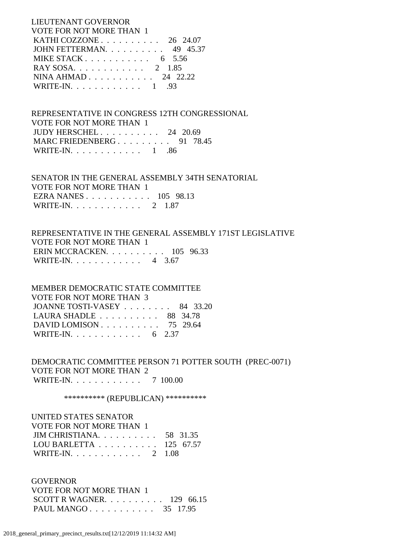LIEUTENANT GOVERNOR VOTE FOR NOT MORE THAN 1 KATHI COZZONE . . . . . . . . . . 26 24.07 JOHN FETTERMAN. . . . . . . . . . 49 45.37 MIKE STACK . . . . . . . . . . . 6 5.56 RAY SOSA. . . . . . . . . . . . 2 1.85 NINA AHMAD . . . . . . . . . . . 24 22.22 WRITE-IN. . . . . . . . . . . . 1 .93

 REPRESENTATIVE IN CONGRESS 12TH CONGRESSIONAL VOTE FOR NOT MORE THAN 1 JUDY HERSCHEL . . . . . . . . . . 24 20.69 MARC FRIEDENBERG . . . . . . . . . 91 78.45 WRITE-IN. . . . . . . . . . . . 1 .86

 SENATOR IN THE GENERAL ASSEMBLY 34TH SENATORIAL VOTE FOR NOT MORE THAN 1 EZRA NANES . . . . . . . . . . . 105 98.13 WRITE-IN. . . . . . . . . . . . 2 1.87

 REPRESENTATIVE IN THE GENERAL ASSEMBLY 171ST LEGISLATIVE VOTE FOR NOT MORE THAN 1 ERIN MCCRACKEN. . . . . . . . . . 105 96.33 WRITE-IN. . . . . . . . . . . . 4 3.67

 MEMBER DEMOCRATIC STATE COMMITTEE VOTE FOR NOT MORE THAN 3 JOANNE TOSTI-VASEY . . . . . . . . 84 33.20 LAURA SHADLE . . . . . . . . . . 88 34.78 DAVID LOMISON . . . . . . . . . . 75 29.64 WRITE-IN. . . . . . . . . . . . . 6 2.37

 DEMOCRATIC COMMITTEE PERSON 71 POTTER SOUTH (PREC-0071) VOTE FOR NOT MORE THAN 2 WRITE-IN. . . . . . . . . . . . 7 100.00

\*\*\*\*\*\*\*\*\*\*\* (REPUBLICAN) \*\*\*\*\*\*\*\*\*\*\*

 UNITED STATES SENATOR VOTE FOR NOT MORE THAN 1 JIM CHRISTIANA. . . . . . . . . . 58 31.35 LOU BARLETTA . . . . . . . . . . 125 67.57 WRITE-IN. . . . . . . . . . . . 2 1.08

 GOVERNOR VOTE FOR NOT MORE THAN 1 SCOTT R WAGNER. . . . . . . . . . 129 66.15 PAUL MANGO . . . . . . . . . . . 35 17.95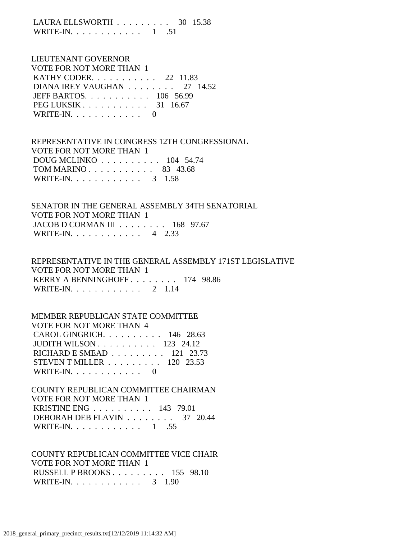LAURA ELLSWORTH . . . . . . . . . 30 15.38 WRITE-IN.  $\ldots$  . . . . . . . . . 1 .51

# LIEUTENANT GOVERNOR VOTE FOR NOT MORE THAN 1 KATHY CODER. . . . . . . . . . . 22 11.83 DIANA IREY VAUGHAN . . . . . . . . 27 14.52 JEFF BARTOS. . . . . . . . . . . 106 56.99 PEG LUKSIK . . . . . . . . . . . 31 16.67 WRITE-IN.  $\ldots$  . . . . . . . . . 0

 REPRESENTATIVE IN CONGRESS 12TH CONGRESSIONAL VOTE FOR NOT MORE THAN 1 DOUG MCLINKO . . . . . . . . . . 104 54.74 TOM MARINO . . . . . . . . . . . 83 43.68 WRITE-IN. . . . . . . . . . . . 3 1.58

 SENATOR IN THE GENERAL ASSEMBLY 34TH SENATORIAL VOTE FOR NOT MORE THAN 1 JACOB D CORMAN III . . . . . . . . 168 97.67 WRITE-IN. . . . . . . . . . . . 4 2.33

 REPRESENTATIVE IN THE GENERAL ASSEMBLY 171ST LEGISLATIVE VOTE FOR NOT MORE THAN 1 KERRY A BENNINGHOFF . . . . . . . . 174 98.86 WRITE-IN. . . . . . . . . . . . 2 1.14

 MEMBER REPUBLICAN STATE COMMITTEE VOTE FOR NOT MORE THAN 4 CAROL GINGRICH. . . . . . . . . . 146 28.63 JUDITH WILSON . . . . . . . . . . 123 24.12 RICHARD E SMEAD . . . . . . . . . 121 23.73 STEVEN T MILLER . . . . . . . . . 120 23.53 WRITE-IN.  $\ldots$  . . . . . . . . 0

 COUNTY REPUBLICAN COMMITTEE CHAIRMAN VOTE FOR NOT MORE THAN 1 KRISTINE ENG . . . . . . . . . . 143 79.01 DEBORAH DEB FLAVIN . . . . . . . . 37 20.44 WRITE-IN. . . . . . . . . . . . 1 .55

 COUNTY REPUBLICAN COMMITTEE VICE CHAIR VOTE FOR NOT MORE THAN 1 RUSSELL P BROOKS . . . . . . . . . 155 98.10 WRITE-IN. . . . . . . . . . . . . 3 1.90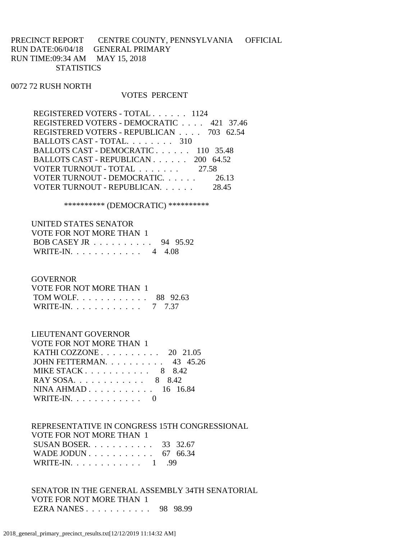PRECINCT REPORT CENTRE COUNTY, PENNSYLVANIA OFFICIAL RUN DATE:06/04/18 GENERAL PRIMARY RUN TIME:09:34 AM MAY 15, 2018 **STATISTICS** 

#### 0072 72 RUSH NORTH

#### VOTES PERCENT

| REGISTERED VOTERS - TOTAL 1124           |       |
|------------------------------------------|-------|
| REGISTERED VOTERS - DEMOCRATIC 421 37.46 |       |
| REGISTERED VOTERS - REPUBLICAN 703 62.54 |       |
| BALLOTS CAST - TOTAL. 310                |       |
| BALLOTS CAST - DEMOCRATIC 110 35.48      |       |
| BALLOTS CAST - REPUBLICAN 200 64.52      |       |
| VOTER TURNOUT - TOTAL 27.58              |       |
| VOTER TURNOUT - DEMOCRATIC 26.13         |       |
| VOTER TURNOUT - REPUBLICAN.              | 28.45 |

\*\*\*\*\*\*\*\*\*\* (DEMOCRATIC) \*\*\*\*\*\*\*\*\*\*

| UNITED STATES SENATOR    |  |
|--------------------------|--|
| VOTE FOR NOT MORE THAN 1 |  |
| BOB CASEY JR 94 95.92    |  |
| WRITE-IN. 4 4.08         |  |

#### **GOVERNOR**

| VOTE FOR NOT MORE THAN 1 |  |
|--------------------------|--|
| TOM WOLF. 88 92.63       |  |
| WRITE-IN. 7 7.37         |  |

## LIEUTENANT GOVERNOR

| VOTE FOR NOT MORE THAN 1          |  |
|-----------------------------------|--|
| KATHI COZZONE $\ldots$ 20 21.05   |  |
| JOHN FETTERMAN. $\ldots$ 43 45.26 |  |
| MIKE STACK 8 8.42                 |  |
| RAY SOSA 8 8.42                   |  |
| NINA AHMAD $16$ 16.84             |  |
| WRITE-IN. $\ldots$ 0              |  |

 REPRESENTATIVE IN CONGRESS 15TH CONGRESSIONAL VOTE FOR NOT MORE THAN 1 SUSAN BOSER. . . . . . . . . . . 33 32.67 WADE JODUN . . . . . . . . . . . . 67 66.34 WRITE-IN. . . . . . . . . . . . 1 .99

 SENATOR IN THE GENERAL ASSEMBLY 34TH SENATORIAL VOTE FOR NOT MORE THAN 1 EZRA NANES . . . . . . . . . . . 98 98.99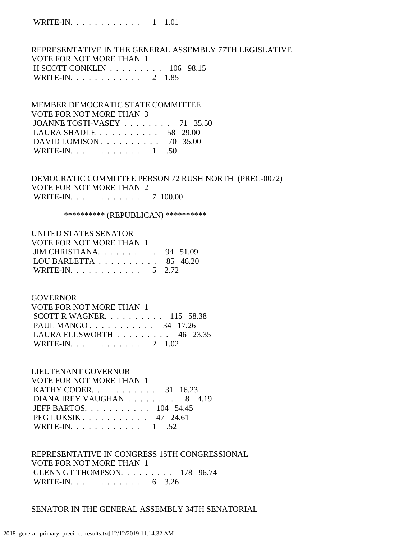REPRESENTATIVE IN THE GENERAL ASSEMBLY 77TH LEGISLATIVE VOTE FOR NOT MORE THAN 1 H SCOTT CONKLIN . . . . . . . . . 106 98.15 WRITE-IN. . . . . . . . . . . . 2 1.85

# MEMBER DEMOCRATIC STATE COMMITTEE VOTE FOR NOT MORE THAN 3 JOANNE TOSTI-VASEY . . . . . . . . 71 35.50 LAURA SHADLE . . . . . . . . . . 58 29.00 DAVID LOMISON . . . . . . . . . . 70 35.00 WRITE-IN. . . . . . . . . . . . 1 .50

# DEMOCRATIC COMMITTEE PERSON 72 RUSH NORTH (PREC-0072) VOTE FOR NOT MORE THAN 2 WRITE-IN. . . . . . . . . . . . . 7 100.00

\*\*\*\*\*\*\*\*\*\*\* (REPUBLICAN) \*\*\*\*\*\*\*\*\*\*\*

# UNITED STATES SENATOR VOTE FOR NOT MORE THAN 1 JIM CHRISTIANA. . . . . . . . . . 94 51.09 LOU BARLETTA . . . . . . . . . . 85 46.20 WRITE-IN. . . . . . . . . . . . . 5 2.72

#### **GOVERNOR**

| VOTE FOR NOT MORE THAN 1                        |  |  |
|-------------------------------------------------|--|--|
| SCOTT R WAGNER. $\ldots$ 115 58.38              |  |  |
| PAUL MANGO 34 17.26                             |  |  |
| LAURA ELLSWORTH $\ldots \ldots \ldots$ 46 23.35 |  |  |
| WRITE-IN. 2 1.02                                |  |  |

# LIEUTENANT GOVERNOR

| <b>VOTE FOR NOT MORE THAN 1</b>                         |  |
|---------------------------------------------------------|--|
| <b>KATHY CODER.</b> 31 16.23                            |  |
| DIANA IREY VAUGHAN 8 4.19                               |  |
| JEFF BARTOS. 104 54.45                                  |  |
| PEG LUKSIK $\ldots$ $\ldots$ $\ldots$ $\ldots$ 47 24.61 |  |
| WRITE-IN. 1 .52                                         |  |

# REPRESENTATIVE IN CONGRESS 15TH CONGRESSIONAL VOTE FOR NOT MORE THAN 1 GLENN GT THOMPSON. . . . . . . . . 178 96.74 WRITE-IN. . . . . . . . . . . . . 6 3.26

## SENATOR IN THE GENERAL ASSEMBLY 34TH SENATORIAL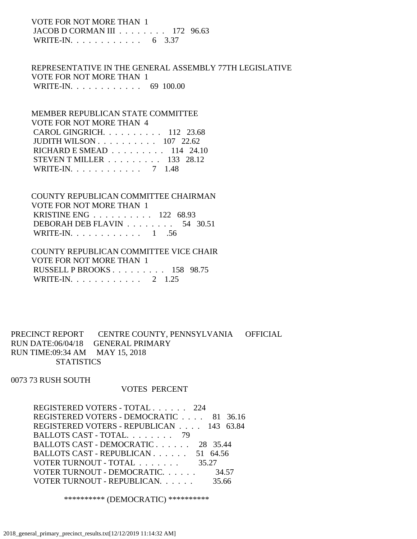VOTE FOR NOT MORE THAN 1 JACOB D CORMAN III . . . . . . . . 172 96.63 WRITE-IN. . . . . . . . . . . . . 6 3.37

 REPRESENTATIVE IN THE GENERAL ASSEMBLY 77TH LEGISLATIVE VOTE FOR NOT MORE THAN 1 WRITE-IN. . . . . . . . . . . . 69 100.00

 MEMBER REPUBLICAN STATE COMMITTEE VOTE FOR NOT MORE THAN 4 CAROL GINGRICH. . . . . . . . . . 112 23.68 JUDITH WILSON . . . . . . . . . . 107 22.62 RICHARD E SMEAD . . . . . . . . . 114 24.10 STEVEN T MILLER . . . . . . . . . 133 28.12 WRITE-IN. . . . . . . . . . . . 7 1.48

 COUNTY REPUBLICAN COMMITTEE CHAIRMAN VOTE FOR NOT MORE THAN 1 KRISTINE ENG . . . . . . . . . . 122 68.93 DEBORAH DEB FLAVIN . . . . . . . . 54 30.51 WRITE-IN. . . . . . . . . . . . 1 .56

 COUNTY REPUBLICAN COMMITTEE VICE CHAIR VOTE FOR NOT MORE THAN 1 RUSSELL P BROOKS . . . . . . . . . 158 98.75 WRITE-IN. . . . . . . . . . . . 2 1.25

PRECINCT REPORT CENTRE COUNTY, PENNSYLVANIA OFFICIAL RUN DATE:06/04/18 GENERAL PRIMARY RUN TIME:09:34 AM MAY 15, 2018 **STATISTICS** 

0073 73 RUSH SOUTH

#### VOTES PERCENT

 REGISTERED VOTERS - TOTAL . . . . . . 224 REGISTERED VOTERS - DEMOCRATIC . . . . 81 36.16 REGISTERED VOTERS - REPUBLICAN . . . . 143 63.84 BALLOTS CAST - TOTAL. . . . . . . . 79 BALLOTS CAST - DEMOCRATIC . . . . . . 28 35.44 BALLOTS CAST - REPUBLICAN . . . . . . 51 64.56 VOTER TURNOUT - TOTAL . . . . . . . . 35.27 VOTER TURNOUT - DEMOCRATIC. . . . . . 34.57 VOTER TURNOUT - REPUBLICAN. . . . . . 35.66

\*\*\*\*\*\*\*\*\*\* (DEMOCRATIC) \*\*\*\*\*\*\*\*\*\*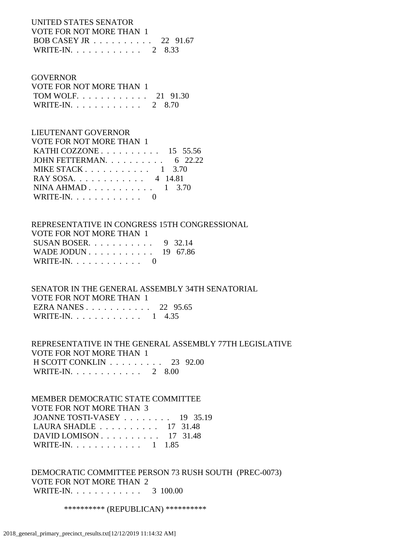# UNITED STATES SENATOR VOTE FOR NOT MORE THAN 1 BOB CASEY JR . . . . . . . . . . 22 91.67 WRITE-IN. . . . . . . . . . . . 2 8.33

#### GOVERNOR

| VOTE FOR NOT MORE THAN 1 |  |
|--------------------------|--|
| TOM WOLF. 21 91.30       |  |
| WRITE-IN. 2 8.70         |  |

# LIEUTENANT GOVERNOR

| VOTE FOR NOT MORE THAN 1         |
|----------------------------------|
| KATHI COZZONE $\ldots$ 15 55.56  |
| JOHN FETTERMAN. $\ldots$ 6 22.22 |
| MIKE STACK $1 \quad 3.70$        |
| RAY SOSA. 4 14.81                |
| NINA AHMAD $1 \quad 3.70$        |
| WRITE-IN. $\ldots$ 0             |
|                                  |

# REPRESENTATIVE IN CONGRESS 15TH CONGRESSIONAL VOTE FOR NOT MORE THAN 1 SUSAN BOSER. . . . . . . . . . . 9 32.14 WADE JODUN . . . . . . . . . . . 19 67.86 WRITE-IN. . . . . . . . . . . . 0

 SENATOR IN THE GENERAL ASSEMBLY 34TH SENATORIAL VOTE FOR NOT MORE THAN 1 EZRA NANES . . . . . . . . . . . 22 95.65 WRITE-IN. . . . . . . . . . . . . 1 4.35

# REPRESENTATIVE IN THE GENERAL ASSEMBLY 77TH LEGISLATIVE VOTE FOR NOT MORE THAN 1 H SCOTT CONKLIN . . . . . . . . . 23 92.00 WRITE-IN. . . . . . . . . . . . 2 8.00

### MEMBER DEMOCRATIC STATE COMMITTEE VOTE FOR NOT MORE THAN 3

| JOANNE TOSTI-VASEY $\ldots$ 19 35.19                |  |
|-----------------------------------------------------|--|
| LAURA SHADLE $\ldots \ldots \ldots \ldots$ 17 31.48 |  |
| DAVID LOMISON $\ldots$ 17 31.48                     |  |
| WRITE-IN. 1 1.85                                    |  |

# DEMOCRATIC COMMITTEE PERSON 73 RUSH SOUTH (PREC-0073) VOTE FOR NOT MORE THAN 2 WRITE-IN. . . . . . . . . . . . 3 100.00

\*\*\*\*\*\*\*\*\*\*\* (REPUBLICAN) \*\*\*\*\*\*\*\*\*\*\*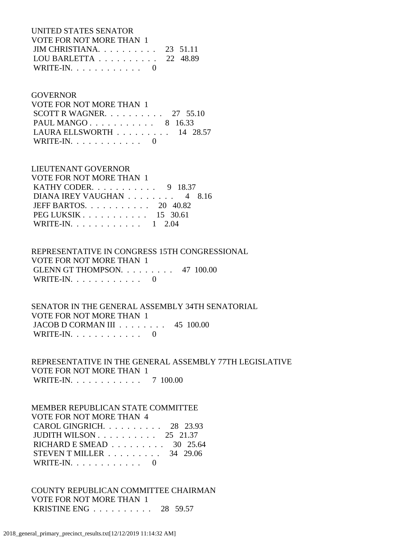UNITED STATES SENATOR VOTE FOR NOT MORE THAN 1 JIM CHRISTIANA. . . . . . . . . . 23 51.11 LOU BARLETTA . . . . . . . . . . 22 48.89 WRITE-IN.  $\ldots$  . . . . . . . . 0

#### GOVERNOR

| VOTE FOR NOT MORE THAN 1          |  |
|-----------------------------------|--|
| SCOTT R WAGNER. $\ldots$ 27 55.10 |  |
| PAUL MANGO 8 16.33                |  |
| LAURA ELLSWORTH $\ldots$ 14 28.57 |  |
| WRITE-IN. $\ldots$ 0              |  |

# LIEUTENANT GOVERNOR

| VOTE FOR NOT MORE THAN 1       |  |  |  |
|--------------------------------|--|--|--|
| <b>KATHY CODER.</b> 9 18.37    |  |  |  |
| DIANA IREY VAUGHAN 4 8.16      |  |  |  |
| JEFF BARTOS. $\ldots$ 20 40.82 |  |  |  |
| $PEG LUKSIK 15 30.61$          |  |  |  |
| WRITE-IN. 1 2.04               |  |  |  |

# REPRESENTATIVE IN CONGRESS 15TH CONGRESSIONAL

 VOTE FOR NOT MORE THAN 1 GLENN GT THOMPSON. . . . . . . . . 47 100.00 WRITE-IN. . . . . . . . . . . . 0

### SENATOR IN THE GENERAL ASSEMBLY 34TH SENATORIAL VOTE FOR NOT MORE THAN 1 JACOB D CORMAN III . . . . . . . . 45 100.00 WRITE-IN.  $\ldots$  . . . . . . . . 0

 REPRESENTATIVE IN THE GENERAL ASSEMBLY 77TH LEGISLATIVE VOTE FOR NOT MORE THAN 1 WRITE-IN. . . . . . . . . . . . 7 100.00

# MEMBER REPUBLICAN STATE COMMITTEE VOTE FOR NOT MORE THAN 4 CAROL GINGRICH. . . . . . . . . . 28 23.93 JUDITH WILSON . . . . . . . . . . 25 21.37 RICHARD E SMEAD . . . . . . . . . 30 25.64 STEVEN T MILLER . . . . . . . . . 34 29.06 WRITE-IN. . . . . . . . . . . . 0

 COUNTY REPUBLICAN COMMITTEE CHAIRMAN VOTE FOR NOT MORE THAN 1 KRISTINE ENG . . . . . . . . . . 28 59.57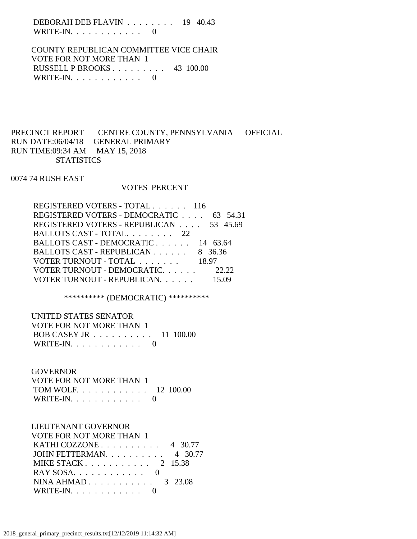DEBORAH DEB FLAVIN . . . . . . . . 19 40.43 WRITE-IN.  $\ldots$  . . . . . . . . . 0

 COUNTY REPUBLICAN COMMITTEE VICE CHAIR VOTE FOR NOT MORE THAN 1 RUSSELL P BROOKS . . . . . . . . . 43 100.00 WRITE-IN. . . . . . . . . . . . 0

# PRECINCT REPORT CENTRE COUNTY, PENNSYLVANIA OFFICIAL RUN DATE:06/04/18 GENERAL PRIMARY RUN TIME:09:34 AM MAY 15, 2018 **STATISTICS**

0074 74 RUSH EAST

#### VOTES PERCENT

| REGISTERED VOTERS - TOTAL 116           |         |
|-----------------------------------------|---------|
| REGISTERED VOTERS - DEMOCRATIC 63 54.31 |         |
| REGISTERED VOTERS - REPUBLICAN 53 45.69 |         |
| BALLOTS CAST - TOTAL 22                 |         |
| BALLOTS CAST - DEMOCRATIC 14 63.64      |         |
| BALLOTS CAST - REPUBLICAN               | 8 36.36 |
| VOTER TURNOUT - TOTAL                   | 18.97   |
| VOTER TURNOUT - DEMOCRATIC.             | 22.22   |
| VOTER TURNOUT - REPUBLICAN.             |         |

\*\*\*\*\*\*\*\*\*\* (DEMOCRATIC) \*\*\*\*\*\*\*\*\*\*

 UNITED STATES SENATOR VOTE FOR NOT MORE THAN 1 BOB CASEY JR . . . . . . . . . . 11 100.00 WRITE-IN.  $\ldots$  . . . . . . . . . 0

### **GOVERNOR**

| VOTE FOR NOT MORE THAN 1 |  |
|--------------------------|--|
| TOM WOLF. 12 100.00      |  |
| WRITE-IN. $\ldots$ 0     |  |

#### LIEUTENANT GOVERNOR VOTE FOR NOT MORE THAN 1

| VOIEFOR NOT MORE THAN T          |  |
|----------------------------------|--|
| KATHI COZZONE $\ldots$ 4 30.77   |  |
| JOHN FETTERMAN. $\ldots$ 4 30.77 |  |
| MIKE STACK 2 15.38               |  |
|                                  |  |
| NINA AHMAD $3\quad 23.08$        |  |
| WRITE-IN. $\ldots$ 0             |  |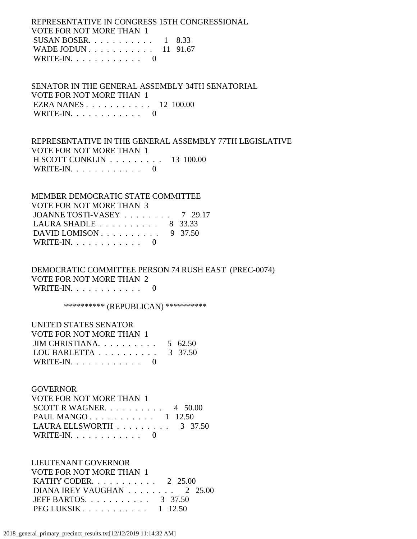REPRESENTATIVE IN CONGRESS 15TH CONGRESSIONAL VOTE FOR NOT MORE THAN 1 SUSAN BOSER.  $\ldots$  . . . . . . . . 1 8.33 WADE JODUN . . . . . . . . . . . 11 91.67 WRITE-IN. . . . . . . . . . . . 0

 SENATOR IN THE GENERAL ASSEMBLY 34TH SENATORIAL VOTE FOR NOT MORE THAN 1 EZRA NANES . . . . . . . . . . . 12 100.00 WRITE-IN. . . . . . . . . . . . 0

 REPRESENTATIVE IN THE GENERAL ASSEMBLY 77TH LEGISLATIVE VOTE FOR NOT MORE THAN 1 H SCOTT CONKLIN . . . . . . . . . 13 100.00 WRITE-IN.  $\ldots$  . . . . . . . . . 0

 MEMBER DEMOCRATIC STATE COMMITTEE VOTE FOR NOT MORE THAN 3 JOANNE TOSTI-VASEY . . . . . . . . 7 29.17 LAURA SHADLE . . . . . . . . . . 8 33.33 DAVID LOMISON . . . . . . . . . . 9 37.50 WRITE-IN.  $\ldots$  . . . . . . . . 0

 DEMOCRATIC COMMITTEE PERSON 74 RUSH EAST (PREC-0074) VOTE FOR NOT MORE THAN 2 WRITE-IN. . . . . . . . . . . . 0

\*\*\*\*\*\*\*\*\*\*\*\* (REPUBLICAN) \*\*\*\*\*\*\*\*\*\*\*

| UNITED STATES SENATOR                              |  |
|----------------------------------------------------|--|
| VOTE FOR NOT MORE THAN 1                           |  |
| JIM CHRISTIANA 5 62.50                             |  |
| LOU BARLETTA $\ldots \ldots \ldots \ldots$ 3 37.50 |  |
| WRITE-IN. $\ldots$                                 |  |

#### **GOVERNOR**

| VOTE FOR NOT MORE THAN 1                       |  |
|------------------------------------------------|--|
| SCOTT R WAGNER. $\ldots$ 4 50.00               |  |
| PAUL MANGO $1 \quad 12.50$                     |  |
| LAURA ELLSWORTH $\ldots \ldots \ldots$ 3 37.50 |  |
| WRITE-IN. $\ldots$ 0                           |  |

 LIEUTENANT GOVERNOR VOTE FOR NOT MORE THAN 1 KATHY CODER. . . . . . . . . . . 2 25.00 DIANA IREY VAUGHAN . . . . . . . . 2 25.00 JEFF BARTOS. . . . . . . . . . . 3 37.50 PEG LUKSIK . . . . . . . . . . . 1 12.50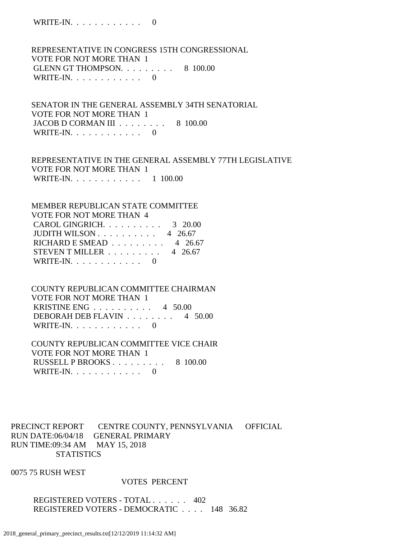WRITE-IN. . . . . . . . . . . . 0

 REPRESENTATIVE IN CONGRESS 15TH CONGRESSIONAL VOTE FOR NOT MORE THAN 1 GLENN GT THOMPSON. . . . . . . . . 8 100.00 WRITE-IN.  $\ldots$  . . . . . . . . . 0

 SENATOR IN THE GENERAL ASSEMBLY 34TH SENATORIAL VOTE FOR NOT MORE THAN 1 JACOB D CORMAN III . . . . . . . . 8 100.00 WRITE-IN.  $\ldots$  . . . . . . . . 0

 REPRESENTATIVE IN THE GENERAL ASSEMBLY 77TH LEGISLATIVE VOTE FOR NOT MORE THAN 1 WRITE-IN. . . . . . . . . . . . 1 100.00

 MEMBER REPUBLICAN STATE COMMITTEE VOTE FOR NOT MORE THAN 4 CAROL GINGRICH. . . . . . . . . . 3 20.00 JUDITH WILSON . . . . . . . . . . 4 26.67 RICHARD E SMEAD  $\ldots \ldots \ldots \ldots$  4 26.67 STEVEN T MILLER  $\ldots$  . . . . . . . 4 26.67 WRITE-IN. . . . . . . . . . . . 0

 COUNTY REPUBLICAN COMMITTEE CHAIRMAN VOTE FOR NOT MORE THAN 1 KRISTINE ENG . . . . . . . . . . 4 50.00 DEBORAH DEB FLAVIN . . . . . . . . 4 50.00 WRITE-IN.  $\ldots$  . . . . . . . . . 0

 COUNTY REPUBLICAN COMMITTEE VICE CHAIR VOTE FOR NOT MORE THAN 1 RUSSELL P BROOKS . . . . . . . . . 8 100.00 WRITE-IN.  $\ldots$  . . . . . . . . 0

PRECINCT REPORT CENTRE COUNTY, PENNSYLVANIA OFFICIAL RUN DATE:06/04/18 GENERAL PRIMARY RUN TIME:09:34 AM MAY 15, 2018 **STATISTICS** 

0075 75 RUSH WEST

#### VOTES PERCENT

 REGISTERED VOTERS - TOTAL . . . . . . 402 REGISTERED VOTERS - DEMOCRATIC . . . . 148 36.82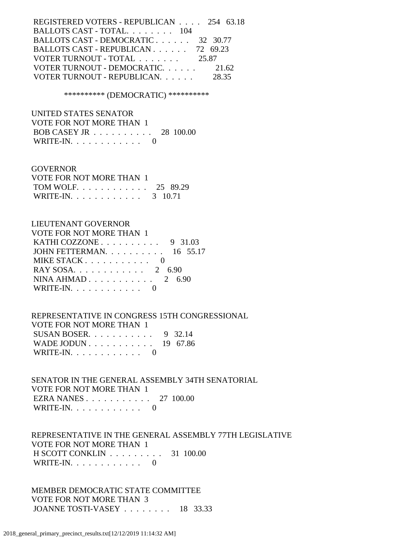| REGISTERED VOTERS - REPUBLICAN 254 63.18 |       |
|------------------------------------------|-------|
| BALLOTS CAST - TOTAL. 104                |       |
| BALLOTS CAST - DEMOCRATIC 32 30.77       |       |
| BALLOTS CAST - REPUBLICAN 72 69.23       |       |
| VOTER TURNOUT - TOTAL                    | 25.87 |
| VOTER TURNOUT - DEMOCRATIC.              | 21.62 |
| VOTER TURNOUT - REPUBLICAN.              | 28.35 |
|                                          |       |

\*\*\*\*\*\*\*\*\*\* (DEMOCRATIC) \*\*\*\*\*\*\*\*\*\*

 UNITED STATES SENATOR VOTE FOR NOT MORE THAN 1 BOB CASEY JR . . . . . . . . . . 28 100.00 WRITE-IN. . . . . . . . . . . . 0

#### GOVERNOR

| VOTE FOR NOT MORE THAN 1 |  |
|--------------------------|--|
| TOM WOLF. 25 89.29       |  |
| WRITE-IN. 3 10.71        |  |

# LIEUTENANT GOVERNOR

| <b>VOTE FOR NOT MORE THAN 1</b>                     |
|-----------------------------------------------------|
| KATHI COZZONE $\ldots \ldots \ldots \ldots$ 9 31.03 |
| JOHN FETTERMAN. 16 55.17                            |
| MIKE STACK $\ldots$ $\ldots$ $\ldots$ $\ldots$ 0    |
| RAY SOSA 2 6.90                                     |
| NINA AHMAD $2, 6.90$                                |
| WRITE-IN. $\ldots$ 0                                |
|                                                     |

 REPRESENTATIVE IN CONGRESS 15TH CONGRESSIONAL VOTE FOR NOT MORE THAN 1 SUSAN BOSER. . . . . . . . . . . 9 32.14 WADE JODUN . . . . . . . . . . . 19 67.86 WRITE-IN. . . . . . . . . . . . 0

 SENATOR IN THE GENERAL ASSEMBLY 34TH SENATORIAL VOTE FOR NOT MORE THAN 1 EZRA NANES . . . . . . . . . . . 27 100.00 WRITE-IN. . . . . . . . . . . . 0

 REPRESENTATIVE IN THE GENERAL ASSEMBLY 77TH LEGISLATIVE VOTE FOR NOT MORE THAN 1 H SCOTT CONKLIN . . . . . . . . . 31 100.00 WRITE-IN.  $\ldots$  . . . . . . . . . 0

 MEMBER DEMOCRATIC STATE COMMITTEE VOTE FOR NOT MORE THAN 3 JOANNE TOSTI-VASEY . . . . . . . . 18 33.33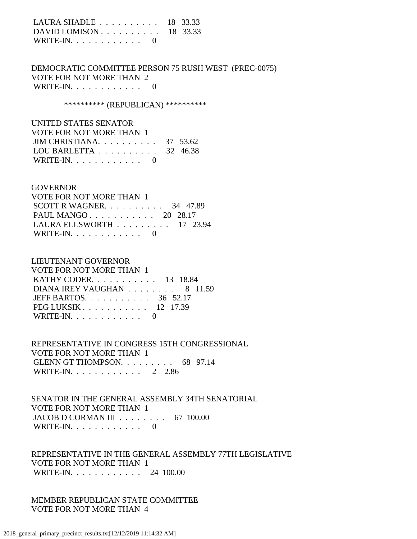| LAURA SHADLE $\ldots \ldots \ldots \ldots$ 18 33.33 |  |
|-----------------------------------------------------|--|
| DAVID LOMISON $\ldots$ 18 33.33                     |  |
| WRITE-IN. $\ldots$ 0                                |  |

 DEMOCRATIC COMMITTEE PERSON 75 RUSH WEST (PREC-0075) VOTE FOR NOT MORE THAN 2 WRITE-IN. . . . . . . . . . . . 0

\*\*\*\*\*\*\*\*\*\*\* (REPUBLICAN) \*\*\*\*\*\*\*\*\*\*\*

 UNITED STATES SENATOR VOTE FOR NOT MORE THAN 1 JIM CHRISTIANA. . . . . . . . . . 37 53.62 LOU BARLETTA . . . . . . . . . . 32 46.38 WRITE-IN.  $\ldots$  . . . . . . . . . 0

#### **GOVERNOR**

| VOTE FOR NOT MORE THAN 1                        |  |  |
|-------------------------------------------------|--|--|
| SCOTT R WAGNER. $\ldots$ 34 47.89               |  |  |
| PAUL MANGO 20 28.17                             |  |  |
| LAURA ELLSWORTH $\ldots \ldots \ldots 17$ 23.94 |  |  |
| WRITE-IN. $\ldots$ 0                            |  |  |

## LIEUTENANT GOVERNOR

| VOTE FOR NOT MORE THAN 1                          |  |
|---------------------------------------------------|--|
| KATHY CODER. $\ldots$ 13 18.84                    |  |
| DIANA IREY VAUGHAN $\ldots \ldots \ldots$ 8 11.59 |  |
| JEFF BARTOS. $\ldots$ 36 52.17                    |  |
| $PEG LUKSIK 12 17.39$                             |  |
| WRITE-IN. $\ldots$ 0                              |  |

 REPRESENTATIVE IN CONGRESS 15TH CONGRESSIONAL VOTE FOR NOT MORE THAN 1 GLENN GT THOMPSON. . . . . . . . . 68 97.14 WRITE-IN. . . . . . . . . . . . 2 2.86

 SENATOR IN THE GENERAL ASSEMBLY 34TH SENATORIAL VOTE FOR NOT MORE THAN 1 JACOB D CORMAN III . . . . . . . . 67 100.00 WRITE-IN.  $\ldots$  . . . . . . . . . 0

 REPRESENTATIVE IN THE GENERAL ASSEMBLY 77TH LEGISLATIVE VOTE FOR NOT MORE THAN 1 WRITE-IN. . . . . . . . . . . . 24 100.00

 MEMBER REPUBLICAN STATE COMMITTEE VOTE FOR NOT MORE THAN 4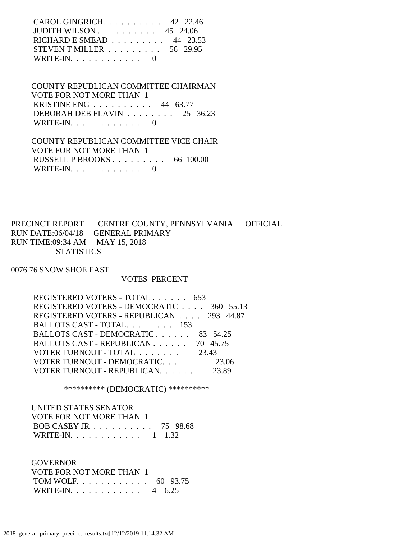| CAROL GINGRICH. $\ldots$ 42 22.46                    |  |
|------------------------------------------------------|--|
| JUDITH WILSON $\ldots \ldots \ldots \ldots$ 45 24.06 |  |
| RICHARD E SMEAD $\ldots \ldots \ldots$ 44 23.53      |  |
| STEVEN T MILLER $\ldots \ldots \ldots 56$ 29.95      |  |
| WRITE-IN. $\ldots$ , 0                               |  |

 COUNTY REPUBLICAN COMMITTEE CHAIRMAN VOTE FOR NOT MORE THAN 1 KRISTINE ENG . . . . . . . . . . 44 63.77 DEBORAH DEB FLAVIN . . . . . . . . 25 36.23 WRITE-IN.  $\ldots$  . . . . . . . . . 0

 COUNTY REPUBLICAN COMMITTEE VICE CHAIR VOTE FOR NOT MORE THAN 1 RUSSELL P BROOKS . . . . . . . . . 66 100.00 WRITE-IN. . . . . . . . . . . . 0

PRECINCT REPORT CENTRE COUNTY, PENNSYLVANIA OFFICIAL RUN DATE:06/04/18 GENERAL PRIMARY RUN TIME:09:34 AM MAY 15, 2018 **STATISTICS** 

0076 76 SNOW SHOE EAST

#### VOTES PERCENT

| REGISTERED VOTERS - TOTAL 653            |       |
|------------------------------------------|-------|
| REGISTERED VOTERS - DEMOCRATIC 360 55.13 |       |
| REGISTERED VOTERS - REPUBLICAN 293 44.87 |       |
| BALLOTS CAST - TOTAL. 153                |       |
| BALLOTS CAST - DEMOCRATIC 83 54.25       |       |
| BALLOTS CAST - REPUBLICAN 70 45.75       |       |
| VOTER TURNOUT - TOTAL                    | 23.43 |
| VOTER TURNOUT - DEMOCRATIC. 23.06        |       |
| VOTER TURNOUT - REPUBLICAN.              | 23.89 |

\*\*\*\*\*\*\*\*\*\* (DEMOCRATIC) \*\*\*\*\*\*\*\*\*\*

| UNITED STATES SENATOR    |  |
|--------------------------|--|
| VOTE FOR NOT MORE THAN 1 |  |
| BOB CASEY JR 75 98.68    |  |
| WRITE-IN. 1 1.32         |  |

**GOVERNOR**  VOTE FOR NOT MORE THAN 1 TOM WOLF. . . . . . . . . . . . 60 93.75 WRITE-IN. . . . . . . . . . . . 4 6.25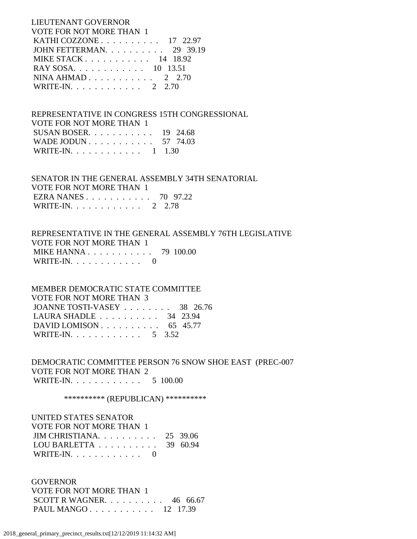LIEUTENANT GOVERNOR VOTE FOR NOT MORE THAN 1 KATHI COZZONE . . . . . . . . . . 17 22.97 JOHN FETTERMAN. . . . . . . . . . 29 39.19 MIKE STACK . . . . . . . . . . . 14 18.92 RAY SOSA. . . . . . . . . . . . 10 13.51 NINA AHMAD . . . . . . . . . . . 2 2.70 WRITE-IN. . . . . . . . . . . . 2 2.70

 REPRESENTATIVE IN CONGRESS 15TH CONGRESSIONAL VOTE FOR NOT MORE THAN 1 SUSAN BOSER. . . . . . . . . . . 19 24.68 WADE JODUN . . . . . . . . . . . 57 74.03 WRITE-IN. . . . . . . . . . . . 1 1.30

 SENATOR IN THE GENERAL ASSEMBLY 34TH SENATORIAL VOTE FOR NOT MORE THAN 1 EZRA NANES . . . . . . . . . . . 70 97.22 WRITE-IN. . . . . . . . . . . . 2 2.78

 REPRESENTATIVE IN THE GENERAL ASSEMBLY 76TH LEGISLATIVE VOTE FOR NOT MORE THAN 1 MIKE HANNA . . . . . . . . . . . 79 100.00 WRITE-IN.  $\ldots$  . . . . . . . . . 0

 MEMBER DEMOCRATIC STATE COMMITTEE VOTE FOR NOT MORE THAN 3 JOANNE TOSTI-VASEY . . . . . . . . 38 26.76 LAURA SHADLE . . . . . . . . . . 34 23.94 DAVID LOMISON . . . . . . . . . . . 65 45.77 WRITE-IN. . . . . . . . . . . . 5 3.52

 DEMOCRATIC COMMITTEE PERSON 76 SNOW SHOE EAST (PREC-007 VOTE FOR NOT MORE THAN 2 WRITE-IN. . . . . . . . . . . . . 5 100.00

\*\*\*\*\*\*\*\*\*\*\* (REPUBLICAN) \*\*\*\*\*\*\*\*\*\*\*

 UNITED STATES SENATOR VOTE FOR NOT MORE THAN 1 JIM CHRISTIANA. . . . . . . . . . 25 39.06 LOU BARLETTA . . . . . . . . . . 39 60.94 WRITE-IN.  $\ldots$  . . . . . . . . 0

 GOVERNOR VOTE FOR NOT MORE THAN 1 SCOTT R WAGNER. . . . . . . . . . 46 66.67 PAUL MANGO . . . . . . . . . . . 12 17.39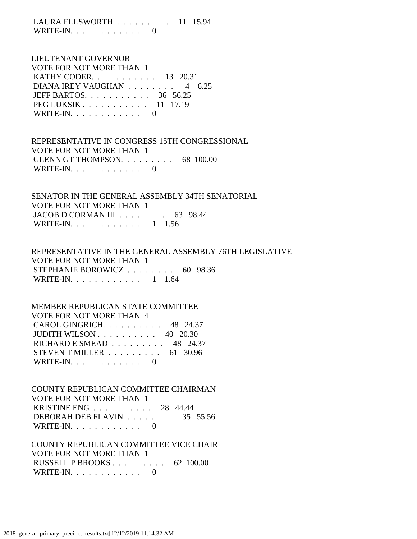LAURA ELLSWORTH . . . . . . . . . 11 15.94 WRITE-IN.  $\ldots$  . . . . . . . . 0

# LIEUTENANT GOVERNOR VOTE FOR NOT MORE THAN 1 KATHY CODER. . . . . . . . . . . 13 20.31 DIANA IREY VAUGHAN . . . . . . . . 4 6.25 JEFF BARTOS. . . . . . . . . . . 36 56.25 PEG LUKSIK . . . . . . . . . . . 11 17.19 WRITE-IN.  $\ldots$  . . . . . . . . 0

 REPRESENTATIVE IN CONGRESS 15TH CONGRESSIONAL VOTE FOR NOT MORE THAN 1 GLENN GT THOMPSON. . . . . . . . . 68 100.00 WRITE-IN.  $\ldots$  . . . . . . . . . 0

 SENATOR IN THE GENERAL ASSEMBLY 34TH SENATORIAL VOTE FOR NOT MORE THAN 1 JACOB D CORMAN III . . . . . . . . 63 98.44 WRITE-IN. . . . . . . . . . . . 1 1.56

# REPRESENTATIVE IN THE GENERAL ASSEMBLY 76TH LEGISLATIVE VOTE FOR NOT MORE THAN 1 STEPHANIE BOROWICZ . . . . . . . . 60 98.36 WRITE-IN. . . . . . . . . . . . 1 1.64

#### MEMBER REPUBLICAN STATE COMMITTEE

| VOTE FOR NOT MORE THAN 4                             |  |
|------------------------------------------------------|--|
| CAROL GINGRICH. 48 24.37                             |  |
| JUDITH WILSON $\ldots \ldots \ldots \ldots$ 40 20.30 |  |
| RICHARD E SMEAD $\ldots$ 48 24.37                    |  |
| STEVEN T MILLER $\ldots \ldots \ldots$ 61 30.96      |  |
| WRITE-IN. $\ldots$ 0                                 |  |

 COUNTY REPUBLICAN COMMITTEE CHAIRMAN VOTE FOR NOT MORE THAN 1 KRISTINE ENG . . . . . . . . . . 28 44.44 DEBORAH DEB FLAVIN . . . . . . . . 35 55.56 WRITE-IN.  $\ldots$  . . . . . . . . . 0

 COUNTY REPUBLICAN COMMITTEE VICE CHAIR VOTE FOR NOT MORE THAN 1 RUSSELL P BROOKS . . . . . . . . . 62 100.00 WRITE-IN.  $\ldots$  . . . . . . . . . 0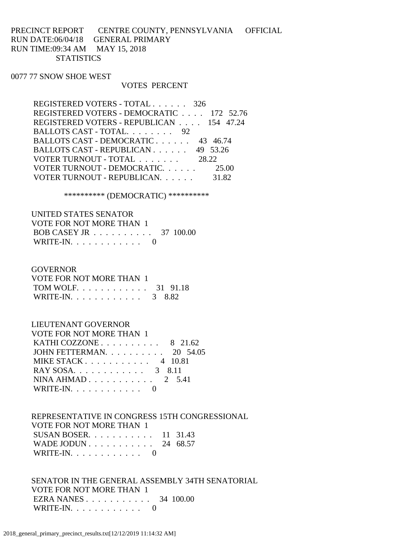# PRECINCT REPORT CENTRE COUNTY, PENNSYLVANIA OFFICIAL RUN DATE:06/04/18 GENERAL PRIMARY RUN TIME:09:34 AM MAY 15, 2018 **STATISTICS**

#### 0077 77 SNOW SHOE WEST

#### VOTES PERCENT

| REGISTERED VOTERS - TOTAL 326                 |       |
|-----------------------------------------------|-------|
| REGISTERED VOTERS - DEMOCRATIC 172 52.76      |       |
| REGISTERED VOTERS - REPUBLICAN 154 47.24      |       |
| BALLOTS CAST - TOTAL. 92                      |       |
| BALLOTS CAST - DEMOCRATIC 43 46.74            |       |
| BALLOTS CAST - REPUBLICAN $\ldots$ , 49 53.26 |       |
| VOTER TURNOUT - TOTAL 28.22                   |       |
| VOTER TURNOUT - DEMOCRATIC                    | 25.00 |
| VOTER TURNOUT - REPUBLICAN.                   | 31.82 |

\*\*\*\*\*\*\*\*\*\* (DEMOCRATIC) \*\*\*\*\*\*\*\*\*\*

| UNITED STATES SENATOR    |  |
|--------------------------|--|
| VOTE FOR NOT MORE THAN 1 |  |
| BOB CASEY JR 37 100.00   |  |
| WRITE-IN. $\ldots$ 0     |  |

#### **GOVERNOR**

| VOTE FOR NOT MORE THAN 1 |  |
|--------------------------|--|
| TOM WOLF. 31 91.18       |  |
| WRITE-IN. 3 8.82         |  |

#### LIEUTENANT GOVERNOR

| VOTE FOR NOT MORE THAN 1                         |
|--------------------------------------------------|
| KATHI COZZONE $\ldots$ $\ldots$ $\ldots$ 8 21.62 |
| JOHN FETTERMAN. $\ldots$ 20 54.05                |
| MIKE STACK 4 $10.81$                             |
| RAY SOSA. 3 8.11                                 |
| NINA AHMAD $2 \quad 5.41$                        |
| WRITE-IN. $\ldots$ 0                             |
|                                                  |

# REPRESENTATIVE IN CONGRESS 15TH CONGRESSIONAL

 VOTE FOR NOT MORE THAN 1 SUSAN BOSER. . . . . . . . . . . 11 31.43

| 0000 LIV DOULING 11 JI.TJ |  |  |  |  |  |  |  |
|---------------------------|--|--|--|--|--|--|--|
| WADE JODUN 24 68.57       |  |  |  |  |  |  |  |
| WRITE-IN. $\ldots$ 0      |  |  |  |  |  |  |  |

 SENATOR IN THE GENERAL ASSEMBLY 34TH SENATORIAL VOTE FOR NOT MORE THAN 1 EZRA NANES . . . . . . . . . . . 34 100.00 WRITE-IN. . . . . . . . . . . . 0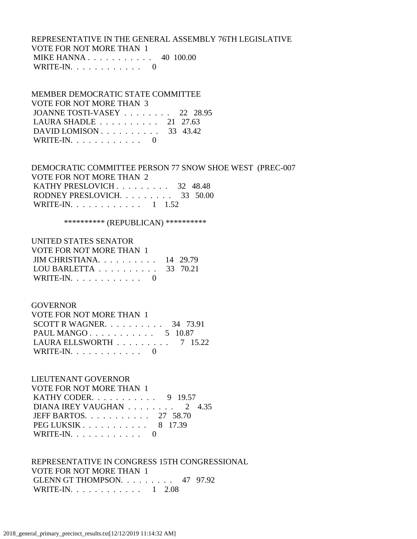# REPRESENTATIVE IN THE GENERAL ASSEMBLY 76TH LEGISLATIVE VOTE FOR NOT MORE THAN 1 MIKE HANNA . . . . . . . . . . . 40 100.00 WRITE-IN. . . . . . . . . . . . 0

 MEMBER DEMOCRATIC STATE COMMITTEE VOTE FOR NOT MORE THAN 3 JOANNE TOSTI-VASEY . . . . . . . . 22 28.95 LAURA SHADLE . . . . . . . . . . 21 27.63 DAVID LOMISON . . . . . . . . . . 33 43.42 WRITE-IN.  $\ldots$  . . . . . . . . . 0

 DEMOCRATIC COMMITTEE PERSON 77 SNOW SHOE WEST (PREC-007 VOTE FOR NOT MORE THAN 2 KATHY PRESLOVICH . . . . . . . . . 32 48.48 RODNEY PRESLOVICH. . . . . . . . . 33 50.00 WRITE-IN. . . . . . . . . . . . 1 1.52

\*\*\*\*\*\*\*\*\*\*\* (REPUBLICAN) \*\*\*\*\*\*\*\*\*\*\*

# UNITED STATES SENATOR

| VOTE FOR NOT MORE THAN 1 |
|--------------------------|
|                          |

| JIM CHRISTIANA. $\ldots$ 14 29.79                   |  |
|-----------------------------------------------------|--|
| LOU BARLETTA $\ldots \ldots \ldots \ldots$ 33 70.21 |  |
| WRITE-IN. $\ldots$ 0                                |  |

#### GOVERNOR

| VOTE FOR NOT MORE THAN 1                       |  |  |
|------------------------------------------------|--|--|
| SCOTT R WAGNER. $\ldots$ 34 73.91              |  |  |
| PAUL MANGO $5\quad 10.87$                      |  |  |
| LAURA ELLSWORTH $\ldots \ldots \ldots$ 7 15.22 |  |  |
| WRITE-IN. $\ldots$ 0                           |  |  |

#### LIEUTENANT GOVERNOR

| VOTE FOR NOT MORE THAN 1                         |
|--------------------------------------------------|
| <b>KATHY CODER.</b> 9 19.57                      |
| DIANA IREY VAUGHAN $\ldots \ldots \ldots 2$ 4.35 |
| JEFF BARTOS. 27 58.70                            |
| PEG LUKSIK 8 17.39                               |
| WRITE-IN. $\ldots$ 0                             |

# REPRESENTATIVE IN CONGRESS 15TH CONGRESSIONAL VOTE FOR NOT MORE THAN 1 GLENN GT THOMPSON. . . . . . . . . 47 97.92 WRITE-IN. . . . . . . . . . . . . 1 2.08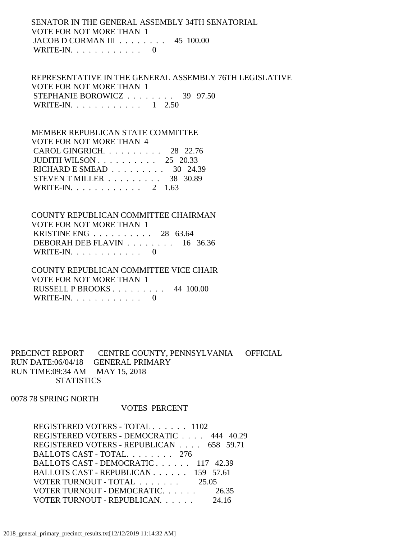# SENATOR IN THE GENERAL ASSEMBLY 34TH SENATORIAL VOTE FOR NOT MORE THAN 1 JACOB D CORMAN III . . . . . . . . 45 100.00 WRITE-IN.  $\ldots$  . . . . . . . . 0

 REPRESENTATIVE IN THE GENERAL ASSEMBLY 76TH LEGISLATIVE VOTE FOR NOT MORE THAN 1 STEPHANIE BOROWICZ . . . . . . . . 39 97.50 WRITE-IN. . . . . . . . . . . . . 1 2.50

# MEMBER REPUBLICAN STATE COMMITTEE VOTE FOR NOT MORE THAN 4 CAROL GINGRICH. . . . . . . . . . 28 22.76 JUDITH WILSON . . . . . . . . . . 25 20.33 RICHARD E SMEAD . . . . . . . . . 30 24.39 STEVEN T MILLER . . . . . . . . . 38 30.89 WRITE-IN. . . . . . . . . . . . 2 1.63

 COUNTY REPUBLICAN COMMITTEE CHAIRMAN VOTE FOR NOT MORE THAN 1 KRISTINE ENG . . . . . . . . . . 28 63.64 DEBORAH DEB FLAVIN . . . . . . . . 16 36.36 WRITE-IN. . . . . . . . . . . . 0

 COUNTY REPUBLICAN COMMITTEE VICE CHAIR VOTE FOR NOT MORE THAN 1 RUSSELL P BROOKS . . . . . . . . . 44 100.00 WRITE-IN.  $\ldots$  . . . . . . . . 0

# PRECINCT REPORT CENTRE COUNTY, PENNSYLVANIA OFFICIAL RUN DATE:06/04/18 GENERAL PRIMARY RUN TIME:09:34 AM MAY 15, 2018 **STATISTICS**

0078 78 SPRING NORTH

#### VOTES PERCENT

 REGISTERED VOTERS - TOTAL . . . . . . 1102 REGISTERED VOTERS - DEMOCRATIC . . . . 444 40.29 REGISTERED VOTERS - REPUBLICAN . . . . 658 59.71 BALLOTS CAST - TOTAL. . . . . . . . 276 BALLOTS CAST - DEMOCRATIC . . . . . . 117 42.39 BALLOTS CAST - REPUBLICAN . . . . . . 159 57.61 VOTER TURNOUT - TOTAL . . . . . . . 25.05 VOTER TURNOUT - DEMOCRATIC. . . . . . 26.35 VOTER TURNOUT - REPUBLICAN. . . . . . 24.16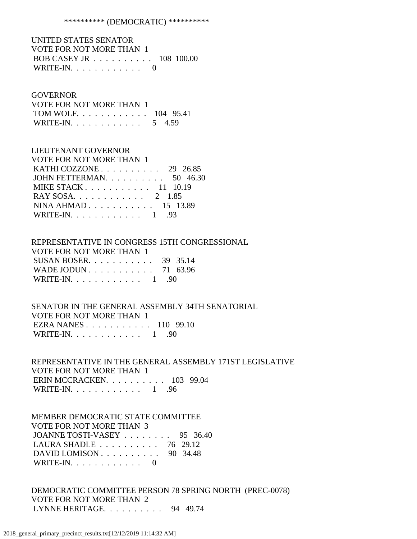#### \*\*\*\*\*\*\*\*\*\* (DEMOCRATIC) \*\*\*\*\*\*\*\*\*\*

 UNITED STATES SENATOR VOTE FOR NOT MORE THAN 1 BOB CASEY JR . . . . . . . . . . 108 100.00 WRITE-IN.  $\ldots$  . . . . . . . . . 0

#### GOVERNOR

| VOTE FOR NOT MORE THAN 1 |  |  |
|--------------------------|--|--|
| TOM WOLF. 104 95.41      |  |  |
| WRITE-IN. 5 4.59         |  |  |

#### LIEUTENANT GOVERNOR

| VOTE FOR NOT MORE THAN 1                             |  |
|------------------------------------------------------|--|
| KATHI COZZONE $\ldots$ $\ldots$ $\ldots$ 29 26.85    |  |
| JOHN FETTERMAN. $\ldots$ 50 46.30                    |  |
| MIKE STACK $\ldots$ , $\ldots$ , $\ldots$ , 11 10.19 |  |
| RAY SOSA. 2 1.85                                     |  |
| NINA AHMAD 15 13.89                                  |  |
| WRITE-IN. 1 .93                                      |  |

#### REPRESENTATIVE IN CONGRESS 15TH CONGRESSIONAL VOTE FOR NOT MORE THAN 1

| VUIE FUR NUI MURE IHAN I       |  |
|--------------------------------|--|
| SUSAN BOSER. $\ldots$ 39 35.14 |  |
| WADE JODUN 71 63.96            |  |
| WRITE-IN. $\ldots$ 1 . 90      |  |

# SENATOR IN THE GENERAL ASSEMBLY 34TH SENATORIAL VOTE FOR NOT MORE THAN 1 EZRA NANES . . . . . . . . . . . 110 99.10 WRITE-IN. . . . . . . . . . . . 1 .90

 REPRESENTATIVE IN THE GENERAL ASSEMBLY 171ST LEGISLATIVE VOTE FOR NOT MORE THAN 1 ERIN MCCRACKEN. . . . . . . . . . 103 99.04 WRITE-IN. . . . . . . . . . . . 1 .96

# MEMBER DEMOCRATIC STATE COMMITTEE VOTE FOR NOT MORE THAN 3 JOANNE TOSTI-VASEY . . . . . . . . 95 36.40 LAURA SHADLE . . . . . . . . . . 76 29.12 DAVID LOMISON . . . . . . . . . . 90 34.48 WRITE-IN. . . . . . . . . . . . 0

 DEMOCRATIC COMMITTEE PERSON 78 SPRING NORTH (PREC-0078) VOTE FOR NOT MORE THAN 2 LYNNE HERITAGE. . . . . . . . . . 94 49.74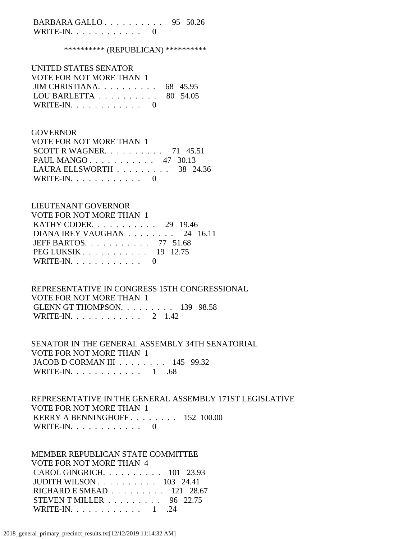BARBARA GALLO . . . . . . . . . . 95 50.26 WRITE-IN. . . . . . . . . . . . 0

\*\*\*\*\*\*\*\*\*\* (REPUBLICAN) \*\*\*\*\*\*\*\*\*\*

| UNITED STATES SENATOR                               |  |
|-----------------------------------------------------|--|
| VOTE FOR NOT MORE THAN 1                            |  |
| JIM CHRISTIANA. $\ldots$ 68 45.95                   |  |
| LOU BARLETTA $\ldots \ldots \ldots \ldots$ 80 54.05 |  |
| WRITE-IN. $\ldots$ 0                                |  |

#### GOVERNOR

| VOTE FOR NOT MORE THAN 1          |  |  |
|-----------------------------------|--|--|
| SCOTT R WAGNER. $\ldots$ 71 45.51 |  |  |
| PAUL MANGO 47 30.13               |  |  |
| LAURA ELLSWORTH 38 24.36          |  |  |
| WRITE-IN. $\ldots$ 0              |  |  |

# LIEUTENANT GOVERNOR

| <b>VOTE FOR NOT MORE THAN 1</b>                    |  |
|----------------------------------------------------|--|
| KATHY CODER. $\ldots$ 29 19.46                     |  |
| DIANA IREY VAUGHAN $\ldots \ldots \ldots 24$ 16.11 |  |
| JEFF BARTOS. $\ldots$ 77 51.68                     |  |
| $PEG LUKSIK 19 12.75$                              |  |
| WRITE-IN. $\ldots$ 0                               |  |

# REPRESENTATIVE IN CONGRESS 15TH CONGRESSIONAL VOTE FOR NOT MORE THAN 1 GLENN GT THOMPSON. . . . . . . . . 139 98.58 WRITE-IN. . . . . . . . . . . . 2 1.42

## SENATOR IN THE GENERAL ASSEMBLY 34TH SENATORIAL VOTE FOR NOT MORE THAN 1 JACOB D CORMAN III . . . . . . . . 145 99.32 WRITE-IN. . . . . . . . . . . . 1 .68

# REPRESENTATIVE IN THE GENERAL ASSEMBLY 171ST LEGISLATIVE VOTE FOR NOT MORE THAN 1 KERRY A BENNINGHOFF . . . . . . . . 152 100.00 WRITE-IN. . . . . . . . . . . . 0

 MEMBER REPUBLICAN STATE COMMITTEE VOTE FOR NOT MORE THAN 4 CAROL GINGRICH. . . . . . . . . . 101 23.93 JUDITH WILSON . . . . . . . . . . 103 24.41 RICHARD E SMEAD . . . . . . . . . 121 28.67 STEVEN T MILLER . . . . . . . . . 96 22.75 WRITE-IN. . . . . . . . . . . . . 1 .24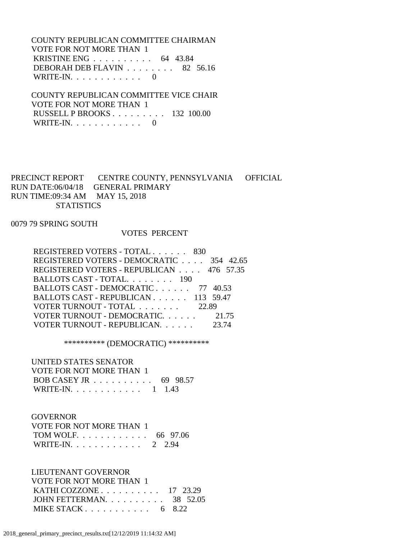COUNTY REPUBLICAN COMMITTEE CHAIRMAN VOTE FOR NOT MORE THAN 1 KRISTINE ENG . . . . . . . . . . 64 43.84 DEBORAH DEB FLAVIN . . . . . . . . 82 56.16 WRITE-IN.  $\ldots$  . . . . . . . . 0

 COUNTY REPUBLICAN COMMITTEE VICE CHAIR VOTE FOR NOT MORE THAN 1 RUSSELL P BROOKS . . . . . . . . . 132 100.00 WRITE-IN. . . . . . . . . . . . 0

# PRECINCT REPORT CENTRE COUNTY, PENNSYLVANIA OFFICIAL RUN DATE:06/04/18 GENERAL PRIMARY RUN TIME:09:34 AM MAY 15, 2018 **STATISTICS**

#### 0079 79 SPRING SOUTH

## VOTES PERCENT

| REGISTERED VOTERS - DEMOCRATIC 354 42.65 |
|------------------------------------------|
|                                          |
| REGISTERED VOTERS - REPUBLICAN 476 57.35 |
| BALLOTS CAST - TOTAL. 190                |
| BALLOTS CAST - DEMOCRATIC 77 40.53       |
| BALLOTS CAST - REPUBLICAN 113 59.47      |
| VOTER TURNOUT - TOTAL 22.89              |
| VOTER TURNOUT - DEMOCRATIC. 21.75        |
| VOTER TURNOUT - REPUBLICAN.<br>23.74     |

\*\*\*\*\*\*\*\*\*\* (DEMOCRATIC) \*\*\*\*\*\*\*\*\*\*

#### UNITED STATES SENATOR

| VOTE FOR NOT MORE THAN 1                            |  |
|-----------------------------------------------------|--|
| BOB CASEY JR $\ldots \ldots \ldots \ldots$ 69 98.57 |  |
| WRITE-IN. 1 1.43                                    |  |

#### GOVERNOR

| VOTE FOR NOT MORE THAN 1 |  |
|--------------------------|--|
| TOM WOLF. 66 97.06       |  |
| WRITE-IN. 2 2.94         |  |

### LIEUTENANT GOVERNOR

| VOTE FOR NOT MORE THAN 1          |  |
|-----------------------------------|--|
| KATHI COZZONE $\ldots$ 17 23.29   |  |
| JOHN FETTERMAN. $\ldots$ 38 52.05 |  |
| MIKE STACK $6 \quad 8.22$         |  |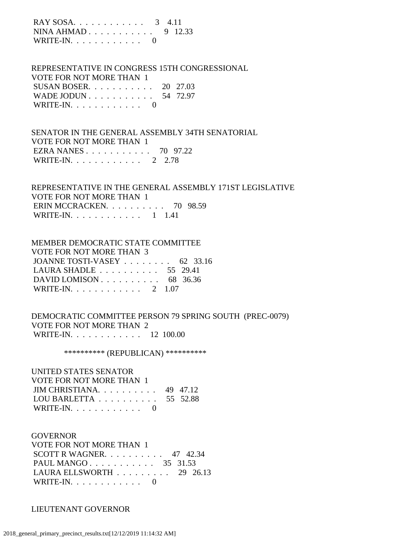| $RAY$ SOSA 3 4.11    |  |
|----------------------|--|
| NINA AHMAD 9 12.33   |  |
| WRITE-IN. $\ldots$ 0 |  |

 REPRESENTATIVE IN CONGRESS 15TH CONGRESSIONAL VOTE FOR NOT MORE THAN 1 SUSAN BOSER. . . . . . . . . . . 20 27.03 WADE JODUN . . . . . . . . . . . 54 72.97 WRITE-IN. . . . . . . . . . . . 0

 SENATOR IN THE GENERAL ASSEMBLY 34TH SENATORIAL VOTE FOR NOT MORE THAN 1 EZRA NANES . . . . . . . . . . . 70 97.22 WRITE-IN. . . . . . . . . . . . 2 2.78

# REPRESENTATIVE IN THE GENERAL ASSEMBLY 171ST LEGISLATIVE VOTE FOR NOT MORE THAN 1 ERIN MCCRACKEN. . . . . . . . . . 70 98.59 WRITE-IN. . . . . . . . . . . . 1 1.41

# MEMBER DEMOCRATIC STATE COMMITTEE VOTE FOR NOT MORE THAN 3 JOANNE TOSTI-VASEY . . . . . . . . 62 33.16 LAURA SHADLE . . . . . . . . . . 55 29.41 DAVID LOMISON . . . . . . . . . . 68 36.36 WRITE-IN. . . . . . . . . . . . 2 1.07

 DEMOCRATIC COMMITTEE PERSON 79 SPRING SOUTH (PREC-0079) VOTE FOR NOT MORE THAN 2 WRITE-IN. . . . . . . . . . . . 12 100.00

\*\*\*\*\*\*\*\*\*\* (REPUBLICAN) \*\*\*\*\*\*\*\*\*\*

#### UNITED STATES SENATOR VOTE FOR NOT MORE THAN 1 JIM CHRISTIANA. . . . . . . . . . 49 47.12

| LOU BARLETTA $\ldots \ldots \ldots \ldots 55$ 52.88 |  |
|-----------------------------------------------------|--|
| WRITE-IN. $\ldots$ 0                                |  |

### GOVERNOR

| VOTE FOR NOT MORE THAN 1                        |  |  |
|-------------------------------------------------|--|--|
| SCOTT R WAGNER. $\ldots$ 47 42.34               |  |  |
| PAUL MANGO 35 31.53                             |  |  |
| LAURA ELLSWORTH $\ldots \ldots \ldots$ 29 26.13 |  |  |
| WRITE-IN. $\ldots$ 0                            |  |  |

#### LIEUTENANT GOVERNOR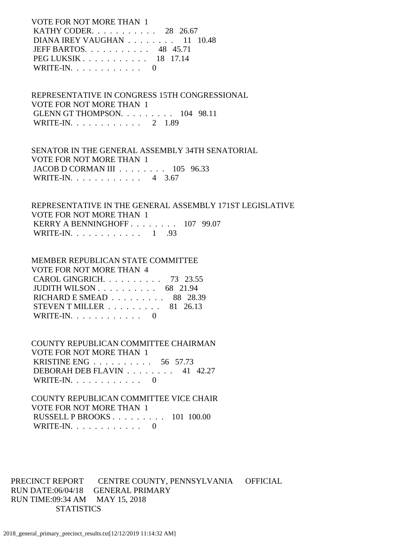VOTE FOR NOT MORE THAN 1 KATHY CODER. . . . . . . . . . . 28 26.67 DIANA IREY VAUGHAN . . . . . . . . 11 10.48 JEFF BARTOS. . . . . . . . . . . 48 45.71 PEG LUKSIK . . . . . . . . . . . 18 17.14 WRITE-IN. . . . . . . . . . . . 0

 REPRESENTATIVE IN CONGRESS 15TH CONGRESSIONAL VOTE FOR NOT MORE THAN 1 GLENN GT THOMPSON. . . . . . . . . 104 98.11 WRITE-IN. . . . . . . . . . . . 2 1.89

 SENATOR IN THE GENERAL ASSEMBLY 34TH SENATORIAL VOTE FOR NOT MORE THAN 1 JACOB D CORMAN III . . . . . . . . 105 96.33 WRITE-IN. . . . . . . . . . . . 4 3.67

 REPRESENTATIVE IN THE GENERAL ASSEMBLY 171ST LEGISLATIVE VOTE FOR NOT MORE THAN 1 KERRY A BENNINGHOFF . . . . . . . . 107 99.07 WRITE-IN. . . . . . . . . . . . 1 .93

 MEMBER REPUBLICAN STATE COMMITTEE VOTE FOR NOT MORE THAN 4 CAROL GINGRICH. . . . . . . . . . 73 23.55 JUDITH WILSON . . . . . . . . . . 68 21.94 RICHARD E SMEAD . . . . . . . . . 88 28.39 STEVEN T MILLER . . . . . . . . . 81 26.13 WRITE-IN.  $\ldots$  . . . . . . . . 0

 COUNTY REPUBLICAN COMMITTEE CHAIRMAN VOTE FOR NOT MORE THAN 1 KRISTINE ENG . . . . . . . . . . 56 57.73 DEBORAH DEB FLAVIN . . . . . . . . 41 42.27 WRITE-IN. . . . . . . . . . . . 0

 COUNTY REPUBLICAN COMMITTEE VICE CHAIR VOTE FOR NOT MORE THAN 1 RUSSELL P BROOKS . . . . . . . . . 101 100.00 WRITE-IN. . . . . . . . . . . . 0

PRECINCT REPORT CENTRE COUNTY, PENNSYLVANIA OFFICIAL RUN DATE:06/04/18 GENERAL PRIMARY RUN TIME:09:34 AM MAY 15, 2018 **STATISTICS**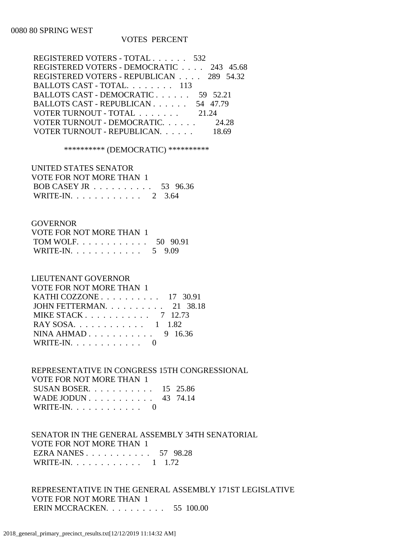# 0080 80 SPRING WEST

#### VOTES PERCENT

| REGISTERED VOTERS - TOTAL 532            |          |
|------------------------------------------|----------|
| REGISTERED VOTERS - DEMOCRATIC 243 45.68 |          |
| REGISTERED VOTERS - REPUBLICAN 289 54.32 |          |
| BALLOTS CAST - TOTAL. 113                |          |
| BALLOTS CAST - DEMOCRATIC                | 59 52.21 |
| BALLOTS CAST - REPUBLICAN 54 47.79       |          |
| VOTER TURNOUT - TOTAL                    | 21.24    |
| VOTER TURNOUT - DEMOCRATIC 24.28         |          |
| VOTER TURNOUT - REPUBLICAN.              |          |

\*\*\*\*\*\*\*\*\*\* (DEMOCRATIC) \*\*\*\*\*\*\*\*\*\*

 UNITED STATES SENATOR VOTE FOR NOT MORE THAN 1 BOB CASEY JR . . . . . . . . . . 53 96.36 WRITE-IN. . . . . . . . . . . . 2 3.64

#### **GOVERNOR**

| VOTE FOR NOT MORE THAN 1 |  |
|--------------------------|--|
| TOM WOLF 50 90.91        |  |
| WRITE-IN. 5 9.09         |  |

#### LIEUTENANT GOVERNOR

| <b>VOTE FOR NOT MORE THAN 1</b>                        |
|--------------------------------------------------------|
| KATHI COZZONE $\ldots$ 17 30.91                        |
| JOHN FETTERMAN. $\ldots$ 21 38.18                      |
| MIKE STACK $\ldots$ $\ldots$ $\ldots$ $\ldots$ 7 12.73 |
| RAY SOSA. 1 1.82                                       |
| NINA AHMAD 9 16.36                                     |
| WRITE-IN. $\ldots$ 0                                   |
|                                                        |

# REPRESENTATIVE IN CONGRESS 15TH CONGRESSIONAL

| VOTE FOR NOT MORE THAN 1       |  |
|--------------------------------|--|
| SUSAN BOSER. $\ldots$ 15 25.86 |  |
| WADE JODUN 43 74.14            |  |
| WRITE-IN. $\ldots$ 0           |  |

# SENATOR IN THE GENERAL ASSEMBLY 34TH SENATORIAL VOTE FOR NOT MORE THAN 1 EZRA NANES . . . . . . . . . . . 57 98.28 WRITE-IN. . . . . . . . . . . . 1 1.72

 REPRESENTATIVE IN THE GENERAL ASSEMBLY 171ST LEGISLATIVE VOTE FOR NOT MORE THAN 1 ERIN MCCRACKEN. . . . . . . . . . 55 100.00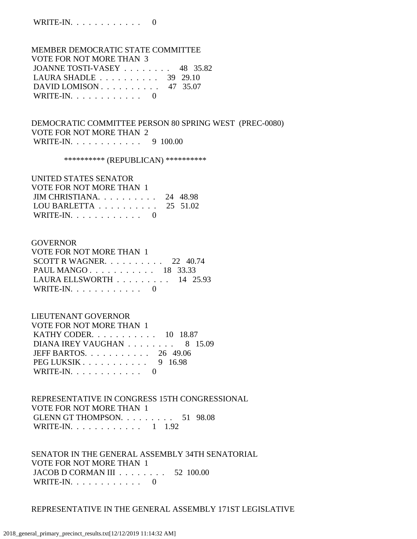# MEMBER DEMOCRATIC STATE COMMITTEE VOTE FOR NOT MORE THAN 3 JOANNE TOSTI-VASEY . . . . . . . . 48 35.82 LAURA SHADLE . . . . . . . . . . 39 29.10 DAVID LOMISON . . . . . . . . . . 47 35.07 WRITE-IN.  $\ldots$  . . . . . . . . . 0

 DEMOCRATIC COMMITTEE PERSON 80 SPRING WEST (PREC-0080) VOTE FOR NOT MORE THAN 2 WRITE-IN. . . . . . . . . . . . 9 100.00

\*\*\*\*\*\*\*\*\*\* (REPUBLICAN) \*\*\*\*\*\*\*\*\*\*

 UNITED STATES SENATOR VOTE FOR NOT MORE THAN 1 JIM CHRISTIANA. . . . . . . . . . 24 48.98 LOU BARLETTA . . . . . . . . . . 25 51.02 WRITE-IN.  $\ldots$  . . . . . . . . . 0

#### GOVERNOR

| VOTE FOR NOT MORE THAN 1                        |  |  |
|-------------------------------------------------|--|--|
| SCOTT R WAGNER. $\ldots$ 22 40.74               |  |  |
| PAUL MANGO 18 33.33                             |  |  |
| LAURA ELLSWORTH $\ldots \ldots \ldots 14$ 25.93 |  |  |
| WRITE-IN. $\ldots$ 0                            |  |  |

LIEUTENANT GOVERNOR

| VOTE FOR NOT MORE THAN 1                               |  |
|--------------------------------------------------------|--|
| <b>KATHY CODER.</b> 10 18.87                           |  |
| DIANA IREY VAUGHAN 8 15.09                             |  |
| JEFF BARTOS. $\ldots$ 26 49.06                         |  |
| PEG LUKSIK $\ldots$ $\ldots$ $\ldots$ $\ldots$ 9 16.98 |  |
| WRITE-IN. $\ldots$ 0                                   |  |

 REPRESENTATIVE IN CONGRESS 15TH CONGRESSIONAL VOTE FOR NOT MORE THAN 1 GLENN GT THOMPSON. . . . . . . . . 51 98.08 WRITE-IN. . . . . . . . . . . . 1 1.92

 SENATOR IN THE GENERAL ASSEMBLY 34TH SENATORIAL VOTE FOR NOT MORE THAN 1 JACOB D CORMAN III . . . . . . . . 52 100.00 WRITE-IN.  $\ldots$  . . . . . . . . . 0

REPRESENTATIVE IN THE GENERAL ASSEMBLY 171ST LEGISLATIVE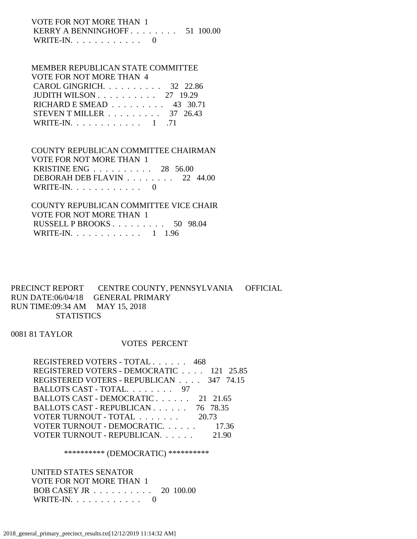# VOTE FOR NOT MORE THAN 1 KERRY A BENNINGHOFF . . . . . . . . 51 100.00 WRITE-IN.  $\ldots$  . . . . . . . . . 0

# MEMBER REPUBLICAN STATE COMMITTEE VOTE FOR NOT MORE THAN 4 CAROL GINGRICH. . . . . . . . . . 32 22.86

| JUDITH WILSON $\ldots$ 27 19.29                 |  |
|-------------------------------------------------|--|
| RICHARD E SMEAD $\ldots \ldots \ldots$ 43 30.71 |  |
| STEVEN T MILLER $\ldots \ldots \ldots$ 37 26.43 |  |
| WRITE-IN. $\ldots$ 1 .71                        |  |

# COUNTY REPUBLICAN COMMITTEE CHAIRMAN VOTE FOR NOT MORE THAN 1 KRISTINE ENG . . . . . . . . . . 28 56.00 DEBORAH DEB FLAVIN . . . . . . . . 22 44.00

WRITE-IN.  $\ldots$  . . . . . . . . . 0

 COUNTY REPUBLICAN COMMITTEE VICE CHAIR VOTE FOR NOT MORE THAN 1 RUSSELL P BROOKS . . . . . . . . . 50 98.04 WRITE-IN. . . . . . . . . . . . 1 1.96

# PRECINCT REPORT CENTRE COUNTY, PENNSYLVANIA OFFICIAL RUN DATE:06/04/18 GENERAL PRIMARY RUN TIME:09:34 AM MAY 15, 2018 **STATISTICS**

0081 81 TAYLOR

# VOTES PERCENT

| REGISTERED VOTERS - TOTAL 468            |  |
|------------------------------------------|--|
| REGISTERED VOTERS - DEMOCRATIC 121 25.85 |  |
| REGISTERED VOTERS - REPUBLICAN 347 74.15 |  |
| BALLOTS CAST - TOTAL. 97                 |  |
| BALLOTS CAST - DEMOCRATIC 21 21.65       |  |
| BALLOTS CAST - REPUBLICAN 76 78.35       |  |
| VOTER TURNOUT - TOTAL<br>20.73           |  |
| VOTER TURNOUT - DEMOCRATIC. 17.36        |  |
| VOTER TURNOUT - REPUBLICAN.              |  |

### \*\*\*\*\*\*\*\*\*\* (DEMOCRATIC) \*\*\*\*\*\*\*\*\*\*

 UNITED STATES SENATOR VOTE FOR NOT MORE THAN 1 BOB CASEY JR . . . . . . . . . . 20 100.00 WRITE-IN. . . . . . . . . . . . 0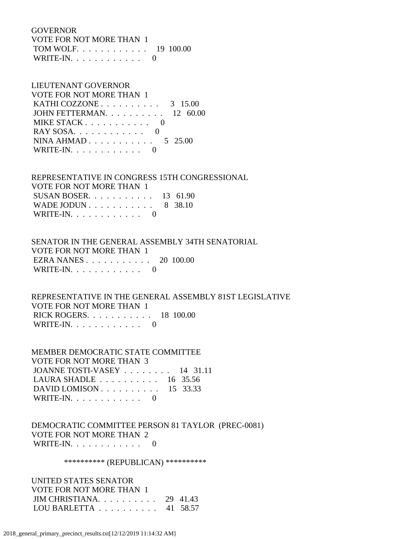#### GOVERNOR

| VOTE FOR NOT MORE THAN 1 |  |
|--------------------------|--|
| TOM WOLF. 19 100.00      |  |
| WRITE-IN. $\ldots$ 0     |  |

#### LIEUTENANT GOVERNOR

| VOTE FOR NOT MORE THAN 1                            |  |
|-----------------------------------------------------|--|
| KATHI COZZONE $\ldots \ldots \ldots \ldots$ 3 15.00 |  |
| JOHN FETTERMAN. $\ldots$ 12 60.00                   |  |
| MIKE STACK $\ldots$ $\ldots$ $\ldots$ $\ldots$ 0    |  |
|                                                     |  |
| NINA AHMAD $5\text{ }25.00$                         |  |
| WRITE-IN. $\ldots$ 0                                |  |
|                                                     |  |

# REPRESENTATIVE IN CONGRESS 15TH CONGRESSIONAL

| VOTE FOR NOT MORE THAN 1       |  |
|--------------------------------|--|
| SUSAN BOSER. $\ldots$ 13 61.90 |  |
| WADE JODUN 8 38.10             |  |
| WRITE-IN. $\ldots$ 0           |  |

# SENATOR IN THE GENERAL ASSEMBLY 34TH SENATORIAL VOTE FOR NOT MORE THAN 1 EZRA NANES . . . . . . . . . . . 20 100.00

| WRITE-IN. $\ldots$ |  |  |
|--------------------|--|--|
|--------------------|--|--|

# REPRESENTATIVE IN THE GENERAL ASSEMBLY 81ST LEGISLATIVE VOTE FOR NOT MORE THAN 1 RICK ROGERS. . . . . . . . . . . 18 100.00 WRITE-IN. . . . . . . . . . . . 0

# MEMBER DEMOCRATIC STATE COMMITTEE VOTE FOR NOT MORE THAN 3 JOANNE TOSTI-VASEY . . . . . . . . 14 31.11 LAURA SHADLE . . . . . . . . . . 16 35.56 DAVID LOMISON . . . . . . . . . . 15 33.33 WRITE-IN.  $\ldots$  . . . . . . . . . 0

# DEMOCRATIC COMMITTEE PERSON 81 TAYLOR (PREC-0081) VOTE FOR NOT MORE THAN 2 WRITE-IN. . . . . . . . . . . . 0

### \*\*\*\*\*\*\*\*\*\* (REPUBLICAN) \*\*\*\*\*\*\*\*\*\*

 UNITED STATES SENATOR VOTE FOR NOT MORE THAN 1 JIM CHRISTIANA. . . . . . . . . . 29 41.43 LOU BARLETTA . . . . . . . . . . 41 58.57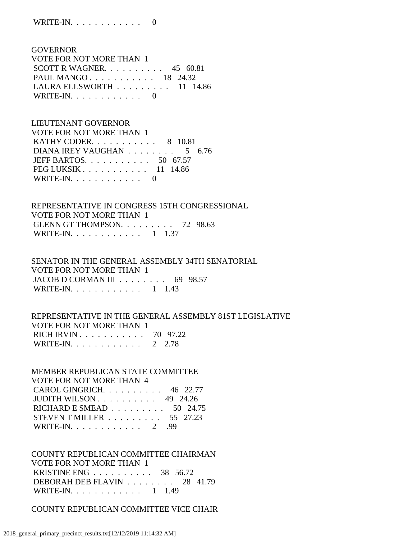GOVERNOR VOTE FOR NOT MORE THAN 1 SCOTT R WAGNER. . . . . . . . . . 45 60.81 PAUL MANGO . . . . . . . . . . . 18 24.32 LAURA ELLSWORTH . . . . . . . . . 11 14.86 WRITE-IN.  $\ldots$  . . . . . . . . . 0

 LIEUTENANT GOVERNOR VOTE FOR NOT MORE THAN 1 KATHY CODER. . . . . . . . . . . 8 10.81 DIANA IREY VAUGHAN . . . . . . . . 5 6.76 JEFF BARTOS. . . . . . . . . . . 50 67.57 PEG LUKSIK . . . . . . . . . . . . . 11 14.86 WRITE-IN.  $\ldots$  . . . . . . . . . 0

 REPRESENTATIVE IN CONGRESS 15TH CONGRESSIONAL VOTE FOR NOT MORE THAN 1 GLENN GT THOMPSON. . . . . . . . . 72 98.63 WRITE-IN. . . . . . . . . . . . 1 1.37

 SENATOR IN THE GENERAL ASSEMBLY 34TH SENATORIAL VOTE FOR NOT MORE THAN 1 JACOB D CORMAN III . . . . . . . . . 69 98.57 WRITE-IN. . . . . . . . . . . . 1 1.43

 REPRESENTATIVE IN THE GENERAL ASSEMBLY 81ST LEGISLATIVE VOTE FOR NOT MORE THAN 1 RICH IRVIN . . . . . . . . . . . 70 97.22 WRITE-IN. . . . . . . . . . . . 2 2.78

 MEMBER REPUBLICAN STATE COMMITTEE VOTE FOR NOT MORE THAN 4 CAROL GINGRICH. . . . . . . . . . 46 22.77 JUDITH WILSON . . . . . . . . . . 49 24.26 RICHARD E SMEAD . . . . . . . . . 50 24.75 STEVEN T MILLER . . . . . . . . . 55 27.23 WRITE-IN. . . . . . . . . . . . 2 .99

 COUNTY REPUBLICAN COMMITTEE CHAIRMAN VOTE FOR NOT MORE THAN 1 KRISTINE ENG . . . . . . . . . . 38 56.72 DEBORAH DEB FLAVIN . . . . . . . . 28 41.79 WRITE-IN. . . . . . . . . . . . 1 1.49

COUNTY REPUBLICAN COMMITTEE VICE CHAIR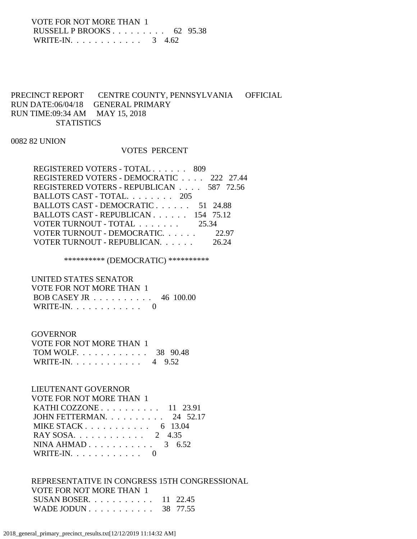VOTE FOR NOT MORE THAN 1 RUSSELL P BROOKS . . . . . . . . . 62 95.38 WRITE-IN. . . . . . . . . . . . . 3 4.62

# PRECINCT REPORT CENTRE COUNTY, PENNSYLVANIA OFFICIAL RUN DATE:06/04/18 GENERAL PRIMARY RUN TIME:09:34 AM MAY 15, 2018 **STATISTICS**

0082 82 UNION

#### VOTES PERCENT

| REGISTERED VOTERS - TOTAL 809            |       |
|------------------------------------------|-------|
| REGISTERED VOTERS - DEMOCRATIC 222 27.44 |       |
| REGISTERED VOTERS - REPUBLICAN 587 72.56 |       |
| BALLOTS CAST - TOTAL 205                 |       |
| BALLOTS CAST - DEMOCRATIC 51 24.88       |       |
| BALLOTS CAST - REPUBLICAN 154 75.12      |       |
| VOTER TURNOUT - TOTAL 25.34              |       |
| VOTER TURNOUT - DEMOCRATIC.              | 22.97 |
| VOTER TURNOUT - REPUBLICAN.              |       |

\*\*\*\*\*\*\*\*\*\* (DEMOCRATIC) \*\*\*\*\*\*\*\*\*\*

 UNITED STATES SENATOR VOTE FOR NOT MORE THAN 1 BOB CASEY JR . . . . . . . . . . 46 100.00 WRITE-IN. . . . . . . . . . . . 0

# **GOVERNOR**

| VOTE FOR NOT MORE THAN 1 |  |
|--------------------------|--|
| TOM WOLF 38 90.48        |  |
| WRITE-IN. 4 $9.52$       |  |

### LIEUTENANT GOVERNOR

| <b>VOTE FOR NOT MORE THAN 1</b>   |  |
|-----------------------------------|--|
| KATHI COZZONE $\ldots$ 11 23.91   |  |
| JOHN FETTERMAN. $\ldots$ 24 52.17 |  |
| MIKE STACK 6 13.04                |  |
| RAY SOSA. 2 4.35                  |  |
| NINA AHMAD $3 \quad 6.52$         |  |
| WRITE-IN. $\ldots$ 0              |  |

# REPRESENTATIVE IN CONGRESS 15TH CONGRESSIONAL VOTE FOR NOT MORE THAN 1 SUSAN BOSER. . . . . . . . . . . 11 22.45 WADE JODUN . . . . . . . . . . . 38 77.55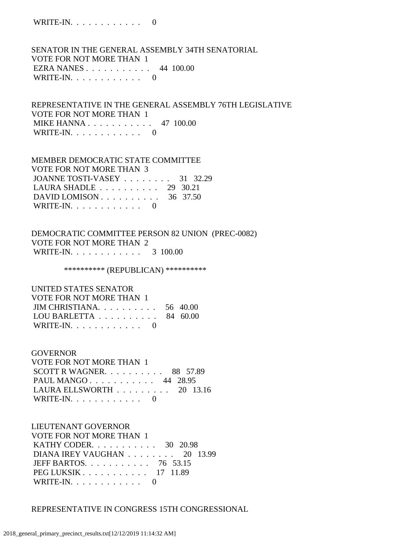WRITE-IN. . . . . . . . . . . . 0

 SENATOR IN THE GENERAL ASSEMBLY 34TH SENATORIAL VOTE FOR NOT MORE THAN 1 EZRA NANES . . . . . . . . . . . 44 100.00 WRITE-IN.  $\ldots$  . . . . . . . . 0

 REPRESENTATIVE IN THE GENERAL ASSEMBLY 76TH LEGISLATIVE VOTE FOR NOT MORE THAN 1 MIKE HANNA . . . . . . . . . . . 47 100.00 WRITE-IN.  $\ldots$  . . . . . . . . 0

# MEMBER DEMOCRATIC STATE COMMITTEE VOTE FOR NOT MORE THAN 3 JOANNE TOSTI-VASEY . . . . . . . . 31 32.29 LAURA SHADLE . . . . . . . . . . 29 30.21 DAVID LOMISON . . . . . . . . . . . 36 37.50 WRITE-IN. . . . . . . . . . . . 0

 DEMOCRATIC COMMITTEE PERSON 82 UNION (PREC-0082) VOTE FOR NOT MORE THAN 2 WRITE-IN. . . . . . . . . . . . 3 100.00

\*\*\*\*\*\*\*\*\*\* (REPUBLICAN) \*\*\*\*\*\*\*\*\*\*

UNITED STATES SENATOR

| VOTE FOR NOT MORE THAN 1                            |  |
|-----------------------------------------------------|--|
| JIM CHRISTIANA. $\ldots$ 56 40.00                   |  |
| LOU BARLETTA $\ldots \ldots \ldots \ldots$ 84 60.00 |  |
| WRITE-IN. $\ldots$ 0                                |  |

#### GOVERNOR

 VOTE FOR NOT MORE THAN 1 SCOTT R WAGNER.  $\ldots$  . . . . . . . 88 57.89 PAUL MANGO . . . . . . . . . . . 44 28.95 LAURA ELLSWORTH . . . . . . . . . 20 13.16 WRITE-IN.  $\ldots$  . . . . . . . . . 0

LIEUTENANT GOVERNOR

 VOTE FOR NOT MORE THAN 1 KATHY CODER. . . . . . . . . . . 30 20.98 DIANA IREY VAUGHAN . . . . . . . . 20 13.99 JEFF BARTOS. . . . . . . . . . . 76 53.15 PEG LUKSIK . . . . . . . . . . . 17 11.89 WRITE-IN.  $\ldots$  . . . . . . . . . 0

REPRESENTATIVE IN CONGRESS 15TH CONGRESSIONAL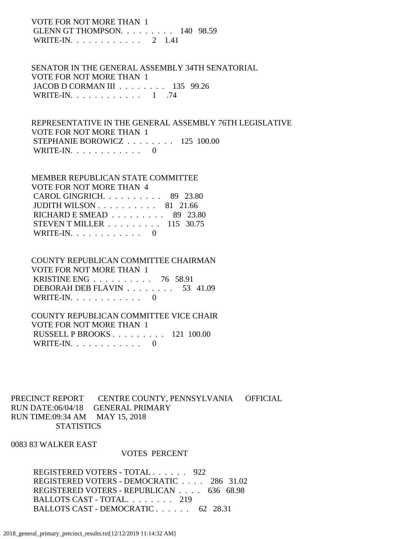VOTE FOR NOT MORE THAN 1 GLENN GT THOMPSON. . . . . . . . . 140 98.59 WRITE-IN. . . . . . . . . . . . 2 1.41

 SENATOR IN THE GENERAL ASSEMBLY 34TH SENATORIAL VOTE FOR NOT MORE THAN 1 JACOB D CORMAN III . . . . . . . . 135 99.26 WRITE-IN. . . . . . . . . . . . 1 .74

 REPRESENTATIVE IN THE GENERAL ASSEMBLY 76TH LEGISLATIVE VOTE FOR NOT MORE THAN 1 STEPHANIE BOROWICZ . . . . . . . . 125 100.00 WRITE-IN.  $\ldots$  . . . . . . . . . 0

| <b>MEMBER REPUBLICAN STATE COMMITTEE</b>             |  |
|------------------------------------------------------|--|
| <b>VOTE FOR NOT MORE THAN 4</b>                      |  |
| CAROL GINGRICH. $\ldots$ 89 23.80                    |  |
| JUDITH WILSON $\ldots \ldots \ldots \ldots$ 81 21.66 |  |
| RICHARD E SMEAD $\ldots \ldots \ldots$ 89 23.80      |  |
| STEVEN T MILLER $\ldots \ldots \ldots 115$ 30.75     |  |
| WRITE-IN. $\ldots$ 0                                 |  |

# COUNTY REPUBLICAN COMMITTEE CHAIRMAN VOTE FOR NOT MORE THAN 1 KRISTINE ENG . . . . . . . . . . 76 58.91 DEBORAH DEB FLAVIN . . . . . . . . 53 41.09 WRITE-IN.  $\ldots$  . . . . . . . . . 0

# COUNTY REPUBLICAN COMMITTEE VICE CHAIR VOTE FOR NOT MORE THAN 1 RUSSELL P BROOKS . . . . . . . . . 121 100.00 WRITE-IN. . . . . . . . . . . . 0

PRECINCT REPORT CENTRE COUNTY, PENNSYLVANIA OFFICIAL RUN DATE:06/04/18 GENERAL PRIMARY RUN TIME:09:34 AM MAY 15, 2018 **STATISTICS** 

# 0083 83 WALKER EAST

#### VOTES PERCENT

 REGISTERED VOTERS - TOTAL . . . . . . 922 REGISTERED VOTERS - DEMOCRATIC . . . . 286 31.02 REGISTERED VOTERS - REPUBLICAN . . . . 636 68.98 BALLOTS CAST - TOTAL. . . . . . . . 219 BALLOTS CAST - DEMOCRATIC . . . . . . 62 28.31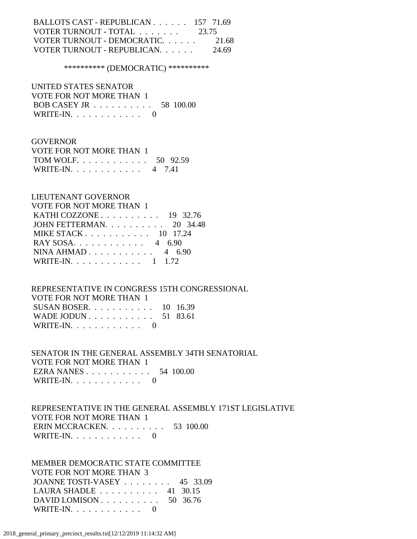| BALLOTS CAST - REPUBLICAN 157 71.69                |       |
|----------------------------------------------------|-------|
| VOTER TURNOUT - TOTAL $\ldots \ldots \ldots$ 23.75 |       |
| VOTER TURNOUT - DEMOCRATIC.                        | 21.68 |
| VOTER TURNOUT - REPUBLICAN                         | 24.69 |

### \*\*\*\*\*\*\*\*\*\* (DEMOCRATIC) \*\*\*\*\*\*\*\*\*\*

 UNITED STATES SENATOR VOTE FOR NOT MORE THAN 1 BOB CASEY JR . . . . . . . . . . 58 100.00 WRITE-IN. . . . . . . . . . . . 0

#### GOVERNOR

| VOTE FOR NOT MORE THAN 1 |  |
|--------------------------|--|
| TOM WOLF 50 92.59        |  |
| WRITE-IN. 4 7.41         |  |

### LIEUTENANT GOVERNOR

| <b>VOTE FOR NOT MORE THAN 1</b>                      |  |
|------------------------------------------------------|--|
| KATHI COZZONE $\ldots \ldots \ldots \ldots$ 19 32.76 |  |
| JOHN FETTERMAN. 20 34.48                             |  |
| MIKE STACK 10 17.24                                  |  |
| RAY SOSA. 4 6.90                                     |  |
| NINA AHMAD $4\quad 6.90$                             |  |
| WRITE-IN. 1 1.72                                     |  |

### REPRESENTATIVE IN CONGRESS 15TH CONGRESSIONAL

| VOTE FOR NOT MORE THAN 1       |  |
|--------------------------------|--|
| SUSAN BOSER. $\ldots$ 10 16.39 |  |
| WADE JODUN 51 83.61            |  |
| WRITE-IN. $\ldots$ 0           |  |

## SENATOR IN THE GENERAL ASSEMBLY 34TH SENATORIAL VOTE FOR NOT MORE THAN 1 EZRA NANES . . . . . . . . . . . 54 100.00 WRITE-IN.  $\ldots$  . . . . . . . . . 0

## REPRESENTATIVE IN THE GENERAL ASSEMBLY 171ST LEGISLATIVE VOTE FOR NOT MORE THAN 1 ERIN MCCRACKEN. . . . . . . . . . 53 100.00 WRITE-IN.  $\ldots$  . . . . . . . . . 0

## MEMBER DEMOCRATIC STATE COMMITTEE VOTE FOR NOT MORE THAN 3 JOANNE TOSTI-VASEY . . . . . . . . 45 33.09 LAURA SHADLE . . . . . . . . . . 41 30.15 DAVID LOMISON . . . . . . . . . . . 50 36.76 WRITE-IN.  $\ldots$  . . . . . . . . . 0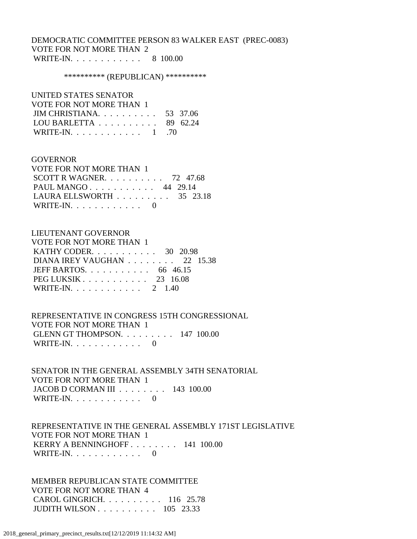## DEMOCRATIC COMMITTEE PERSON 83 WALKER EAST (PREC-0083) VOTE FOR NOT MORE THAN 2 WRITE-IN. . . . . . . . . . . . 8 100.00

#### \*\*\*\*\*\*\*\*\*\*\* (REPUBLICAN) \*\*\*\*\*\*\*\*\*\*\*

### UNITED STATES SENATOR

| VOTE FOR NOT MORE THAN 1                            |  |
|-----------------------------------------------------|--|
| JIM CHRISTIANA. $\ldots$ 53 37.06                   |  |
| LOU BARLETTA $\ldots \ldots \ldots \ldots$ 89 62.24 |  |
| WRITE-IN. 1 .70                                     |  |

#### GOVERNOR

| VOTE FOR NOT MORE THAN 1                        |  |  |
|-------------------------------------------------|--|--|
| SCOTT R WAGNER. $\ldots$ 72 47.68               |  |  |
| PAUL MANGO 44 29.14                             |  |  |
| LAURA ELLSWORTH $\ldots \ldots \ldots$ 35 23.18 |  |  |
| WRITE-IN. $\ldots$ 0                            |  |  |

### LIEUTENANT GOVERNOR

| <b>VOTE FOR NOT MORE THAN 1</b> |
|---------------------------------|
| KATHY CODER. $\ldots$ 30 20.98  |
| DIANA IREY VAUGHAN 22 15.38     |
| JEFF BARTOS. $\ldots$ 66 46.15  |
| $PEG LUKSIK 23 16.08$           |
| WRITE-IN. 2 1.40                |

 REPRESENTATIVE IN CONGRESS 15TH CONGRESSIONAL VOTE FOR NOT MORE THAN 1 GLENN GT THOMPSON. . . . . . . . . 147 100.00 WRITE-IN. . . . . . . . . . . . 0

 SENATOR IN THE GENERAL ASSEMBLY 34TH SENATORIAL VOTE FOR NOT MORE THAN 1 JACOB D CORMAN III . . . . . . . . 143 100.00 WRITE-IN.  $\ldots$  . . . . . . . . . 0

 REPRESENTATIVE IN THE GENERAL ASSEMBLY 171ST LEGISLATIVE VOTE FOR NOT MORE THAN 1 KERRY A BENNINGHOFF . . . . . . . . 141 100.00 WRITE-IN. . . . . . . . . . . . 0

 MEMBER REPUBLICAN STATE COMMITTEE VOTE FOR NOT MORE THAN 4 CAROL GINGRICH. . . . . . . . . . 116 25.78 JUDITH WILSON . . . . . . . . . . 105 23.33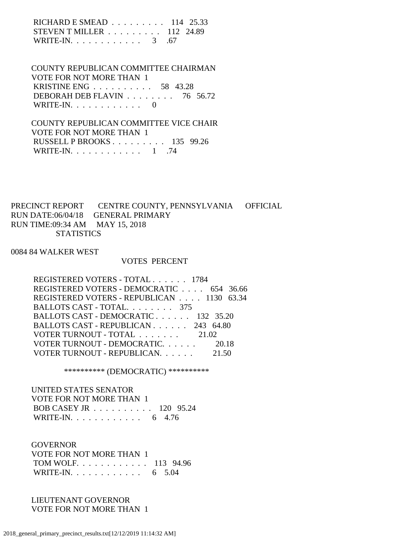| RICHARD E SMEAD $\ldots \ldots \ldots 114$ 25.33 |  |
|--------------------------------------------------|--|
| STEVEN T MILLER $\ldots \ldots \ldots 112$ 24.89 |  |
| WRITE-IN. $\ldots$ 3 .67                         |  |

 COUNTY REPUBLICAN COMMITTEE CHAIRMAN VOTE FOR NOT MORE THAN 1 KRISTINE ENG . . . . . . . . . . 58 43.28 DEBORAH DEB FLAVIN . . . . . . . . 76 56.72 WRITE-IN.  $\ldots$  . . . . . . . . . 0

 COUNTY REPUBLICAN COMMITTEE VICE CHAIR VOTE FOR NOT MORE THAN 1 RUSSELL P BROOKS . . . . . . . . . 135 99.26 WRITE-IN. . . . . . . . . . . . . 1 .74

PRECINCT REPORT CENTRE COUNTY, PENNSYLVANIA OFFICIAL RUN DATE:06/04/18 GENERAL PRIMARY RUN TIME:09:34 AM MAY 15, 2018 **STATISTICS** 

0084 84 WALKER WEST

#### VOTES PERCENT

| REGISTERED VOTERS - TOTAL 1784            |       |
|-------------------------------------------|-------|
| REGISTERED VOTERS - DEMOCRATIC 654 36.66  |       |
| REGISTERED VOTERS - REPUBLICAN 1130 63.34 |       |
| BALLOTS CAST - TOTAL. 375                 |       |
| BALLOTS CAST - DEMOCRATIC 132 35.20       |       |
| BALLOTS CAST - REPUBLICAN 243 64.80       |       |
| VOTER TURNOUT - TOTAL 21.02               |       |
| VOTER TURNOUT - DEMOCRATIC 20.18          |       |
| VOTER TURNOUT - REPUBLICAN.               | 21.50 |
|                                           |       |

\*\*\*\*\*\*\*\*\*\* (DEMOCRATIC) \*\*\*\*\*\*\*\*\*\*

 UNITED STATES SENATOR VOTE FOR NOT MORE THAN 1 BOB CASEY JR . . . . . . . . . . 120 95.24 WRITE-IN. . . . . . . . . . . . . 6 4.76

**GOVERNOR**  VOTE FOR NOT MORE THAN 1 TOM WOLF. . . . . . . . . . . . 113 94.96 WRITE-IN. . . . . . . . . . . . 6 5.04

 LIEUTENANT GOVERNOR VOTE FOR NOT MORE THAN 1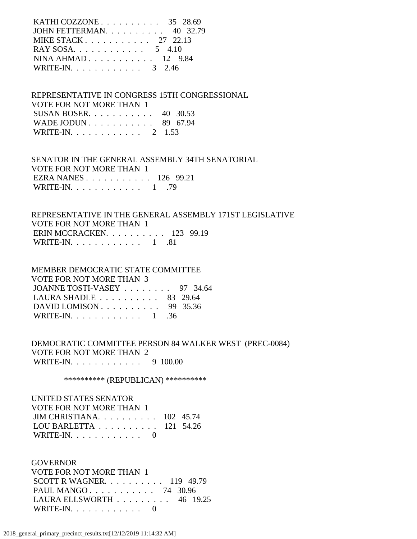| KATHI COZZONE $\ldots$ 35 28.69 |  |  |
|---------------------------------|--|--|
| JOHN FETTERMAN. 40 32.79        |  |  |
| MIKE STACK $27$ 22.13           |  |  |
| RAY SOSA. 5 4.10                |  |  |
| NINA AHMAD $12$ 9.84            |  |  |
| WRITE-IN. 3 2.46                |  |  |
|                                 |  |  |

 REPRESENTATIVE IN CONGRESS 15TH CONGRESSIONAL VOTE FOR NOT MORE THAN 1 SUSAN BOSER. . . . . . . . . . . 40 30.53 WADE JODUN . . . . . . . . . . . 89 67.94 WRITE-IN. . . . . . . . . . . . 2 1.53

 SENATOR IN THE GENERAL ASSEMBLY 34TH SENATORIAL VOTE FOR NOT MORE THAN 1 EZRA NANES . . . . . . . . . . . 126 99.21 WRITE-IN. . . . . . . . . . . . 1 .79

 REPRESENTATIVE IN THE GENERAL ASSEMBLY 171ST LEGISLATIVE VOTE FOR NOT MORE THAN 1 ERIN MCCRACKEN. . . . . . . . . . 123 99.19 WRITE-IN. . . . . . . . . . . . 1 .81

| MEMBER DEMOCRATIC STATE COMMITTEE                   |  |
|-----------------------------------------------------|--|
| <b>VOTE FOR NOT MORE THAN 3</b>                     |  |
| JOANNE TOSTI-VASEY 97 34.64                         |  |
| LAURA SHADLE $\ldots \ldots \ldots \ldots$ 83 29.64 |  |
| DAVID LOMISON $\ldots$ 99 35.36                     |  |
| WRITE-IN. 1 .36                                     |  |

 DEMOCRATIC COMMITTEE PERSON 84 WALKER WEST (PREC-0084) VOTE FOR NOT MORE THAN 2 WRITE-IN. . . . . . . . . . . . 9 100.00

\*\*\*\*\*\*\*\*\*\*\* (REPUBLICAN) \*\*\*\*\*\*\*\*\*\*\*

 UNITED STATES SENATOR VOTE FOR NOT MORE THAN 1 JIM CHRISTIANA. . . . . . . . . . 102 45.74 LOU BARLETTA . . . . . . . . . . 121 54.26 WRITE-IN. . . . . . . . . . . . 0

 GOVERNOR VOTE FOR NOT MORE THAN 1 SCOTT R WAGNER. . . . . . . . . . 119 49.79 PAUL MANGO . . . . . . . . . . . 74 30.96 LAURA ELLSWORTH . . . . . . . . . 46 19.25 WRITE-IN. . . . . . . . . . . . 0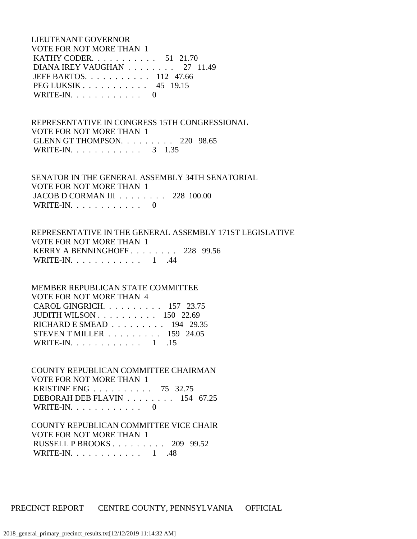LIEUTENANT GOVERNOR VOTE FOR NOT MORE THAN 1 KATHY CODER. . . . . . . . . . . 51 21.70 DIANA IREY VAUGHAN . . . . . . . . 27 11.49 JEFF BARTOS. . . . . . . . . . . 112 47.66 PEG LUKSIK . . . . . . . . . . . 45 19.15 WRITE-IN.  $\ldots$  . . . . . . . . 0

 REPRESENTATIVE IN CONGRESS 15TH CONGRESSIONAL VOTE FOR NOT MORE THAN 1 GLENN GT THOMPSON. . . . . . . . . 220 98.65 WRITE-IN. . . . . . . . . . . . . 3 1.35

 SENATOR IN THE GENERAL ASSEMBLY 34TH SENATORIAL VOTE FOR NOT MORE THAN 1 JACOB D CORMAN III . . . . . . . . 228 100.00 WRITE-IN.  $\ldots$  . . . . . . . . . 0

 REPRESENTATIVE IN THE GENERAL ASSEMBLY 171ST LEGISLATIVE VOTE FOR NOT MORE THAN 1 KERRY A BENNINGHOFF . . . . . . . . 228 99.56 WRITE-IN. . . . . . . . . . . . 1 .44

 MEMBER REPUBLICAN STATE COMMITTEE VOTE FOR NOT MORE THAN 4 CAROL GINGRICH. . . . . . . . . . 157 23.75 JUDITH WILSON . . . . . . . . . . 150 22.69 RICHARD E SMEAD . . . . . . . . . 194 29.35 STEVEN T MILLER . . . . . . . . . 159 24.05 WRITE-IN.  $\ldots$  . . . . . . . . . 1 .15

 COUNTY REPUBLICAN COMMITTEE CHAIRMAN VOTE FOR NOT MORE THAN 1 KRISTINE ENG . . . . . . . . . . 75 32.75 DEBORAH DEB FLAVIN . . . . . . . . 154 67.25 WRITE-IN. . . . . . . . . . . . 0

 COUNTY REPUBLICAN COMMITTEE VICE CHAIR VOTE FOR NOT MORE THAN 1 RUSSELL P BROOKS . . . . . . . . . 209 99.52 WRITE-IN. . . . . . . . . . . . 1 .48

PRECINCT REPORT CENTRE COUNTY, PENNSYLVANIA OFFICIAL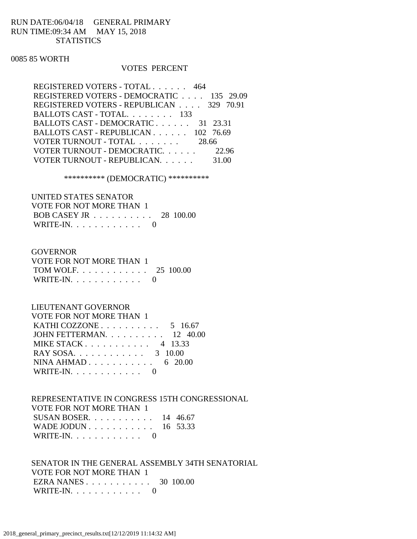## RUN DATE:06/04/18 GENERAL PRIMARY RUN TIME:09:34 AM MAY 15, 2018 **STATISTICS**

### 0085 85 WORTH

### VOTES PERCENT

| REGISTERED VOTERS - TOTAL 464            |       |
|------------------------------------------|-------|
| REGISTERED VOTERS - DEMOCRATIC 135 29.09 |       |
| REGISTERED VOTERS - REPUBLICAN 329 70.91 |       |
| BALLOTS CAST - TOTAL. 133                |       |
| BALLOTS CAST - DEMOCRATIC 31 23.31       |       |
| BALLOTS CAST - REPUBLICAN 102 76.69      |       |
| VOTER TURNOUT - TOTAL 28.66              |       |
| VOTER TURNOUT - DEMOCRATIC 22.96         |       |
| VOTER TURNOUT - REPUBLICAN.              | 31.00 |
|                                          |       |

\*\*\*\*\*\*\*\*\*\* (DEMOCRATIC) \*\*\*\*\*\*\*\*\*\*

 UNITED STATES SENATOR VOTE FOR NOT MORE THAN 1 BOB CASEY JR . . . . . . . . . . 28 100.00 WRITE-IN.  $\ldots$  . . . . . . . . . 0

#### GOVERNOR

| VOTE FOR NOT MORE THAN 1 |  |
|--------------------------|--|
| TOM WOLF 25 100.00       |  |
| WRITE-IN. $\ldots$ 0     |  |

## LIEUTENANT GOVERNOR

| <b>VOTE FOR NOT MORE THAN 1</b>                     |  |
|-----------------------------------------------------|--|
| KATHI COZZONE $\ldots \ldots \ldots \ldots 5$ 16.67 |  |
| JOHN FETTERMAN. $\ldots$ 12 40.00                   |  |
| MIKE STACK 4 13.33                                  |  |
| RAY SOSA. 3 10.00                                   |  |
| NINA AHMAD $6\quad 20.00$                           |  |
| WRITE-IN. $\ldots$ 0                                |  |

 REPRESENTATIVE IN CONGRESS 15TH CONGRESSIONAL VOTE FOR NOT MORE THAN 1 SUSAN BOSER. . . . . . . . . . . 14 46.67 WADE JODUN . . . . . . . . . . . 16 53.33 WRITE-IN.  $\ldots$  . . . . . . . . . 0

 SENATOR IN THE GENERAL ASSEMBLY 34TH SENATORIAL VOTE FOR NOT MORE THAN 1 EZRA NANES . . . . . . . . . . . 30 100.00 WRITE-IN. . . . . . . . . . . . 0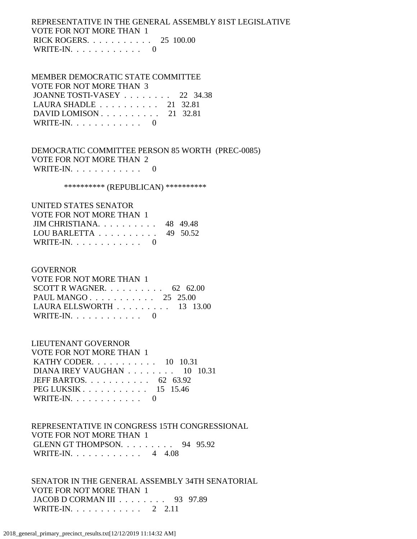## REPRESENTATIVE IN THE GENERAL ASSEMBLY 81ST LEGISLATIVE VOTE FOR NOT MORE THAN 1 RICK ROGERS. . . . . . . . . . . 25 100.00 WRITE-IN.  $\ldots$  . . . . . . . . 0

## MEMBER DEMOCRATIC STATE COMMITTEE VOTE FOR NOT MORE THAN 3 JOANNE TOSTI-VASEY . . . . . . . . 22 34.38 LAURA SHADLE . . . . . . . . . . 21 32.81 DAVID LOMISON . . . . . . . . . . 21 32.81 WRITE-IN.  $\ldots$  . . . . . . . . . 0

 DEMOCRATIC COMMITTEE PERSON 85 WORTH (PREC-0085) VOTE FOR NOT MORE THAN 2 WRITE-IN. . . . . . . . . . . . 0

#### \*\*\*\*\*\*\*\*\*\*\* (REPUBLICAN) \*\*\*\*\*\*\*\*\*\*\*

| UNITED STATES SENATOR                        |  |
|----------------------------------------------|--|
| VOTE FOR NOT MORE THAN 1                     |  |
| JIM CHRISTIANA. $\ldots$ . 48 49.48          |  |
| LOU BARLETTA $\ldots \ldots \ldots$ 49 50.52 |  |
| WRITE-IN. $\ldots$ 0                         |  |

#### GOVERNOR

| VOTE FOR NOT MORE THAN 1                        |  |  |
|-------------------------------------------------|--|--|
| SCOTT R WAGNER. $\ldots$ 62 62.00               |  |  |
| PAUL MANGO 25 25.00                             |  |  |
| LAURA ELLSWORTH $\ldots \ldots \ldots$ 13 13.00 |  |  |
| WRITE-IN. $\ldots$ 0                            |  |  |

#### LIEUTENANT GOVERNOR

| VOTE FOR NOT MORE THAN 1                           |  |
|----------------------------------------------------|--|
| <b>KATHY CODER.</b> $\ldots$ 10 10.31              |  |
| DIANA IREY VAUGHAN $\ldots \ldots \ldots 10$ 10.31 |  |
| JEFF BARTOS. $\ldots$ 62 63.92                     |  |
| PEG LUKSIK $\ldots$ 15 15.46                       |  |
| WRITE-IN. $\ldots$ 0                               |  |

## REPRESENTATIVE IN CONGRESS 15TH CONGRESSIONAL VOTE FOR NOT MORE THAN 1 GLENN GT THOMPSON. . . . . . . . . 94 95.92 WRITE-IN. . . . . . . . . . . . 4 4.08

 SENATOR IN THE GENERAL ASSEMBLY 34TH SENATORIAL VOTE FOR NOT MORE THAN 1 JACOB D CORMAN III . . . . . . . . 93 97.89 WRITE-IN. . . . . . . . . . . . 2 2.11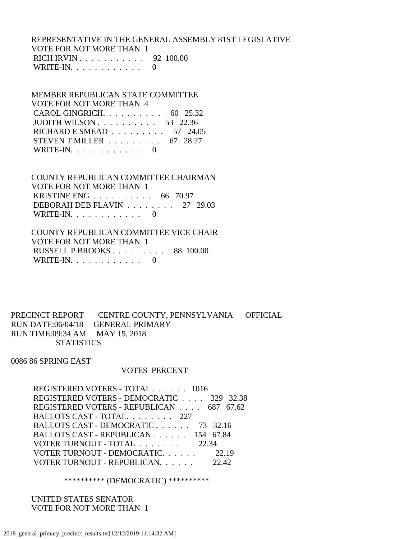## REPRESENTATIVE IN THE GENERAL ASSEMBLY 81ST LEGISLATIVE VOTE FOR NOT MORE THAN 1 RICH IRVIN . . . . . . . . . . . 92 100.00 WRITE-IN.  $\ldots$  . . . . . . . . . 0

 MEMBER REPUBLICAN STATE COMMITTEE VOTE FOR NOT MORE THAN 4 CAROL GINGRICH. . . . . . . . . . 60 25.32 JUDITH WILSON . . . . . . . . . . 53 22.36 RICHARD E SMEAD . . . . . . . . . 57 24.05 STEVEN T MILLER . . . . . . . . . 67 28.27 WRITE-IN.  $\ldots$  . . . . . . . . . 0

 COUNTY REPUBLICAN COMMITTEE CHAIRMAN VOTE FOR NOT MORE THAN 1 KRISTINE ENG . . . . . . . . . . 66 70.97 DEBORAH DEB FLAVIN . . . . . . . . 27 29.03 WRITE-IN.  $\ldots$  . . . . . . . . 0

 COUNTY REPUBLICAN COMMITTEE VICE CHAIR VOTE FOR NOT MORE THAN 1 RUSSELL P BROOKS . . . . . . . . . 88 100.00 WRITE-IN.  $\ldots$  . . . . . . . . 0

PRECINCT REPORT CENTRE COUNTY, PENNSYLVANIA OFFICIAL RUN DATE:06/04/18 GENERAL PRIMARY RUN TIME:09:34 AM MAY 15, 2018 **STATISTICS** 

0086 86 SPRING EAST

### VOTES PERCENT

| REGISTERED VOTERS - TOTAL 1016           |       |
|------------------------------------------|-------|
| REGISTERED VOTERS - DEMOCRATIC 329 32.38 |       |
| REGISTERED VOTERS - REPUBLICAN 687 67.62 |       |
| BALLOTS CAST - TOTAL. 227                |       |
| BALLOTS CAST - DEMOCRATIC 73 32.16       |       |
| BALLOTS CAST - REPUBLICAN 154 67.84      |       |
| VOTER TURNOUT - TOTAL 22.34              |       |
| VOTER TURNOUT - DEMOCRATIC. 22.19        |       |
| VOTER TURNOUT - REPUBLICAN.              | 22.42 |
|                                          |       |

\*\*\*\*\*\*\*\*\*\* (DEMOCRATIC) \*\*\*\*\*\*\*\*\*\*

 UNITED STATES SENATOR VOTE FOR NOT MORE THAN 1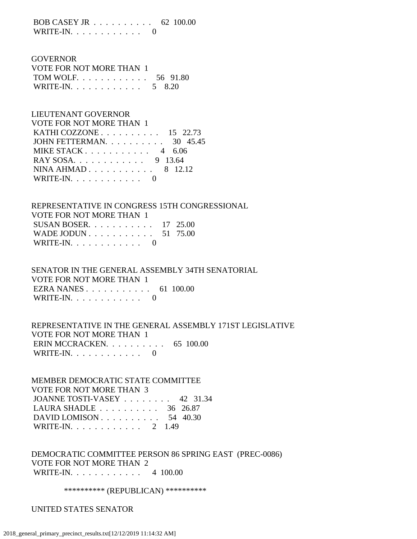BOB CASEY JR . . . . . . . . . . 62 100.00 WRITE-IN.  $\ldots$  . . . . . . . . 0

 GOVERNOR VOTE FOR NOT MORE THAN 1 TOM WOLF. . . . . . . . . . . . 56 91.80 WRITE-IN. . . . . . . . . . . . . 5 8.20

 LIEUTENANT GOVERNOR VOTE FOR NOT MORE THAN 1 KATHI COZZONE . . . . . . . . . . 15 22.73 JOHN FETTERMAN. . . . . . . . . . 30 45.45 MIKE STACK . . . . . . . . . . . 4 6.06 RAY SOSA. . . . . . . . . . . . 9 13.64 NINA AHMAD . . . . . . . . . . . 8 12.12 WRITE-IN.  $\ldots$  . . . . . . . . . 0

 REPRESENTATIVE IN CONGRESS 15TH CONGRESSIONAL VOTE FOR NOT MORE THAN 1 SUSAN BOSER. . . . . . . . . . . 17 25.00 WADE JODUN . . . . . . . . . . . . 51 75.00 WRITE-IN. . . . . . . . . . . . 0

 SENATOR IN THE GENERAL ASSEMBLY 34TH SENATORIAL VOTE FOR NOT MORE THAN 1 EZRA NANES . . . . . . . . . . . 61 100.00 WRITE-IN. . . . . . . . . . . . 0

 REPRESENTATIVE IN THE GENERAL ASSEMBLY 171ST LEGISLATIVE VOTE FOR NOT MORE THAN 1 ERIN MCCRACKEN. . . . . . . . . . 65 100.00 WRITE-IN. . . . . . . . . . . . 0

 MEMBER DEMOCRATIC STATE COMMITTEE VOTE FOR NOT MORE THAN 3 JOANNE TOSTI-VASEY . . . . . . . . 42 31.34 LAURA SHADLE . . . . . . . . . . 36 26.87 DAVID LOMISON . . . . . . . . . . 54 40.30 WRITE-IN. . . . . . . . . . . . 2 1.49

 DEMOCRATIC COMMITTEE PERSON 86 SPRING EAST (PREC-0086) VOTE FOR NOT MORE THAN 2 WRITE-IN. . . . . . . . . . . . 4 100.00

\*\*\*\*\*\*\*\*\*\*\* (REPUBLICAN) \*\*\*\*\*\*\*\*\*\*\*

UNITED STATES SENATOR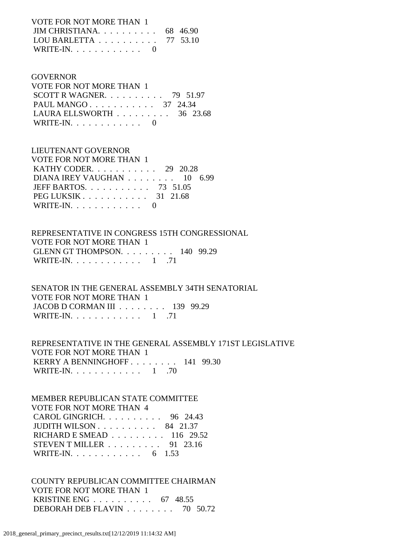VOTE FOR NOT MORE THAN 1 JIM CHRISTIANA. . . . . . . . . . 68 46.90 LOU BARLETTA . . . . . . . . . . 77 53.10 WRITE-IN.  $\ldots$  . . . . . . . . 0

### GOVERNOR

 VOTE FOR NOT MORE THAN 1 SCOTT R WAGNER.  $\ldots$  . . . . . . . 79 51.97 PAUL MANGO . . . . . . . . . . . 37 24.34 LAURA ELLSWORTH . . . . . . . . . 36 23.68 WRITE-IN. . . . . . . . . . . . 0

## LIEUTENANT GOVERNOR

| VOTE FOR NOT MORE THAN 1                                |  |
|---------------------------------------------------------|--|
| KATHY CODER. $\ldots$ 29 20.28                          |  |
| DIANA IREY VAUGHAN 10 6.99                              |  |
| JEFF BARTOS. $\ldots$ 73 51.05                          |  |
| PEG LUKSIK $\ldots$ $\ldots$ $\ldots$ $\ldots$ 31 21.68 |  |
| WRITE-IN. $\ldots$ 0                                    |  |

## REPRESENTATIVE IN CONGRESS 15TH CONGRESSIONAL VOTE FOR NOT MORE THAN 1 GLENN GT THOMPSON. . . . . . . . . 140 99.29 WRITE-IN.  $\ldots$  . . . . . . . . . 1 .71

 SENATOR IN THE GENERAL ASSEMBLY 34TH SENATORIAL VOTE FOR NOT MORE THAN 1 JACOB D CORMAN III . . . . . . . . 139 99.29 WRITE-IN.  $\ldots$  . . . . . . . . . . . 71

 REPRESENTATIVE IN THE GENERAL ASSEMBLY 171ST LEGISLATIVE VOTE FOR NOT MORE THAN 1 KERRY A BENNINGHOFF . . . . . . . . 141 99.30 WRITE-IN. . . . . . . . . . . . . 1 .70

## MEMBER REPUBLICAN STATE COMMITTEE

 VOTE FOR NOT MORE THAN 4 CAROL GINGRICH. . . . . . . . . . 96 24.43 JUDITH WILSON . . . . . . . . . . 84 21.37 RICHARD E SMEAD . . . . . . . . . 116 29.52 STEVEN T MILLER . . . . . . . . . 91 23.16 WRITE-IN. . . . . . . . . . . . 6 1.53

## COUNTY REPUBLICAN COMMITTEE CHAIRMAN VOTE FOR NOT MORE THAN 1 KRISTINE ENG . . . . . . . . . . 67 48.55 DEBORAH DEB FLAVIN . . . . . . . . 70 50.72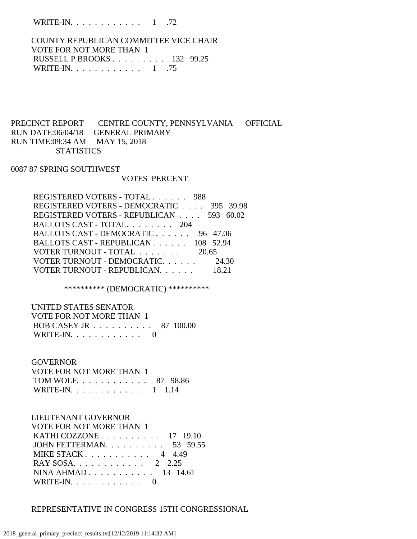WRITE-IN. . . . . . . . . . . . 1 .72

 COUNTY REPUBLICAN COMMITTEE VICE CHAIR VOTE FOR NOT MORE THAN 1 RUSSELL P BROOKS . . . . . . . . . 132 99.25 WRITE-IN. . . . . . . . . . . . . 1 .75

## PRECINCT REPORT CENTRE COUNTY, PENNSYLVANIA OFFICIAL RUN DATE:06/04/18 GENERAL PRIMARY RUN TIME:09:34 AM MAY 15, 2018 **STATISTICS**

### 0087 87 SPRING SOUTHWEST

#### VOTES PERCENT

| REGISTERED VOTERS - TOTAL 988            |       |
|------------------------------------------|-------|
| REGISTERED VOTERS - DEMOCRATIC 395 39.98 |       |
| REGISTERED VOTERS - REPUBLICAN 593 60.02 |       |
| BALLOTS CAST - TOTAL. 204                |       |
| BALLOTS CAST - DEMOCRATIC 96 47.06       |       |
| BALLOTS CAST - REPUBLICAN 108 52.94      |       |
| VOTER TURNOUT - TOTAL 20.65              |       |
| VOTER TURNOUT - DEMOCRATIC.              | 24.30 |
| VOTER TURNOUT - REPUBLICAN.              |       |

\*\*\*\*\*\*\*\*\*\* (DEMOCRATIC) \*\*\*\*\*\*\*\*\*\*

 UNITED STATES SENATOR VOTE FOR NOT MORE THAN 1 BOB CASEY JR . . . . . . . . . . 87 100.00 WRITE-IN. . . . . . . . . . . . 0

#### **GOVERNOR**

| VOTE FOR NOT MORE THAN 1 |  |
|--------------------------|--|
| TOM WOLF 87 98.86        |  |
| WRITE-IN. 1 1.14         |  |

### LIEUTENANT GOVERNOR

| <b>VOTE FOR NOT MORE THAN 1</b>                      |  |
|------------------------------------------------------|--|
| KATHI COZZONE $\ldots \ldots \ldots \ldots 17$ 19.10 |  |
| JOHN FETTERMAN. 53 59.55                             |  |
| MIKE STACK $\ldots$ , $\ldots$ , $\ldots$ , 4 4.49   |  |
| RAY SOSA 2 2.25                                      |  |
| NINA AHMAD $13$ 14.61                                |  |
| WRITE-IN. $\ldots$ 0                                 |  |

### REPRESENTATIVE IN CONGRESS 15TH CONGRESSIONAL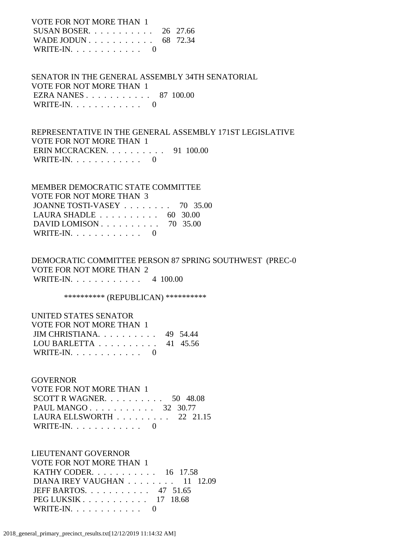VOTE FOR NOT MORE THAN 1

| SUSAN BOSER 26 27.66                                    |  |
|---------------------------------------------------------|--|
| WADE JODUN $\ldots$ $\ldots$ $\ldots$ $\ldots$ 68 72.34 |  |
| WRITE-IN. $\ldots$ 0                                    |  |

 SENATOR IN THE GENERAL ASSEMBLY 34TH SENATORIAL VOTE FOR NOT MORE THAN 1 EZRA NANES . . . . . . . . . . . 87 100.00 WRITE-IN. . . . . . . . . . . . 0

 REPRESENTATIVE IN THE GENERAL ASSEMBLY 171ST LEGISLATIVE VOTE FOR NOT MORE THAN 1 ERIN MCCRACKEN. . . . . . . . . . 91 100.00 WRITE-IN.  $\ldots$  . . . . . . . . 0

| MEMBER DEMOCRATIC STATE COMMITTEE                   |  |
|-----------------------------------------------------|--|
| <b>VOTE FOR NOT MORE THAN 3</b>                     |  |
| JOANNE TOSTI-VASEY 70 35.00                         |  |
| LAURA SHADLE $\ldots \ldots \ldots \ldots$ 60 30.00 |  |
| DAVID LOMISON $\ldots$ 70 35.00                     |  |
| WRITE-IN. $\ldots$ 0                                |  |

 DEMOCRATIC COMMITTEE PERSON 87 SPRING SOUTHWEST (PREC-0 VOTE FOR NOT MORE THAN 2 WRITE-IN. . . . . . . . . . . . 4 100.00

\*\*\*\*\*\*\*\*\*\* (REPUBLICAN) \*\*\*\*\*\*\*\*\*\*

## UNITED STATES SENATOR VOTE FOR NOT MORE THAN 1 JIM CHRISTIANA. . . . . . . . . . 49 54.44 LOU BARLETTA . . . . . . . . . . 41 45.56 WRITE-IN. . . . . . . . . . . . 0

 GOVERNOR VOTE FOR NOT MORE THAN 1 SCOTT R WAGNER. . . . . . . . . . 50 48.08 PAUL MANGO . . . . . . . . . . . 32 30.77 LAURA ELLSWORTH . . . . . . . . . 22 21.15 WRITE-IN. . . . . . . . . . . . 0

 LIEUTENANT GOVERNOR VOTE FOR NOT MORE THAN 1 KATHY CODER. . . . . . . . . . . 16 17.58 DIANA IREY VAUGHAN . . . . . . . . 11 12.09 JEFF BARTOS. . . . . . . . . . . 47 51.65 PEG LUKSIK . . . . . . . . . . . 17 18.68 WRITE-IN. . . . . . . . . . . . 0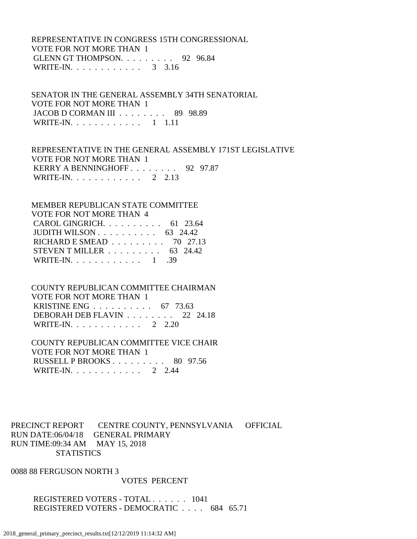## REPRESENTATIVE IN CONGRESS 15TH CONGRESSIONAL VOTE FOR NOT MORE THAN 1 GLENN GT THOMPSON. . . . . . . . . 92 96.84 WRITE-IN. . . . . . . . . . . . . 3 3.16

 SENATOR IN THE GENERAL ASSEMBLY 34TH SENATORIAL VOTE FOR NOT MORE THAN 1 JACOB D CORMAN III . . . . . . . . 89 98.89 WRITE-IN. . . . . . . . . . . . 1 1.11

 REPRESENTATIVE IN THE GENERAL ASSEMBLY 171ST LEGISLATIVE VOTE FOR NOT MORE THAN 1 KERRY A BENNINGHOFF . . . . . . . . 92 97.87 WRITE-IN. . . . . . . . . . . . 2 2.13

## MEMBER REPUBLICAN STATE COMMITTEE VOTE FOR NOT MORE THAN 4 CAROL GINGRICH. . . . . . . . . . 61 23.64 JUDITH WILSON . . . . . . . . . . 63 24.42 RICHARD E SMEAD . . . . . . . . . 70 27.13 STEVEN T MILLER  $\ldots$  . . . . . . . 63 24.42 WRITE-IN. . . . . . . . . . . . 1 .39

## COUNTY REPUBLICAN COMMITTEE CHAIRMAN

 VOTE FOR NOT MORE THAN 1 KRISTINE ENG . . . . . . . . . . 67 73.63 DEBORAH DEB FLAVIN . . . . . . . . 22 24.18 WRITE-IN. . . . . . . . . . . . 2 2.20

## COUNTY REPUBLICAN COMMITTEE VICE CHAIR VOTE FOR NOT MORE THAN 1 RUSSELL P BROOKS . . . . . . . . . 80 97.56 WRITE-IN. . . . . . . . . . . . 2 2.44

## PRECINCT REPORT CENTRE COUNTY, PENNSYLVANIA OFFICIAL RUN DATE:06/04/18 GENERAL PRIMARY RUN TIME:09:34 AM MAY 15, 2018 **STATISTICS**

0088 88 FERGUSON NORTH 3

### VOTES PERCENT

 REGISTERED VOTERS - TOTAL . . . . . . 1041 REGISTERED VOTERS - DEMOCRATIC . . . . 684 65.71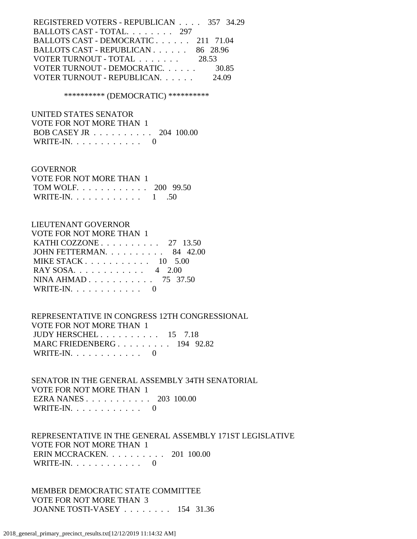REGISTERED VOTERS - REPUBLICAN . . . . 357 34.29 BALLOTS CAST - TOTAL. . . . . . . . 297 BALLOTS CAST - DEMOCRATIC . . . . . . 211 71.04 BALLOTS CAST - REPUBLICAN . . . . . . 86 28.96 VOTER TURNOUT - TOTAL . . . . . . . 28.53 VOTER TURNOUT - DEMOCRATIC. . . . . . . . 30.85 VOTER TURNOUT - REPUBLICAN. . . . . . 24.09

\*\*\*\*\*\*\*\*\*\* (DEMOCRATIC) \*\*\*\*\*\*\*\*\*\*

 UNITED STATES SENATOR VOTE FOR NOT MORE THAN 1 BOB CASEY JR . . . . . . . . . . 204 100.00 WRITE-IN. . . . . . . . . . . . 0

### GOVERNOR

| VOTE FOR NOT MORE THAN 1 |  |
|--------------------------|--|
| TOM WOLF. 200 99.50      |  |
| WRITE-IN. $\ldots$ 1 .50 |  |

### LIEUTENANT GOVERNOR

| VOTE FOR NOT MORE THAN 1                             |  |
|------------------------------------------------------|--|
| KATHI COZZONE $\ldots \ldots \ldots \ldots 27$ 13.50 |  |
| JOHN FETTERMAN. $\ldots$ 84 42.00                    |  |
| MIKE STACK $10$ 5.00                                 |  |
| RAY SOSA. $\ldots$ 4 2.00                            |  |
| NINA AHMAD 75 37.50                                  |  |
| WRITE-IN. $\ldots$ 0                                 |  |

 REPRESENTATIVE IN CONGRESS 12TH CONGRESSIONAL VOTE FOR NOT MORE THAN 1 JUDY HERSCHEL . . . . . . . . . . 15 7.18 MARC FRIEDENBERG . . . . . . . . . 194 92.82 WRITE-IN.  $\ldots$  . . . . . . . . 0

 SENATOR IN THE GENERAL ASSEMBLY 34TH SENATORIAL VOTE FOR NOT MORE THAN 1 EZRA NANES . . . . . . . . . . . 203 100.00 WRITE-IN.  $\ldots$  . . . . . . . . . 0

 REPRESENTATIVE IN THE GENERAL ASSEMBLY 171ST LEGISLATIVE VOTE FOR NOT MORE THAN 1 ERIN MCCRACKEN. . . . . . . . . . 201 100.00 WRITE-IN.  $\ldots$  . . . . . . . . . 0

 MEMBER DEMOCRATIC STATE COMMITTEE VOTE FOR NOT MORE THAN 3 JOANNE TOSTI-VASEY . . . . . . . . 154 31.36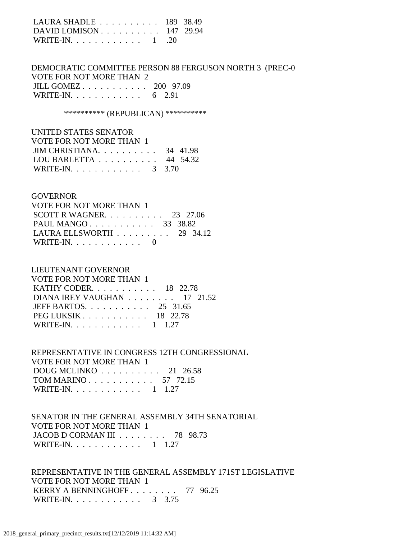| LAURA SHADLE 189 38.49                                      |  |
|-------------------------------------------------------------|--|
| DAVID LOMISON $\ldots$ $\ldots$ $\ldots$ $\ldots$ 147 29.94 |  |
| WRITE-IN. $\ldots$ 1 . 20                                   |  |

 DEMOCRATIC COMMITTEE PERSON 88 FERGUSON NORTH 3 (PREC-0 VOTE FOR NOT MORE THAN 2 JILL GOMEZ . . . . . . . . . . . 200 97.09 WRITE-IN. . . . . . . . . . . . . 6 2.91

\*\*\*\*\*\*\*\*\*\* (REPUBLICAN) \*\*\*\*\*\*\*\*\*\*

| UNITED STATES SENATOR             |          |
|-----------------------------------|----------|
| VOTE FOR NOT MORE THAN 1          |          |
| JIM CHRISTIANA. $\ldots$ 34 41.98 |          |
| LOU BARLETTA                      | 44 54.32 |
| WRITE-IN. 3 3.70                  |          |

### GOVERNOR

| VOTE FOR NOT MORE THAN 1                        |  |  |
|-------------------------------------------------|--|--|
| SCOTT R WAGNER. $\ldots$ 23 27.06               |  |  |
| PAUL MANGO 33 38.82                             |  |  |
| LAURA ELLSWORTH $\ldots \ldots \ldots$ 29 34.12 |  |  |
| WRITE-IN. $\ldots$ 0                            |  |  |

### LIEUTENANT GOVERNOR

| VOTE FOR NOT MORE THAN 1       |  |
|--------------------------------|--|
| KATHY CODER. 18 22.78          |  |
| DIANA IREY VAUGHAN 17 21.52    |  |
| JEFF BARTOS. $\ldots$ 25 31.65 |  |
| PEG LUKSIK 18 22.78            |  |
| WRITE-IN. 1 1.27               |  |

 REPRESENTATIVE IN CONGRESS 12TH CONGRESSIONAL VOTE FOR NOT MORE THAN 1 DOUG MCLINKO . . . . . . . . . . 21 26.58 TOM MARINO . . . . . . . . . . . 57 72.15 WRITE-IN. . . . . . . . . . . . 1 1.27

 SENATOR IN THE GENERAL ASSEMBLY 34TH SENATORIAL VOTE FOR NOT MORE THAN 1 JACOB D CORMAN III . . . . . . . . 78 98.73 WRITE-IN. . . . . . . . . . . . 1 1.27

 REPRESENTATIVE IN THE GENERAL ASSEMBLY 171ST LEGISLATIVE VOTE FOR NOT MORE THAN 1 KERRY A BENNINGHOFF . . . . . . . . 77 96.25 WRITE-IN. . . . . . . . . . . . . 3 3.75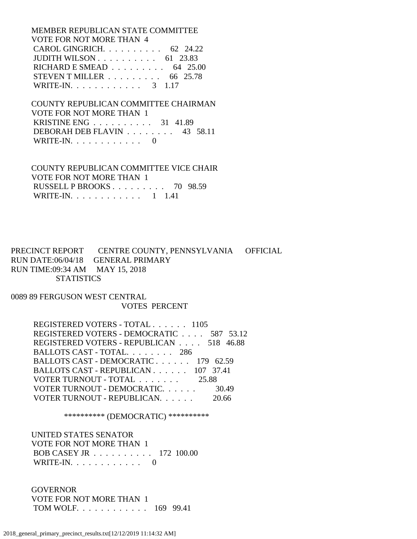MEMBER REPUBLICAN STATE COMMITTEE VOTE FOR NOT MORE THAN 4 CAROL GINGRICH. . . . . . . . . . 62 24.22 JUDITH WILSON . . . . . . . . . . 61 23.83 RICHARD E SMEAD . . . . . . . . . 64 25.00 STEVEN T MILLER . . . . . . . . . 66 25.78 WRITE-IN. . . . . . . . . . . . . 3 1.17

 COUNTY REPUBLICAN COMMITTEE CHAIRMAN VOTE FOR NOT MORE THAN 1 KRISTINE ENG . . . . . . . . . . 31 41.89 DEBORAH DEB FLAVIN . . . . . . . . 43 58.11 WRITE-IN.  $\ldots$  . . . . . . . . . 0

 COUNTY REPUBLICAN COMMITTEE VICE CHAIR VOTE FOR NOT MORE THAN 1 RUSSELL P BROOKS . . . . . . . . . 70 98.59 WRITE-IN. . . . . . . . . . . . 1 1.41

PRECINCT REPORT CENTRE COUNTY, PENNSYLVANIA OFFICIAL RUN DATE:06/04/18 GENERAL PRIMARY RUN TIME:09:34 AM MAY 15, 2018 **STATISTICS** 

0089 89 FERGUSON WEST CENTRAL VOTES PERCENT

> REGISTERED VOTERS - TOTAL . . . . . . 1105 REGISTERED VOTERS - DEMOCRATIC . . . . 587 53.12 REGISTERED VOTERS - REPUBLICAN . . . . 518 46.88 BALLOTS CAST - TOTAL. . . . . . . . 286 BALLOTS CAST - DEMOCRATIC . . . . . . 179 62.59 BALLOTS CAST - REPUBLICAN . . . . . . 107 37.41 VOTER TURNOUT - TOTAL . . . . . . . 25.88 VOTER TURNOUT - DEMOCRATIC. . . . . . 30.49 VOTER TURNOUT - REPUBLICAN. . . . . . 20.66

> > \*\*\*\*\*\*\*\*\*\* (DEMOCRATIC) \*\*\*\*\*\*\*\*\*\*

 UNITED STATES SENATOR VOTE FOR NOT MORE THAN 1 BOB CASEY JR . . . . . . . . . . 172 100.00 WRITE-IN. . . . . . . . . . . . 0

 GOVERNOR VOTE FOR NOT MORE THAN 1 TOM WOLF. . . . . . . . . . . . 169 99.41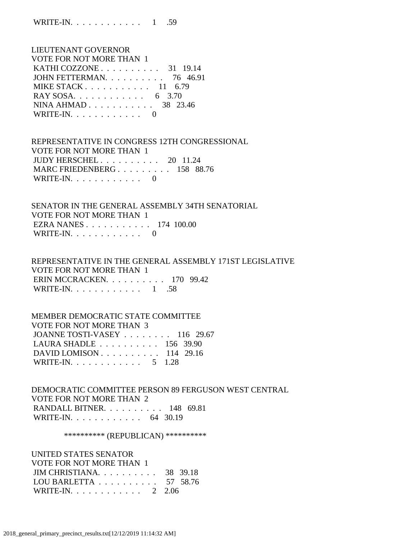WRITE-IN. . . . . . . . . . . . 1 .59

| LIEUTENANT GOVERNOR             |  |
|---------------------------------|--|
| <b>VOTE FOR NOT MORE THAN 1</b> |  |
| KATHI COZZONE $\ldots$ 31 19.14 |  |
| JOHN FETTERMAN. 76 46.91        |  |
| MIKE STACK $11\quad 6.79$       |  |
| RAY SOSA. 6 3.70                |  |
| NINA AHMAD 38 23.46             |  |
| WRITE-IN. $\ldots$ 0            |  |

 REPRESENTATIVE IN CONGRESS 12TH CONGRESSIONAL VOTE FOR NOT MORE THAN 1 JUDY HERSCHEL . . . . . . . . . . 20 11.24 MARC FRIEDENBERG . . . . . . . . . 158 88.76 WRITE-IN. . . . . . . . . . . . 0

 SENATOR IN THE GENERAL ASSEMBLY 34TH SENATORIAL VOTE FOR NOT MORE THAN 1 EZRA NANES . . . . . . . . . . . 174 100.00 WRITE-IN.  $\ldots$  . . . . . . . . 0

 REPRESENTATIVE IN THE GENERAL ASSEMBLY 171ST LEGISLATIVE VOTE FOR NOT MORE THAN 1 ERIN MCCRACKEN. . . . . . . . . . 170 99.42 WRITE-IN.  $\ldots$  . . . . . . . . . 1 .58

 MEMBER DEMOCRATIC STATE COMMITTEE VOTE FOR NOT MORE THAN 3 JOANNE TOSTI-VASEY . . . . . . . . 116 29.67 LAURA SHADLE . . . . . . . . . . 156 39.90 DAVID LOMISON . . . . . . . . . . 114 29.16 WRITE-IN. . . . . . . . . . . . 5 1.28

 DEMOCRATIC COMMITTEE PERSON 89 FERGUSON WEST CENTRAL VOTE FOR NOT MORE THAN 2 RANDALL BITNER. . . . . . . . . . 148 69.81 WRITE-IN. . . . . . . . . . . . . 64 30.19

\*\*\*\*\*\*\*\*\*\*\* (REPUBLICAN) \*\*\*\*\*\*\*\*\*\*\*

 UNITED STATES SENATOR VOTE FOR NOT MORE THAN 1 JIM CHRISTIANA. . . . . . . . . . 38 39.18 LOU BARLETTA . . . . . . . . . . 57 58.76 WRITE-IN. . . . . . . . . . . . 2 2.06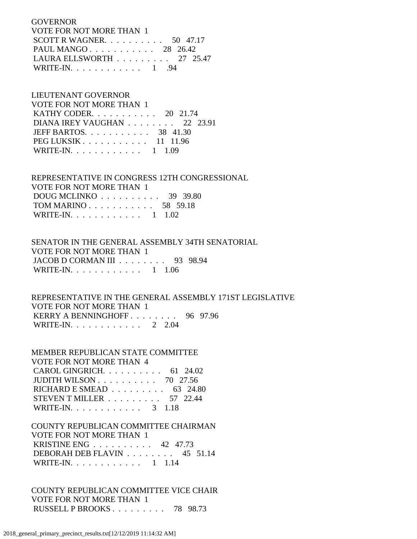**GOVERNOR**  VOTE FOR NOT MORE THAN 1 SCOTT R WAGNER. . . . . . . . . . 50 47.17 PAUL MANGO . . . . . . . . . . . 28 26.42 LAURA ELLSWORTH . . . . . . . . . 27 25.47 WRITE-IN. . . . . . . . . . . . 1 .94

### LIEUTENANT GOVERNOR

| <b>VOTE FOR NOT MORE THAN 1</b>                         |  |
|---------------------------------------------------------|--|
| KATHY CODER. 20 21.74                                   |  |
| DIANA IREY VAUGHAN 22 23.91                             |  |
| JEFF BARTOS. $\ldots$ 38 41.30                          |  |
| PEG LUKSIK $\ldots$ $\ldots$ $\ldots$ $\ldots$ 11 11.96 |  |
| WRITE-IN. 1 1.09                                        |  |

### REPRESENTATIVE IN CONGRESS 12TH CONGRESSIONAL VOTE FOR NOT MORE THAN 1 DOUG MCLINKO . . . . . . . . . . 39 39.80 TOM MARINO . . . . . . . . . . . 58 59.18

| WRITE-IN. $\ldots$ |  |  |  |  |  |  | $1 \quad 1.02$ |
|--------------------|--|--|--|--|--|--|----------------|
|                    |  |  |  |  |  |  |                |

## SENATOR IN THE GENERAL ASSEMBLY 34TH SENATORIAL VOTE FOR NOT MORE THAN 1 JACOB D CORMAN III . . . . . . . . 93 98.94 WRITE-IN. . . . . . . . . . . . 1 1.06

 REPRESENTATIVE IN THE GENERAL ASSEMBLY 171ST LEGISLATIVE VOTE FOR NOT MORE THAN 1 KERRY A BENNINGHOFF . . . . . . . . 96 97.96 WRITE-IN. . . . . . . . . . . . 2 2.04

## MEMBER REPUBLICAN STATE COMMITTEE VOTE FOR NOT MORE THAN 4 CAROL GINGRICH. . . . . . . . . . 61 24.02 JUDITH WILSON . . . . . . . . . . 70 27.56 RICHARD E SMEAD . . . . . . . . . 63 24.80 STEVEN T MILLER . . . . . . . . . 57 22.44 WRITE-IN. . . . . . . . . . . . 3 1.18

## COUNTY REPUBLICAN COMMITTEE CHAIRMAN VOTE FOR NOT MORE THAN 1 KRISTINE ENG . . . . . . . . . . 42 47.73 DEBORAH DEB FLAVIN . . . . . . . . 45 51.14 WRITE-IN. . . . . . . . . . . . 1 1.14

## COUNTY REPUBLICAN COMMITTEE VICE CHAIR VOTE FOR NOT MORE THAN 1 RUSSELL P BROOKS . . . . . . . . . 78 98.73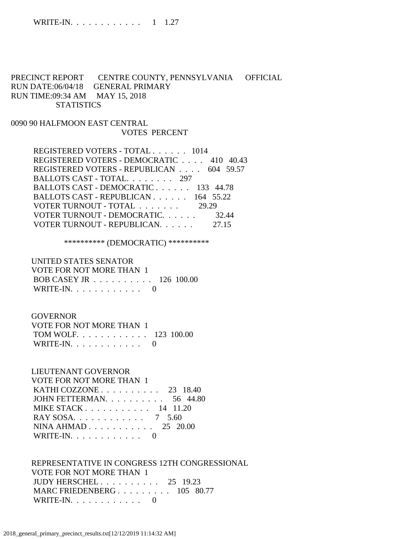## PRECINCT REPORT CENTRE COUNTY, PENNSYLVANIA OFFICIAL RUN DATE:06/04/18 GENERAL PRIMARY RUN TIME:09:34 AM MAY 15, 2018 **STATISTICS**

## 0090 90 HALFMOON EAST CENTRAL VOTES PERCENT

 REGISTERED VOTERS - TOTAL . . . . . . 1014 REGISTERED VOTERS - DEMOCRATIC . . . . 410 40.43 REGISTERED VOTERS - REPUBLICAN . . . . 604 59.57 BALLOTS CAST - TOTAL. . . . . . . . 297 BALLOTS CAST - DEMOCRATIC . . . . . . 133 44.78 BALLOTS CAST - REPUBLICAN . . . . . . 164 55.22 VOTER TURNOUT - TOTAL . . . . . . . 29.29 VOTER TURNOUT - DEMOCRATIC. . . . . . 32.44 VOTER TURNOUT - REPUBLICAN. . . . . . 27.15

\*\*\*\*\*\*\*\*\*\* (DEMOCRATIC) \*\*\*\*\*\*\*\*\*\*

 UNITED STATES SENATOR VOTE FOR NOT MORE THAN 1 BOB CASEY JR . . . . . . . . . . 126 100.00 WRITE-IN.  $\ldots$  . . . . . . . . . 0

### **GOVERNOR**

| VOTE FOR NOT MORE THAN 1 |  |
|--------------------------|--|
| TOM WOLF. 123 100.00     |  |
| WRITE-IN. $\ldots$ 0     |  |

# LIEUTENANT GOVERNOR

#### VOTE FOR NOT MORE THAN 1

| KATHI COZZONE $\ldots$ 23 18.40                         |  |
|---------------------------------------------------------|--|
| JOHN FETTERMAN. $\ldots$ 56 44.80                       |  |
| MIKE STACK $\ldots$ $\ldots$ $\ldots$ $\ldots$ 14 11.20 |  |
| RAY SOSA. 7 5.60                                        |  |
| NINA AHMAD $25\quad 20.00$                              |  |
| WRITE-IN. $\ldots$ 0                                    |  |

 REPRESENTATIVE IN CONGRESS 12TH CONGRESSIONAL VOTE FOR NOT MORE THAN 1 JUDY HERSCHEL . . . . . . . . . . 25 19.23 MARC FRIEDENBERG . . . . . . . . . 105 80.77 WRITE-IN. . . . . . . . . . . . 0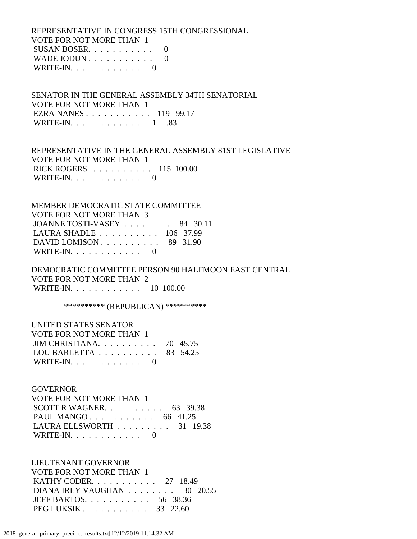REPRESENTATIVE IN CONGRESS 15TH CONGRESSIONAL VOTE FOR NOT MORE THAN 1 SUSAN BOSER.  $\ldots$  . . . . . . . 0 WADE JODUN . . . . . . . . . . . 0 WRITE-IN.  $\ldots$  . . . . . . . . . 0

 SENATOR IN THE GENERAL ASSEMBLY 34TH SENATORIAL VOTE FOR NOT MORE THAN 1 EZRA NANES . . . . . . . . . . . 119 99.17 WRITE-IN. . . . . . . . . . . . 1 .83

 REPRESENTATIVE IN THE GENERAL ASSEMBLY 81ST LEGISLATIVE VOTE FOR NOT MORE THAN 1 RICK ROGERS. . . . . . . . . . . 115 100.00 WRITE-IN.  $\ldots$  . . . . . . . . 0

 MEMBER DEMOCRATIC STATE COMMITTEE VOTE FOR NOT MORE THAN 3 JOANNE TOSTI-VASEY . . . . . . . . 84 30.11 LAURA SHADLE . . . . . . . . . . 106 37.99 DAVID LOMISON . . . . . . . . . . 89 31.90 WRITE-IN.  $\ldots$  . . . . . . . . 0

 DEMOCRATIC COMMITTEE PERSON 90 HALFMOON EAST CENTRAL VOTE FOR NOT MORE THAN 2 WRITE-IN. . . . . . . . . . . . 10 100.00

\*\*\*\*\*\*\*\*\*\*\* (REPUBLICAN) \*\*\*\*\*\*\*\*\*\*\*

| UNITED STATES SENATOR                               |  |
|-----------------------------------------------------|--|
| VOTE FOR NOT MORE THAN 1                            |  |
| JIM CHRISTIANA. $\ldots$ 70 45.75                   |  |
| LOU BARLETTA $\ldots \ldots \ldots \ldots$ 83 54.25 |  |
| WRITE-IN. $\ldots$ 0                                |  |

#### GOVERNOR

 VOTE FOR NOT MORE THAN 1 SCOTT R WAGNER. . . . . . . . . . 63 39.38 PAUL MANGO . . . . . . . . . . . 66 41.25 LAURA ELLSWORTH . . . . . . . . . 31 19.38 WRITE-IN. . . . . . . . . . . . 0

 LIEUTENANT GOVERNOR VOTE FOR NOT MORE THAN 1 **KATHY CODER.** . . . . . . . . . . . 27 18.49 DIANA IREY VAUGHAN . . . . . . . . 30 20.55 JEFF BARTOS. . . . . . . . . . . 56 38.36 PEG LUKSIK . . . . . . . . . . . 33 22.60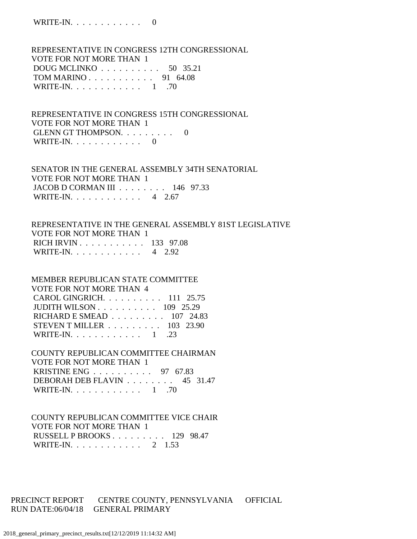REPRESENTATIVE IN CONGRESS 12TH CONGRESSIONAL VOTE FOR NOT MORE THAN 1 DOUG MCLINKO . . . . . . . . . . 50 35.21 TOM MARINO . . . . . . . . . . . 91 64.08 WRITE-IN. . . . . . . . . . . . . 1 .70

 REPRESENTATIVE IN CONGRESS 15TH CONGRESSIONAL VOTE FOR NOT MORE THAN 1 GLENN GT THOMPSON. . . . . . . . . 0 WRITE-IN.  $\ldots$  . . . . . . . . 0

 SENATOR IN THE GENERAL ASSEMBLY 34TH SENATORIAL VOTE FOR NOT MORE THAN 1 JACOB D CORMAN III . . . . . . . . 146 97.33 WRITE-IN. . . . . . . . . . . . 4 2.67

 REPRESENTATIVE IN THE GENERAL ASSEMBLY 81ST LEGISLATIVE VOTE FOR NOT MORE THAN 1 RICH IRVIN . . . . . . . . . . . 133 97.08 WRITE-IN. . . . . . . . . . . . 4 2.92

 MEMBER REPUBLICAN STATE COMMITTEE VOTE FOR NOT MORE THAN 4 CAROL GINGRICH. . . . . . . . . . 111 25.75 JUDITH WILSON . . . . . . . . . . 109 25.29 RICHARD E SMEAD . . . . . . . . . 107 24.83 STEVEN T MILLER . . . . . . . . . 103 23.90 WRITE-IN. . . . . . . . . . . . 1 .23

 COUNTY REPUBLICAN COMMITTEE CHAIRMAN VOTE FOR NOT MORE THAN 1 KRISTINE ENG . . . . . . . . . . 97 67.83 DEBORAH DEB FLAVIN . . . . . . . . 45 31.47 WRITE-IN. . . . . . . . . . . . . 1 .70

 COUNTY REPUBLICAN COMMITTEE VICE CHAIR VOTE FOR NOT MORE THAN 1 RUSSELL P BROOKS . . . . . . . . . 129 98.47 WRITE-IN. . . . . . . . . . . . 2 1.53

PRECINCT REPORT CENTRE COUNTY, PENNSYLVANIA OFFICIAL RUN DATE:06/04/18 GENERAL PRIMARY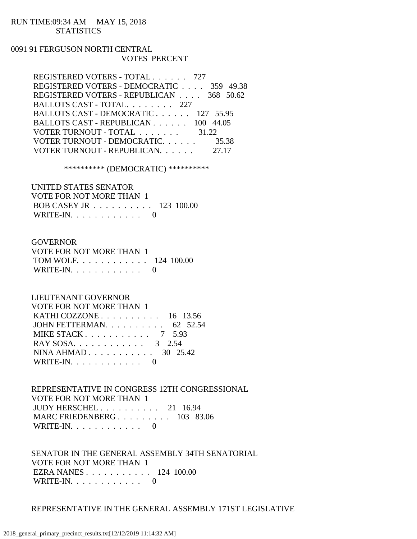### RUN TIME:09:34 AM MAY 15, 2018 **STATISTICS**

## 0091 91 FERGUSON NORTH CENTRAL VOTES PERCENT

| REGISTERED VOTERS - TOTAL 727            |       |
|------------------------------------------|-------|
| REGISTERED VOTERS - DEMOCRATIC 359 49.38 |       |
| REGISTERED VOTERS - REPUBLICAN 368 50.62 |       |
| BALLOTS CAST - TOTAL 227                 |       |
| BALLOTS CAST - DEMOCRATIC 127 55.95      |       |
| BALLOTS CAST - REPUBLICAN 100 44.05      |       |
| VOTER TURNOUT - TOTAL 31.22              |       |
| VOTER TURNOUT - DEMOCRATIC.              | 35.38 |
| VOTER TURNOUT - REPUBLICAN.              | 27.17 |

\*\*\*\*\*\*\*\*\*\* (DEMOCRATIC) \*\*\*\*\*\*\*\*\*\*

| UNITED STATES SENATOR    |  |
|--------------------------|--|
| VOTE FOR NOT MORE THAN 1 |  |
| BOB CASEY JR 123 100.00  |  |
| WRITE-IN. $\ldots$ 0     |  |

### GOVERNOR

| VOTE FOR NOT MORE THAN 1 |  |
|--------------------------|--|
| TOM WOLF. 124 100.00     |  |
| WRITE-IN. $\ldots$ 0     |  |

## LIEUTENANT GOVERNOR

| <b>VOTE FOR NOT MORE THAN 1</b>                   |  |
|---------------------------------------------------|--|
| KATHI COZZONE $\ldots$ $\ldots$ $\ldots$ 16 13.56 |  |
| JOHN FETTERMAN. $\ldots$ 62 52.54                 |  |
| MIKE STACK $7\quad 5.93$                          |  |
| RAY SOSA. 3 2.54                                  |  |
| NINA AHMAD 30 25.42                               |  |
| WRITE-IN. $\ldots$ 0                              |  |

 REPRESENTATIVE IN CONGRESS 12TH CONGRESSIONAL VOTE FOR NOT MORE THAN 1 JUDY HERSCHEL . . . . . . . . . . 21 16.94 MARC FRIEDENBERG . . . . . . . . . 103 83.06 WRITE-IN.  $\ldots$  . . . . . . . . . 0

 SENATOR IN THE GENERAL ASSEMBLY 34TH SENATORIAL VOTE FOR NOT MORE THAN 1 EZRA NANES . . . . . . . . . . . 124 100.00 WRITE-IN.  $\ldots$  . . . . . . . . . 0

### REPRESENTATIVE IN THE GENERAL ASSEMBLY 171ST LEGISLATIVE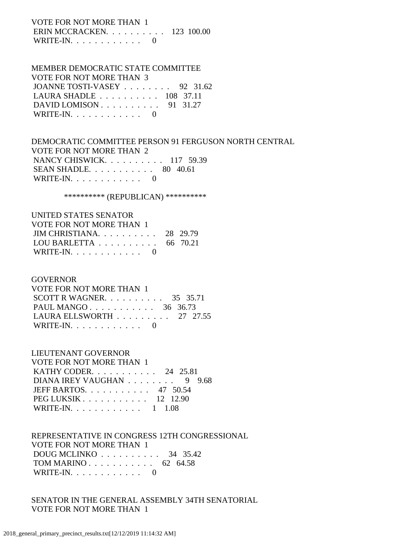VOTE FOR NOT MORE THAN 1 ERIN MCCRACKEN. . . . . . . . . . 123 100.00 WRITE-IN. . . . . . . . . . . . 0

#### MEMBER DEMOCRATIC STATE COMMITTEE VOTE FOR NOT MORE THAN

| VOTE FOR NOT MORE THAN 3                             |  |
|------------------------------------------------------|--|
| JOANNE TOSTI-VASEY $\ldots$ 92 31.62                 |  |
| LAURA SHADLE $\ldots \ldots \ldots \ldots 108$ 37.11 |  |
| DAVID LOMISON $\ldots$ 91 31.27                      |  |
| WRITE-IN. $\ldots$ 0                                 |  |

 DEMOCRATIC COMMITTEE PERSON 91 FERGUSON NORTH CENTRAL VOTE FOR NOT MORE THAN 2 NANCY CHISWICK. . . . . . . . . . 117 59.39 SEAN SHADLE. . . . . . . . . . . 80 40.61 WRITE-IN. . . . . . . . . . . . 0

\*\*\*\*\*\*\*\*\*\*\* (REPUBLICAN) \*\*\*\*\*\*\*\*\*\*\*

| UNITED STATES SENATOR                               |  |
|-----------------------------------------------------|--|
| VOTE FOR NOT MORE THAN 1                            |  |
| JIM CHRISTIANA. $\ldots$ 28 29.79                   |  |
| LOU BARLETTA $\ldots \ldots \ldots \ldots$ 66 70.21 |  |
| WRITE-IN. $\ldots$ 0                                |  |

#### GOVERNOR

| VOTE FOR NOT MORE THAN 1                        |  |  |
|-------------------------------------------------|--|--|
| SCOTT R WAGNER. $\ldots$ 35 35.71               |  |  |
| PAUL MANGO 36 36.73                             |  |  |
| LAURA ELLSWORTH $\ldots \ldots \ldots 27$ 27.55 |  |  |
| WRITE-IN. $\ldots$ 0                            |  |  |

## LIEUTENANT GOVERNOR

| VOTE FOR NOT MORE THAN 1       |
|--------------------------------|
| KATHY CODER. 24 25.81          |
| DIANA IREY VAUGHAN 9 9.68      |
| JEFF BARTOS. $\ldots$ 47 50.54 |
| PEG LUKSIK $12$ 12.90          |
| WRITE-IN. 1 1.08               |

## REPRESENTATIVE IN CONGRESS 12TH CONGRESSIONAL VOTE FOR NOT MORE THAN 1 DOUG MCLINKO . . . . . . . . . . 34 35.42 TOM MARINO . . . . . . . . . . . 62 64.58 WRITE-IN.  $\ldots$  . . . . . . . . 0

 SENATOR IN THE GENERAL ASSEMBLY 34TH SENATORIAL VOTE FOR NOT MORE THAN 1